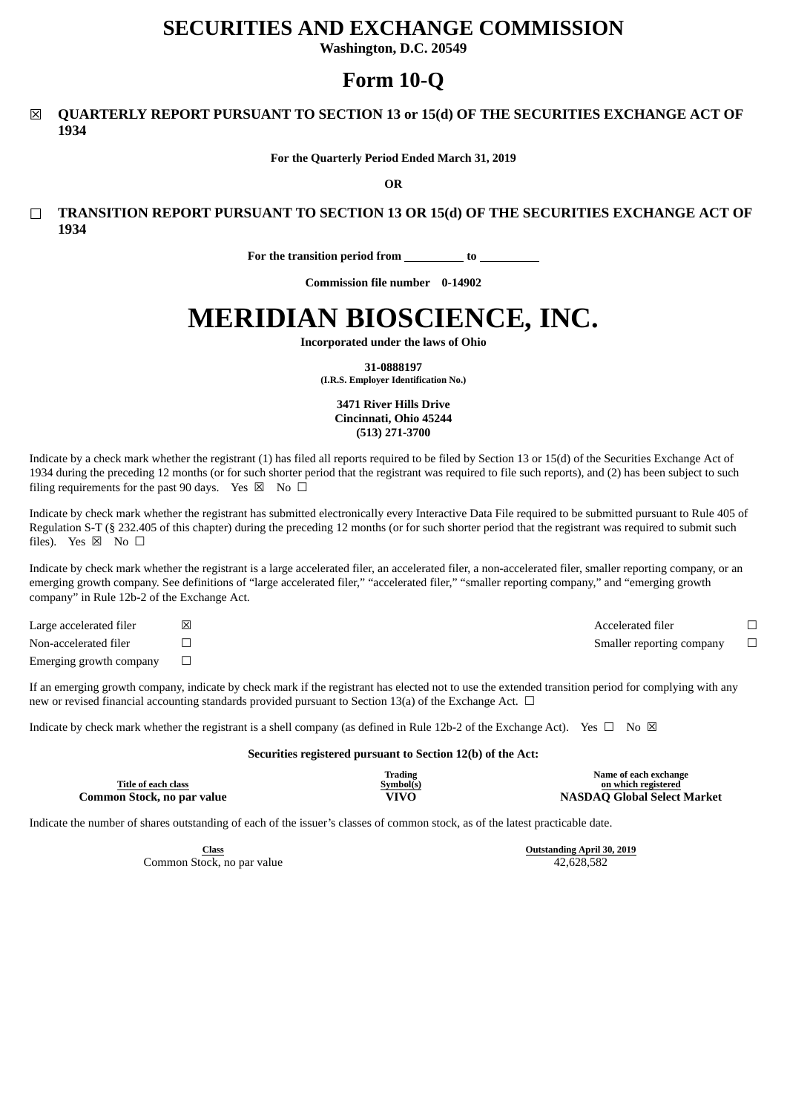## **SECURITIES AND EXCHANGE COMMISSION**

**Washington, D.C. 20549**

# **Form 10-Q**

## ☒ **QUARTERLY REPORT PURSUANT TO SECTION 13 or 15(d) OF THE SECURITIES EXCHANGE ACT OF 1934**

**For the Quarterly Period Ended March 31, 2019**

**OR**

## ☐ **TRANSITION REPORT PURSUANT TO SECTION 13 OR 15(d) OF THE SECURITIES EXCHANGE ACT OF 1934**

**For the transition period from to**

**Commission file number 0-14902**

# **MERIDIAN BIOSCIENCE, INC.**

**Incorporated under the laws of Ohio**

**31-0888197**

**(I.R.S. Employer Identification No.)**

#### **3471 River Hills Drive Cincinnati, Ohio 45244 (513) 271-3700**

Indicate by a check mark whether the registrant (1) has filed all reports required to be filed by Section 13 or 15(d) of the Securities Exchange Act of 1934 during the preceding 12 months (or for such shorter period that the registrant was required to file such reports), and (2) has been subject to such filing requirements for the past 90 days. Yes  $\boxtimes$  No  $\Box$ 

Indicate by check mark whether the registrant has submitted electronically every Interactive Data File required to be submitted pursuant to Rule 405 of Regulation S-T (§ 232.405 of this chapter) during the preceding 12 months (or for such shorter period that the registrant was required to submit such files). Yes  $\boxtimes$  No  $\square$ 

Indicate by check mark whether the registrant is a large accelerated filer, an accelerated filer, a non-accelerated filer, smaller reporting company, or an emerging growth company. See definitions of "large accelerated filer," "accelerated filer," "smaller reporting company," and "emerging growth company" in Rule 12b-2 of the Exchange Act.

| Large accelerated filer | 冈 | Accelerated filer         |  |
|-------------------------|---|---------------------------|--|
| Non-accelerated filer   |   | Smaller reporting company |  |
| Emerging growth company |   |                           |  |

If an emerging growth company, indicate by check mark if the registrant has elected not to use the extended transition period for complying with any new or revised financial accounting standards provided pursuant to Section 13(a) of the Exchange Act.  $\Box$ 

Indicate by check mark whether the registrant is a shell company (as defined in Rule 12b-2 of the Exchange Act). Yes  $\Box$  No  $\boxtimes$ 

#### **Securities registered pursuant to Section 12(b) of the Act:**

|                            | Trading   | Name of each exchange              |
|----------------------------|-----------|------------------------------------|
| Title of each class        | Symbol(s) | on which registered                |
| Common Stock, no par value | VIVC      | <b>NASDAQ Global Select Market</b> |

Indicate the number of shares outstanding of each of the issuer's classes of common stock, as of the latest practicable date.

Common Stock, no par value 42,628,582

**Class Outstanding April 30, 2019**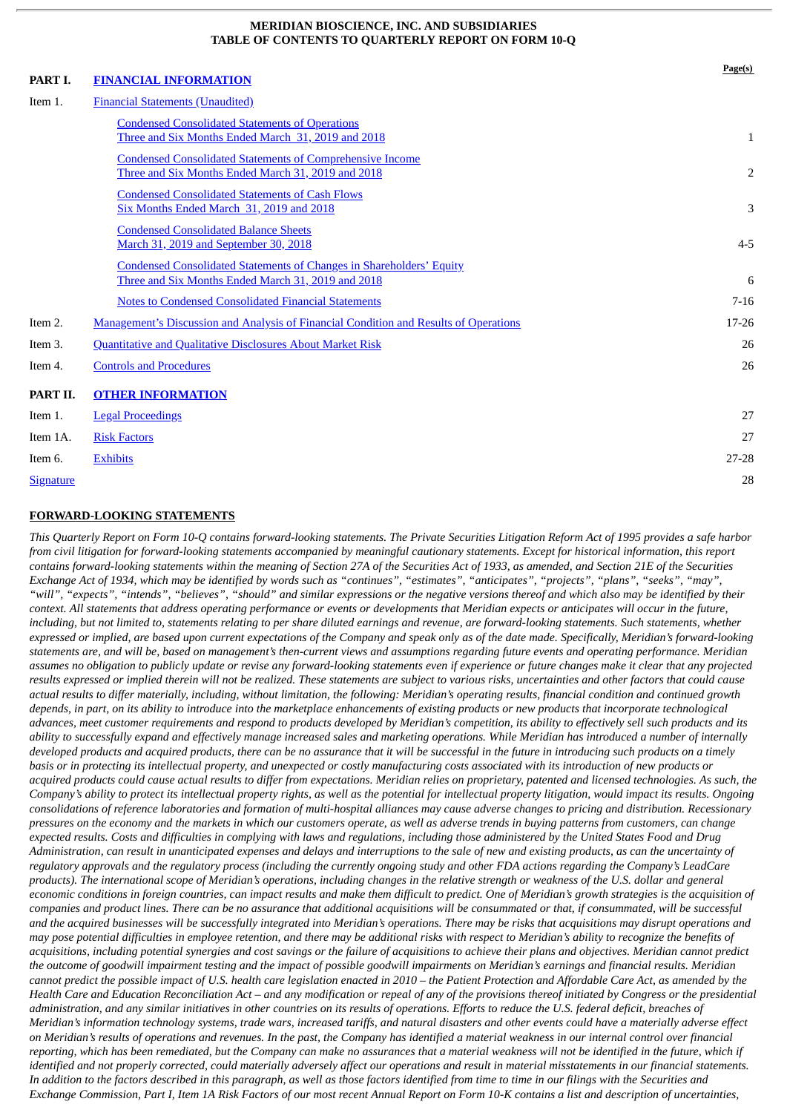#### **MERIDIAN BIOSCIENCE, INC. AND SUBSIDIARIES TABLE OF CONTENTS TO QUARTERLY REPORT ON FORM 10-Q**

| PART I.          | <b>FINANCIAL INFORMATION</b>                                                                                                      | Page(s)   |
|------------------|-----------------------------------------------------------------------------------------------------------------------------------|-----------|
| Item 1.          | <b>Financial Statements (Unaudited)</b>                                                                                           |           |
|                  | <b>Condensed Consolidated Statements of Operations</b><br>Three and Six Months Ended March 31, 2019 and 2018                      | 1         |
|                  | <b>Condensed Consolidated Statements of Comprehensive Income</b><br>Three and Six Months Ended March 31, 2019 and 2018            | 2         |
|                  | <b>Condensed Consolidated Statements of Cash Flows</b><br>Six Months Ended March 31, 2019 and 2018                                | 3         |
|                  | <b>Condensed Consolidated Balance Sheets</b><br>March 31, 2019 and September 30, 2018                                             | $4 - 5$   |
|                  | <b>Condensed Consolidated Statements of Changes in Shareholders' Equity</b><br>Three and Six Months Ended March 31, 2019 and 2018 | 6         |
|                  | <b>Notes to Condensed Consolidated Financial Statements</b>                                                                       | $7 - 16$  |
| Item 2.          | <b>Management's Discussion and Analysis of Financial Condition and Results of Operations</b>                                      | $17 - 26$ |
| Item 3.          | <b>Quantitative and Qualitative Disclosures About Market Risk</b>                                                                 | 26        |
| Item 4.          | <b>Controls and Procedures</b>                                                                                                    | 26        |
| PART II.         | <b>OTHER INFORMATION</b>                                                                                                          |           |
| Item 1.          | <b>Legal Proceedings</b>                                                                                                          | 27        |
| Item 1A.         | <b>Risk Factors</b>                                                                                                               | 27        |
| Item 6.          | <b>Exhibits</b>                                                                                                                   | $27 - 28$ |
| <b>Signature</b> |                                                                                                                                   | 28        |

#### **FORWARD-LOOKING STATEMENTS**

This Quarterly Report on Form 10-Q contains forward-looking statements. The Private Securities Litigation Reform Act of 1995 provides a safe harbor from civil litigation for forward-looking statements accompanied by meaningful cautionary statements. Except for historical information, this report contains forward-looking statements within the meaning of Section 27A of the Securities Act of 1933, as amended, and Section 21E of the Securities Exchange Act of 1934, which may be identified by words such as "continues", "estimates", "anticipates", "projects", "plans", "seeks", "may", "will", "expects", "intends", "believes", "should" and similar expressions or the negative versions thereof and which also may be identified by their context. All statements that address operating performance or events or developments that Meridian expects or anticipates will occur in the future, including, but not limited to, statements relating to per share diluted earnings and revenue, are forward-looking statements. Such statements, whether expressed or implied, are based upon current expectations of the Company and speak only as of the date made. Specifically, Meridian's forward-looking statements are, and will be, based on management's then-current views and assumptions regarding future events and operating performance. Meridian assumes no obligation to publicly update or revise any forward-looking statements even if experience or future changes make it clear that any projected results expressed or implied therein will not be realized. These statements are subject to various risks, uncertainties and other factors that could cause actual results to differ materially, including, without limitation, the following: Meridian's operating results, financial condition and continued growth depends, in part, on its ability to introduce into the marketplace enhancements of existing products or new products that incorporate technological advances, meet customer requirements and respond to products developed by Meridian's competition, its ability to effectively sell such products and its ability to successfully expand and effectively manage increased sales and marketing operations. While Meridian has introduced a number of internally developed products and acquired products, there can be no assurance that it will be successful in the future in introducing such products on a timely basis or in protecting its intellectual property, and unexpected or costly manufacturing costs associated with its introduction of new products or acquired products could cause actual results to differ from expectations. Meridian relies on proprietary, patented and licensed technologies. As such, the Company's ability to protect its intellectual property rights, as well as the potential for intellectual property litigation, would impact its results. Ongoing consolidations of reference laboratories and formation of multi-hospital alliances may cause adverse changes to pricing and distribution. Recessionary pressures on the economy and the markets in which our customers operate, as well as adverse trends in buying patterns from customers, can change expected results. Costs and difficulties in complying with laws and regulations, including those administered by the United States Food and Drug Administration, can result in unanticipated expenses and delays and interruptions to the sale of new and existing products, as can the uncertainty of regulatory approvals and the regulatory process (including the currently ongoing study and other FDA actions regarding the Company's LeadCare products). The international scope of Meridian's operations, including changes in the relative strength or weakness of the U.S. dollar and general economic conditions in foreian countries, can impact results and make them difficult to predict. One of Meridian's arowth strategies is the acquisition of companies and product lines. There can be no assurance that additional acquisitions will be consummated or that, if consummated, will be successful and the acquired businesses will be successfully integrated into Meridian's operations. There may be risks that acquisitions may disrupt operations and may pose potential difficulties in employee retention, and there may be additional risks with respect to Meridian's ability to recognize the benefits of acquisitions, including potential synergies and cost savings or the failure of acquisitions to achieve their plans and objectives. Meridian cannot predict the outcome of goodwill impairment testing and the impact of possible goodwill impairments on Meridian's earnings and financial results. Meridian cannot predict the possible impact of U.S. health care legislation enacted in 2010 – the Patient Protection and Affordable Care Act, as amended by the Health Care and Education Reconciliation Act – and any modification or repeal of any of the provisions thereof initiated by Congress or the presidential administration, and any similar initiatives in other countries on its results of operations. Efforts to reduce the U.S. federal deficit, breaches of Meridian's information technology systems, trade wars, increased tariffs, and natural disasters and other events could have a materially adverse effect on Meridian's results of operations and revenues. In the past, the Company has identified a material weakness in our internal control over financial reporting, which has been remediated, but the Company can make no assurances that a material weakness will not be identified in the future, which if identified and not properly corrected, could materially adversely affect our operations and result in material misstatements in our financial statements. In addition to the factors described in this paragraph, as well as those factors identified from time to time in our filings with the Securities and Exchange Commission, Part I, Item 1A Risk Factors of our most recent Annual Report on Form 10-K contains a list and description of uncertainties,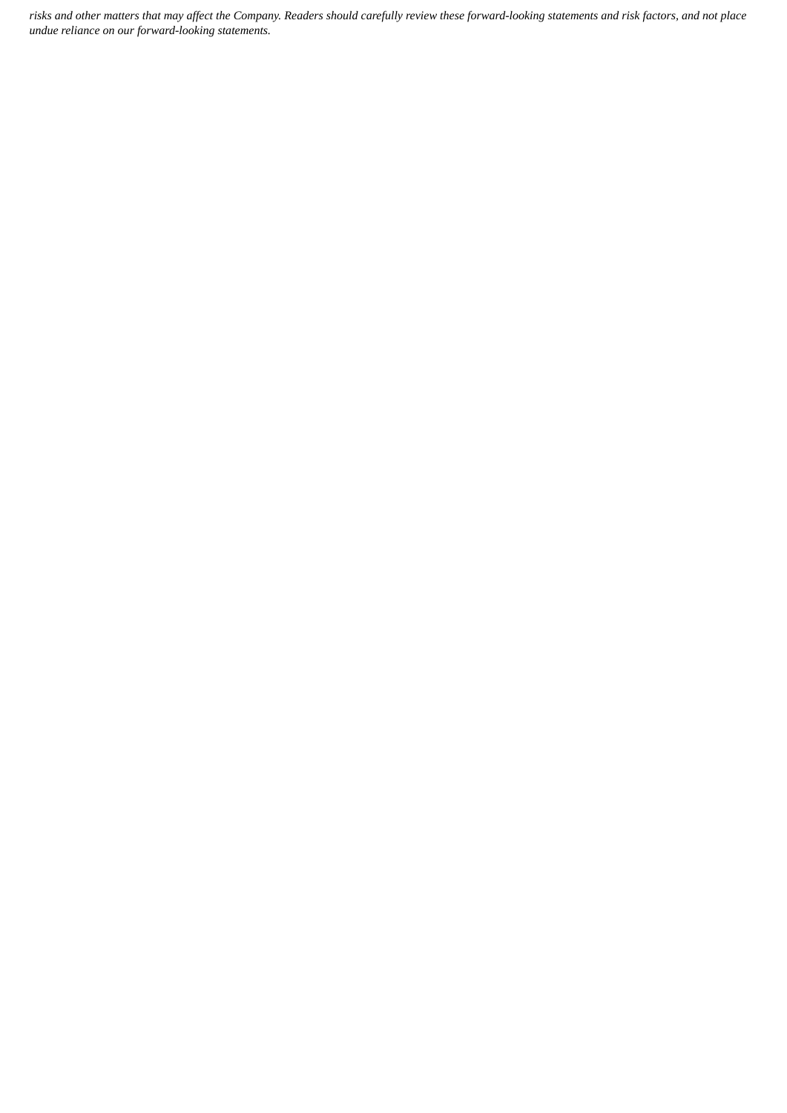risks and other matters that may affect the Company. Readers should carefully review these forward-looking statements and risk factors, and not place *undue reliance on our forward-looking statements.*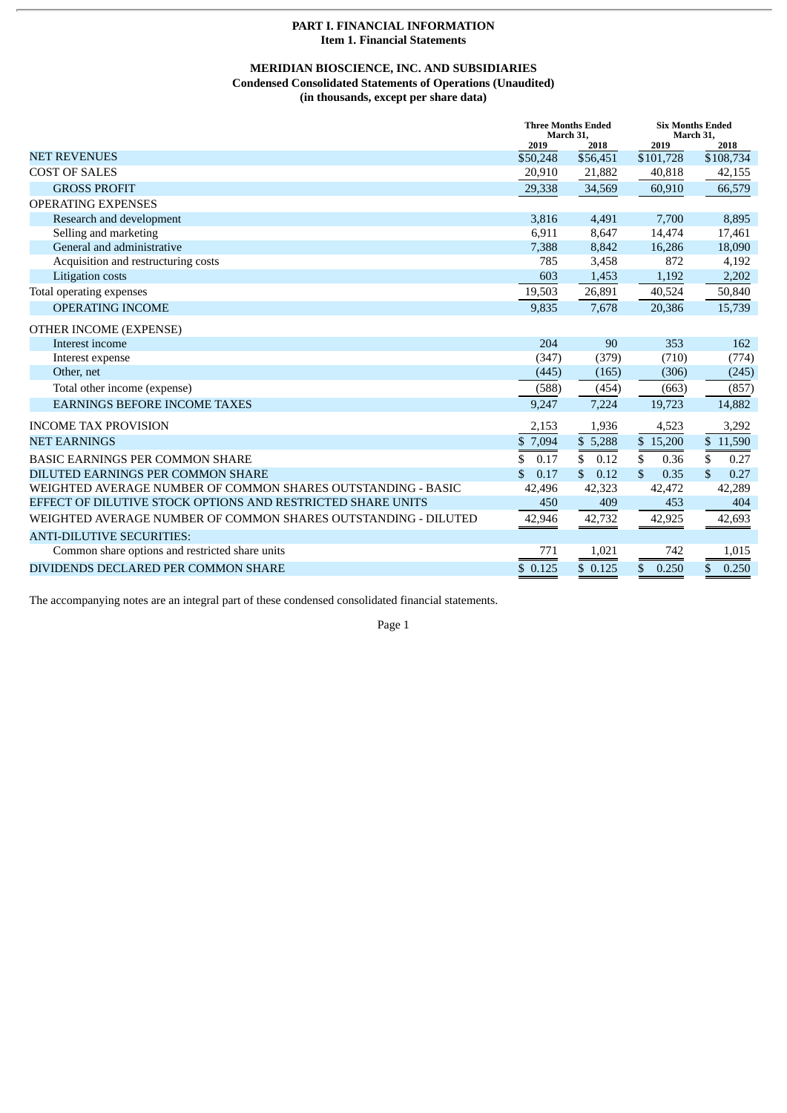#### **PART I. FINANCIAL INFORMATION Item 1. Financial Statements**

## **MERIDIAN BIOSCIENCE, INC. AND SUBSIDIARIES Condensed Consolidated Statements of Operations (Unaudited) (in thousands, except per share data)**

<span id="page-3-2"></span><span id="page-3-1"></span><span id="page-3-0"></span>

|                                                                | <b>Three Months Ended</b><br>March 31. |                        | <b>Six Months Ended</b><br>March 31, |                        |  |
|----------------------------------------------------------------|----------------------------------------|------------------------|--------------------------------------|------------------------|--|
|                                                                | 2019                                   | 2018                   | 2019                                 | 2018                   |  |
| <b>NET REVENUES</b>                                            | \$50,248                               | \$56,451               | \$101,728                            | \$108,734              |  |
| <b>COST OF SALES</b>                                           | 20,910                                 | 21,882                 | 40,818                               | 42,155                 |  |
| <b>GROSS PROFIT</b>                                            | 29,338                                 | 34,569                 | 60,910                               | 66,579                 |  |
| <b>OPERATING EXPENSES</b>                                      |                                        |                        |                                      |                        |  |
| Research and development                                       | 3,816                                  | 4,491                  | 7,700                                | 8,895                  |  |
| Selling and marketing                                          | 6,911                                  | 8,647                  | 14,474                               | 17,461                 |  |
| General and administrative                                     | 7,388                                  | 8,842                  | 16,286                               | 18,090                 |  |
| Acquisition and restructuring costs                            | 785                                    | 3,458                  | 872                                  | 4,192                  |  |
| <b>Litigation costs</b>                                        | 603                                    | 1,453                  | 1,192                                | 2,202                  |  |
| Total operating expenses                                       | 19,503                                 | 26,891                 | 40,524                               | 50,840                 |  |
| <b>OPERATING INCOME</b>                                        | 9,835                                  | 7,678                  | 20,386                               | 15,739                 |  |
| OTHER INCOME (EXPENSE)                                         |                                        |                        |                                      |                        |  |
| Interest income                                                | 204                                    | 90                     | 353                                  | 162                    |  |
| Interest expense                                               | (347)                                  | (379)                  | (710)                                | (774)                  |  |
| Other, net                                                     | (445)                                  | (165)                  | (306)                                | (245)                  |  |
| Total other income (expense)                                   | (588)                                  | (454)                  | (663)                                | (857)                  |  |
| <b>EARNINGS BEFORE INCOME TAXES</b>                            | 9,247                                  | 7,224                  | 19,723                               | 14,882                 |  |
| <b>INCOME TAX PROVISION</b>                                    | 2,153                                  | 1,936                  | 4,523                                | 3,292                  |  |
| <b>NET EARNINGS</b>                                            | 7,094<br>\$                            | \$5,288                | \$15,200                             | \$11,590               |  |
| <b>BASIC EARNINGS PER COMMON SHARE</b>                         | 0.17<br>\$                             | 0.12<br>\$             | 0.36<br>\$                           | 0.27<br>S              |  |
| DILUTED EARNINGS PER COMMON SHARE                              | \$<br>0.17                             | $\mathfrak{F}$<br>0.12 | \$<br>0.35                           | $\mathfrak{S}$<br>0.27 |  |
| WEIGHTED AVERAGE NUMBER OF COMMON SHARES OUTSTANDING - BASIC   | 42,496                                 | 42,323                 | 42,472                               | 42,289                 |  |
| EFFECT OF DILUTIVE STOCK OPTIONS AND RESTRICTED SHARE UNITS    | 450                                    | 409                    | 453                                  | 404                    |  |
| WEIGHTED AVERAGE NUMBER OF COMMON SHARES OUTSTANDING - DILUTED | 42,946                                 | 42,732                 | 42,925                               | 42,693                 |  |
| <b>ANTI-DILUTIVE SECURITIES:</b>                               |                                        |                        |                                      |                        |  |
| Common share options and restricted share units                | 771                                    | 1,021                  | 742                                  | 1,015                  |  |
| DIVIDENDS DECLARED PER COMMON SHARE                            | \$0.125                                | \$0.125                | \$<br>0.250                          | \$<br>0.250            |  |

The accompanying notes are an integral part of these condensed consolidated financial statements.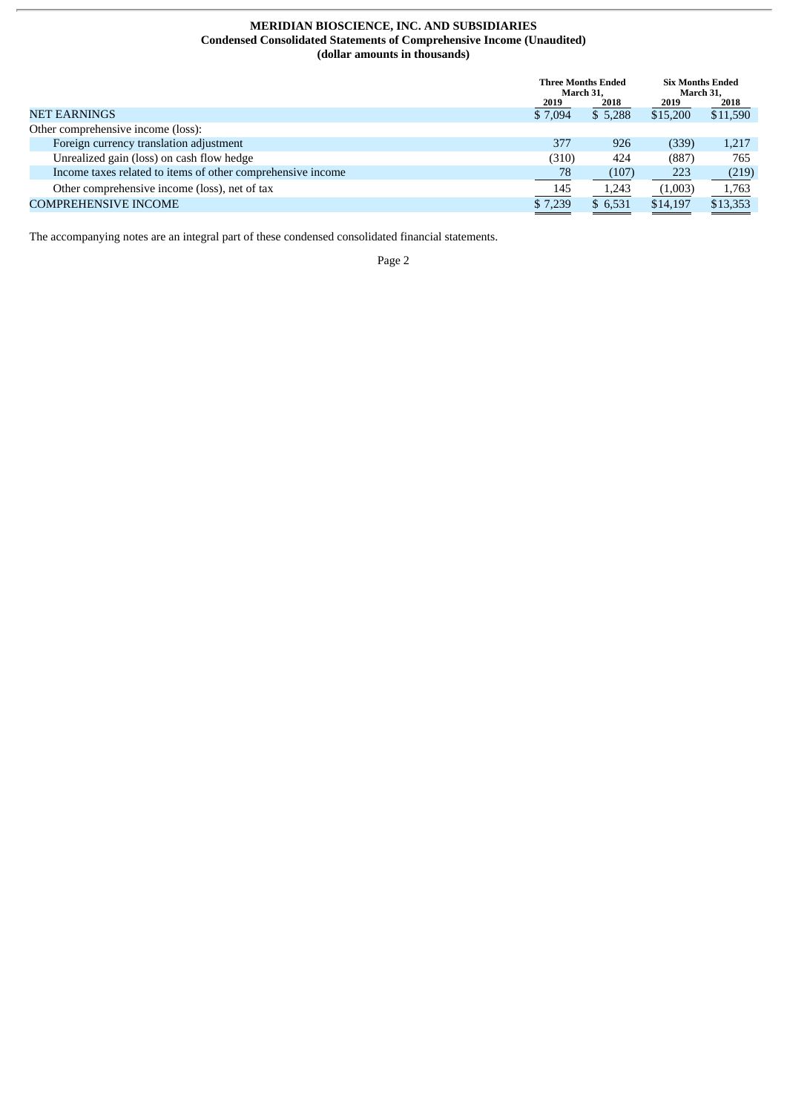#### **MERIDIAN BIOSCIENCE, INC. AND SUBSIDIARIES Condensed Consolidated Statements of Comprehensive Income (Unaudited) (dollar amounts in thousands)**

<span id="page-4-0"></span>

|                                                             |         | <b>Three Months Ended</b><br>March 31. |          | <b>Six Months Ended</b><br>March 31. |
|-------------------------------------------------------------|---------|----------------------------------------|----------|--------------------------------------|
|                                                             | 2019    | 2018                                   | 2019     | 2018                                 |
| <b>NET EARNINGS</b>                                         | \$7.094 | \$5,288                                | \$15,200 | \$11,590                             |
| Other comprehensive income (loss):                          |         |                                        |          |                                      |
| Foreign currency translation adjustment                     | 377     | 926                                    | (339)    | 1,217                                |
| Unrealized gain (loss) on cash flow hedge                   | (310)   | 424                                    | (887)    | 765                                  |
| Income taxes related to items of other comprehensive income | 78      | (107)                                  | 223      | (219)                                |
| Other comprehensive income (loss), net of tax               | 145     | 1,243                                  | (1,003)  | 1,763                                |
| <b>COMPREHENSIVE INCOME</b>                                 | \$7,239 | \$6,531                                | \$14,197 | \$13,353                             |
|                                                             |         |                                        |          |                                      |

The accompanying notes are an integral part of these condensed consolidated financial statements.

Page 2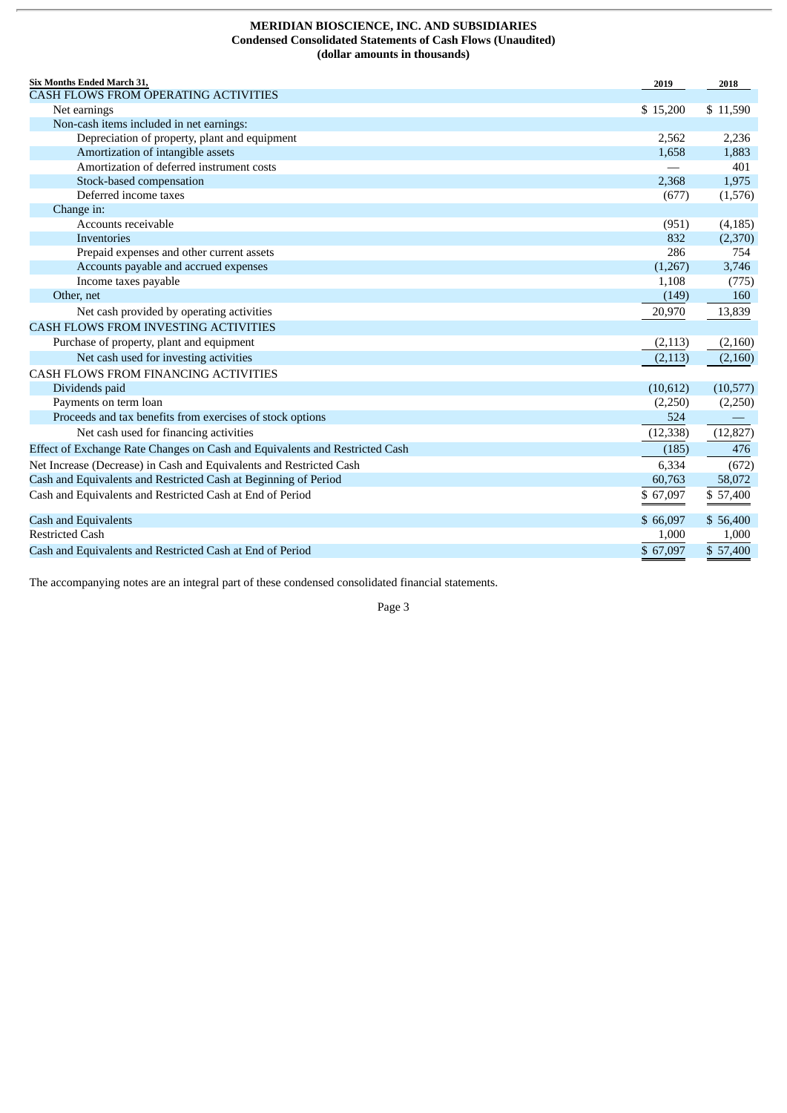#### **MERIDIAN BIOSCIENCE, INC. AND SUBSIDIARIES Condensed Consolidated Statements of Cash Flows (Unaudited) (dollar amounts in thousands)**

<span id="page-5-0"></span>

| Six Months Ended March 31,                                                  | 2019      | 2018      |
|-----------------------------------------------------------------------------|-----------|-----------|
| CASH FLOWS FROM OPERATING ACTIVITIES                                        |           |           |
| Net earnings                                                                | \$15,200  | \$11,590  |
| Non-cash items included in net earnings:                                    |           |           |
| Depreciation of property, plant and equipment                               | 2,562     | 2,236     |
| Amortization of intangible assets                                           | 1,658     | 1,883     |
| Amortization of deferred instrument costs                                   |           | 401       |
| Stock-based compensation                                                    | 2,368     | 1,975     |
| Deferred income taxes                                                       | (677)     | (1,576)   |
| Change in:                                                                  |           |           |
| Accounts receivable                                                         | (951)     | (4, 185)  |
| Inventories                                                                 | 832       | (2,370)   |
| Prepaid expenses and other current assets                                   | 286       | 754       |
| Accounts payable and accrued expenses                                       | (1,267)   | 3,746     |
| Income taxes payable                                                        | 1,108     | (775)     |
| Other, net                                                                  | (149)     | 160       |
| Net cash provided by operating activities                                   | 20,970    | 13,839    |
| <b>CASH FLOWS FROM INVESTING ACTIVITIES</b>                                 |           |           |
| Purchase of property, plant and equipment                                   | (2, 113)  | (2,160)   |
| Net cash used for investing activities                                      | (2, 113)  | (2,160)   |
| CASH FLOWS FROM FINANCING ACTIVITIES                                        |           |           |
| Dividends paid                                                              | (10,612)  | (10,577)  |
| Payments on term loan                                                       | (2,250)   | (2,250)   |
| Proceeds and tax benefits from exercises of stock options                   | 524       |           |
| Net cash used for financing activities                                      | (12, 338) | (12, 827) |
| Effect of Exchange Rate Changes on Cash and Equivalents and Restricted Cash | (185)     | 476       |
| Net Increase (Decrease) in Cash and Equivalents and Restricted Cash         | 6,334     | (672)     |
| Cash and Equivalents and Restricted Cash at Beginning of Period             | 60,763    | 58,072    |
| Cash and Equivalents and Restricted Cash at End of Period                   | \$67,097  | \$57,400  |
| <b>Cash and Equivalents</b>                                                 | \$66,097  | \$56,400  |
| <b>Restricted Cash</b>                                                      | 1,000     | 1,000     |
| Cash and Equivalents and Restricted Cash at End of Period                   | \$67,097  | \$57,400  |

The accompanying notes are an integral part of these condensed consolidated financial statements.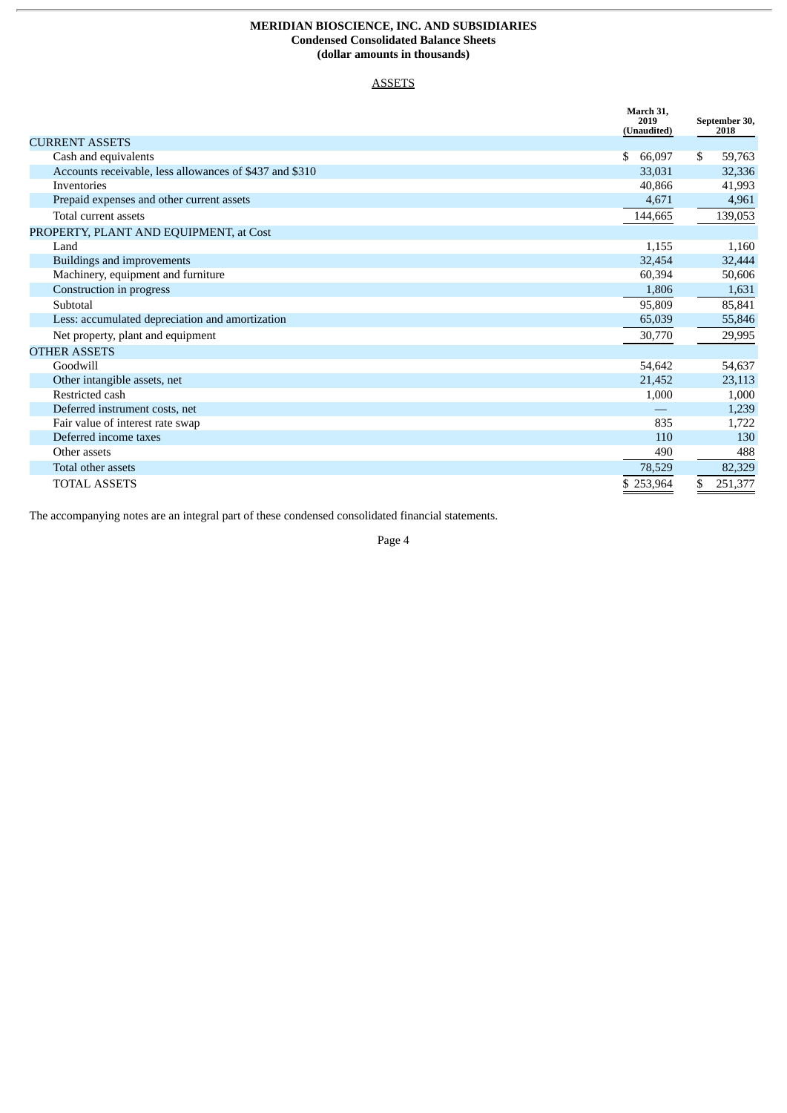#### **MERIDIAN BIOSCIENCE, INC. AND SUBSIDIARIES Condensed Consolidated Balance Sheets (dollar amounts in thousands)**

## **ASSETS**

<span id="page-6-0"></span>

| <b>CURRENT ASSETS</b>                                   | \$<br>66,097 |              |
|---------------------------------------------------------|--------------|--------------|
|                                                         |              |              |
| Cash and equivalents                                    |              | \$<br>59,763 |
| Accounts receivable, less allowances of \$437 and \$310 | 33,031       | 32,336       |
| <b>Inventories</b>                                      | 40,866       | 41,993       |
| Prepaid expenses and other current assets               | 4,671        | 4,961        |
| Total current assets                                    | 144,665      | 139,053      |
| PROPERTY, PLANT AND EQUIPMENT, at Cost                  |              |              |
| Land                                                    | 1,155        | 1,160        |
| Buildings and improvements                              | 32,454       | 32,444       |
| Machinery, equipment and furniture                      | 60,394       | 50,606       |
| Construction in progress                                | 1,806        | 1,631        |
| Subtotal                                                | 95,809       | 85,841       |
| Less: accumulated depreciation and amortization         | 65,039       | 55,846       |
| Net property, plant and equipment                       | 30,770       | 29,995       |
| <b>OTHER ASSETS</b>                                     |              |              |
| Goodwill                                                | 54,642       | 54,637       |
| Other intangible assets, net                            | 21,452       | 23,113       |
| Restricted cash                                         | 1,000        | 1,000        |
| Deferred instrument costs, net                          |              | 1,239        |
| Fair value of interest rate swap                        | 835          | 1,722        |
| Deferred income taxes                                   | 110          | 130          |
| Other assets                                            | 490          | 488          |
| Total other assets                                      | 78,529       | 82,329       |
| <b>TOTAL ASSETS</b>                                     | \$253,964    | 251,377      |

The accompanying notes are an integral part of these condensed consolidated financial statements.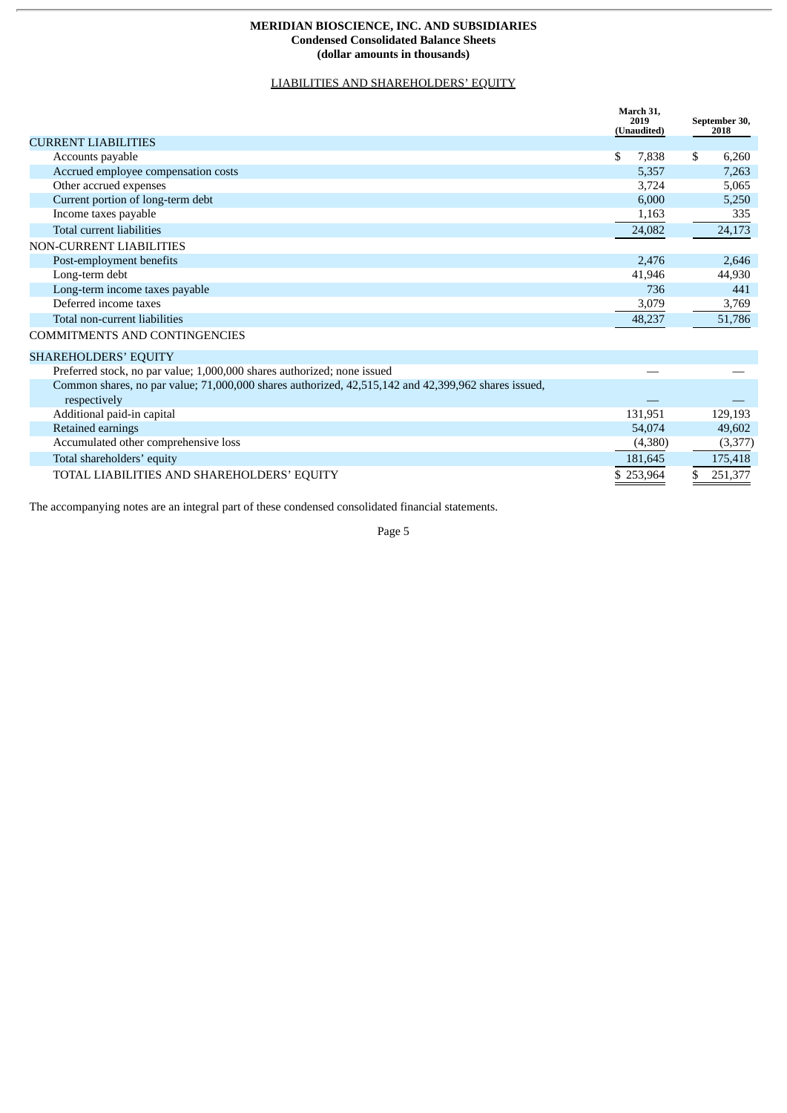#### **MERIDIAN BIOSCIENCE, INC. AND SUBSIDIARIES Condensed Consolidated Balance Sheets (dollar amounts in thousands)**

## LIABILITIES AND SHAREHOLDERS' EQUITY

|                                                                                                                     | March 31,<br>2019<br>(Unaudited) | September 30,<br>2018 |
|---------------------------------------------------------------------------------------------------------------------|----------------------------------|-----------------------|
| <b>CURRENT LIABILITIES</b>                                                                                          |                                  |                       |
| Accounts payable                                                                                                    | \$<br>7,838                      | \$<br>6,260           |
| Accrued employee compensation costs                                                                                 | 5.357                            | 7,263                 |
| Other accrued expenses                                                                                              | 3,724                            | 5,065                 |
| Current portion of long-term debt                                                                                   | 6,000                            | 5,250                 |
| Income taxes payable                                                                                                | 1,163                            | 335                   |
| <b>Total current liabilities</b>                                                                                    | 24,082                           | 24,173                |
| NON-CURRENT LIABILITIES                                                                                             |                                  |                       |
| Post-employment benefits                                                                                            | 2,476                            | 2,646                 |
| Long-term debt                                                                                                      | 41.946                           | 44,930                |
| Long-term income taxes payable                                                                                      | 736                              | 441                   |
| Deferred income taxes                                                                                               | 3,079                            | 3,769                 |
| Total non-current liabilities                                                                                       | 48,237                           | 51,786                |
| <b>COMMITMENTS AND CONTINGENCIES</b>                                                                                |                                  |                       |
| SHAREHOLDERS' EQUITY                                                                                                |                                  |                       |
| Preferred stock, no par value; 1,000,000 shares authorized; none issued                                             |                                  |                       |
| Common shares, no par value; 71,000,000 shares authorized, 42,515,142 and 42,399,962 shares issued,<br>respectively |                                  |                       |
| Additional paid-in capital                                                                                          | 131,951                          | 129,193               |
| Retained earnings                                                                                                   | 54,074                           | 49,602                |
| Accumulated other comprehensive loss                                                                                | (4,380)                          | (3,377)               |
| Total shareholders' equity                                                                                          | 181,645                          | 175,418               |
| TOTAL LIABILITIES AND SHAREHOLDERS' EQUITY                                                                          | \$253,964                        | 251,377               |

The accompanying notes are an integral part of these condensed consolidated financial statements.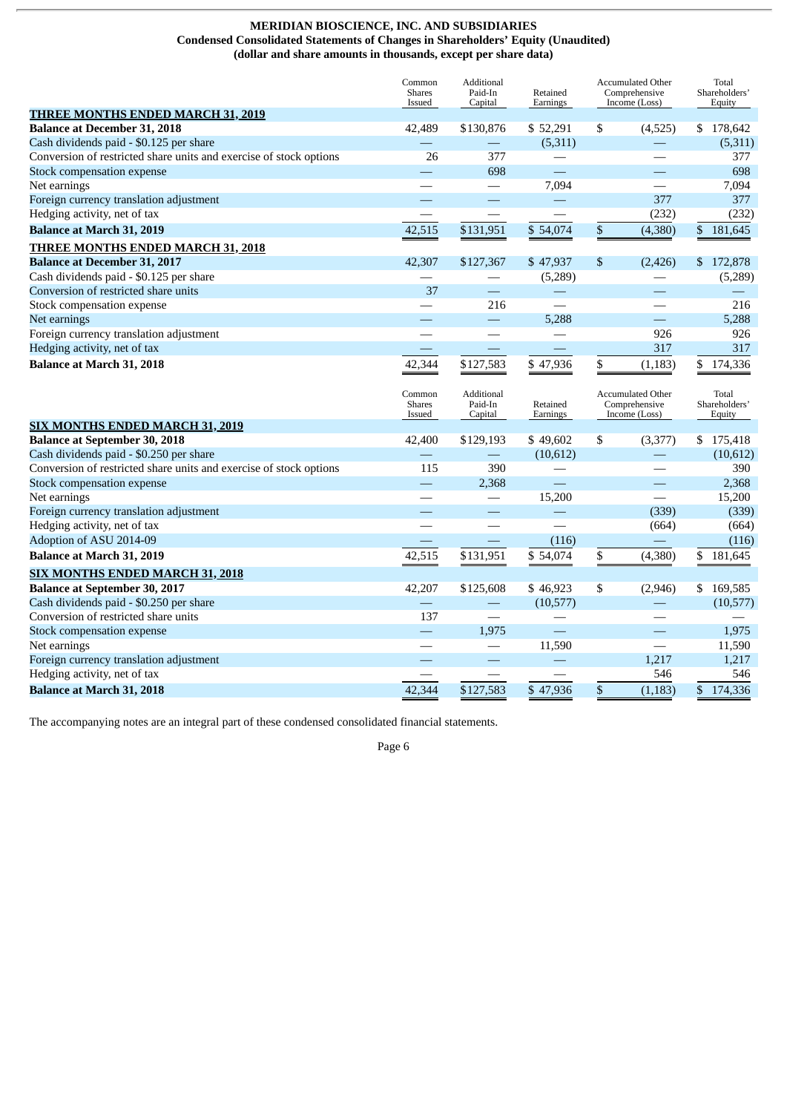#### **MERIDIAN BIOSCIENCE, INC. AND SUBSIDIARIES Condensed Consolidated Statements of Changes in Shareholders' Equity (Unaudited) (dollar and share amounts in thousands, except per share data)**

<span id="page-8-0"></span>

|                                                                    | Common<br><b>Shares</b><br>Issued                                                                                                                                                                                              | Additional<br>Paid-In<br>Capital | Retained<br>Earnings | <b>Accumulated Other</b><br>Comprehensive<br>Income (Loss) |    | Total<br>Shareholders'<br>Equity |
|--------------------------------------------------------------------|--------------------------------------------------------------------------------------------------------------------------------------------------------------------------------------------------------------------------------|----------------------------------|----------------------|------------------------------------------------------------|----|----------------------------------|
| <b>THREE MONTHS ENDED MARCH 31, 2019</b>                           |                                                                                                                                                                                                                                |                                  |                      |                                                            |    |                                  |
| <b>Balance at December 31, 2018</b>                                | 42,489                                                                                                                                                                                                                         | \$130,876                        | \$52,291             | \$<br>(4,525)                                              |    | \$178,642                        |
| Cash dividends paid - \$0.125 per share                            |                                                                                                                                                                                                                                |                                  | (5,311)              |                                                            |    | (5,311)                          |
| Conversion of restricted share units and exercise of stock options | 26                                                                                                                                                                                                                             | 377                              |                      |                                                            |    | 377                              |
| Stock compensation expense                                         |                                                                                                                                                                                                                                | 698                              |                      |                                                            |    | 698                              |
| Net earnings                                                       |                                                                                                                                                                                                                                |                                  | 7,094                | $\overline{\phantom{0}}$                                   |    | 7,094                            |
| Foreign currency translation adjustment                            |                                                                                                                                                                                                                                | $\overline{\phantom{0}}$         |                      | 377                                                        |    | 377                              |
| Hedging activity, net of tax                                       | $\overline{\phantom{0}}$                                                                                                                                                                                                       |                                  |                      | (232)                                                      |    | (232)                            |
| <b>Balance at March 31, 2019</b>                                   | 42,515                                                                                                                                                                                                                         | \$131,951                        | \$54,074             | \$<br>(4,380)                                              |    | \$181,645                        |
| <b>THREE MONTHS ENDED MARCH 31, 2018</b>                           |                                                                                                                                                                                                                                |                                  |                      |                                                            |    |                                  |
| <b>Balance at December 31, 2017</b>                                | 42,307                                                                                                                                                                                                                         | \$127,367                        | \$47,937             | \$<br>(2, 426)                                             |    | \$172,878                        |
| Cash dividends paid - \$0.125 per share                            | and the contract of the contract of the contract of the contract of the contract of the contract of the contract of the contract of the contract of the contract of the contract of the contract of the contract of the contra | $\equiv$                         | (5,289)              |                                                            |    | (5,289)                          |
| Conversion of restricted share units                               | 37                                                                                                                                                                                                                             | ᆖ                                |                      |                                                            |    |                                  |
| Stock compensation expense                                         |                                                                                                                                                                                                                                | 216                              |                      |                                                            |    | 216                              |
| Net earnings                                                       |                                                                                                                                                                                                                                | $=$                              | 5,288                | $\equiv$                                                   |    | 5,288                            |
| Foreign currency translation adjustment                            |                                                                                                                                                                                                                                |                                  |                      | 926                                                        |    | 926                              |
| Hedging activity, net of tax                                       |                                                                                                                                                                                                                                |                                  |                      | 317                                                        |    | 317                              |
| <b>Balance at March 31, 2018</b>                                   | 42,344                                                                                                                                                                                                                         | \$127,583                        | \$47,936             | \$<br>(1, 183)                                             |    | \$174,336                        |
|                                                                    | Common<br><b>Shares</b><br>Issued                                                                                                                                                                                              | Additional<br>Paid-In<br>Capital | Retained<br>Earnings | <b>Accumulated Other</b><br>Comprehensive<br>Income (Loss) |    | Total<br>Shareholders'<br>Equity |
| <b>SIX MONTHS ENDED MARCH 31, 2019</b>                             |                                                                                                                                                                                                                                |                                  |                      |                                                            |    |                                  |
| <b>Balance at September 30, 2018</b>                               | 42,400                                                                                                                                                                                                                         | \$129,193                        | \$49,602             | \$<br>(3, 377)                                             |    | \$175,418                        |
| Cash dividends paid - \$0.250 per share                            |                                                                                                                                                                                                                                |                                  | (10,612)             |                                                            |    | (10,612)                         |
| Conversion of restricted share units and exercise of stock options | 115                                                                                                                                                                                                                            | 390                              |                      |                                                            |    | 390                              |
| Stock compensation expense                                         | $\overline{\phantom{0}}$                                                                                                                                                                                                       | 2,368                            | $\equiv$             |                                                            |    | 2,368                            |
| Net earnings                                                       | $\overline{\phantom{a}}$                                                                                                                                                                                                       |                                  | 15,200               | $\overline{\phantom{0}}$                                   |    | 15,200                           |
| Foreign currency translation adjustment                            | and the                                                                                                                                                                                                                        |                                  |                      | (339)                                                      |    | (339)                            |
| Hedging activity, net of tax                                       |                                                                                                                                                                                                                                |                                  |                      | (664)                                                      |    | (664)                            |
| Adoption of ASU 2014-09                                            | $\equiv$                                                                                                                                                                                                                       |                                  | (116)                |                                                            |    | (116)                            |
| <b>Balance at March 31, 2019</b>                                   | 42,515                                                                                                                                                                                                                         | \$131,951                        | \$54,074             | \$<br>(4, 380)                                             | \$ | 181,645                          |
| <b>SIX MONTHS ENDED MARCH 31, 2018</b>                             |                                                                                                                                                                                                                                |                                  |                      |                                                            |    |                                  |
| <b>Balance at September 30, 2017</b>                               | 42,207                                                                                                                                                                                                                         | \$125,608                        | \$46,923             | \$<br>(2,946)                                              |    | \$169,585                        |
| Cash dividends paid - \$0.250 per share                            | $\overline{\phantom{0}}$                                                                                                                                                                                                       |                                  | (10,577)             | $\overline{\phantom{0}}$                                   |    | (10,577)                         |
| Conversion of restricted share units                               | 137                                                                                                                                                                                                                            |                                  |                      |                                                            |    |                                  |
| Stock compensation expense                                         | $\qquad \qquad -$                                                                                                                                                                                                              | 1.975                            | $\equiv$             |                                                            |    | 1,975                            |
| Net earnings                                                       |                                                                                                                                                                                                                                |                                  | 11,590               |                                                            |    | 11,590                           |
| Foreign currency translation adjustment                            | $\overline{\phantom{a}}$                                                                                                                                                                                                       | $\equiv$                         |                      | 1,217                                                      |    | 1,217                            |
| Hedging activity, net of tax                                       |                                                                                                                                                                                                                                |                                  |                      |                                                            |    |                                  |
|                                                                    | 42,344                                                                                                                                                                                                                         |                                  |                      | 546<br>(1, 183)                                            |    | 546<br>\$174,336                 |

The accompanying notes are an integral part of these condensed consolidated financial statements.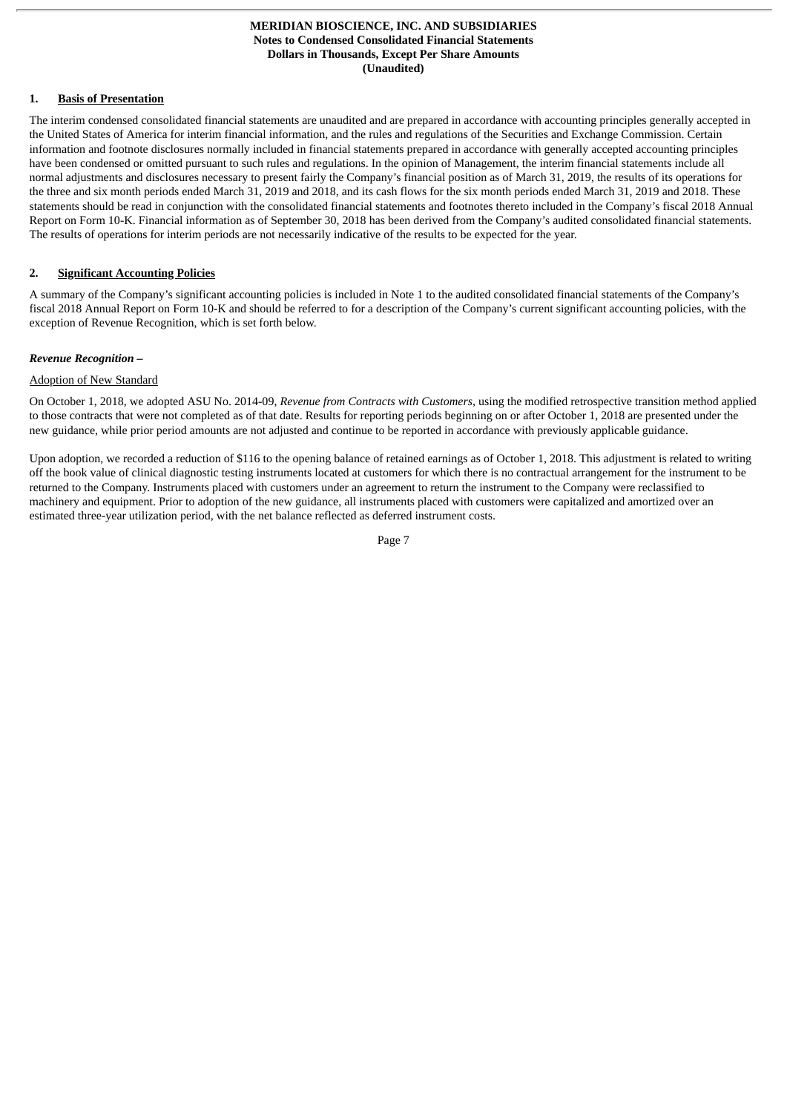#### **MERIDIAN BIOSCIENCE, INC. AND SUBSIDIARIES Notes to Condensed Consolidated Financial Statements Dollars in Thousands, Except Per Share Amounts (Unaudited)**

#### <span id="page-9-0"></span>**1. Basis of Presentation**

The interim condensed consolidated financial statements are unaudited and are prepared in accordance with accounting principles generally accepted in the United States of America for interim financial information, and the rules and regulations of the Securities and Exchange Commission. Certain information and footnote disclosures normally included in financial statements prepared in accordance with generally accepted accounting principles have been condensed or omitted pursuant to such rules and regulations. In the opinion of Management, the interim financial statements include all normal adjustments and disclosures necessary to present fairly the Company's financial position as of March 31, 2019, the results of its operations for the three and six month periods ended March 31, 2019 and 2018, and its cash flows for the six month periods ended March 31, 2019 and 2018. These statements should be read in conjunction with the consolidated financial statements and footnotes thereto included in the Company's fiscal 2018 Annual Report on Form 10-K. Financial information as of September 30, 2018 has been derived from the Company's audited consolidated financial statements. The results of operations for interim periods are not necessarily indicative of the results to be expected for the year.

#### **2. Significant Accounting Policies**

A summary of the Company's significant accounting policies is included in Note 1 to the audited consolidated financial statements of the Company's fiscal 2018 Annual Report on Form 10-K and should be referred to for a description of the Company's current significant accounting policies, with the exception of Revenue Recognition, which is set forth below.

#### *Revenue Recognition –*

#### Adoption of New Standard

On October 1, 2018, we adopted ASU No. 2014-09, *Revenue from Contracts with Customers*, using the modified retrospective transition method applied to those contracts that were not completed as of that date. Results for reporting periods beginning on or after October 1, 2018 are presented under the new guidance, while prior period amounts are not adjusted and continue to be reported in accordance with previously applicable guidance.

Upon adoption, we recorded a reduction of \$116 to the opening balance of retained earnings as of October 1, 2018. This adjustment is related to writing off the book value of clinical diagnostic testing instruments located at customers for which there is no contractual arrangement for the instrument to be returned to the Company. Instruments placed with customers under an agreement to return the instrument to the Company were reclassified to machinery and equipment. Prior to adoption of the new guidance, all instruments placed with customers were capitalized and amortized over an estimated three-year utilization period, with the net balance reflected as deferred instrument costs.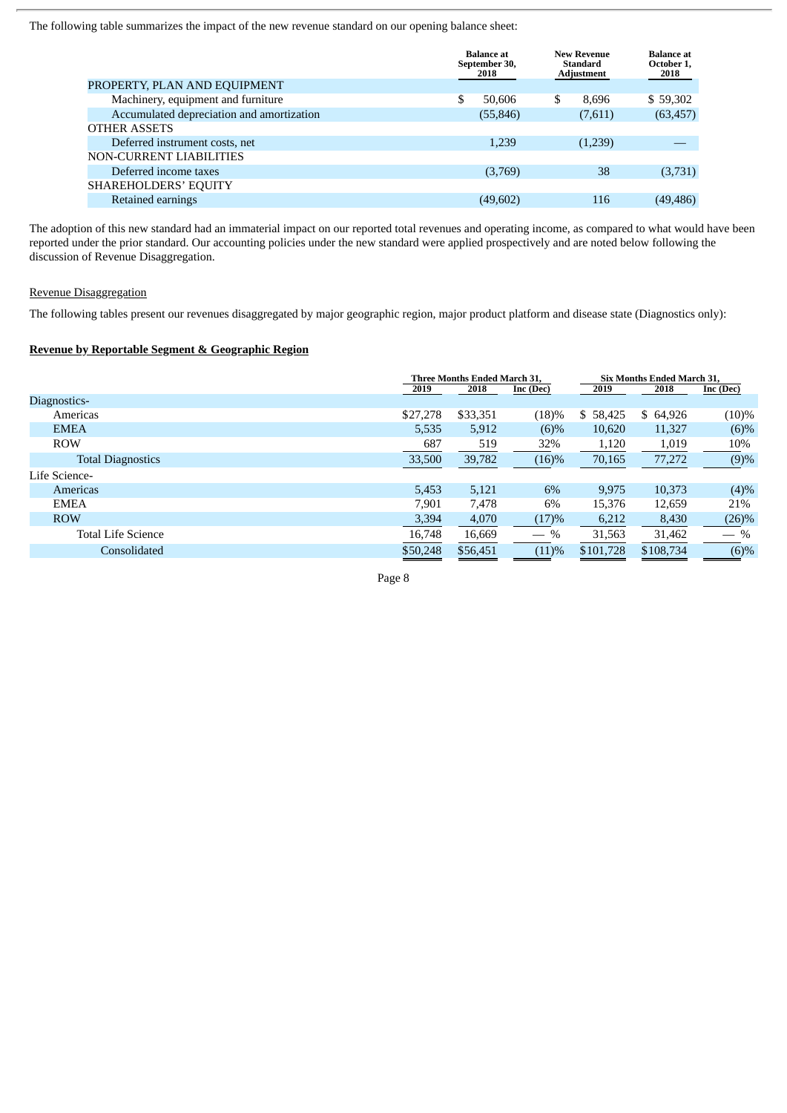The following table summarizes the impact of the new revenue standard on our opening balance sheet:

|                                           | <b>Balance</b> at<br>September 30,<br>2018 |           | <b>New Revenue</b><br>Standard<br><b>Adjustment</b> | <b>Balance</b> at<br>October 1.<br>2018 |           |
|-------------------------------------------|--------------------------------------------|-----------|-----------------------------------------------------|-----------------------------------------|-----------|
| PROPERTY, PLAN AND EQUIPMENT              |                                            |           |                                                     |                                         |           |
| Machinery, equipment and furniture        | \$                                         | 50,606    | \$                                                  | 8.696                                   | \$59,302  |
| Accumulated depreciation and amortization |                                            | (55, 846) |                                                     | (7,611)                                 | (63, 457) |
| <b>OTHER ASSETS</b>                       |                                            |           |                                                     |                                         |           |
| Deferred instrument costs, net            |                                            | 1,239     |                                                     | (1,239)                                 |           |
| NON-CURRENT LIABILITIES                   |                                            |           |                                                     |                                         |           |
| Deferred income taxes                     |                                            | (3,769)   |                                                     | 38                                      | (3,731)   |
| <b>SHAREHOLDERS' EQUITY</b>               |                                            |           |                                                     |                                         |           |
| Retained earnings                         |                                            | (49,602)  |                                                     | 116                                     | (49,486)  |

The adoption of this new standard had an immaterial impact on our reported total revenues and operating income, as compared to what would have been reported under the prior standard. Our accounting policies under the new standard were applied prospectively and are noted below following the discussion of Revenue Disaggregation.

## Revenue Disaggregation

The following tables present our revenues disaggregated by major geographic region, major product platform and disease state (Diagnostics only):

## **Revenue by Reportable Segment & Geographic Region**

|                           | Three Months Ended March 31. |          |                         | <b>Six Months Ended March 31.</b> |           |                                       |
|---------------------------|------------------------------|----------|-------------------------|-----------------------------------|-----------|---------------------------------------|
|                           | 2019                         | 2018     | Inc (Dec)               | 2019                              | 2018      | Inc (Dec)                             |
| Diagnostics-              |                              |          |                         |                                   |           |                                       |
| Americas                  | \$27,278                     | \$33,351 | (18)%                   | \$58,425                          | \$64,926  | $(10)\%$                              |
| <b>EMEA</b>               | 5,535                        | 5,912    | $(6)\%$                 | 10,620                            | 11,327    | (6)%                                  |
| <b>ROW</b>                | 687                          | 519      | 32%                     | 1,120                             | 1,019     | 10%                                   |
| <b>Total Diagnostics</b>  | 33,500                       | 39,782   | (16)%                   | 70,165                            | 77,272    | (9)%                                  |
| Life Science-             |                              |          |                         |                                   |           |                                       |
| Americas                  | 5,453                        | 5,121    | 6%                      | 9.975                             | 10,373    | (4)%                                  |
| <b>EMEA</b>               | 7,901                        | 7,478    | 6%                      | 15,376                            | 12,659    | 21%                                   |
| <b>ROW</b>                | 3,394                        | 4,070    | (17)%                   | 6,212                             | 8,430     | $(26)\%$                              |
| <b>Total Life Science</b> | 16,748                       | 16,669   | $\%$<br>$\qquad \qquad$ | 31,563                            | 31,462    | $\%$<br>$\overbrace{\phantom{aaaaa}}$ |
| Consolidated              | \$50,248                     | \$56,451 | (11)%                   | \$101,728                         | \$108,734 | (6)%                                  |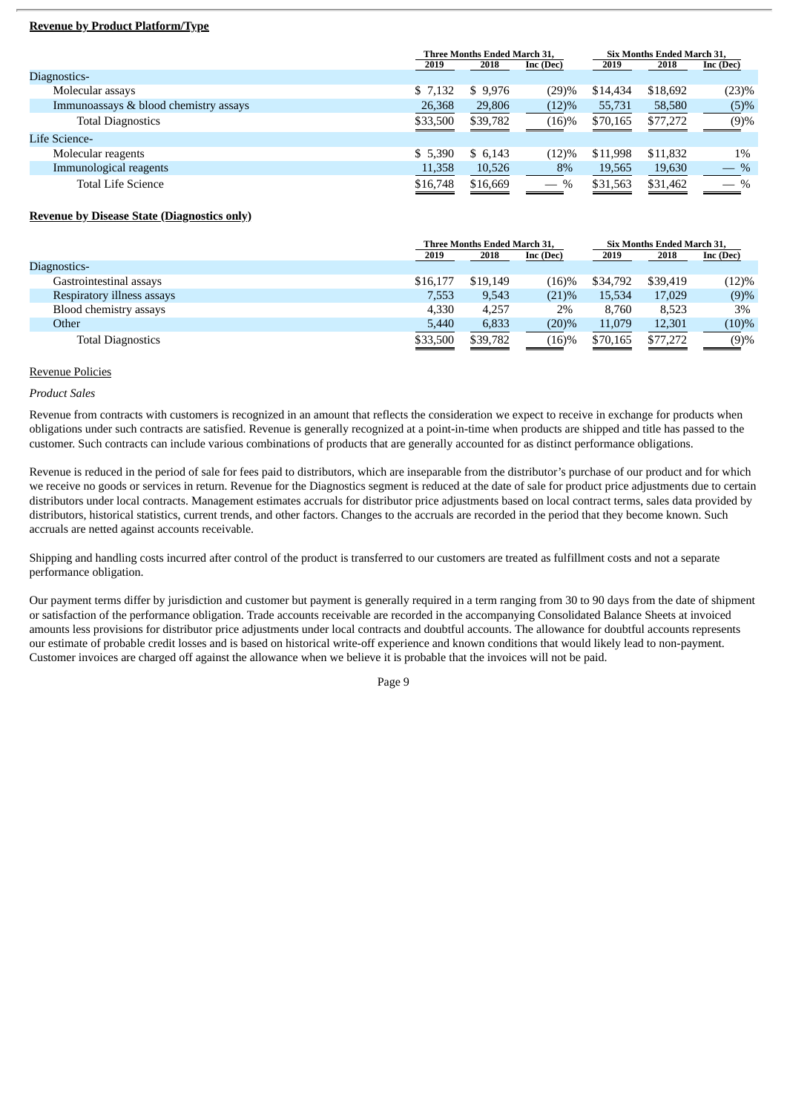#### **Revenue by Product Platform/Type**

|                                       |          | <b>Three Months Ended March 31.</b> |           | <b>Six Months Ended March 31.</b> |          |           |  |
|---------------------------------------|----------|-------------------------------------|-----------|-----------------------------------|----------|-----------|--|
|                                       | 2019     | 2018                                | Inc (Dec) | 2019                              | 2018     | Inc (Dec) |  |
| Diagnostics-                          |          |                                     |           |                                   |          |           |  |
| Molecular assays                      | \$7,132  | \$9,976                             | (29)%     | \$14,434                          | \$18,692 | (23)%     |  |
| Immunoassays & blood chemistry assays | 26,368   | 29,806                              | (12)%     | 55,731                            | 58,580   | (5)%      |  |
| <b>Total Diagnostics</b>              | \$33,500 | \$39,782                            | (16)%     | \$70,165                          | \$77,272 | (9)%      |  |
| Life Science-                         |          |                                     |           |                                   |          |           |  |
| Molecular reagents                    | \$5,390  | \$6,143                             | (12)%     | \$11,998                          | \$11,832 | $1\%$     |  |
| Immunological reagents                | 11,358   | 10,526                              | 8%        | 19,565                            | 19,630   | $-$ %     |  |
| <b>Total Life Science</b>             | \$16,748 | \$16,669                            | $-$ %     | \$31,563                          | \$31,462 | $-$ %     |  |

#### **Revenue by Disease State (Diagnostics only)**

|                            |          | <b>Three Months Ended March 31.</b> |           | <b>Six Months Ended March 31.</b> |          |           |  |
|----------------------------|----------|-------------------------------------|-----------|-----------------------------------|----------|-----------|--|
|                            | 2019     | 2018                                | Inc (Dec) | 2019                              | 2018     | Inc (Dec) |  |
| Diagnostics-               |          |                                     |           |                                   |          |           |  |
| Gastrointestinal assays    | \$16,177 | \$19,149                            | (16)%     | \$34,792                          | \$39,419 | (12)%     |  |
| Respiratory illness assays | 7,553    | 9,543                               | (21)%     | 15,534                            | 17,029   | (9)%      |  |
| Blood chemistry assays     | 4.330    | 4.257                               | 2%        | 8.760                             | 8,523    | 3%        |  |
| Other                      | 5,440    | 6,833                               | (20)%     | 11,079                            | 12,301   | $(10)\%$  |  |
| <b>Total Diagnostics</b>   | \$33,500 | \$39,782                            | (16)%     | \$70,165                          | \$77,272 | (9)%      |  |

#### Revenue Policies

*Product Sales*

Revenue from contracts with customers is recognized in an amount that reflects the consideration we expect to receive in exchange for products when obligations under such contracts are satisfied. Revenue is generally recognized at a point-in-time when products are shipped and title has passed to the customer. Such contracts can include various combinations of products that are generally accounted for as distinct performance obligations.

Revenue is reduced in the period of sale for fees paid to distributors, which are inseparable from the distributor's purchase of our product and for which we receive no goods or services in return. Revenue for the Diagnostics segment is reduced at the date of sale for product price adjustments due to certain distributors under local contracts. Management estimates accruals for distributor price adjustments based on local contract terms, sales data provided by distributors, historical statistics, current trends, and other factors. Changes to the accruals are recorded in the period that they become known. Such accruals are netted against accounts receivable.

Shipping and handling costs incurred after control of the product is transferred to our customers are treated as fulfillment costs and not a separate performance obligation.

Our payment terms differ by jurisdiction and customer but payment is generally required in a term ranging from 30 to 90 days from the date of shipment or satisfaction of the performance obligation. Trade accounts receivable are recorded in the accompanying Consolidated Balance Sheets at invoiced amounts less provisions for distributor price adjustments under local contracts and doubtful accounts. The allowance for doubtful accounts represents our estimate of probable credit losses and is based on historical write-off experience and known conditions that would likely lead to non-payment. Customer invoices are charged off against the allowance when we believe it is probable that the invoices will not be paid.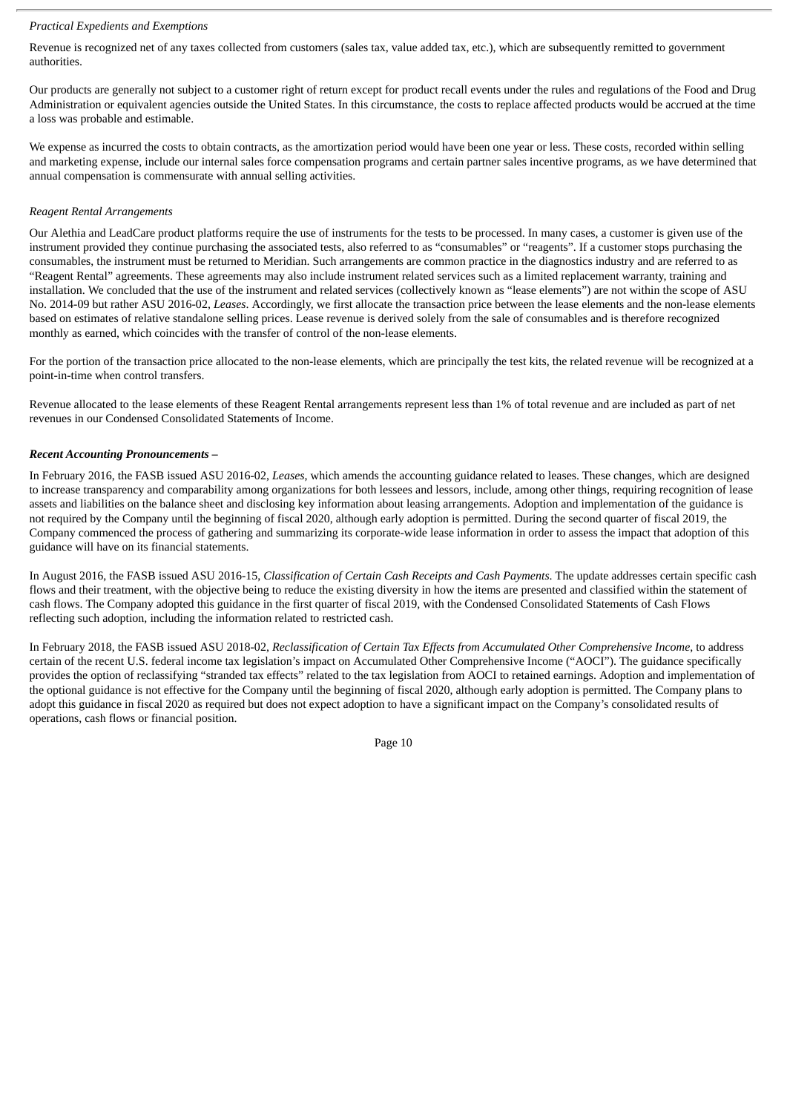#### *Practical Expedients and Exemptions*

Revenue is recognized net of any taxes collected from customers (sales tax, value added tax, etc.), which are subsequently remitted to government authorities.

Our products are generally not subject to a customer right of return except for product recall events under the rules and regulations of the Food and Drug Administration or equivalent agencies outside the United States. In this circumstance, the costs to replace affected products would be accrued at the time a loss was probable and estimable.

We expense as incurred the costs to obtain contracts, as the amortization period would have been one year or less. These costs, recorded within selling and marketing expense, include our internal sales force compensation programs and certain partner sales incentive programs, as we have determined that annual compensation is commensurate with annual selling activities.

#### *Reagent Rental Arrangements*

Our Alethia and LeadCare product platforms require the use of instruments for the tests to be processed. In many cases, a customer is given use of the instrument provided they continue purchasing the associated tests, also referred to as "consumables" or "reagents". If a customer stops purchasing the consumables, the instrument must be returned to Meridian. Such arrangements are common practice in the diagnostics industry and are referred to as "Reagent Rental" agreements. These agreements may also include instrument related services such as a limited replacement warranty, training and installation. We concluded that the use of the instrument and related services (collectively known as "lease elements") are not within the scope of ASU No. 2014-09 but rather ASU 2016-02, *Leases*. Accordingly, we first allocate the transaction price between the lease elements and the non-lease elements based on estimates of relative standalone selling prices. Lease revenue is derived solely from the sale of consumables and is therefore recognized monthly as earned, which coincides with the transfer of control of the non-lease elements.

For the portion of the transaction price allocated to the non-lease elements, which are principally the test kits, the related revenue will be recognized at a point-in-time when control transfers.

Revenue allocated to the lease elements of these Reagent Rental arrangements represent less than 1% of total revenue and are included as part of net revenues in our Condensed Consolidated Statements of Income.

#### *Recent Accounting Pronouncements –*

In February 2016, the FASB issued ASU 2016-02, *Leases*, which amends the accounting guidance related to leases. These changes, which are designed to increase transparency and comparability among organizations for both lessees and lessors, include, among other things, requiring recognition of lease assets and liabilities on the balance sheet and disclosing key information about leasing arrangements. Adoption and implementation of the guidance is not required by the Company until the beginning of fiscal 2020, although early adoption is permitted. During the second quarter of fiscal 2019, the Company commenced the process of gathering and summarizing its corporate-wide lease information in order to assess the impact that adoption of this guidance will have on its financial statements.

In August 2016, the FASB issued ASU 2016-15, *Classification of Certain Cash Receipts and Cash Payments*. The update addresses certain specific cash flows and their treatment, with the objective being to reduce the existing diversity in how the items are presented and classified within the statement of cash flows. The Company adopted this guidance in the first quarter of fiscal 2019, with the Condensed Consolidated Statements of Cash Flows reflecting such adoption, including the information related to restricted cash.

In February 2018, the FASB issued ASU 2018-02, *Reclassification of Certain Tax Effects from Accumulated Other Comprehensive Income*, to address certain of the recent U.S. federal income tax legislation's impact on Accumulated Other Comprehensive Income ("AOCI"). The guidance specifically provides the option of reclassifying "stranded tax effects" related to the tax legislation from AOCI to retained earnings. Adoption and implementation of the optional guidance is not effective for the Company until the beginning of fiscal 2020, although early adoption is permitted. The Company plans to adopt this guidance in fiscal 2020 as required but does not expect adoption to have a significant impact on the Company's consolidated results of operations, cash flows or financial position.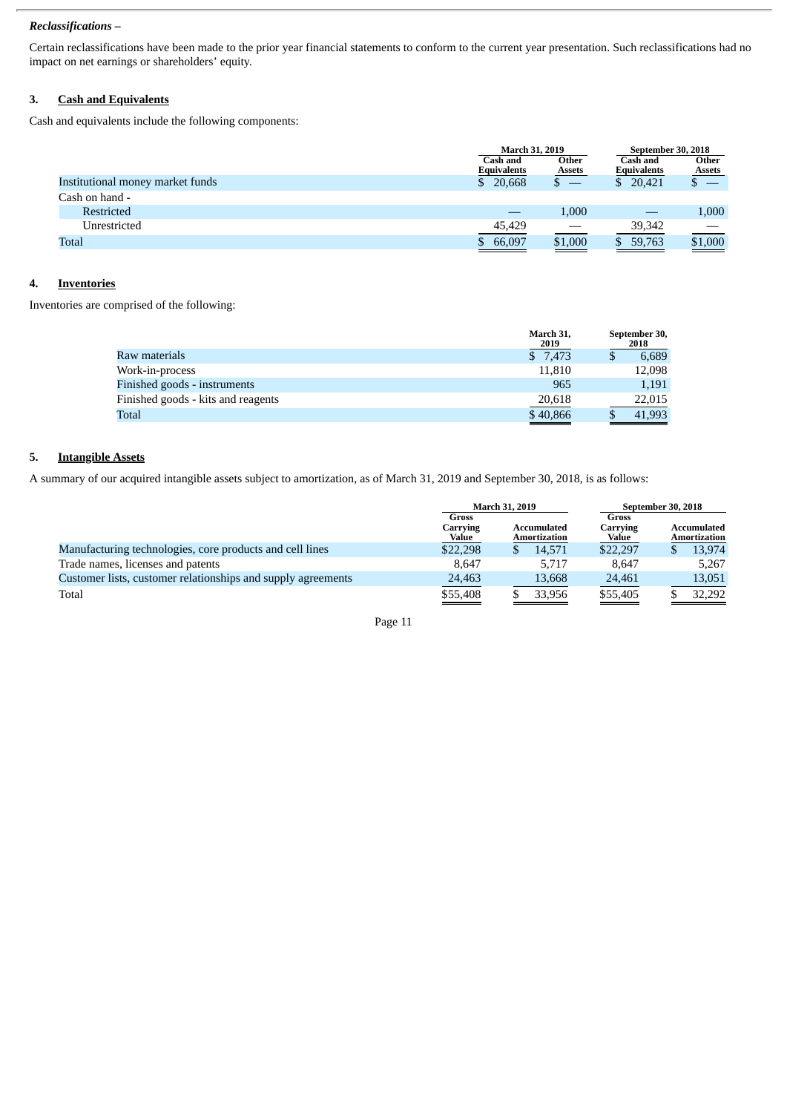#### *Reclassifications –*

Certain reclassifications have been made to the prior year financial statements to conform to the current year presentation. Such reclassifications had no impact on net earnings or shareholders' equity.

#### **3. Cash and Equivalents**

Cash and equivalents include the following components:

|                                  | March 31, 2019                 |                        | September 30, 2018                    |                        |  |  |
|----------------------------------|--------------------------------|------------------------|---------------------------------------|------------------------|--|--|
|                                  | Cash and<br><b>Equivalents</b> | Other<br><b>Assets</b> | <b>Cash and</b><br><b>Equivalents</b> | Other<br><b>Assets</b> |  |  |
| Institutional money market funds | 20,668<br>S.                   |                        | \$20,421                              |                        |  |  |
| Cash on hand -                   |                                |                        |                                       |                        |  |  |
| Restricted                       |                                | 1,000                  |                                       | 1,000                  |  |  |
| Unrestricted                     | 45,429                         |                        | 39,342                                |                        |  |  |
| Total                            | 66,097                         | \$1,000                | 59,763                                | \$1,000                |  |  |

## **4. Inventories**

Inventories are comprised of the following:

|                                    | March 31,<br>2019 | September 30,<br>2018 |
|------------------------------------|-------------------|-----------------------|
| Raw materials                      | \$7,473           | 6,689                 |
| Work-in-process                    | 11,810            | 12,098                |
| Finished goods - instruments       | 965               | 1,191                 |
| Finished goods - kits and reagents | 20,618            | 22,015                |
| Total                              | \$40,866          | 41,993                |

## **5. Intangible Assets**

A summary of our acquired intangible assets subject to amortization, as of March 31, 2019 and September 30, 2018, is as follows:

|                                                              |                                   | March 31, 2019                     |                            | September 30, 2018                 |  |  |
|--------------------------------------------------------------|-----------------------------------|------------------------------------|----------------------------|------------------------------------|--|--|
|                                                              | <b>Gross</b><br>Carrying<br>Value | Accumulated<br><b>Amortization</b> | Gross<br>Carrying<br>Value | Accumulated<br><b>Amortization</b> |  |  |
| Manufacturing technologies, core products and cell lines     | \$22,298                          | 14.571                             | \$22,297                   | 13.974                             |  |  |
| Trade names, licenses and patents                            | 8.647                             | 5.717                              | 8.647                      | 5,267                              |  |  |
| Customer lists, customer relationships and supply agreements | 24,463                            | 13,668                             | 24,461                     | 13,051                             |  |  |
| Total                                                        | \$55,408                          | 33,956                             | \$55,405                   | 32.292                             |  |  |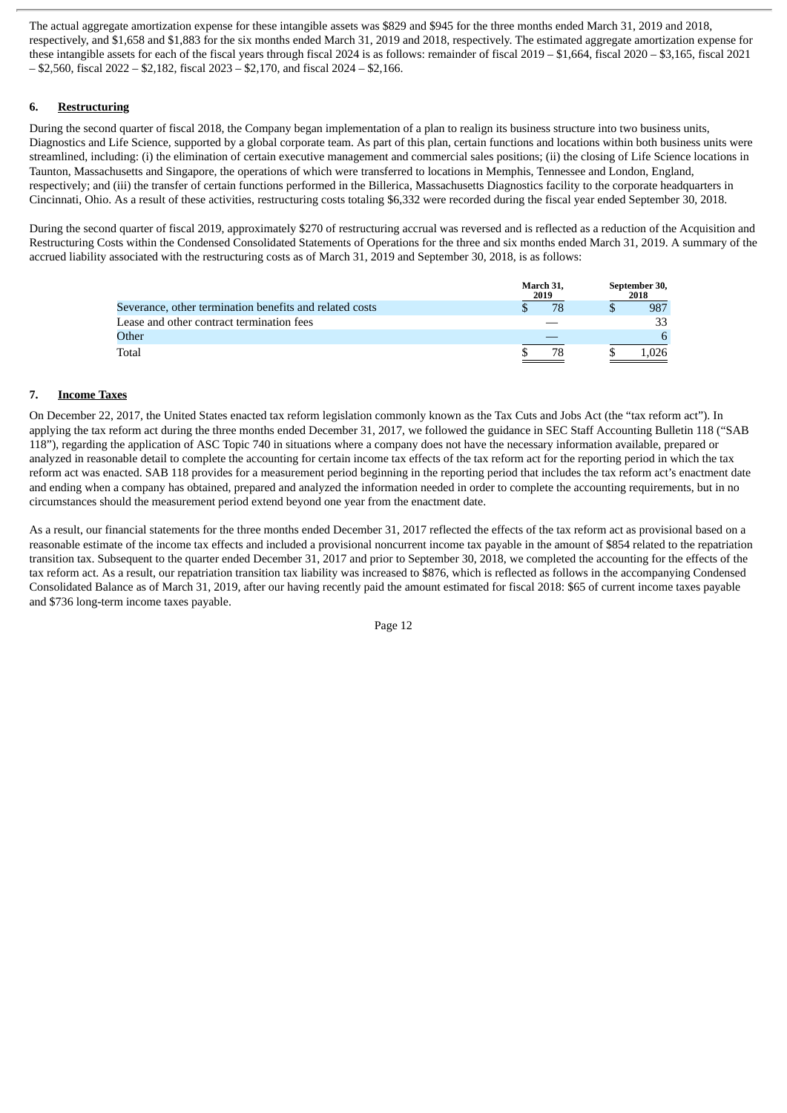The actual aggregate amortization expense for these intangible assets was \$829 and \$945 for the three months ended March 31, 2019 and 2018, respectively, and \$1,658 and \$1,883 for the six months ended March 31, 2019 and 2018, respectively. The estimated aggregate amortization expense for these intangible assets for each of the fiscal years through fiscal 2024 is as follows: remainder of fiscal 2019 – \$1,664, fiscal 2020 – \$3,165, fiscal 2021 – \$2,560, fiscal 2022 – \$2,182, fiscal 2023 – \$2,170, and fiscal 2024 – \$2,166.

## **6. Restructuring**

During the second quarter of fiscal 2018, the Company began implementation of a plan to realign its business structure into two business units, Diagnostics and Life Science, supported by a global corporate team. As part of this plan, certain functions and locations within both business units were streamlined, including: (i) the elimination of certain executive management and commercial sales positions; (ii) the closing of Life Science locations in Taunton, Massachusetts and Singapore, the operations of which were transferred to locations in Memphis, Tennessee and London, England, respectively; and (iii) the transfer of certain functions performed in the Billerica, Massachusetts Diagnostics facility to the corporate headquarters in Cincinnati, Ohio. As a result of these activities, restructuring costs totaling \$6,332 were recorded during the fiscal year ended September 30, 2018.

During the second quarter of fiscal 2019, approximately \$270 of restructuring accrual was reversed and is reflected as a reduction of the Acquisition and Restructuring Costs within the Condensed Consolidated Statements of Operations for the three and six months ended March 31, 2019. A summary of the accrued liability associated with the restructuring costs as of March 31, 2019 and September 30, 2018, is as follows:

|                                                         | March 31,<br>2019 | September 30,<br>2018 |
|---------------------------------------------------------|-------------------|-----------------------|
| Severance, other termination benefits and related costs |                   | 987                   |
| Lease and other contract termination fees               |                   | 33                    |
| Other                                                   |                   | 6                     |
| Total                                                   |                   | 026                   |

#### **7. Income Taxes**

On December 22, 2017, the United States enacted tax reform legislation commonly known as the Tax Cuts and Jobs Act (the "tax reform act"). In applying the tax reform act during the three months ended December 31, 2017, we followed the guidance in SEC Staff Accounting Bulletin 118 ("SAB 118"), regarding the application of ASC Topic 740 in situations where a company does not have the necessary information available, prepared or analyzed in reasonable detail to complete the accounting for certain income tax effects of the tax reform act for the reporting period in which the tax reform act was enacted. SAB 118 provides for a measurement period beginning in the reporting period that includes the tax reform act's enactment date and ending when a company has obtained, prepared and analyzed the information needed in order to complete the accounting requirements, but in no circumstances should the measurement period extend beyond one year from the enactment date.

As a result, our financial statements for the three months ended December 31, 2017 reflected the effects of the tax reform act as provisional based on a reasonable estimate of the income tax effects and included a provisional noncurrent income tax payable in the amount of \$854 related to the repatriation transition tax. Subsequent to the quarter ended December 31, 2017 and prior to September 30, 2018, we completed the accounting for the effects of the tax reform act. As a result, our repatriation transition tax liability was increased to \$876, which is reflected as follows in the accompanying Condensed Consolidated Balance as of March 31, 2019, after our having recently paid the amount estimated for fiscal 2018: \$65 of current income taxes payable and \$736 long-term income taxes payable.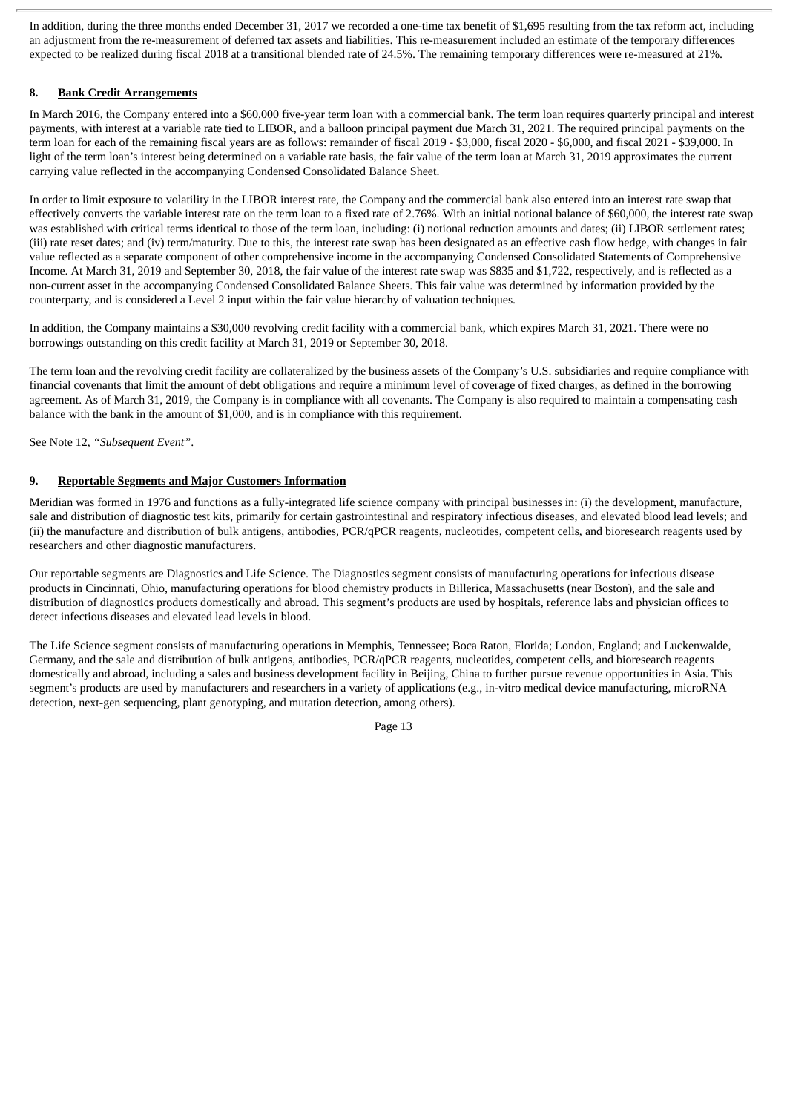In addition, during the three months ended December 31, 2017 we recorded a one-time tax benefit of \$1,695 resulting from the tax reform act, including an adjustment from the re-measurement of deferred tax assets and liabilities. This re-measurement included an estimate of the temporary differences expected to be realized during fiscal 2018 at a transitional blended rate of 24.5%. The remaining temporary differences were re-measured at 21%.

#### **8. Bank Credit Arrangements**

In March 2016, the Company entered into a \$60,000 five-year term loan with a commercial bank. The term loan requires quarterly principal and interest payments, with interest at a variable rate tied to LIBOR, and a balloon principal payment due March 31, 2021. The required principal payments on the term loan for each of the remaining fiscal years are as follows: remainder of fiscal 2019 - \$3,000, fiscal 2020 - \$6,000, and fiscal 2021 - \$39,000. In light of the term loan's interest being determined on a variable rate basis, the fair value of the term loan at March 31, 2019 approximates the current carrying value reflected in the accompanying Condensed Consolidated Balance Sheet.

In order to limit exposure to volatility in the LIBOR interest rate, the Company and the commercial bank also entered into an interest rate swap that effectively converts the variable interest rate on the term loan to a fixed rate of 2.76%. With an initial notional balance of \$60,000, the interest rate swap was established with critical terms identical to those of the term loan, including: (i) notional reduction amounts and dates; (ii) LIBOR settlement rates; (iii) rate reset dates; and (iv) term/maturity. Due to this, the interest rate swap has been designated as an effective cash flow hedge, with changes in fair value reflected as a separate component of other comprehensive income in the accompanying Condensed Consolidated Statements of Comprehensive Income. At March 31, 2019 and September 30, 2018, the fair value of the interest rate swap was \$835 and \$1,722, respectively, and is reflected as a non-current asset in the accompanying Condensed Consolidated Balance Sheets. This fair value was determined by information provided by the counterparty, and is considered a Level 2 input within the fair value hierarchy of valuation techniques.

In addition, the Company maintains a \$30,000 revolving credit facility with a commercial bank, which expires March 31, 2021. There were no borrowings outstanding on this credit facility at March 31, 2019 or September 30, 2018.

The term loan and the revolving credit facility are collateralized by the business assets of the Company's U.S. subsidiaries and require compliance with financial covenants that limit the amount of debt obligations and require a minimum level of coverage of fixed charges, as defined in the borrowing agreement. As of March 31, 2019, the Company is in compliance with all covenants. The Company is also required to maintain a compensating cash balance with the bank in the amount of \$1,000, and is in compliance with this requirement.

See Note 12, *"Subsequent Event"*.

#### **9. Reportable Segments and Major Customers Information**

Meridian was formed in 1976 and functions as a fully-integrated life science company with principal businesses in: (i) the development, manufacture, sale and distribution of diagnostic test kits, primarily for certain gastrointestinal and respiratory infectious diseases, and elevated blood lead levels; and (ii) the manufacture and distribution of bulk antigens, antibodies, PCR/qPCR reagents, nucleotides, competent cells, and bioresearch reagents used by researchers and other diagnostic manufacturers.

Our reportable segments are Diagnostics and Life Science. The Diagnostics segment consists of manufacturing operations for infectious disease products in Cincinnati, Ohio, manufacturing operations for blood chemistry products in Billerica, Massachusetts (near Boston), and the sale and distribution of diagnostics products domestically and abroad. This segment's products are used by hospitals, reference labs and physician offices to detect infectious diseases and elevated lead levels in blood.

The Life Science segment consists of manufacturing operations in Memphis, Tennessee; Boca Raton, Florida; London, England; and Luckenwalde, Germany, and the sale and distribution of bulk antigens, antibodies, PCR/qPCR reagents, nucleotides, competent cells, and bioresearch reagents domestically and abroad, including a sales and business development facility in Beijing, China to further pursue revenue opportunities in Asia. This segment's products are used by manufacturers and researchers in a variety of applications (e.g., in-vitro medical device manufacturing, microRNA detection, next-gen sequencing, plant genotyping, and mutation detection, among others).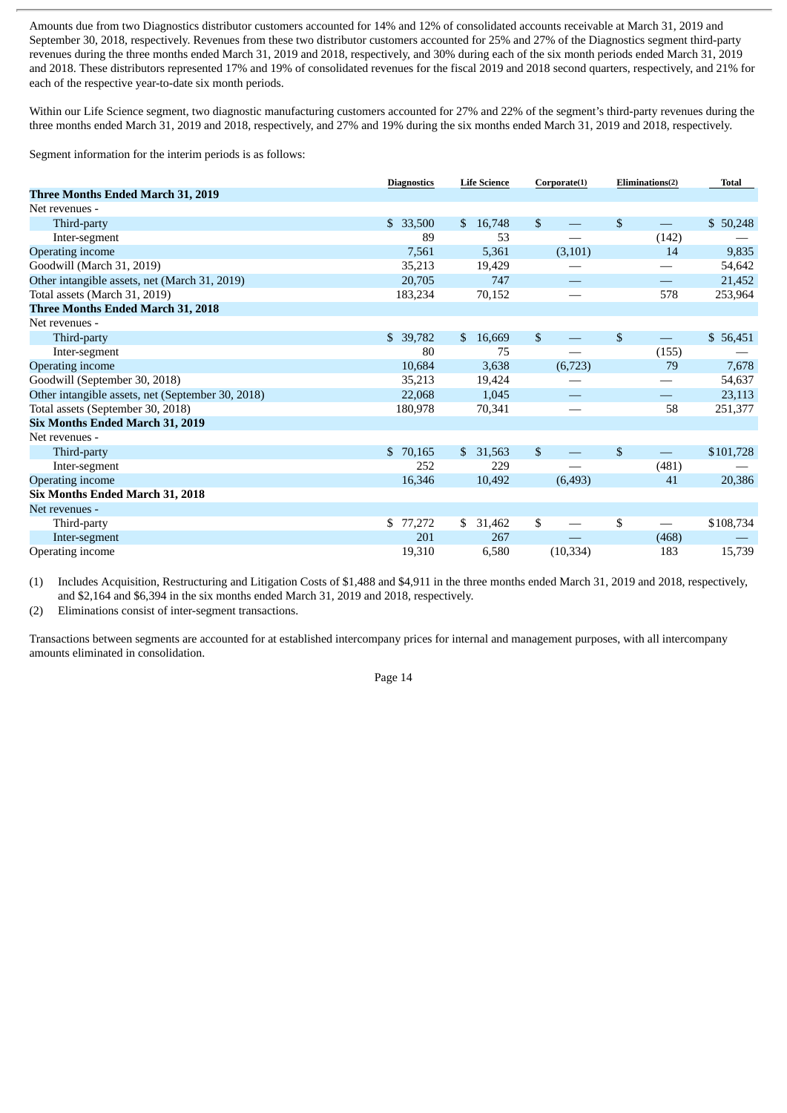Amounts due from two Diagnostics distributor customers accounted for 14% and 12% of consolidated accounts receivable at March 31, 2019 and September 30, 2018, respectively. Revenues from these two distributor customers accounted for 25% and 27% of the Diagnostics segment third-party revenues during the three months ended March 31, 2019 and 2018, respectively, and 30% during each of the six month periods ended March 31, 2019 and 2018. These distributors represented 17% and 19% of consolidated revenues for the fiscal 2019 and 2018 second quarters, respectively, and 21% for each of the respective year-to-date six month periods.

Within our Life Science segment, two diagnostic manufacturing customers accounted for 27% and 22% of the segment's third-party revenues during the three months ended March 31, 2019 and 2018, respectively, and 27% and 19% during the six months ended March 31, 2019 and 2018, respectively.

Segment information for the interim periods is as follows:

|                                                   | <b>Diagnostics</b> | <b>Life Science</b>    | Corporate(1)              | Eliminations(2)                                 | <b>Total</b> |
|---------------------------------------------------|--------------------|------------------------|---------------------------|-------------------------------------------------|--------------|
| Three Months Ended March 31, 2019                 |                    |                        |                           |                                                 |              |
| Net revenues -                                    |                    |                        |                           |                                                 |              |
| Third-party                                       | \$33,500           | $\mathbb{S}$<br>16,748 | $\boldsymbol{\mathsf{S}}$ | \$                                              | \$50,248     |
| Inter-segment                                     | 89                 | 53                     |                           | (142)                                           |              |
| Operating income                                  | 7,561              | 5,361                  | (3, 101)                  | 14                                              | 9,835        |
| Goodwill (March 31, 2019)                         | 35,213             | 19,429                 |                           |                                                 | 54,642       |
| Other intangible assets, net (March 31, 2019)     | 20,705             | 747                    |                           | $\hspace{0.05cm}$                               | 21,452       |
| Total assets (March 31, 2019)                     | 183,234            | 70,152                 |                           | 578                                             | 253,964      |
| <b>Three Months Ended March 31, 2018</b>          |                    |                        |                           |                                                 |              |
| Net revenues -                                    |                    |                        |                           |                                                 |              |
| Third-party                                       | \$ 39,782          | \$16,669               | \$                        | \$<br>$\overline{\phantom{m}}$                  | \$56,451     |
| Inter-segment                                     | 80                 | 75                     |                           | (155)                                           |              |
| Operating income                                  | 10,684             | 3,638                  | (6, 723)                  | 79                                              | 7,678        |
| Goodwill (September 30, 2018)                     | 35,213             | 19,424                 |                           |                                                 | 54,637       |
| Other intangible assets, net (September 30, 2018) | 22,068             | 1,045                  |                           | $\overline{\phantom{0}}$                        | 23,113       |
| Total assets (September 30, 2018)                 | 180,978            | 70,341                 |                           | 58                                              | 251,377      |
| Six Months Ended March 31, 2019                   |                    |                        |                           |                                                 |              |
| Net revenues -                                    |                    |                        |                           |                                                 |              |
| Third-party                                       | \$70,165           | \$31,563               | \$                        | \$<br>$\qquad \qquad \overline{\qquad \qquad }$ | \$101,728    |
| Inter-segment                                     | 252                | 229                    |                           | (481)                                           |              |
| Operating income                                  | 16,346             | 10,492                 | (6, 493)                  | 41                                              | 20,386       |
| Six Months Ended March 31, 2018                   |                    |                        |                           |                                                 |              |
| Net revenues -                                    |                    |                        |                           |                                                 |              |
| Third-party                                       | \$77,272           | \$31,462               | \$                        | \$                                              | \$108,734    |
| Inter-segment                                     | 201                | 267                    |                           | (468)                                           |              |
| Operating income                                  | 19,310             | 6,580                  | (10, 334)                 | 183                                             | 15,739       |

(1) Includes Acquisition, Restructuring and Litigation Costs of \$1,488 and \$4,911 in the three months ended March 31, 2019 and 2018, respectively, and \$2,164 and \$6,394 in the six months ended March 31, 2019 and 2018, respectively.

(2) Eliminations consist of inter-segment transactions.

Transactions between segments are accounted for at established intercompany prices for internal and management purposes, with all intercompany amounts eliminated in consolidation.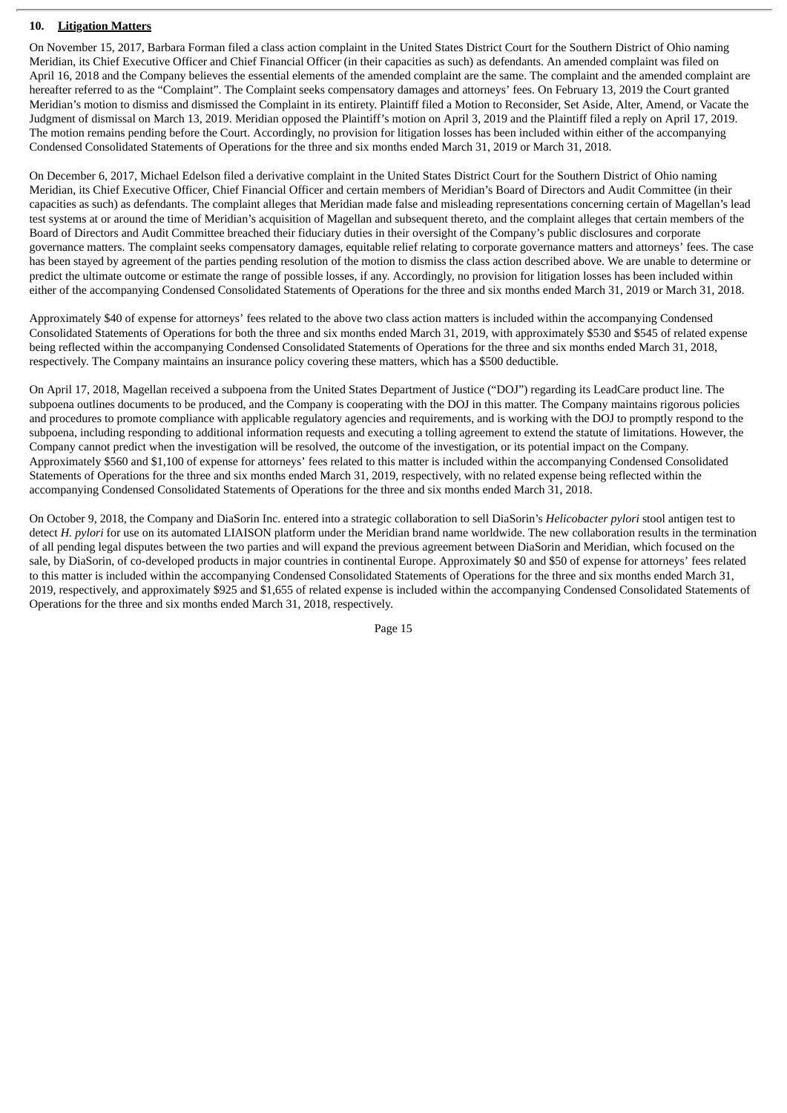#### **10. Litigation Matters**

On November 15, 2017, Barbara Forman filed a class action complaint in the United States District Court for the Southern District of Ohio naming Meridian, its Chief Executive Officer and Chief Financial Officer (in their capacities as such) as defendants. An amended complaint was filed on April 16, 2018 and the Company believes the essential elements of the amended complaint are the same. The complaint and the amended complaint are hereafter referred to as the "Complaint". The Complaint seeks compensatory damages and attorneys' fees. On February 13, 2019 the Court granted Meridian's motion to dismiss and dismissed the Complaint in its entirety. Plaintiff filed a Motion to Reconsider, Set Aside, Alter, Amend, or Vacate the Judgment of dismissal on March 13, 2019. Meridian opposed the Plaintiff's motion on April 3, 2019 and the Plaintiff filed a reply on April 17, 2019. The motion remains pending before the Court. Accordingly, no provision for litigation losses has been included within either of the accompanying Condensed Consolidated Statements of Operations for the three and six months ended March 31, 2019 or March 31, 2018.

On December 6, 2017, Michael Edelson filed a derivative complaint in the United States District Court for the Southern District of Ohio naming Meridian, its Chief Executive Officer, Chief Financial Officer and certain members of Meridian's Board of Directors and Audit Committee (in their capacities as such) as defendants. The complaint alleges that Meridian made false and misleading representations concerning certain of Magellan's lead test systems at or around the time of Meridian's acquisition of Magellan and subsequent thereto, and the complaint alleges that certain members of the Board of Directors and Audit Committee breached their fiduciary duties in their oversight of the Company's public disclosures and corporate governance matters. The complaint seeks compensatory damages, equitable relief relating to corporate governance matters and attorneys' fees. The case has been stayed by agreement of the parties pending resolution of the motion to dismiss the class action described above. We are unable to determine or predict the ultimate outcome or estimate the range of possible losses, if any. Accordingly, no provision for litigation losses has been included within either of the accompanying Condensed Consolidated Statements of Operations for the three and six months ended March 31, 2019 or March 31, 2018.

Approximately \$40 of expense for attorneys' fees related to the above two class action matters is included within the accompanying Condensed Consolidated Statements of Operations for both the three and six months ended March 31, 2019, with approximately \$530 and \$545 of related expense being reflected within the accompanying Condensed Consolidated Statements of Operations for the three and six months ended March 31, 2018, respectively. The Company maintains an insurance policy covering these matters, which has a \$500 deductible.

On April 17, 2018, Magellan received a subpoena from the United States Department of Justice ("DOJ") regarding its LeadCare product line. The subpoena outlines documents to be produced, and the Company is cooperating with the DOJ in this matter. The Company maintains rigorous policies and procedures to promote compliance with applicable regulatory agencies and requirements, and is working with the DOJ to promptly respond to the subpoena, including responding to additional information requests and executing a tolling agreement to extend the statute of limitations. However, the Company cannot predict when the investigation will be resolved, the outcome of the investigation, or its potential impact on the Company. Approximately \$560 and \$1,100 of expense for attorneys' fees related to this matter is included within the accompanying Condensed Consolidated Statements of Operations for the three and six months ended March 31, 2019, respectively, with no related expense being reflected within the accompanying Condensed Consolidated Statements of Operations for the three and six months ended March 31, 2018.

On October 9, 2018, the Company and DiaSorin Inc. entered into a strategic collaboration to sell DiaSorin's *Helicobacter pylori* stool antigen test to detect *H. pylori* for use on its automated LIAISON platform under the Meridian brand name worldwide. The new collaboration results in the termination of all pending legal disputes between the two parties and will expand the previous agreement between DiaSorin and Meridian, which focused on the sale, by DiaSorin, of co-developed products in major countries in continental Europe. Approximately \$0 and \$50 of expense for attorneys' fees related to this matter is included within the accompanying Condensed Consolidated Statements of Operations for the three and six months ended March 31, 2019, respectively, and approximately \$925 and \$1,655 of related expense is included within the accompanying Condensed Consolidated Statements of Operations for the three and six months ended March 31, 2018, respectively.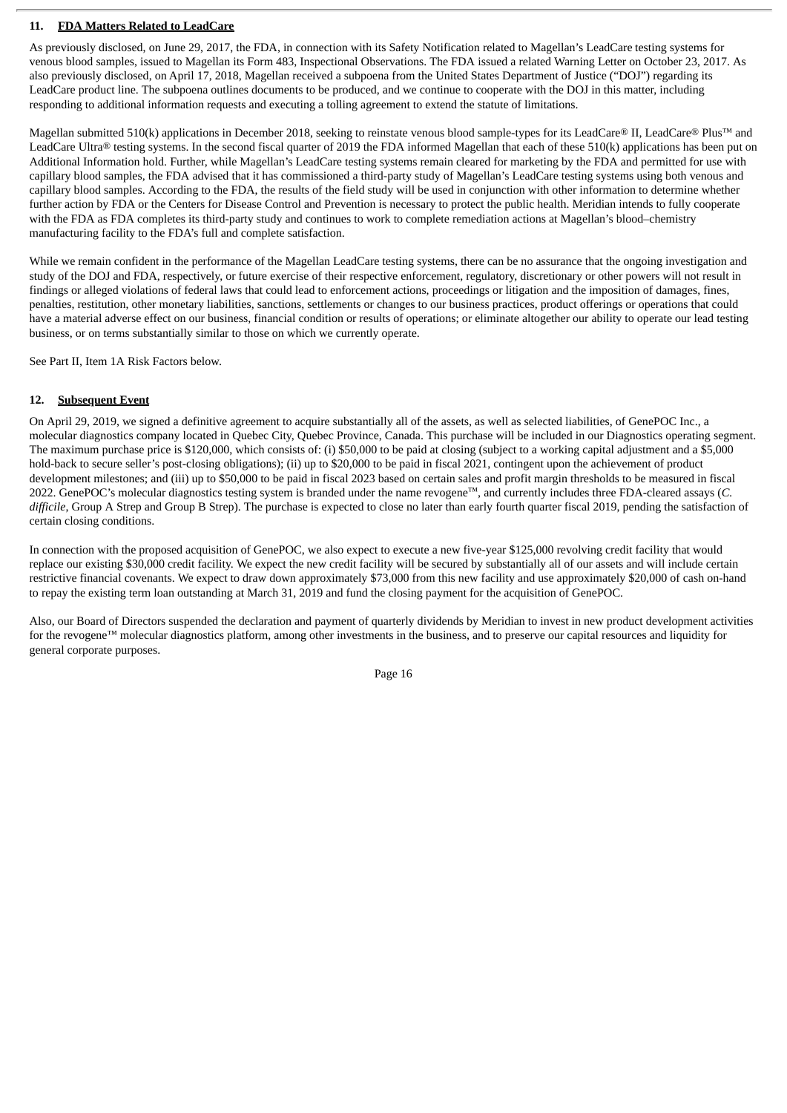#### **11. FDA Matters Related to LeadCare**

As previously disclosed, on June 29, 2017, the FDA, in connection with its Safety Notification related to Magellan's LeadCare testing systems for venous blood samples, issued to Magellan its Form 483, Inspectional Observations. The FDA issued a related Warning Letter on October 23, 2017. As also previously disclosed, on April 17, 2018, Magellan received a subpoena from the United States Department of Justice ("DOJ") regarding its LeadCare product line. The subpoena outlines documents to be produced, and we continue to cooperate with the DOJ in this matter, including responding to additional information requests and executing a tolling agreement to extend the statute of limitations.

Magellan submitted 510(k) applications in December 2018, seeking to reinstate venous blood sample-types for its LeadCare® II, LeadCare® Plus™ and LeadCare Ultra® testing systems. In the second fiscal quarter of 2019 the FDA informed Magellan that each of these 510(k) applications has been put on Additional Information hold. Further, while Magellan's LeadCare testing systems remain cleared for marketing by the FDA and permitted for use with capillary blood samples, the FDA advised that it has commissioned a third-party study of Magellan's LeadCare testing systems using both venous and capillary blood samples. According to the FDA, the results of the field study will be used in conjunction with other information to determine whether further action by FDA or the Centers for Disease Control and Prevention is necessary to protect the public health. Meridian intends to fully cooperate with the FDA as FDA completes its third-party study and continues to work to complete remediation actions at Magellan's blood–chemistry manufacturing facility to the FDA's full and complete satisfaction.

While we remain confident in the performance of the Magellan LeadCare testing systems, there can be no assurance that the ongoing investigation and study of the DOJ and FDA, respectively, or future exercise of their respective enforcement, regulatory, discretionary or other powers will not result in findings or alleged violations of federal laws that could lead to enforcement actions, proceedings or litigation and the imposition of damages, fines, penalties, restitution, other monetary liabilities, sanctions, settlements or changes to our business practices, product offerings or operations that could have a material adverse effect on our business, financial condition or results of operations; or eliminate altogether our ability to operate our lead testing business, or on terms substantially similar to those on which we currently operate.

See Part II, Item 1A Risk Factors below.

#### **12. Subsequent Event**

On April 29, 2019, we signed a definitive agreement to acquire substantially all of the assets, as well as selected liabilities, of GenePOC Inc., a molecular diagnostics company located in Quebec City, Quebec Province, Canada. This purchase will be included in our Diagnostics operating segment. The maximum purchase price is \$120,000, which consists of: (i) \$50,000 to be paid at closing (subject to a working capital adjustment and a \$5,000 hold-back to secure seller's post-closing obligations); (ii) up to \$20,000 to be paid in fiscal 2021, contingent upon the achievement of product development milestones; and (iii) up to \$50,000 to be paid in fiscal 2023 based on certain sales and profit margin thresholds to be measured in fiscal 2022. GenePOC's molecular diagnostics testing system is branded under the name revogene™, and currently includes three FDA-cleared assays (*C. difficile*, Group A Strep and Group B Strep). The purchase is expected to close no later than early fourth quarter fiscal 2019, pending the satisfaction of certain closing conditions.

In connection with the proposed acquisition of GenePOC, we also expect to execute a new five-year \$125,000 revolving credit facility that would replace our existing \$30,000 credit facility. We expect the new credit facility will be secured by substantially all of our assets and will include certain restrictive financial covenants. We expect to draw down approximately \$73,000 from this new facility and use approximately \$20,000 of cash on-hand to repay the existing term loan outstanding at March 31, 2019 and fund the closing payment for the acquisition of GenePOC.

Also, our Board of Directors suspended the declaration and payment of quarterly dividends by Meridian to invest in new product development activities for the revogene™ molecular diagnostics platform, among other investments in the business, and to preserve our capital resources and liquidity for general corporate purposes.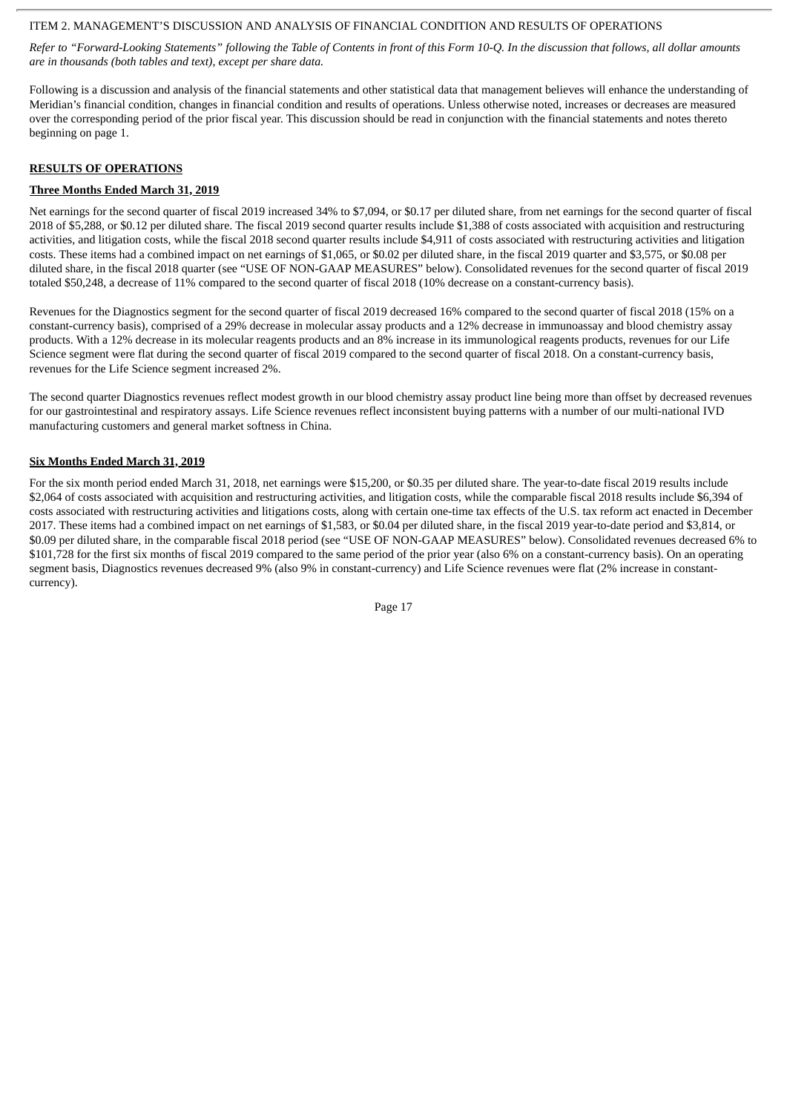#### <span id="page-19-0"></span>ITEM 2. MANAGEMENT'S DISCUSSION AND ANALYSIS OF FINANCIAL CONDITION AND RESULTS OF OPERATIONS

Refer to "Forward-Looking Statements" following the Table of Contents in front of this Form 10-Q. In the discussion that follows, all dollar amounts *are in thousands (both tables and text), except per share data.*

Following is a discussion and analysis of the financial statements and other statistical data that management believes will enhance the understanding of Meridian's financial condition, changes in financial condition and results of operations. Unless otherwise noted, increases or decreases are measured over the corresponding period of the prior fiscal year. This discussion should be read in conjunction with the financial statements and notes thereto beginning on page 1.

#### **RESULTS OF OPERATIONS**

#### **Three Months Ended March 31, 2019**

Net earnings for the second quarter of fiscal 2019 increased 34% to \$7,094, or \$0.17 per diluted share, from net earnings for the second quarter of fiscal 2018 of \$5,288, or \$0.12 per diluted share. The fiscal 2019 second quarter results include \$1,388 of costs associated with acquisition and restructuring activities, and litigation costs, while the fiscal 2018 second quarter results include \$4,911 of costs associated with restructuring activities and litigation costs. These items had a combined impact on net earnings of \$1,065, or \$0.02 per diluted share, in the fiscal 2019 quarter and \$3,575, or \$0.08 per diluted share, in the fiscal 2018 quarter (see "USE OF NON-GAAP MEASURES" below). Consolidated revenues for the second quarter of fiscal 2019 totaled \$50,248, a decrease of 11% compared to the second quarter of fiscal 2018 (10% decrease on a constant-currency basis).

Revenues for the Diagnostics segment for the second quarter of fiscal 2019 decreased 16% compared to the second quarter of fiscal 2018 (15% on a constant-currency basis), comprised of a 29% decrease in molecular assay products and a 12% decrease in immunoassay and blood chemistry assay products. With a 12% decrease in its molecular reagents products and an 8% increase in its immunological reagents products, revenues for our Life Science segment were flat during the second quarter of fiscal 2019 compared to the second quarter of fiscal 2018. On a constant-currency basis, revenues for the Life Science segment increased 2%.

The second quarter Diagnostics revenues reflect modest growth in our blood chemistry assay product line being more than offset by decreased revenues for our gastrointestinal and respiratory assays. Life Science revenues reflect inconsistent buying patterns with a number of our multi-national IVD manufacturing customers and general market softness in China.

#### **Six Months Ended March 31, 2019**

For the six month period ended March 31, 2018, net earnings were \$15,200, or \$0.35 per diluted share. The year-to-date fiscal 2019 results include \$2,064 of costs associated with acquisition and restructuring activities, and litigation costs, while the comparable fiscal 2018 results include \$6,394 of costs associated with restructuring activities and litigations costs, along with certain one-time tax effects of the U.S. tax reform act enacted in December 2017. These items had a combined impact on net earnings of \$1,583, or \$0.04 per diluted share, in the fiscal 2019 year-to-date period and \$3,814, or \$0.09 per diluted share, in the comparable fiscal 2018 period (see "USE OF NON-GAAP MEASURES" below). Consolidated revenues decreased 6% to \$101,728 for the first six months of fiscal 2019 compared to the same period of the prior year (also 6% on a constant-currency basis). On an operating segment basis, Diagnostics revenues decreased 9% (also 9% in constant-currency) and Life Science revenues were flat (2% increase in constantcurrency).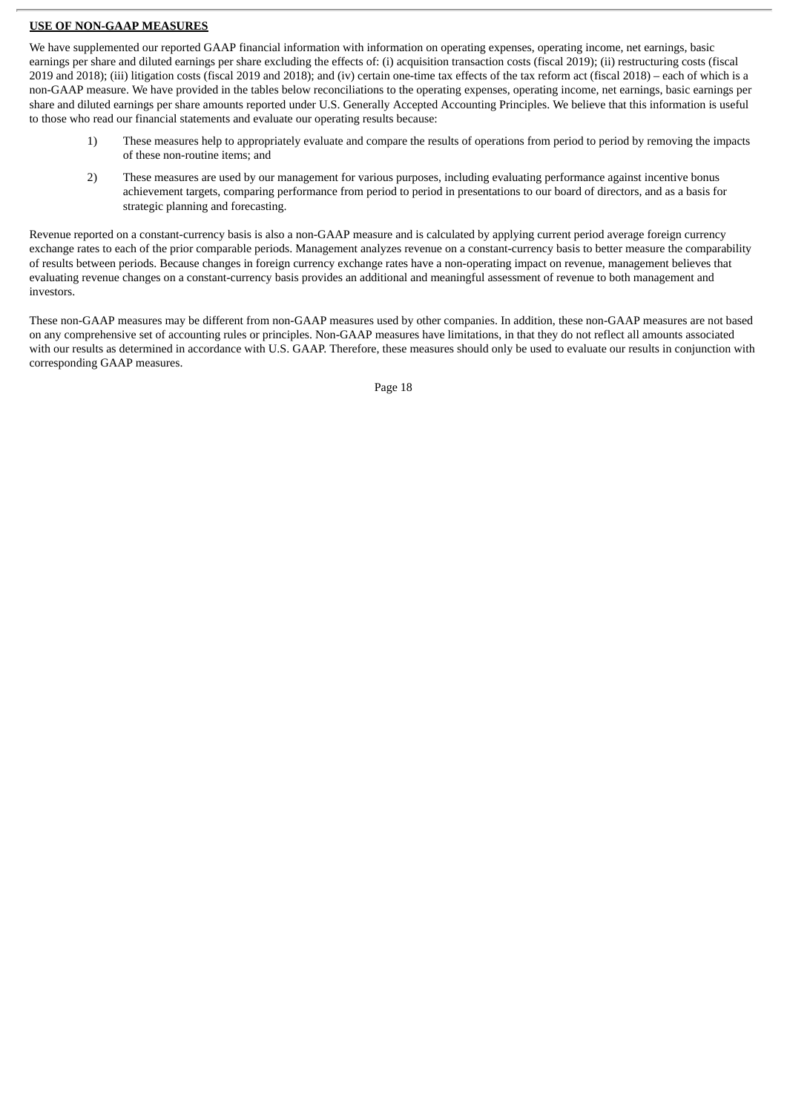#### **USE OF NON-GAAP MEASURES**

We have supplemented our reported GAAP financial information with information on operating expenses, operating income, net earnings, basic earnings per share and diluted earnings per share excluding the effects of: (i) acquisition transaction costs (fiscal 2019); (ii) restructuring costs (fiscal 2019 and 2018); (iii) litigation costs (fiscal 2019 and 2018); and (iv) certain one-time tax effects of the tax reform act (fiscal 2018) – each of which is a non-GAAP measure. We have provided in the tables below reconciliations to the operating expenses, operating income, net earnings, basic earnings per share and diluted earnings per share amounts reported under U.S. Generally Accepted Accounting Principles. We believe that this information is useful to those who read our financial statements and evaluate our operating results because:

- 1) These measures help to appropriately evaluate and compare the results of operations from period to period by removing the impacts of these non-routine items; and
- 2) These measures are used by our management for various purposes, including evaluating performance against incentive bonus achievement targets, comparing performance from period to period in presentations to our board of directors, and as a basis for strategic planning and forecasting.

Revenue reported on a constant-currency basis is also a non-GAAP measure and is calculated by applying current period average foreign currency exchange rates to each of the prior comparable periods. Management analyzes revenue on a constant-currency basis to better measure the comparability of results between periods. Because changes in foreign currency exchange rates have a non-operating impact on revenue, management believes that evaluating revenue changes on a constant-currency basis provides an additional and meaningful assessment of revenue to both management and investors.

These non-GAAP measures may be different from non-GAAP measures used by other companies. In addition, these non-GAAP measures are not based on any comprehensive set of accounting rules or principles. Non-GAAP measures have limitations, in that they do not reflect all amounts associated with our results as determined in accordance with U.S. GAAP. Therefore, these measures should only be used to evaluate our results in conjunction with corresponding GAAP measures.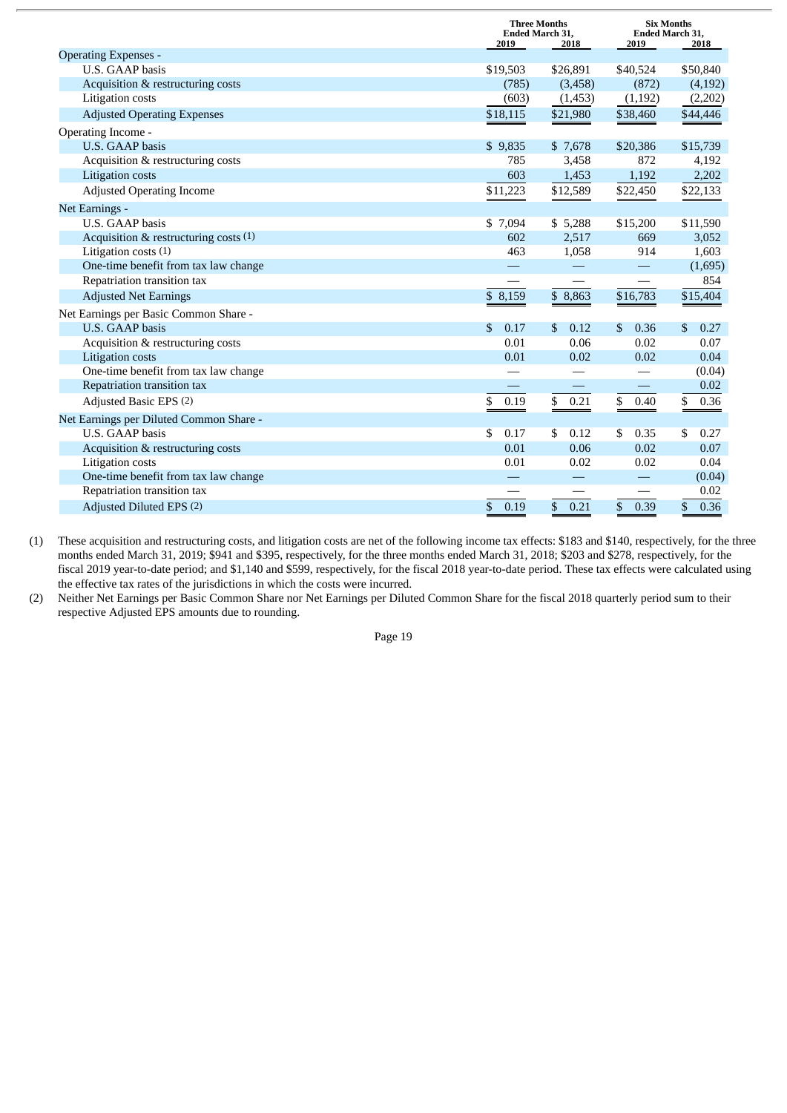|                                         | <b>Three Months</b><br>Ended March 31.<br>2019 | 2018       | <b>Six Months</b><br>Ended March 31.<br>2019 | 2018                  |
|-----------------------------------------|------------------------------------------------|------------|----------------------------------------------|-----------------------|
| <b>Operating Expenses -</b>             |                                                |            |                                              |                       |
| <b>U.S. GAAP basis</b>                  | \$19,503                                       | \$26,891   | \$40,524                                     | \$50,840              |
| Acquisition & restructuring costs       | (785)                                          | (3, 458)   | (872)                                        | (4, 192)              |
| Litigation costs                        | (603)                                          | (1,453)    | (1, 192)                                     | (2,202)               |
| <b>Adjusted Operating Expenses</b>      | \$18,115                                       | \$21,980   | \$38,460                                     | \$44,446              |
| Operating Income -                      |                                                |            |                                              |                       |
| U.S. GAAP basis                         | \$9,835                                        | \$7,678    | \$20,386                                     | \$15,739              |
| Acquisition & restructuring costs       | 785                                            | 3,458      | 872                                          | 4,192                 |
| <b>Litigation</b> costs                 | 603                                            | 1,453      | 1,192                                        | 2,202                 |
| <b>Adjusted Operating Income</b>        | \$11,223                                       | \$12,589   | \$22,450                                     | \$22,133              |
| Net Earnings -                          |                                                |            |                                              |                       |
| <b>U.S. GAAP basis</b>                  | \$7,094                                        | \$5,288    | \$15,200                                     | \$11,590              |
| Acquisition & restructuring costs (1)   | 602                                            | 2,517      | 669                                          | 3,052                 |
| Litigation costs $(1)$                  | 463                                            | 1,058      | 914                                          | 1,603                 |
| One-time benefit from tax law change    | $\qquad \qquad \qquad$                         |            | $\qquad \qquad -$                            | (1,695)               |
| Repatriation transition tax             |                                                |            |                                              | 854                   |
| <b>Adjusted Net Earnings</b>            | \$8,159                                        | \$8,863    | \$16,783                                     | \$15,404              |
| Net Earnings per Basic Common Share -   |                                                |            |                                              |                       |
| <b>U.S. GAAP basis</b>                  | \$<br>0.17                                     | 0.12<br>\$ | 0.36<br>\$                                   | $\mathbf{\$}$<br>0.27 |
| Acquisition & restructuring costs       | 0.01                                           | 0.06       | 0.02                                         | 0.07                  |
| <b>Litigation costs</b>                 | 0.01                                           | 0.02       | 0.02                                         | 0.04                  |
| One-time benefit from tax law change    |                                                |            |                                              | (0.04)                |
| Repatriation transition tax             |                                                |            | $\overline{\phantom{0}}$                     | 0.02                  |
| Adjusted Basic EPS (2)                  | \$<br>0.19                                     | \$<br>0.21 | \$<br>0.40                                   | \$<br>0.36            |
| Net Earnings per Diluted Common Share - |                                                |            |                                              |                       |
| U.S. GAAP basis                         | 0.17<br>\$                                     | \$<br>0.12 | \$<br>0.35                                   | \$<br>0.27            |
| Acquisition & restructuring costs       | 0.01                                           | 0.06       | 0.02                                         | 0.07                  |
| Litigation costs                        | 0.01                                           | 0.02       | 0.02                                         | 0.04                  |
| One-time benefit from tax law change    |                                                |            | $\overline{\phantom{0}}$                     | (0.04)                |
| Repatriation transition tax             |                                                |            |                                              | 0.02                  |
| Adjusted Diluted EPS (2)                | 0.19<br>\$                                     | \$<br>0.21 | \$<br>0.39                                   | \$<br>0.36            |

(1) These acquisition and restructuring costs, and litigation costs are net of the following income tax effects: \$183 and \$140, respectively, for the three months ended March 31, 2019; \$941 and \$395, respectively, for the three months ended March 31, 2018; \$203 and \$278, respectively, for the fiscal 2019 year-to-date period; and \$1,140 and \$599, respectively, for the fiscal 2018 year-to-date period. These tax effects were calculated using the effective tax rates of the jurisdictions in which the costs were incurred.

(2) Neither Net Earnings per Basic Common Share nor Net Earnings per Diluted Common Share for the fiscal 2018 quarterly period sum to their respective Adjusted EPS amounts due to rounding.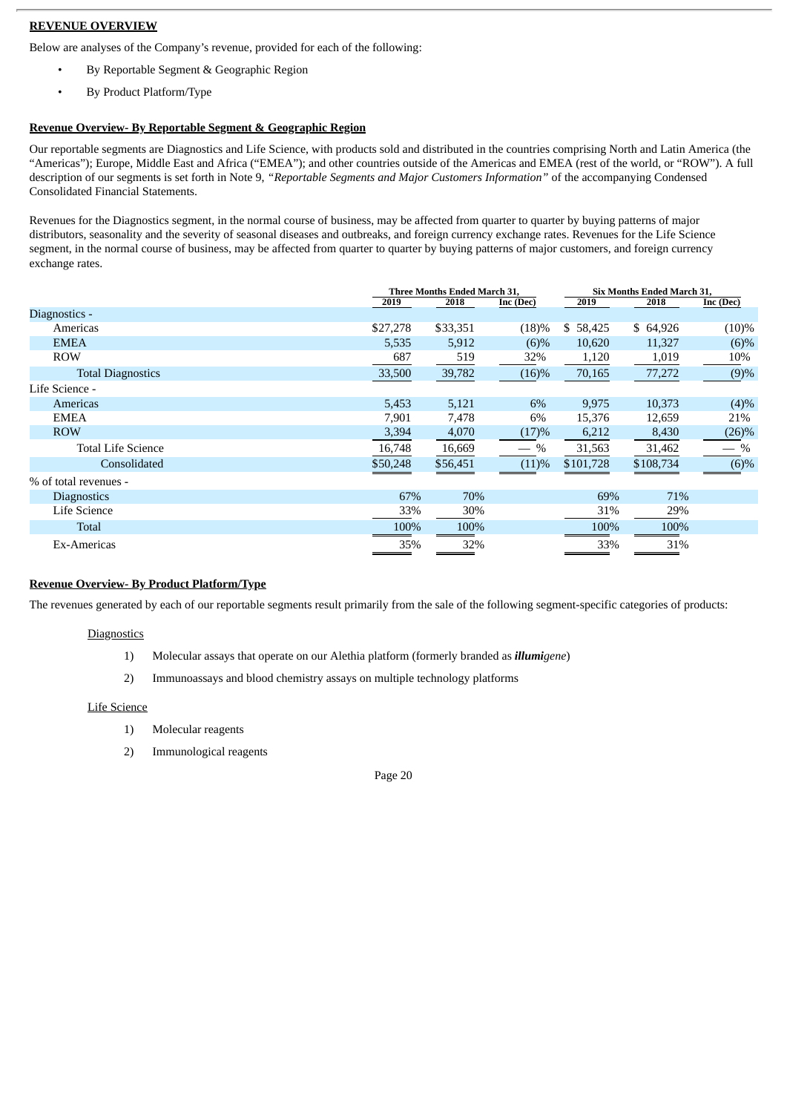#### **REVENUE OVERVIEW**

Below are analyses of the Company's revenue, provided for each of the following:

- By Reportable Segment & Geographic Region
- By Product Platform/Type

## **Revenue Overview- By Reportable Segment & Geographic Region**

Our reportable segments are Diagnostics and Life Science, with products sold and distributed in the countries comprising North and Latin America (the "Americas"); Europe, Middle East and Africa ("EMEA"); and other countries outside of the Americas and EMEA (rest of the world, or "ROW"). A full description of our segments is set forth in Note 9, *"Reportable Segments and Major Customers Information"* of the accompanying Condensed Consolidated Financial Statements.

Revenues for the Diagnostics segment, in the normal course of business, may be affected from quarter to quarter by buying patterns of major distributors, seasonality and the severity of seasonal diseases and outbreaks, and foreign currency exchange rates. Revenues for the Life Science segment, in the normal course of business, may be affected from quarter to quarter by buying patterns of major customers, and foreign currency exchange rates.

|                          | <b>Three Months Ended March 31,</b> |          |           | Six Months Ended March 31, |           |           |
|--------------------------|-------------------------------------|----------|-----------|----------------------------|-----------|-----------|
|                          | 2019                                | 2018     | Inc (Dec) | 2019                       | 2018      | Inc (Dec) |
| Diagnostics -            |                                     |          |           |                            |           |           |
| Americas                 | \$27,278                            | \$33,351 | (18)%     | \$58,425                   | \$64,926  | $(10)\%$  |
| <b>EMEA</b>              | 5,535                               | 5,912    | $(6)\%$   | 10,620                     | 11,327    | (6)%      |
| <b>ROW</b>               | 687                                 | 519      | 32%       | 1,120                      | 1,019     | 10%       |
| <b>Total Diagnostics</b> | 33,500                              | 39,782   | (16)%     | 70,165                     | 77,272    | (9)%      |
| Life Science -           |                                     |          |           |                            |           |           |
| Americas                 | 5,453                               | 5,121    | 6%        | 9,975                      | 10,373    | (4)%      |
| <b>EMEA</b>              | 7,901                               | 7,478    | 6%        | 15,376                     | 12,659    | 21%       |
| <b>ROW</b>               | 3,394                               | 4,070    | (17)%     | 6,212                      | 8,430     | $(26)\%$  |
| Total Life Science       | 16,748                              | 16,669   | $\%$      | 31,563                     | 31,462    | %         |
| Consolidated             | \$50,248                            | \$56,451 | (11)%     | \$101,728                  | \$108,734 | $(6)$ %   |
| % of total revenues -    |                                     |          |           |                            |           |           |
| <b>Diagnostics</b>       | 67%                                 | 70%      |           | 69%                        | 71%       |           |
| Life Science             | 33%                                 | 30%      |           | 31%                        | 29%       |           |
| Total                    | 100%                                | 100%     |           | 100%                       | 100%      |           |
| Ex-Americas              | 35%                                 | 32%      |           | 33%                        | 31%       |           |

## **Revenue Overview- By Product Platform/Type**

The revenues generated by each of our reportable segments result primarily from the sale of the following segment-specific categories of products:

## **Diagnostics**

- 1) Molecular assays that operate on our Alethia platform (formerly branded as *illumigene*)
- 2) Immunoassays and blood chemistry assays on multiple technology platforms

## Life Science

- 1) Molecular reagents
- 2) Immunological reagents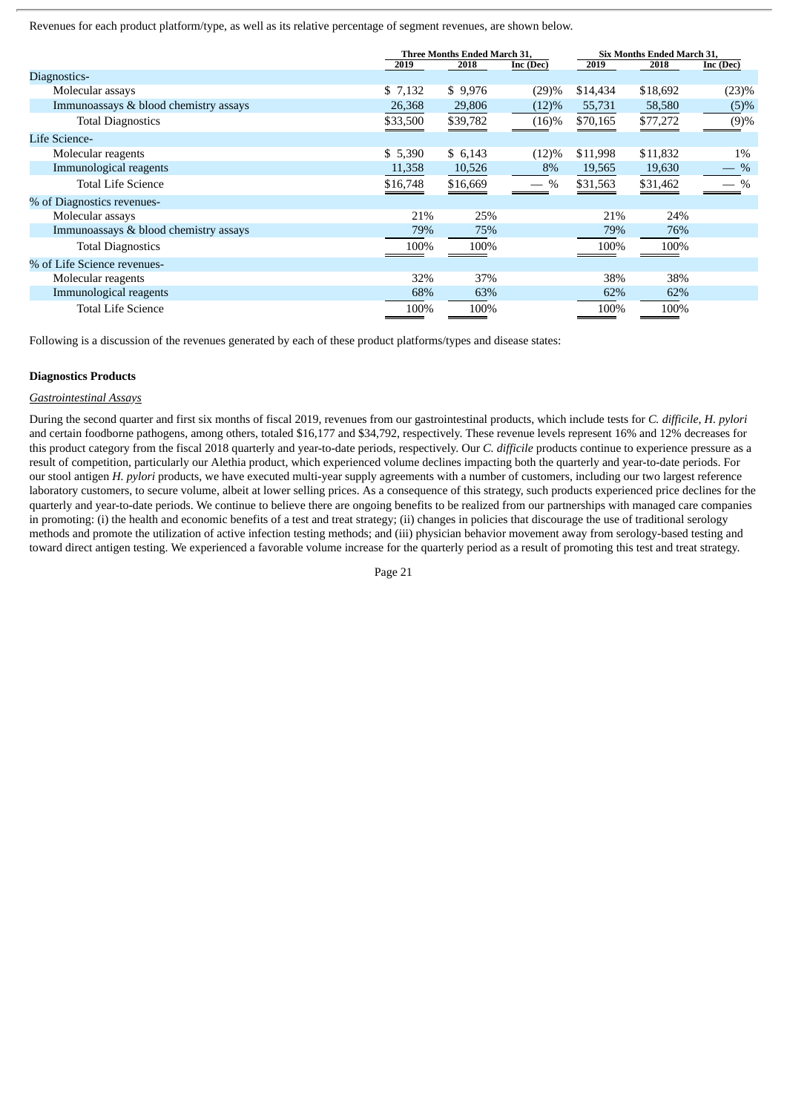Revenues for each product platform/type, as well as its relative percentage of segment revenues, are shown below.

|                                       |          | Three Months Ended March 31, |           | <b>Six Months Ended March 31,</b> |          |           |
|---------------------------------------|----------|------------------------------|-----------|-----------------------------------|----------|-----------|
|                                       | 2019     | 2018                         | Inc (Dec) | 2019                              | 2018     | Inc (Dec) |
| Diagnostics-                          |          |                              |           |                                   |          |           |
| Molecular assays                      | \$7,132  | \$9,976                      | (29)%     | \$14,434                          | \$18,692 | (23)%     |
| Immunoassays & blood chemistry assays | 26,368   | 29,806                       | (12)%     | 55,731                            | 58,580   | (5)%      |
| <b>Total Diagnostics</b>              | \$33,500 | \$39,782                     | (16)%     | \$70,165                          | \$77,272 | (9)%      |
| Life Science-                         |          |                              |           |                                   |          |           |
| Molecular reagents                    | \$5,390  | \$6,143                      | (12)%     | \$11,998                          | \$11,832 | $1\%$     |
| Immunological reagents                | 11,358   | 10,526                       | 8%        | 19,565                            | 19,630   | $\%$      |
| Total Life Science                    | \$16,748 | \$16,669                     | $\%$      | \$31,563                          | \$31,462 | $\%$      |
| % of Diagnostics revenues-            |          |                              |           |                                   |          |           |
| Molecular assays                      | 21%      | 25%                          |           | 21%                               | 24%      |           |
| Immunoassays & blood chemistry assays | 79%      | 75%                          |           | 79%                               | 76%      |           |
| <b>Total Diagnostics</b>              | 100%     | 100%                         |           | 100%                              | 100%     |           |
| % of Life Science revenues-           |          |                              |           |                                   |          |           |
| Molecular reagents                    | 32%      | 37%                          |           | 38%                               | 38%      |           |
| Immunological reagents                | 68%      | 63%                          |           | 62%                               | 62%      |           |
| <b>Total Life Science</b>             | 100%     | 100%                         |           | 100%                              | 100%     |           |

Following is a discussion of the revenues generated by each of these product platforms/types and disease states:

#### **Diagnostics Products**

#### *Gastrointestinal Assays*

During the second quarter and first six months of fiscal 2019, revenues from our gastrointestinal products, which include tests for *C. difficile*, *H. pylori* and certain foodborne pathogens, among others, totaled \$16,177 and \$34,792, respectively. These revenue levels represent 16% and 12% decreases for this product category from the fiscal 2018 quarterly and year-to-date periods, respectively. Our *C. difficile* products continue to experience pressure as a result of competition, particularly our Alethia product, which experienced volume declines impacting both the quarterly and year-to-date periods. For our stool antigen *H. pylori* products, we have executed multi-year supply agreements with a number of customers, including our two largest reference laboratory customers, to secure volume, albeit at lower selling prices. As a consequence of this strategy, such products experienced price declines for the quarterly and year-to-date periods. We continue to believe there are ongoing benefits to be realized from our partnerships with managed care companies in promoting: (i) the health and economic benefits of a test and treat strategy; (ii) changes in policies that discourage the use of traditional serology methods and promote the utilization of active infection testing methods; and (iii) physician behavior movement away from serology-based testing and toward direct antigen testing. We experienced a favorable volume increase for the quarterly period as a result of promoting this test and treat strategy.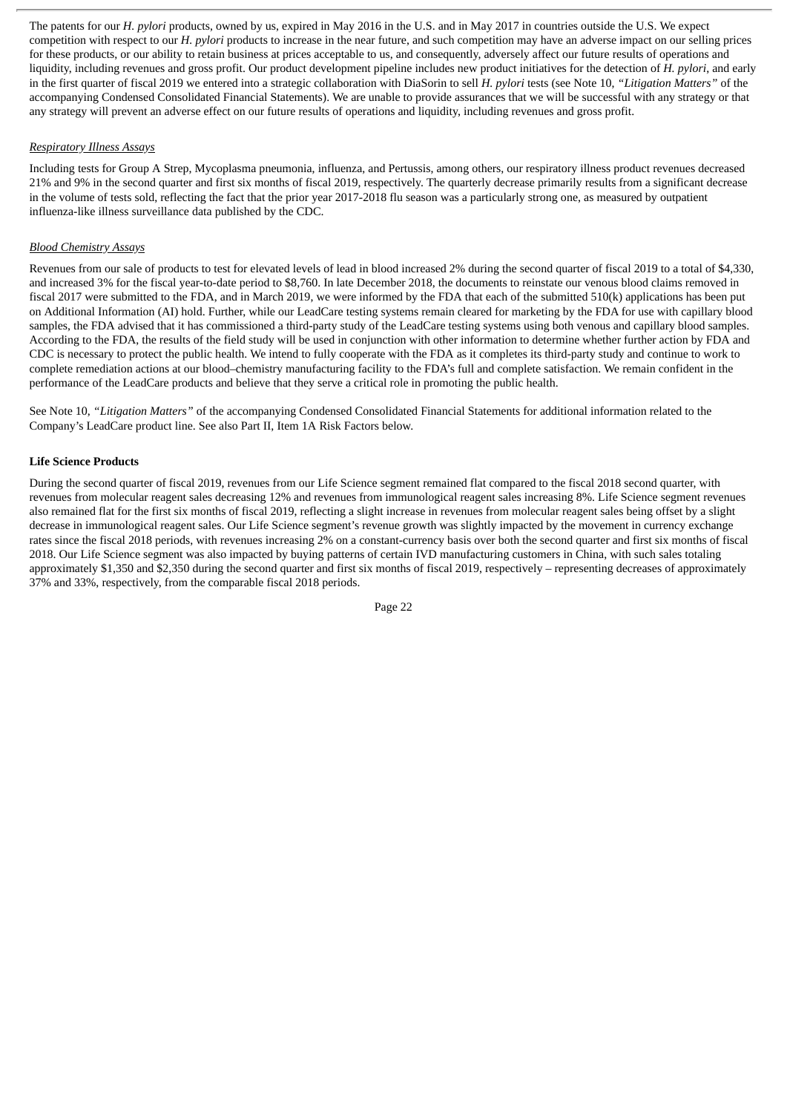The patents for our *H. pylori* products, owned by us, expired in May 2016 in the U.S. and in May 2017 in countries outside the U.S. We expect competition with respect to our *H. pylori* products to increase in the near future, and such competition may have an adverse impact on our selling prices for these products, or our ability to retain business at prices acceptable to us, and consequently, adversely affect our future results of operations and liquidity, including revenues and gross profit. Our product development pipeline includes new product initiatives for the detection of *H. pylori*, and early in the first quarter of fiscal 2019 we entered into a strategic collaboration with DiaSorin to sell *H. pylori* tests (see Note 10, *"Litigation Matters"* of the accompanying Condensed Consolidated Financial Statements). We are unable to provide assurances that we will be successful with any strategy or that any strategy will prevent an adverse effect on our future results of operations and liquidity, including revenues and gross profit.

#### *Respiratory Illness Assays*

Including tests for Group A Strep, Mycoplasma pneumonia, influenza, and Pertussis, among others, our respiratory illness product revenues decreased 21% and 9% in the second quarter and first six months of fiscal 2019, respectively. The quarterly decrease primarily results from a significant decrease in the volume of tests sold, reflecting the fact that the prior year 2017-2018 flu season was a particularly strong one, as measured by outpatient influenza-like illness surveillance data published by the CDC.

#### *Blood Chemistry Assays*

Revenues from our sale of products to test for elevated levels of lead in blood increased 2% during the second quarter of fiscal 2019 to a total of \$4,330, and increased 3% for the fiscal year-to-date period to \$8,760. In late December 2018, the documents to reinstate our venous blood claims removed in fiscal 2017 were submitted to the FDA, and in March 2019, we were informed by the FDA that each of the submitted 510(k) applications has been put on Additional Information (AI) hold. Further, while our LeadCare testing systems remain cleared for marketing by the FDA for use with capillary blood samples, the FDA advised that it has commissioned a third-party study of the LeadCare testing systems using both venous and capillary blood samples. According to the FDA, the results of the field study will be used in conjunction with other information to determine whether further action by FDA and CDC is necessary to protect the public health. We intend to fully cooperate with the FDA as it completes its third-party study and continue to work to complete remediation actions at our blood–chemistry manufacturing facility to the FDA's full and complete satisfaction. We remain confident in the performance of the LeadCare products and believe that they serve a critical role in promoting the public health.

See Note 10, *"Litigation Matters"* of the accompanying Condensed Consolidated Financial Statements for additional information related to the Company's LeadCare product line. See also Part II, Item 1A Risk Factors below.

#### **Life Science Products**

During the second quarter of fiscal 2019, revenues from our Life Science segment remained flat compared to the fiscal 2018 second quarter, with revenues from molecular reagent sales decreasing 12% and revenues from immunological reagent sales increasing 8%. Life Science segment revenues also remained flat for the first six months of fiscal 2019, reflecting a slight increase in revenues from molecular reagent sales being offset by a slight decrease in immunological reagent sales. Our Life Science segment's revenue growth was slightly impacted by the movement in currency exchange rates since the fiscal 2018 periods, with revenues increasing 2% on a constant-currency basis over both the second quarter and first six months of fiscal 2018. Our Life Science segment was also impacted by buying patterns of certain IVD manufacturing customers in China, with such sales totaling approximately \$1,350 and \$2,350 during the second quarter and first six months of fiscal 2019, respectively – representing decreases of approximately 37% and 33%, respectively, from the comparable fiscal 2018 periods.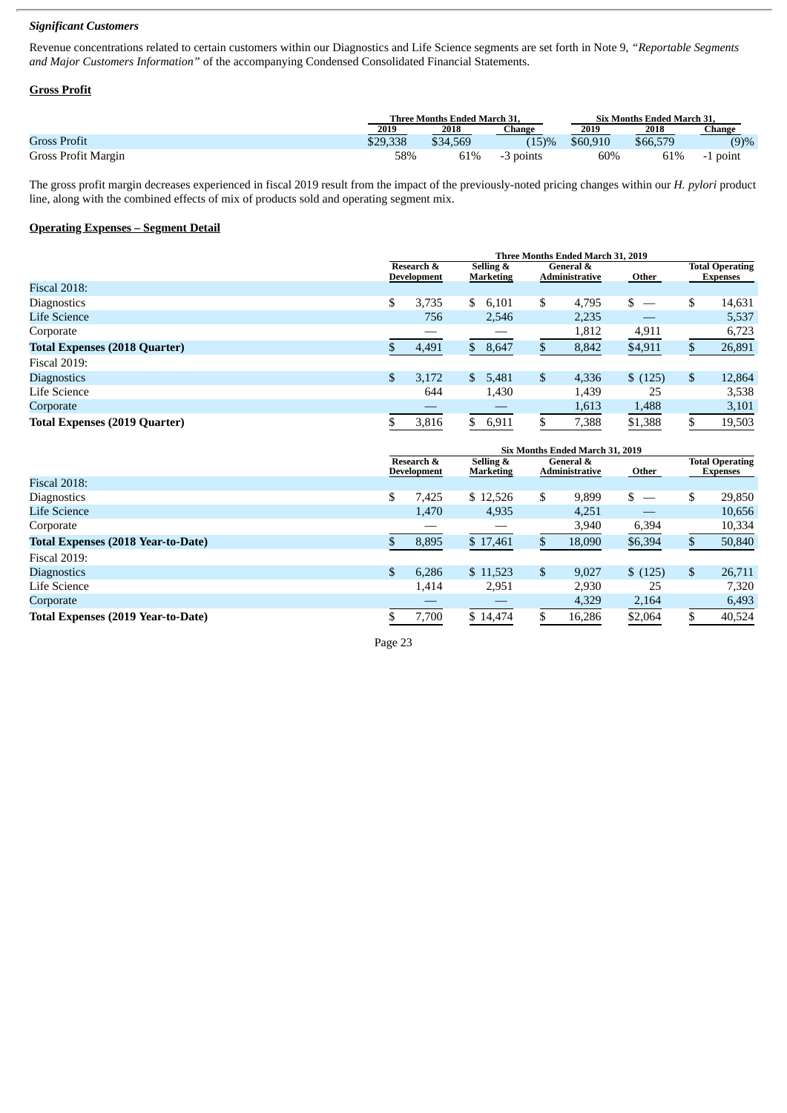#### *Significant Customers*

Revenue concentrations related to certain customers within our Diagnostics and Life Science segments are set forth in Note 9, *"Reportable Segments and Major Customers Information"* of the accompanying Condensed Consolidated Financial Statements.

#### **Gross Profit**

|                     |          | <b>Three Months Ended March 31.</b> |           |          | <b>Six Months Ended March 31.</b> |        |  |
|---------------------|----------|-------------------------------------|-----------|----------|-----------------------------------|--------|--|
|                     | 2019     | 2018                                | Change    | 2019     | 2018                              | Change |  |
| <b>Gross Profit</b> | \$29.338 | \$34,569                            | (15)%     | \$60,910 | \$66,579                          | (9)%   |  |
| Gross Profit Margin | 58%      | 61%                                 | -3 points | 60%      | 61%                               | point  |  |

The gross profit margin decreases experienced in fiscal 2019 result from the impact of the previously-noted pricing changes within our *H. pylori* product line, along with the combined effects of mix of products sold and operating segment mix.

## **Operating Expenses – Segment Detail**

|                                      | Three Months Ended March 31, 2019 |                                  |    |                               |    |                                        |         |    |                                           |
|--------------------------------------|-----------------------------------|----------------------------------|----|-------------------------------|----|----------------------------------------|---------|----|-------------------------------------------|
|                                      |                                   | Research &<br><b>Development</b> |    | Selling &<br><b>Marketing</b> |    | <b>General &amp;</b><br>Administrative | Other   |    | <b>Total Operating</b><br><b>Expenses</b> |
| <b>Fiscal 2018:</b>                  |                                   |                                  |    |                               |    |                                        |         |    |                                           |
| Diagnostics                          | \$                                | 3,735                            | \$ | 6,101                         | \$ | 4.795                                  | \$      | \$ | 14,631                                    |
| <b>Life Science</b>                  |                                   | 756                              |    | 2,546                         |    | 2,235                                  |         |    | 5,537                                     |
| Corporate                            |                                   |                                  |    |                               |    | 1,812                                  | 4,911   |    | 6,723                                     |
| <b>Total Expenses (2018 Quarter)</b> |                                   | 4,491                            | \$ | 8,647                         |    | 8,842                                  | \$4,911 |    | 26,891                                    |
| <b>Fiscal 2019:</b>                  |                                   |                                  |    |                               |    |                                        |         |    |                                           |
| <b>Diagnostics</b>                   | \$                                | 3,172                            | \$ | 5,481                         | \$ | 4,336                                  | \$(125) | \$ | 12,864                                    |
| Life Science                         |                                   | 644                              |    | 1,430                         |    | 1,439                                  | 25      |    | 3,538                                     |
| Corporate                            |                                   |                                  |    |                               |    | 1,613                                  | 1,488   |    | 3,101                                     |
| <b>Total Expenses (2019 Quarter)</b> |                                   | 3,816                            | \$ | 6,911                         |    | 7,388                                  | \$1,388 | \$ | 19,503                                    |

|                                           | Six Months Ended March 31, 2019 |                                  |                               |    |                             |         |    |                                    |
|-------------------------------------------|---------------------------------|----------------------------------|-------------------------------|----|-----------------------------|---------|----|------------------------------------|
|                                           |                                 | Research &<br><b>Development</b> | Selling &<br><b>Marketing</b> |    | General &<br>Administrative | Other   |    | <b>Total Operating</b><br>Expenses |
| <b>Fiscal 2018:</b>                       |                                 |                                  |                               |    |                             |         |    |                                    |
| <b>Diagnostics</b>                        | \$                              | 7,425                            | \$12,526                      | S. | 9.899                       | $s -$   | \$ | 29,850                             |
| <b>Life Science</b>                       |                                 | 1,470                            | 4,935                         |    | 4,251                       |         |    | 10,656                             |
| Corporate                                 |                                 |                                  |                               |    | 3,940                       | 6,394   |    | 10,334                             |
| <b>Total Expenses (2018 Year-to-Date)</b> |                                 | 8,895                            | \$17,461                      |    | 18,090                      | \$6,394 |    | 50,840                             |
| <b>Fiscal 2019:</b>                       |                                 |                                  |                               |    |                             |         |    |                                    |
| <b>Diagnostics</b>                        | $\mathbf{S}$                    | 6,286                            | \$11,523                      | \$ | 9.027                       | \$(125) | \$ | 26,711                             |
| Life Science                              |                                 | 1.414                            | 2,951                         |    | 2,930                       | 25      |    | 7,320                              |
| Corporate                                 |                                 |                                  |                               |    | 4,329                       | 2,164   |    | 6,493                              |
| Total Expenses (2019 Year-to-Date)        |                                 | 7,700                            | \$14,474                      |    | 16,286                      | \$2,064 | \$ | 40,524                             |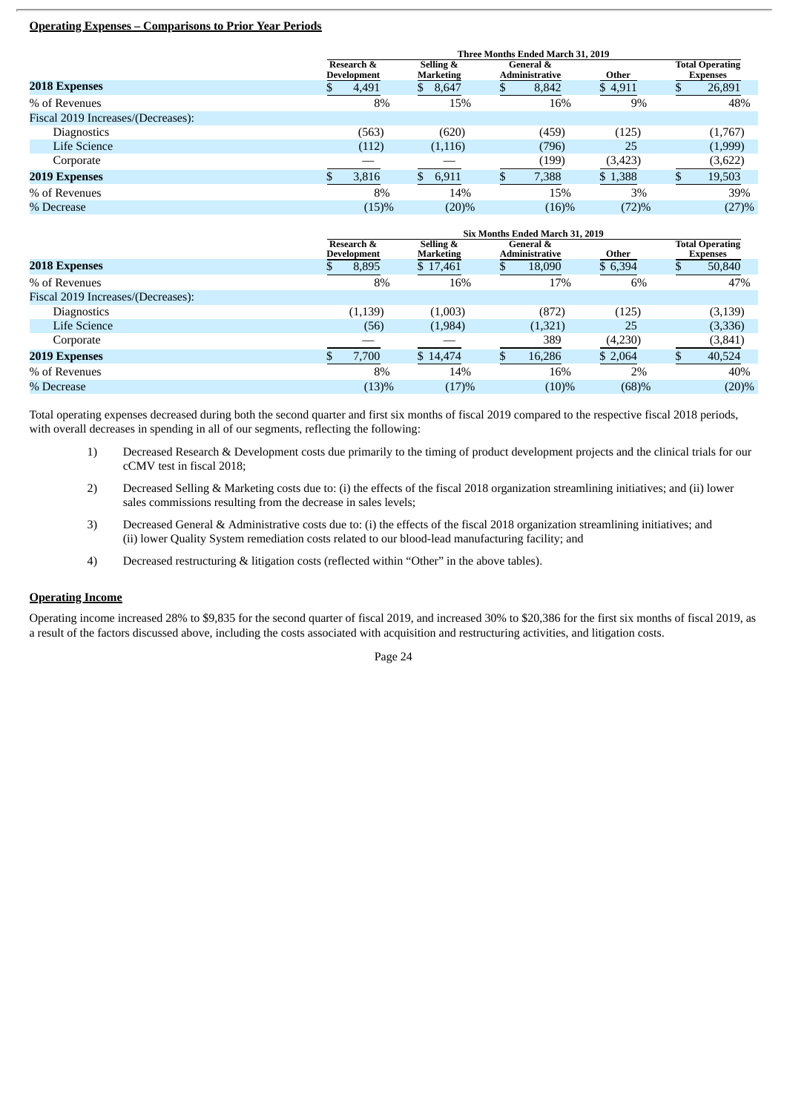#### **Operating Expenses – Comparisons to Prior Year Periods**

|                                    | Three Months Ended March 31, 2019 |          |  |                                               |          |                                    |         |
|------------------------------------|-----------------------------------|----------|--|-----------------------------------------------|----------|------------------------------------|---------|
|                                    | Research &<br><b>Development</b>  |          |  | <b>General &amp;</b><br><b>Administrative</b> | Other    | <b>Total Operating</b><br>Expenses |         |
| <b>2018 Expenses</b>               | 4,491                             | 8,647    |  | 8,842                                         | \$4,911  |                                    | 26,891  |
| % of Revenues                      | 8%                                | 15%      |  | 16%                                           | 9%       |                                    | 48%     |
| Fiscal 2019 Increases/(Decreases): |                                   |          |  |                                               |          |                                    |         |
| <b>Diagnostics</b>                 | (563)                             | (620)    |  | (459)                                         | (125)    |                                    | (1,767) |
| Life Science                       | (112)                             | (1, 116) |  | (796)                                         | 25       |                                    | (1,999) |
| Corporate                          |                                   |          |  | (199)                                         | (3, 423) |                                    | (3,622) |
| <b>2019 Expenses</b>               | 3,816                             | 6,911    |  | 7,388                                         | \$1,388  |                                    | 19,503  |
| % of Revenues                      | 8%                                | 14%      |  | 15%                                           | 3%       |                                    | 39%     |
| % Decrease                         | (15)%                             | (20)%    |  | (16)%                                         | (72)%    |                                    | (27)%   |

|                                    | Six Months Ended March 31, 2019  |          |                                               |          |         |                                           |          |
|------------------------------------|----------------------------------|----------|-----------------------------------------------|----------|---------|-------------------------------------------|----------|
|                                    | Research &<br><b>Development</b> |          | <b>General &amp;</b><br><b>Administrative</b> |          | Other   | <b>Total Operating</b><br><b>Expenses</b> |          |
| <b>2018 Expenses</b>               | 8,895                            | \$17,461 |                                               | 18,090   | \$6,394 |                                           | 50,840   |
| % of Revenues                      | 8%                               | 16%      |                                               | 17%      | 6%      |                                           | 47%      |
| Fiscal 2019 Increases/(Decreases): |                                  |          |                                               |          |         |                                           |          |
| <b>Diagnostics</b>                 | (1, 139)                         | (1,003)  |                                               | (872)    | (125)   |                                           | (3, 139) |
| Life Science                       | (56)                             | (1,984)  |                                               | (1, 321) | 25      |                                           | (3,336)  |
| Corporate                          |                                  |          |                                               | 389      | (4,230) |                                           | (3, 841) |
| 2019 Expenses                      | 7,700                            | \$14,474 |                                               | 16,286   | \$2,064 |                                           | 40,524   |
| % of Revenues                      | 8%                               | 14%      |                                               | 16%      | 2%      |                                           | 40%      |
| % Decrease                         | (13)%                            | (17)%    |                                               | $(10)\%$ | (68)%   |                                           | $(20)\%$ |

Total operating expenses decreased during both the second quarter and first six months of fiscal 2019 compared to the respective fiscal 2018 periods, with overall decreases in spending in all of our segments, reflecting the following:

- 1) Decreased Research & Development costs due primarily to the timing of product development projects and the clinical trials for our cCMV test in fiscal 2018;
- 2) Decreased Selling & Marketing costs due to: (i) the effects of the fiscal 2018 organization streamlining initiatives; and (ii) lower sales commissions resulting from the decrease in sales levels;
- 3) Decreased General & Administrative costs due to: (i) the effects of the fiscal 2018 organization streamlining initiatives; and (ii) lower Quality System remediation costs related to our blood-lead manufacturing facility; and
- 4) Decreased restructuring & litigation costs (reflected within "Other" in the above tables).

#### **Operating Income**

Operating income increased 28% to \$9,835 for the second quarter of fiscal 2019, and increased 30% to \$20,386 for the first six months of fiscal 2019, as a result of the factors discussed above, including the costs associated with acquisition and restructuring activities, and litigation costs.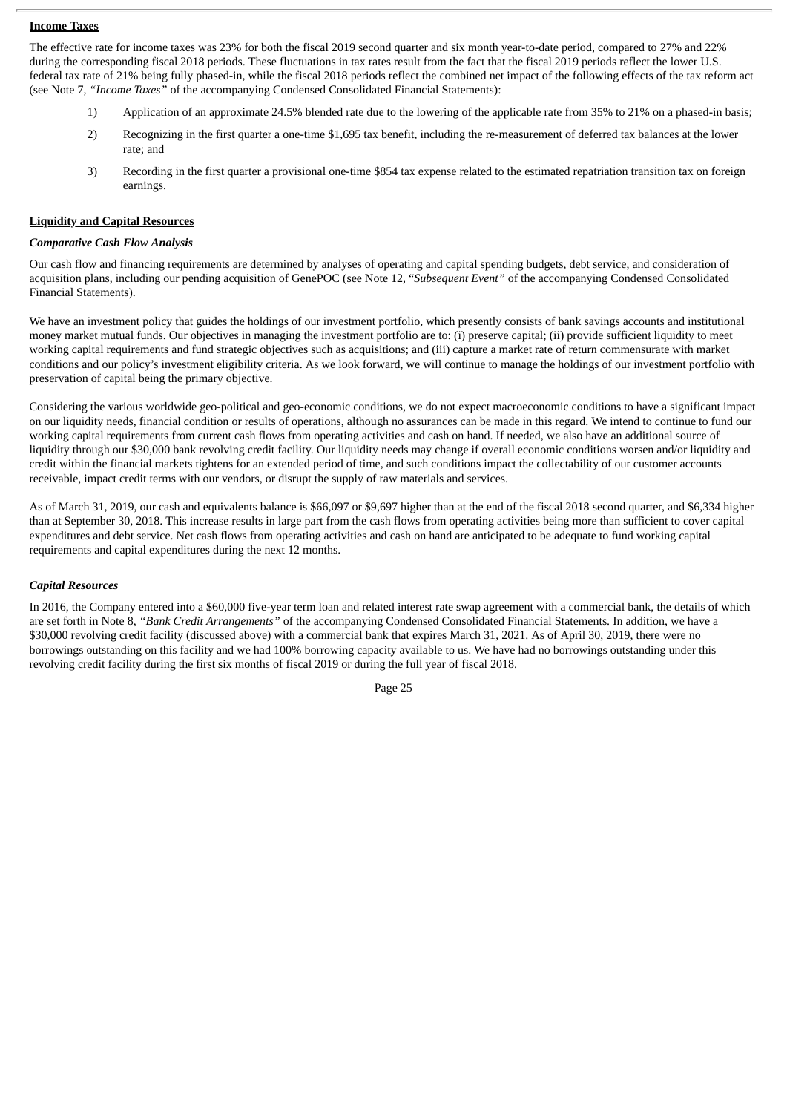#### **Income Taxes**

The effective rate for income taxes was 23% for both the fiscal 2019 second quarter and six month year-to-date period, compared to 27% and 22% during the corresponding fiscal 2018 periods. These fluctuations in tax rates result from the fact that the fiscal 2019 periods reflect the lower U.S. federal tax rate of 21% being fully phased-in, while the fiscal 2018 periods reflect the combined net impact of the following effects of the tax reform act (see Note 7, *"Income Taxes"* of the accompanying Condensed Consolidated Financial Statements):

- 1) Application of an approximate 24.5% blended rate due to the lowering of the applicable rate from 35% to 21% on a phased-in basis;
- 2) Recognizing in the first quarter a one-time \$1,695 tax benefit, including the re-measurement of deferred tax balances at the lower rate; and
- 3) Recording in the first quarter a provisional one-time \$854 tax expense related to the estimated repatriation transition tax on foreign earnings.

#### **Liquidity and Capital Resources**

#### *Comparative Cash Flow Analysis*

Our cash flow and financing requirements are determined by analyses of operating and capital spending budgets, debt service, and consideration of acquisition plans, including our pending acquisition of GenePOC (see Note 12, "*Subsequent Event"* of the accompanying Condensed Consolidated Financial Statements).

We have an investment policy that guides the holdings of our investment portfolio, which presently consists of bank savings accounts and institutional money market mutual funds. Our objectives in managing the investment portfolio are to: (i) preserve capital; (ii) provide sufficient liquidity to meet working capital requirements and fund strategic objectives such as acquisitions; and (iii) capture a market rate of return commensurate with market conditions and our policy's investment eligibility criteria. As we look forward, we will continue to manage the holdings of our investment portfolio with preservation of capital being the primary objective.

Considering the various worldwide geo-political and geo-economic conditions, we do not expect macroeconomic conditions to have a significant impact on our liquidity needs, financial condition or results of operations, although no assurances can be made in this regard. We intend to continue to fund our working capital requirements from current cash flows from operating activities and cash on hand. If needed, we also have an additional source of liquidity through our \$30,000 bank revolving credit facility. Our liquidity needs may change if overall economic conditions worsen and/or liquidity and credit within the financial markets tightens for an extended period of time, and such conditions impact the collectability of our customer accounts receivable, impact credit terms with our vendors, or disrupt the supply of raw materials and services.

As of March 31, 2019, our cash and equivalents balance is \$66,097 or \$9,697 higher than at the end of the fiscal 2018 second quarter, and \$6,334 higher than at September 30, 2018. This increase results in large part from the cash flows from operating activities being more than sufficient to cover capital expenditures and debt service. Net cash flows from operating activities and cash on hand are anticipated to be adequate to fund working capital requirements and capital expenditures during the next 12 months.

#### *Capital Resources*

In 2016, the Company entered into a \$60,000 five-year term loan and related interest rate swap agreement with a commercial bank, the details of which are set forth in Note 8, *"Bank Credit Arrangements"* of the accompanying Condensed Consolidated Financial Statements. In addition, we have a \$30,000 revolving credit facility (discussed above) with a commercial bank that expires March 31, 2021. As of April 30, 2019, there were no borrowings outstanding on this facility and we had 100% borrowing capacity available to us. We have had no borrowings outstanding under this revolving credit facility during the first six months of fiscal 2019 or during the full year of fiscal 2018.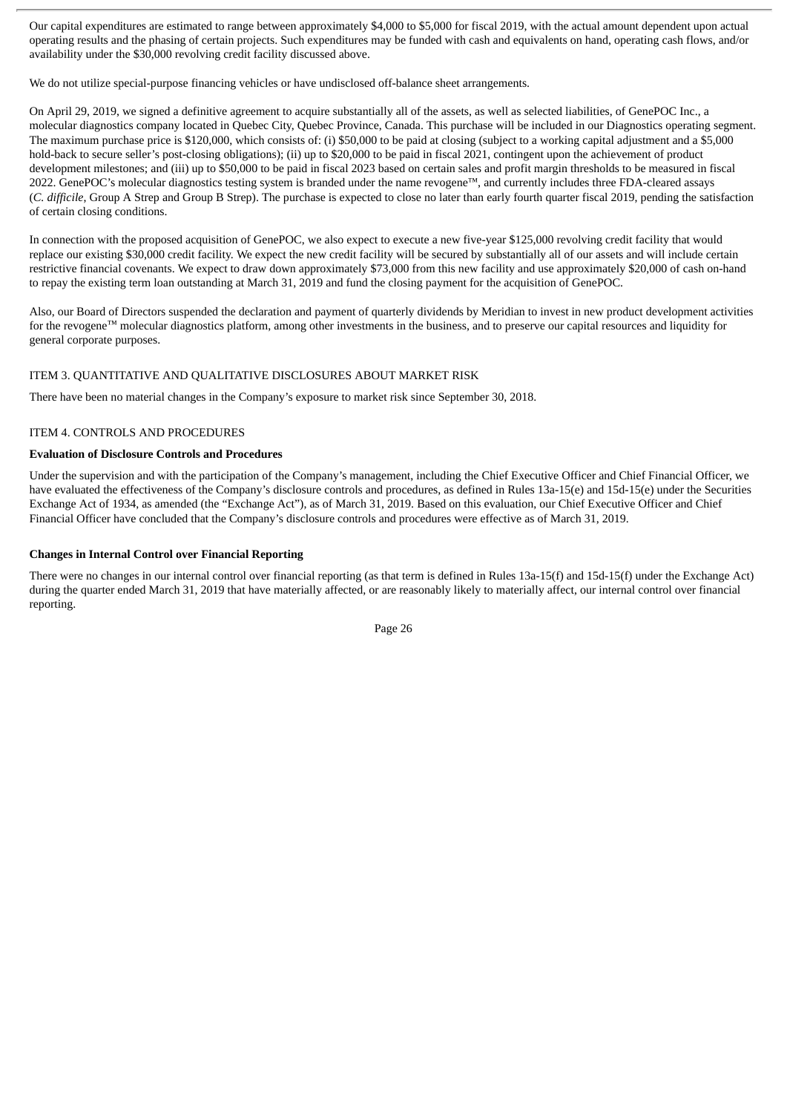Our capital expenditures are estimated to range between approximately \$4,000 to \$5,000 for fiscal 2019, with the actual amount dependent upon actual operating results and the phasing of certain projects. Such expenditures may be funded with cash and equivalents on hand, operating cash flows, and/or availability under the \$30,000 revolving credit facility discussed above.

We do not utilize special-purpose financing vehicles or have undisclosed off-balance sheet arrangements.

On April 29, 2019, we signed a definitive agreement to acquire substantially all of the assets, as well as selected liabilities, of GenePOC Inc., a molecular diagnostics company located in Quebec City, Quebec Province, Canada. This purchase will be included in our Diagnostics operating segment. The maximum purchase price is \$120,000, which consists of: (i) \$50,000 to be paid at closing (subject to a working capital adjustment and a \$5,000 hold-back to secure seller's post-closing obligations); (ii) up to \$20,000 to be paid in fiscal 2021, contingent upon the achievement of product development milestones; and (iii) up to \$50,000 to be paid in fiscal 2023 based on certain sales and profit margin thresholds to be measured in fiscal 2022. GenePOC's molecular diagnostics testing system is branded under the name revogene™, and currently includes three FDA-cleared assays (*C. difficile*, Group A Strep and Group B Strep). The purchase is expected to close no later than early fourth quarter fiscal 2019, pending the satisfaction of certain closing conditions.

In connection with the proposed acquisition of GenePOC, we also expect to execute a new five-year \$125,000 revolving credit facility that would replace our existing \$30,000 credit facility. We expect the new credit facility will be secured by substantially all of our assets and will include certain restrictive financial covenants. We expect to draw down approximately \$73,000 from this new facility and use approximately \$20,000 of cash on-hand to repay the existing term loan outstanding at March 31, 2019 and fund the closing payment for the acquisition of GenePOC.

Also, our Board of Directors suspended the declaration and payment of quarterly dividends by Meridian to invest in new product development activities for the revogene™ molecular diagnostics platform, among other investments in the business, and to preserve our capital resources and liquidity for general corporate purposes.

#### <span id="page-28-0"></span>ITEM 3. QUANTITATIVE AND QUALITATIVE DISCLOSURES ABOUT MARKET RISK

There have been no material changes in the Company's exposure to market risk since September 30, 2018.

#### <span id="page-28-1"></span>ITEM 4. CONTROLS AND PROCEDURES

#### **Evaluation of Disclosure Controls and Procedures**

Under the supervision and with the participation of the Company's management, including the Chief Executive Officer and Chief Financial Officer, we have evaluated the effectiveness of the Company's disclosure controls and procedures, as defined in Rules 13a-15(e) and 15d-15(e) under the Securities Exchange Act of 1934, as amended (the "Exchange Act"), as of March 31, 2019. Based on this evaluation, our Chief Executive Officer and Chief Financial Officer have concluded that the Company's disclosure controls and procedures were effective as of March 31, 2019.

#### **Changes in Internal Control over Financial Reporting**

There were no changes in our internal control over financial reporting (as that term is defined in Rules 13a-15(f) and 15d-15(f) under the Exchange Act) during the quarter ended March 31, 2019 that have materially affected, or are reasonably likely to materially affect, our internal control over financial reporting.

Page 26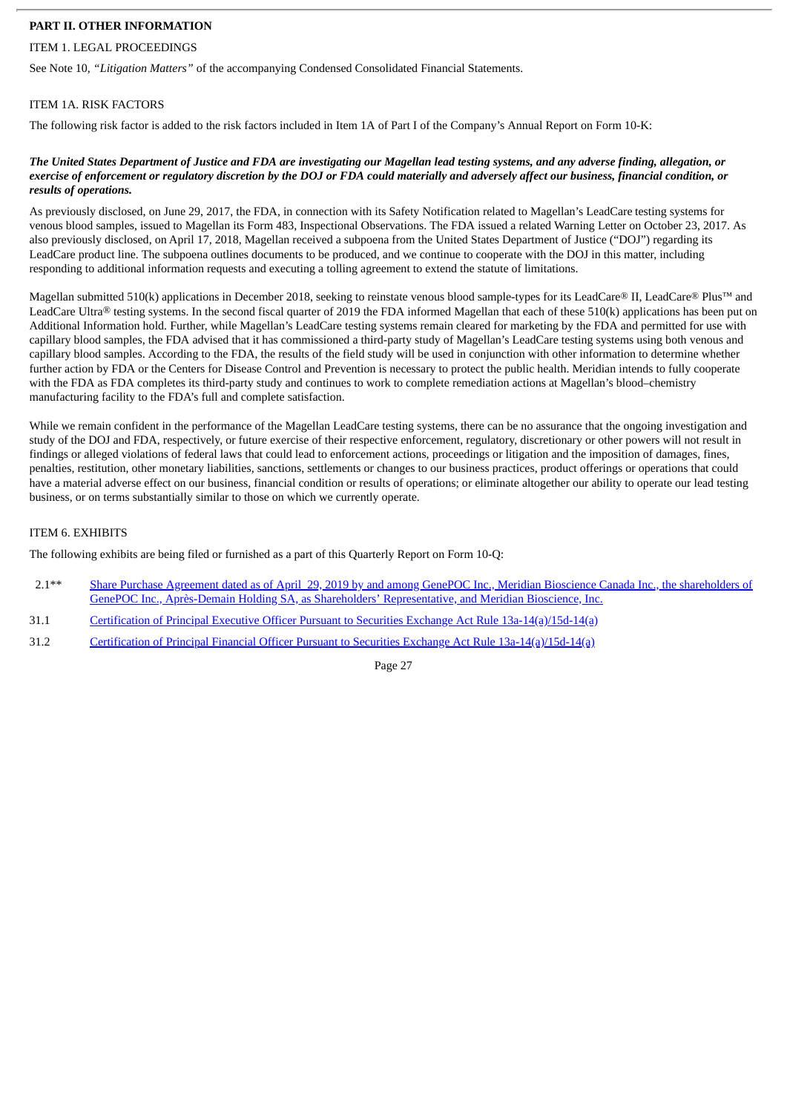#### <span id="page-29-0"></span>**PART II. OTHER INFORMATION**

#### <span id="page-29-1"></span>ITEM 1. LEGAL PROCEEDINGS

See Note 10, *"Litigation Matters"* of the accompanying Condensed Consolidated Financial Statements.

#### <span id="page-29-2"></span>ITEM 1A. RISK FACTORS

The following risk factor is added to the risk factors included in Item 1A of Part I of the Company's Annual Report on Form 10-K:

#### The United States Department of Justice and FDA are investigating our Magellan lead testing systems, and any adverse finding, allegation, or exercise of enforcement or regulatory discretion by the DOJ or FDA could materially and adversely affect our business, financial condition, or *results of operations.*

As previously disclosed, on June 29, 2017, the FDA, in connection with its Safety Notification related to Magellan's LeadCare testing systems for venous blood samples, issued to Magellan its Form 483, Inspectional Observations. The FDA issued a related Warning Letter on October 23, 2017. As also previously disclosed, on April 17, 2018, Magellan received a subpoena from the United States Department of Justice ("DOJ") regarding its LeadCare product line. The subpoena outlines documents to be produced, and we continue to cooperate with the DOJ in this matter, including responding to additional information requests and executing a tolling agreement to extend the statute of limitations.

Magellan submitted 510(k) applications in December 2018, seeking to reinstate venous blood sample-types for its LeadCare® II, LeadCare® Plus™ and LeadCare Ultra® testing systems. In the second fiscal quarter of 2019 the FDA informed Magellan that each of these 510(k) applications has been put on Additional Information hold. Further, while Magellan's LeadCare testing systems remain cleared for marketing by the FDA and permitted for use with capillary blood samples, the FDA advised that it has commissioned a third-party study of Magellan's LeadCare testing systems using both venous and capillary blood samples. According to the FDA, the results of the field study will be used in conjunction with other information to determine whether further action by FDA or the Centers for Disease Control and Prevention is necessary to protect the public health. Meridian intends to fully cooperate with the FDA as FDA completes its third-party study and continues to work to complete remediation actions at Magellan's blood–chemistry manufacturing facility to the FDA's full and complete satisfaction.

While we remain confident in the performance of the Magellan LeadCare testing systems, there can be no assurance that the ongoing investigation and study of the DOJ and FDA, respectively, or future exercise of their respective enforcement, regulatory, discretionary or other powers will not result in findings or alleged violations of federal laws that could lead to enforcement actions, proceedings or litigation and the imposition of damages, fines, penalties, restitution, other monetary liabilities, sanctions, settlements or changes to our business practices, product offerings or operations that could have a material adverse effect on our business, financial condition or results of operations; or eliminate altogether our ability to operate our lead testing business, or on terms substantially similar to those on which we currently operate.

#### <span id="page-29-3"></span>ITEM 6. EXHIBITS

The following exhibits are being filed or furnished as a part of this Quarterly Report on Form 10-Q:

- 2.1\*\* Share Purchase Agreement dated as of April 29, 2019 by and among GenePOC Inc., Meridian Bioscience Canada Inc., the shareholders of GenePOC Inc., Après-Demain Holding SA, as Shareholders' [Representative,](#page-31-0) and Meridian Bioscience, Inc.
- 31.1 Certification of Principal Executive Officer Pursuant to Securities Exchange Act Rule [13a-14\(a\)/15d-14\(a\)](#page-108-0)
- 31.2 Certification of Principal Financial Officer Pursuant to Securities Exchange Act Rule [13a-14\(a\)/15d-14\(a\)](#page-109-0)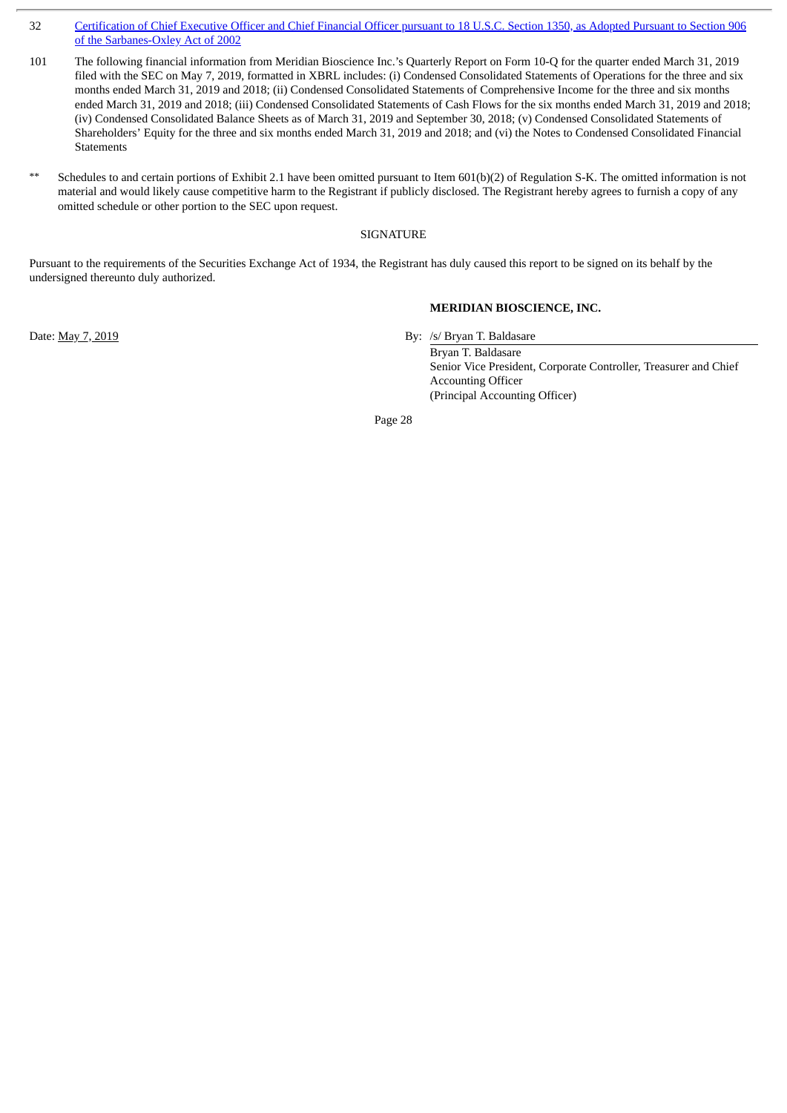- 32 Certification of Chief Executive Officer and Chief Financial Officer pursuant to 18 U.S.C. Section 1350, as Adopted Pursuant to Section 906 of the [Sarbanes-Oxley](#page-110-0) Act of 2002
- 101 The following financial information from Meridian Bioscience Inc.'s Quarterly Report on Form 10-Q for the quarter ended March 31, 2019 filed with the SEC on May 7, 2019, formatted in XBRL includes: (i) Condensed Consolidated Statements of Operations for the three and six months ended March 31, 2019 and 2018; (ii) Condensed Consolidated Statements of Comprehensive Income for the three and six months ended March 31, 2019 and 2018; (iii) Condensed Consolidated Statements of Cash Flows for the six months ended March 31, 2019 and 2018; (iv) Condensed Consolidated Balance Sheets as of March 31, 2019 and September 30, 2018; (v) Condensed Consolidated Statements of Shareholders' Equity for the three and six months ended March 31, 2019 and 2018; and (vi) the Notes to Condensed Consolidated Financial Statements
- Schedules to and certain portions of Exhibit 2.1 have been omitted pursuant to Item 601(b)(2) of Regulation S-K. The omitted information is not material and would likely cause competitive harm to the Registrant if publicly disclosed. The Registrant hereby agrees to furnish a copy of any omitted schedule or other portion to the SEC upon request.

#### **SIGNATURE**

<span id="page-30-0"></span>Pursuant to the requirements of the Securities Exchange Act of 1934, the Registrant has duly caused this report to be signed on its behalf by the undersigned thereunto duly authorized.

#### **MERIDIAN BIOSCIENCE, INC.**

Date: <u>May 7, 2019</u> By: /s/ Bryan T. Baldasare

Bryan T. Baldasare Senior Vice President, Corporate Controller, Treasurer and Chief Accounting Officer (Principal Accounting Officer)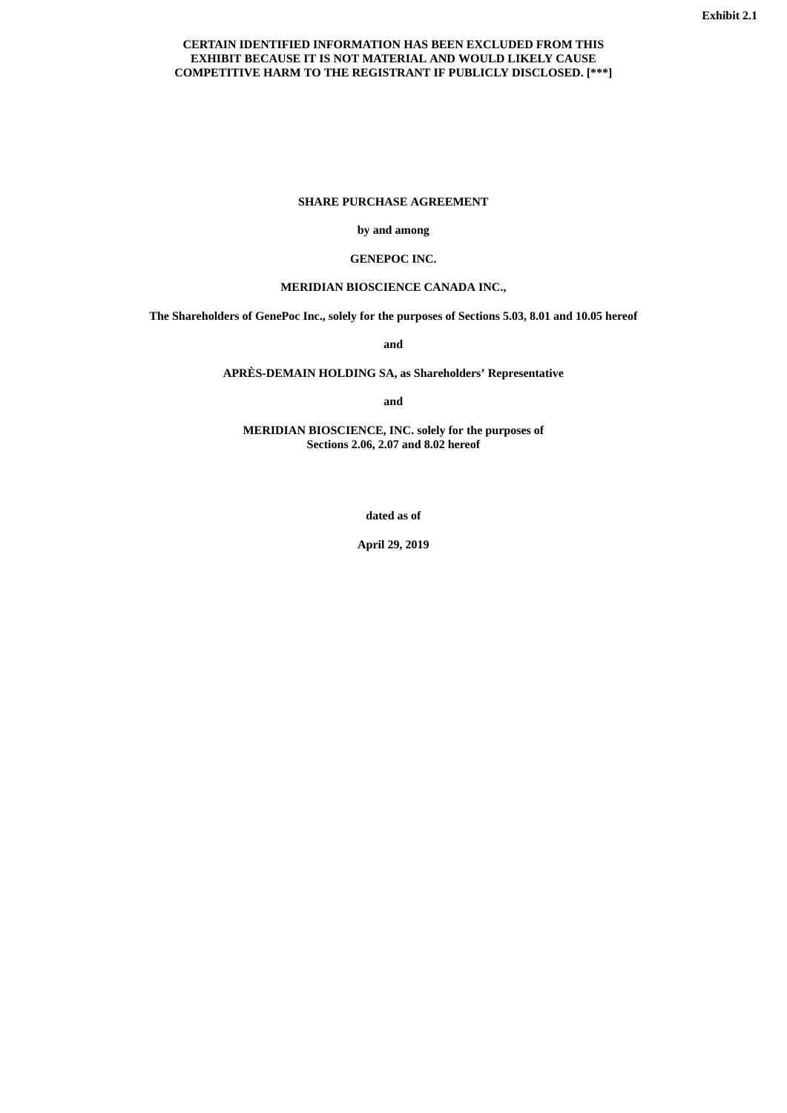#### <span id="page-31-0"></span>**CERTAIN IDENTIFIED INFORMATION HAS BEEN EXCLUDED FROM THIS EXHIBIT BECAUSE IT IS NOT MATERIAL AND WOULD LIKELY CAUSE COMPETITIVE HARM TO THE REGISTRANT IF PUBLICLY DISCLOSED. [\*\*\*]**

#### **SHARE PURCHASE AGREEMENT**

#### **by and among**

#### **GENEPOC INC.**

## **MERIDIAN BIOSCIENCE CANADA INC.,**

**The Shareholders of GenePoc Inc., solely for the purposes of Sections 5.03, 8.01 and 10.05 hereof**

**and**

**APRÈS-DEMAIN HOLDING SA, as Shareholders' Representative**

**and**

**MERIDIAN BIOSCIENCE, INC. solely for the purposes of Sections 2.06, 2.07 and 8.02 hereof**

**dated as of**

**April 29, 2019**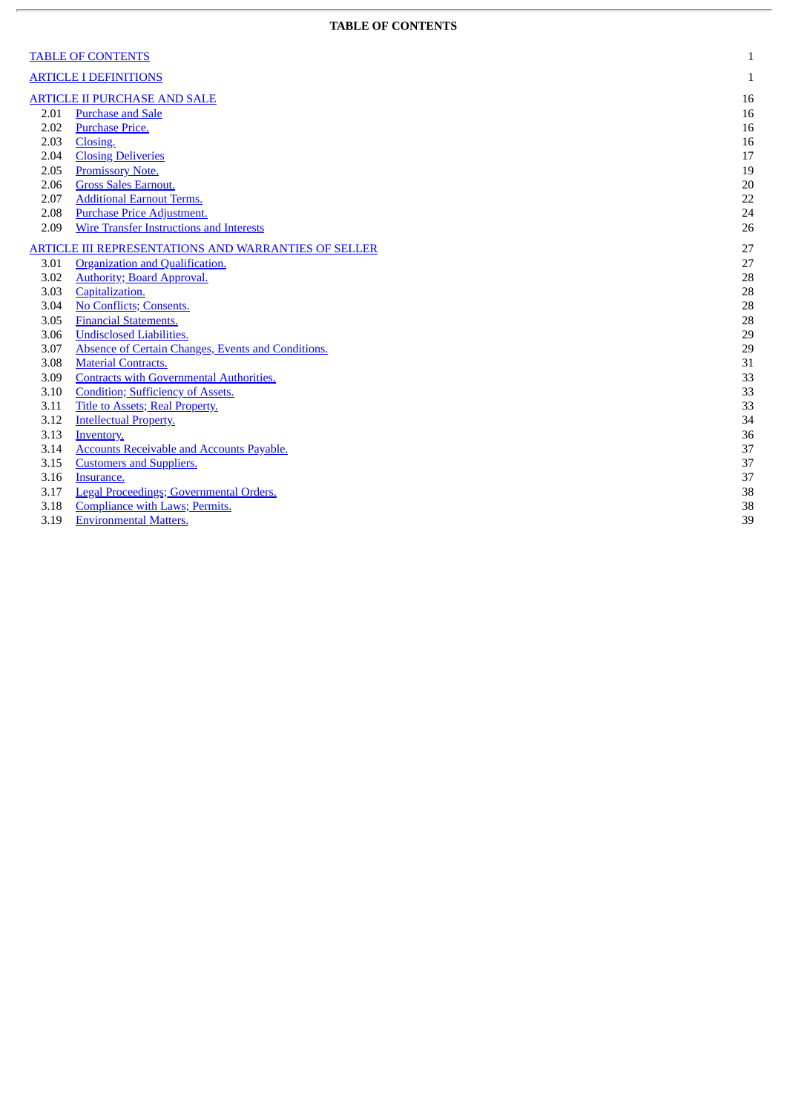$s<sub>s</sub>$  22

 $\frac{t}{2}$ 

 $s<sub>s</sub>$  38

1

1

1 6

1 6

6

6

1 7

19

20

2

24

2 6

2 7

27

28

28

28

28

29

29

31

3

33

33

34

6

37

37

37

38

8

39

| <b>TABLE OF CONTENTS</b> |  |  |
|--------------------------|--|--|
|                          |  |  |

#### **A[RT](#page-36-0)ICLE I DEFINITIONS**

|--|

- 2.01 Purchase and [S](#page-51-1)ale
- 2.02 Purchase Price [e.](#page-51-2) 16 and 10 and 10 and 10 and 10 and 10 and 10 and 10 and 10 and 10 and 10 and 10 and 10 and 10 and 10 and 10
- 2.0 3 Closing  $g_{\rm i}$  and the set of the set of the set of the set of the set of the set of the set of the set of the set of the set of the set of the set of the set of the set of the set of the set of the set of the set of the set of
- 2.04 Closing [D](#page-52-0)eliveries
- 2.0 5 Pro[m](#page-54-0)issory Note e. The state of the state of the state of the state of the state of the state of the state of the state of the state of the state of the state of the state of the state of the state of the state of the state of the state
- 2.0 6 **[G](#page-55-0)ross Sales Earnout** t.  $\frac{1}{2}$
- 2.0 7 **Additional Earnout [Te](#page-57-0)rms**
- 2.0 8 Purchase Price Adjust[m](#page-59-0)ent
- 2.0 9 [Wi](#page-61-0)re Transfer Instructions and Interests

#### <u>ARTICLE III REPRESEN[TAT](#page-62-0)IONS AND WARRANTIES OF SELLER</u>

- 3.0 1 Organization and [Q](#page-62-1)ualification <u>n.</u> 23
- 3.0 2 **[A](#page-63-0)uthority**; Board Approval  $\frac{1}{2}$
- 3.0 3 Capitalization [n.](#page-63-1) 28
- 3.0 4 No [C](#page-63-2)onflicts; Consents  $s$ . 28
- 3.0 5 Financial State[m](#page-63-3)ents  $s<sub>s</sub>$  28
- 3.0 6 [U](#page-64-0) n d i s c l o s e d L i a b i l i t i e s. 2
- 3.0 7 Absence of [C](#page-64-1)ertain Changes, Events and Conditions  $s$ . 29
- 3.0 8 [M](#page-66-0)aterial Contracts  $s<sub>s</sub>$  33
- 3.0 9 Contracts with Govern[m](#page-68-0)ental Authorities  $s<sub>s</sub>$  33
- 3.1 0 Condition; Sufficiency of [A](#page-68-1)ssets  $s<sub>s</sub>$  33
- 3.1 1 Title to [A](#page-68-2)ssets; Real Propert  $\frac{y}{2}$
- 3.1 2 **Intellectual Propert**  $\frac{y_2}{y_1}$  34
- 3.1 3 Inventory  $\frac{y_2}{y_1}$  36
- 3.1 4 [A](#page-72-0)ccounts Receivable and Accounts Payable e. 33
- 3.1 5 **Custo[m](#page-72-1)ers and Suppliers**  $s<sub>s</sub>$  33
- 3.16 <u>Insurance</u> [e.](#page-72-2) 33
- 3.1 7 Legal Proceedings; Govern[m](#page-73-0)ental Orders  $s$ . 38
- 3.1 8 Co[m](#page-73-1)pliance with Laws; Permits
- 3.1 9 **Environmental [M](#page-74-0)atters**  $s$ . 33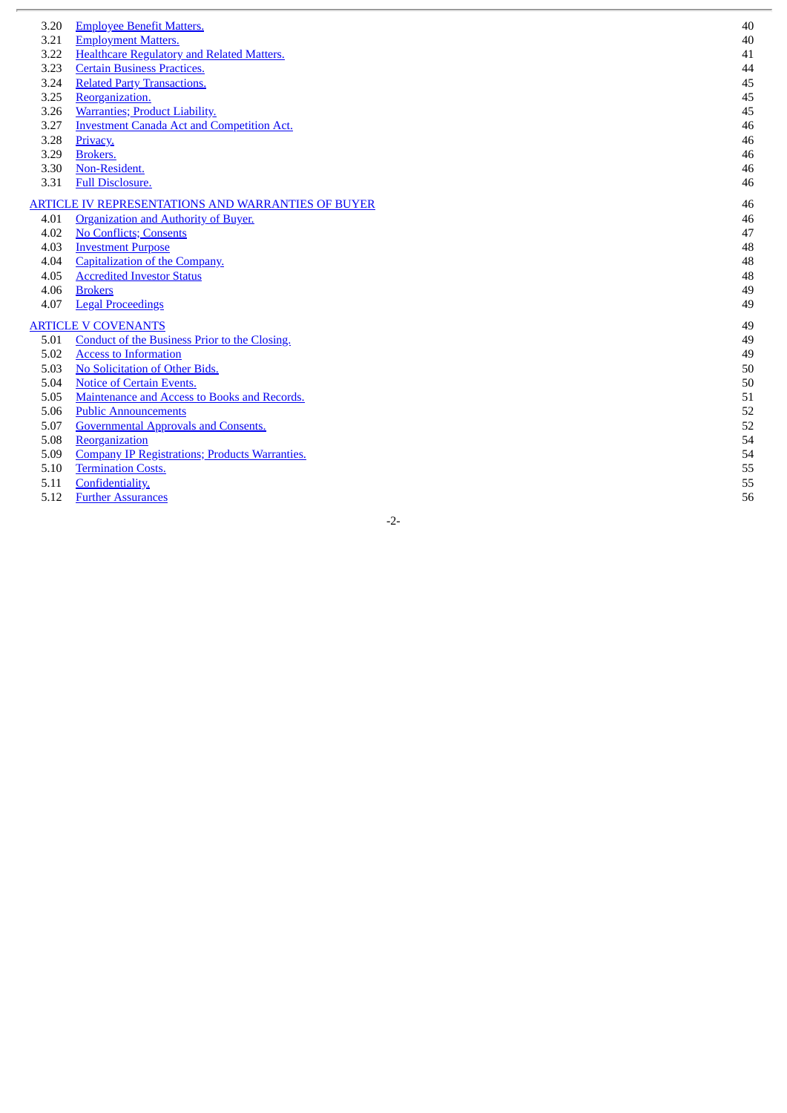| 3.20 | <b>Employee Benefit Matters.</b>                          | 40     |
|------|-----------------------------------------------------------|--------|
| 3.21 | <b>Employment Matters.</b>                                | 40     |
| 3.22 | <b>Healthcare Regulatory and Related Matters.</b>         | 41     |
| 3.23 | <b>Certain Business Practices.</b>                        | 44     |
| 3.24 | <b>Related Party Transactions.</b>                        | 45     |
| 3.25 | Reorganization.                                           | 45     |
| 3.26 | <b>Warranties</b> ; Product Liability.                    | 45     |
| 3.27 | <b>Investment Canada Act and Competition Act.</b>         | 46     |
| 3.28 | Privacy.                                                  | 46     |
| 3.29 | Brokers.                                                  | 46     |
| 3.30 | Non-Resident.                                             | 46     |
| 3.31 | <b>Full Disclosure.</b>                                   | 46     |
|      | <b>ARTICLE IV REPRESENTATIONS AND WARRANTIES OF BUYER</b> | 46     |
| 4.01 | <b>Organization and Authority of Buyer.</b>               | 46     |
| 4.02 | <b>No Conflicts; Consents</b>                             | 47     |
| 4.03 | <b>Investment Purpose</b>                                 | 48     |
| 4.04 | <b>Capitalization of the Company.</b>                     | 48     |
| 4.05 | <b>Accredited Investor Status</b>                         | 48     |
| 4.06 | <b>Brokers</b>                                            | 49     |
| 4.07 | <b>Legal Proceedings</b>                                  | 49     |
|      | <b>ARTICLE V COVENANTS</b>                                | 49     |
| 5.01 | Conduct of the Business Prior to the Closing.             | 49     |
| 5.02 | <b>Access to Information</b>                              | 49     |
| 5.03 | No Solicitation of Other Bids.                            | 50     |
| 5.04 | <b>Notice of Certain Events.</b>                          | $50\,$ |
| 5.05 | Maintenance and Access to Books and Records.              | 51     |
| 5.06 | <b>Public Announcements</b>                               | 52     |
| 5.07 | <b>Governmental Approvals and Consents.</b>               | 52     |
| 5.08 | Reorganization                                            | 54     |
| 5.09 | <b>Company IP Registrations; Products Warranties.</b>     | 54     |
| 5.10 | <b>Termination Costs.</b>                                 | 55     |
| 5.11 | Confidentiality.                                          | 55     |
| 5.12 | <b>Further Assurances</b>                                 | 56     |

- 2 -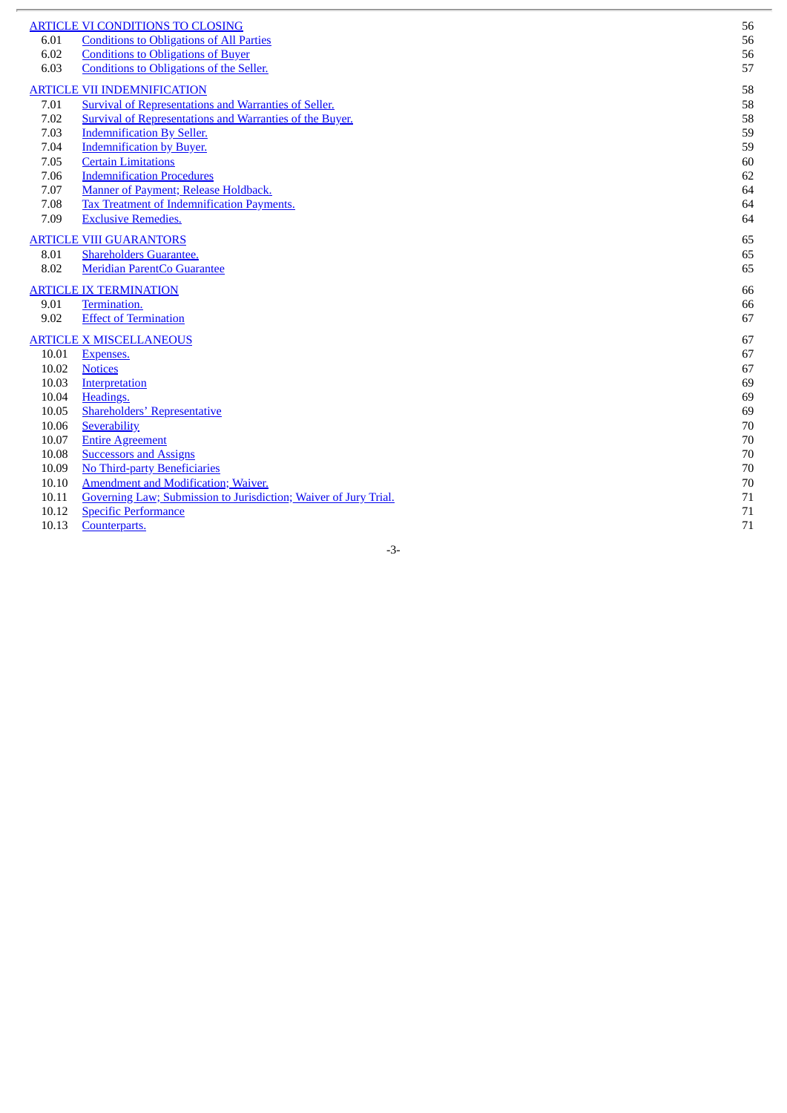|       | <b>ARTICLE VI CONDITIONS TO CLOSING</b>                          | 56     |
|-------|------------------------------------------------------------------|--------|
| 6.01  | <b>Conditions to Obligations of All Parties</b>                  | 56     |
| 6.02  | <b>Conditions to Obligations of Buyer</b>                        | 56     |
| 6.03  | Conditions to Obligations of the Seller.                         | 57     |
|       | <b>ARTICLE VII INDEMNIFICATION</b>                               | 58     |
| 7.01  | <b>Survival of Representations and Warranties of Seller.</b>     | 58     |
| 7.02  | <b>Survival of Representations and Warranties of the Buyer.</b>  | 58     |
| 7.03  | <b>Indemnification By Seller.</b>                                | 59     |
| 7.04  | <b>Indemnification by Buyer.</b>                                 | 59     |
| 7.05  | <b>Certain Limitations</b>                                       | 60     |
| 7.06  | <b>Indemnification Procedures</b>                                | 62     |
| 7.07  | Manner of Payment; Release Holdback.                             | 64     |
| 7.08  | <b>Tax Treatment of Indemnification Payments.</b>                | 64     |
| 7.09  | <b>Exclusive Remedies.</b>                                       | 64     |
|       | <b>ARTICLE VIII GUARANTORS</b>                                   | 65     |
| 8.01  | <b>Shareholders Guarantee.</b>                                   | 65     |
| 8.02  | Meridian ParentCo Guarantee                                      | 65     |
|       |                                                                  |        |
|       | <b>ARTICLE IX TERMINATION</b>                                    | 66     |
| 9.01  | Termination.                                                     | 66     |
| 9.02  | <b>Effect of Termination</b>                                     | 67     |
|       | <b>ARTICLE X MISCELLANEOUS</b>                                   | 67     |
| 10.01 | Expenses.                                                        | 67     |
| 10.02 | <b>Notices</b>                                                   | 67     |
| 10.03 | Interpretation                                                   | 69     |
| 10.04 | Headings.                                                        | 69     |
| 10.05 | <b>Shareholders' Representative</b>                              | 69     |
| 10.06 | Severability                                                     | 70     |
| 10.07 | <b>Entire Agreement</b>                                          | $70\,$ |
| 10.08 | <b>Successors and Assigns</b>                                    | $70\,$ |
| 10.09 | No Third-party Beneficiaries                                     | $70\,$ |
| 10.10 | <b>Amendment and Modification; Waiver.</b>                       | 70     |
| 10.11 | Governing Law; Submission to Jurisdiction; Waiver of Jury Trial. | $71\,$ |
| 10.12 | <b>Specific Performance</b>                                      | 71     |
| 10.13 | Counterparts.                                                    | 71     |

- 3 -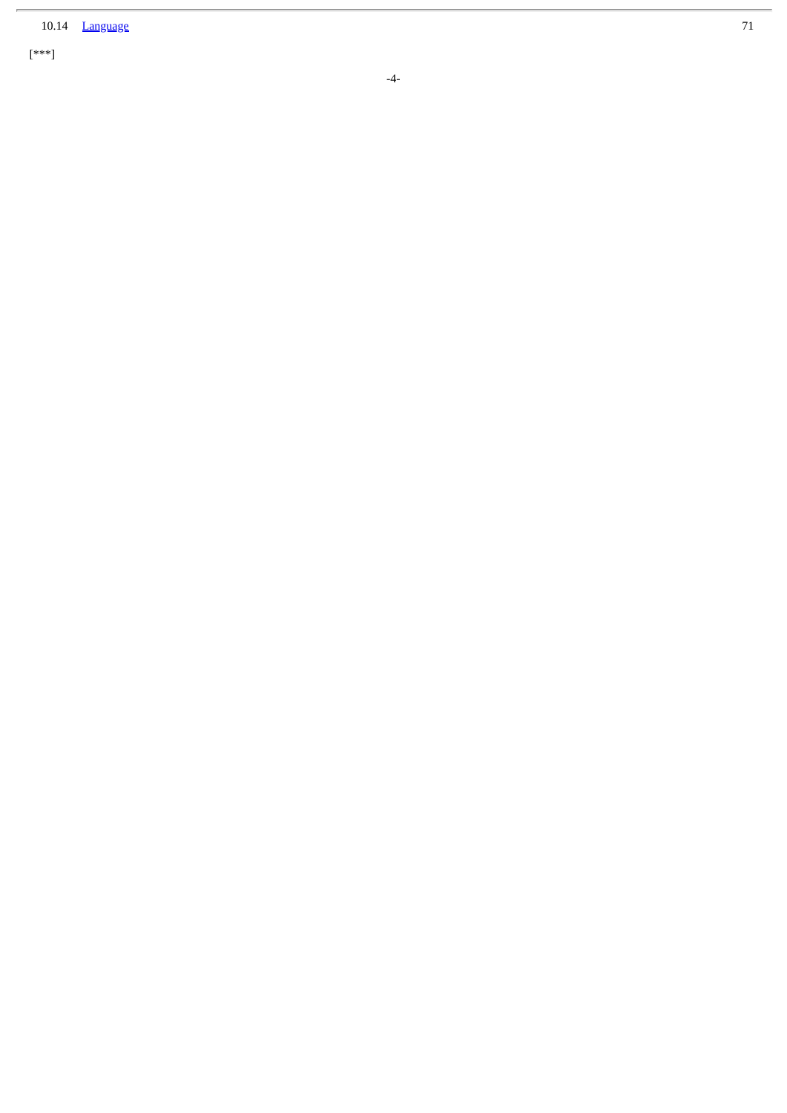10.14 [L](#page-106-3)anguage

[ \* \* \* ]

7 1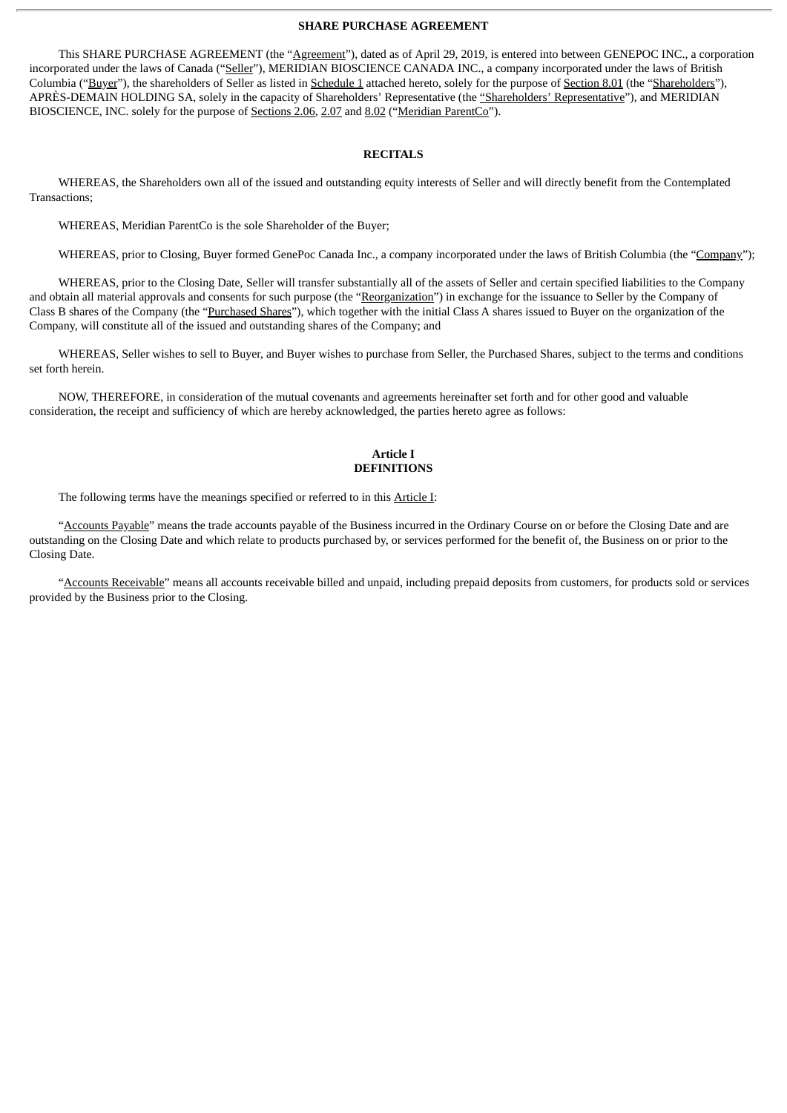### **SHARE PURCHASE AGREEMENT**

This SHARE PURCHASE AGREEMENT (the "Agreement"), dated as of April 29, 2019, is entered into between GENEPOC INC., a corporation incorporated under the laws of Canada ("Seller"), MERIDIAN BIOSCIENCE CANADA INC., a company incorporated under the laws of British Columbia ("Buyer"), the shareholders of Seller as listed in Schedule 1 attached hereto, solely for the purpose of Section 8.01 (the "Shareholders"), APRÈS-DEMAIN HOLDING SA, solely in the capacity of Shareholders' Representative (the "Shareholders' Representative"), and MERIDIAN BIOSCIENCE, INC. solely for the purpose of Sections 2.06, 2.07 and 8.02 ("Meridian ParentCo").

### **RECITALS**

WHEREAS, the Shareholders own all of the issued and outstanding equity interests of Seller and will directly benefit from the Contemplated Transactions;

WHEREAS, Meridian ParentCo is the sole Shareholder of the Buyer;

WHEREAS, prior to Closing, Buyer formed GenePoc Canada Inc., a company incorporated under the laws of British Columbia (the "Company");

WHEREAS, prior to the Closing Date, Seller will transfer substantially all of the assets of Seller and certain specified liabilities to the Company and obtain all material approvals and consents for such purpose (the "Reorganization") in exchange for the issuance to Seller by the Company of Class B shares of the Company (the "Purchased Shares"), which together with the initial Class A shares issued to Buyer on the organization of the Company, will constitute all of the issued and outstanding shares of the Company; and

WHEREAS, Seller wishes to sell to Buyer, and Buyer wishes to purchase from Seller, the Purchased Shares, subject to the terms and conditions set forth herein.

NOW, THEREFORE, in consideration of the mutual covenants and agreements hereinafter set forth and for other good and valuable consideration, the receipt and sufficiency of which are hereby acknowledged, the parties hereto agree as follows:

# **Article I DEFINITIONS**

The following terms have the meanings specified or referred to in this Article I:

"Accounts Payable" means the trade accounts payable of the Business incurred in the Ordinary Course on or before the Closing Date and are outstanding on the Closing Date and which relate to products purchased by, or services performed for the benefit of, the Business on or prior to the Closing Date.

"Accounts Receivable" means all accounts receivable billed and unpaid, including prepaid deposits from customers, for products sold or services provided by the Business prior to the Closing.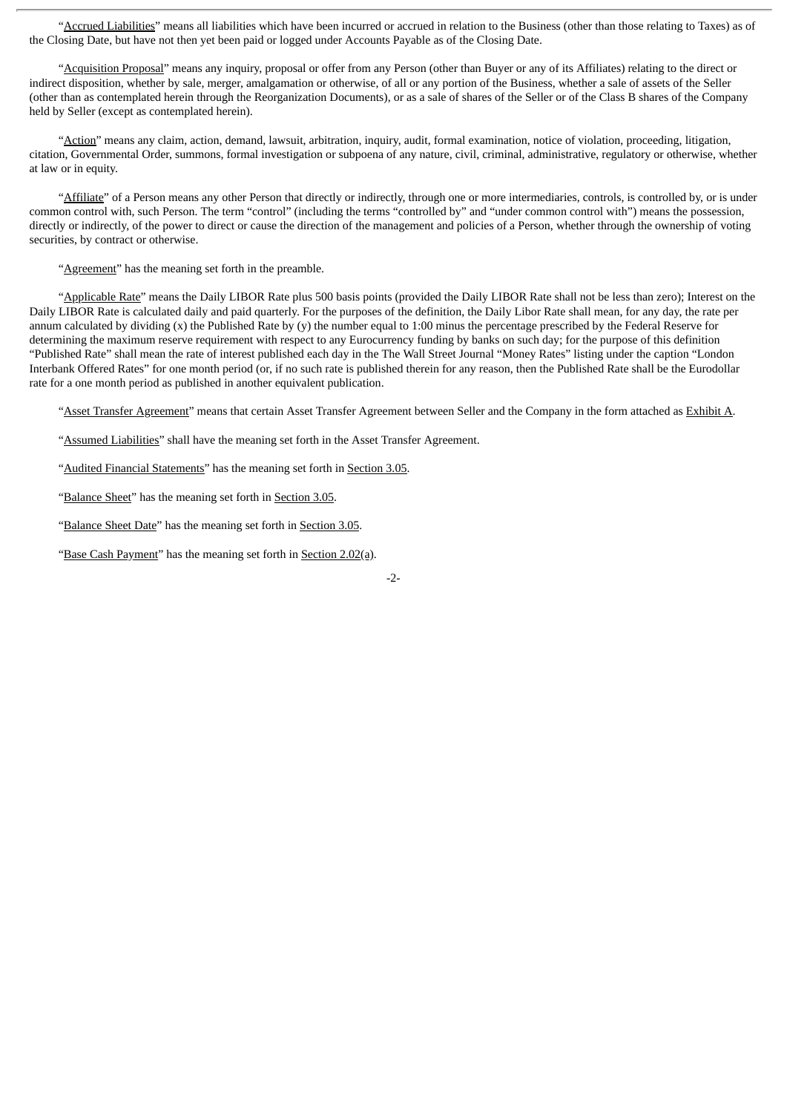"Accrued Liabilities" means all liabilities which have been incurred or accrued in relation to the Business (other than those relating to Taxes) as of the Closing Date, but have not then yet been paid or logged under Accounts Payable as of the Closing Date.

"Acquisition Proposal" means any inquiry, proposal or offer from any Person (other than Buyer or any of its Affiliates) relating to the direct or indirect disposition, whether by sale, merger, amalgamation or otherwise, of all or any portion of the Business, whether a sale of assets of the Seller (other than as contemplated herein through the Reorganization Documents), or as a sale of shares of the Seller or of the Class B shares of the Company held by Seller (except as contemplated herein).

"Action" means any claim, action, demand, lawsuit, arbitration, inquiry, audit, formal examination, notice of violation, proceeding, litigation, citation, Governmental Order, summons, formal investigation or subpoena of any nature, civil, criminal, administrative, regulatory or otherwise, whether at law or in equity.

"Affiliate" of a Person means any other Person that directly or indirectly, through one or more intermediaries, controls, is controlled by, or is under common control with, such Person. The term "control" (including the terms "controlled by" and "under common control with") means the possession, directly or indirectly, of the power to direct or cause the direction of the management and policies of a Person, whether through the ownership of voting securities, by contract or otherwise.

"**Agreement**" has the meaning set forth in the preamble.

"Applicable Rate" means the Daily LIBOR Rate plus 500 basis points (provided the Daily LIBOR Rate shall not be less than zero); Interest on the Daily LIBOR Rate is calculated daily and paid quarterly. For the purposes of the definition, the Daily Libor Rate shall mean, for any day, the rate per annum calculated by dividing (x) the Published Rate by (y) the number equal to 1:00 minus the percentage prescribed by the Federal Reserve for determining the maximum reserve requirement with respect to any Eurocurrency funding by banks on such day; for the purpose of this definition "Published Rate" shall mean the rate of interest published each day in the The Wall Street Journal "Money Rates" listing under the caption "London Interbank Offered Rates" for one month period (or, if no such rate is published therein for any reason, then the Published Rate shall be the Eurodollar rate for a one month period as published in another equivalent publication.

"Asset Transfer Agreement" means that certain Asset Transfer Agreement between Seller and the Company in the form attached as Exhibit A.

"Assumed Liabilities" shall have the meaning set forth in the Asset Transfer Agreement.

"Audited Financial Statements" has the meaning set forth in Section 3.05.

"Balance Sheet" has the meaning set forth in Section 3.05.

"Balance Sheet Date" has the meaning set forth in Section 3.05.

"Base Cash Payment" has the meaning set forth in Section 2.02(a).

-2-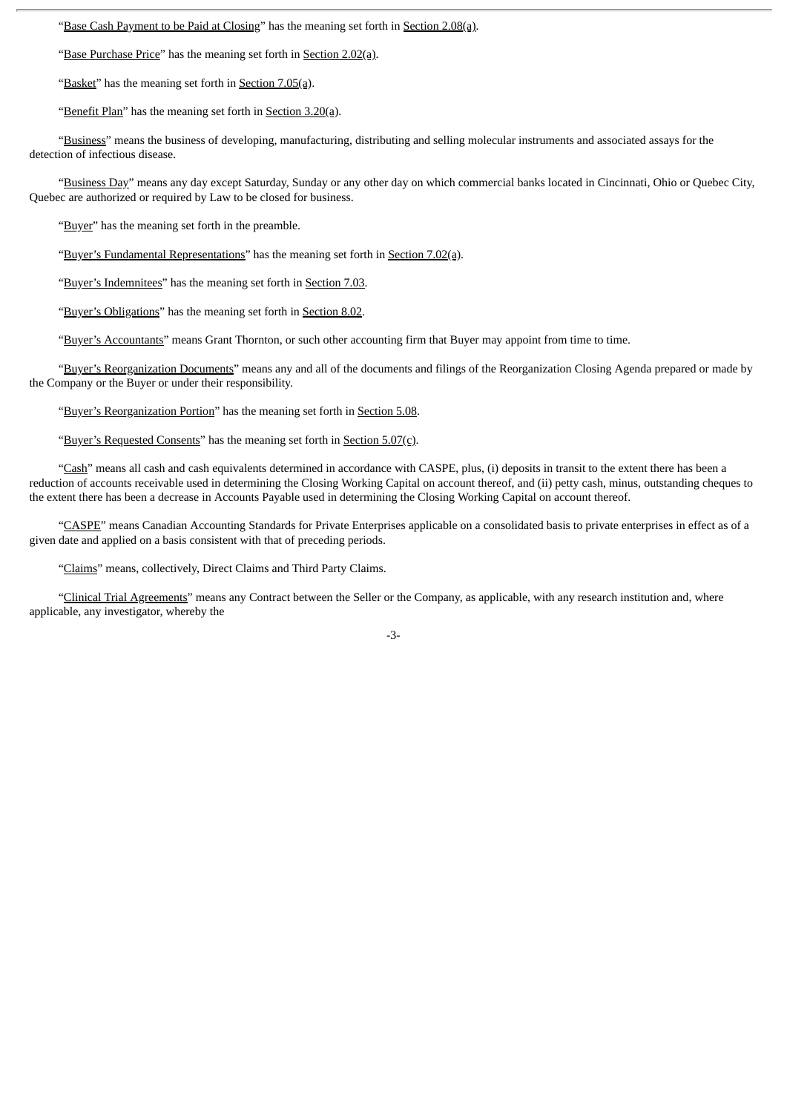"Base Cash Payment to be Paid at Closing" has the meaning set forth in Section 2.08(a).

"Base Purchase Price" has the meaning set forth in Section 2.02(a).

"Basket" has the meaning set forth in Section 7.05(a).

"Benefit Plan" has the meaning set forth in Section 3.20(a).

"Business" means the business of developing, manufacturing, distributing and selling molecular instruments and associated assays for the detection of infectious disease.

"Business Day" means any day except Saturday, Sunday or any other day on which commercial banks located in Cincinnati, Ohio or Quebec City, Quebec are authorized or required by Law to be closed for business.

"Buyer" has the meaning set forth in the preamble.

"Buyer's Fundamental Representations" has the meaning set forth in Section 7.02(a).

"Buyer's Indemnitees" has the meaning set forth in Section 7.03.

"Buyer's Obligations" has the meaning set forth in Section 8.02.

"Buyer's Accountants" means Grant Thornton, or such other accounting firm that Buyer may appoint from time to time.

"Buyer's Reorganization Documents" means any and all of the documents and filings of the Reorganization Closing Agenda prepared or made by the Company or the Buyer or under their responsibility.

"Buyer's Reorganization Portion" has the meaning set forth in Section 5.08.

"Buyer's Requested Consents" has the meaning set forth in Section 5.07(c).

"Cash" means all cash and cash equivalents determined in accordance with CASPE, plus, (i) deposits in transit to the extent there has been a reduction of accounts receivable used in determining the Closing Working Capital on account thereof, and (ii) petty cash, minus, outstanding cheques to the extent there has been a decrease in Accounts Payable used in determining the Closing Working Capital on account thereof.

"CASPE" means Canadian Accounting Standards for Private Enterprises applicable on a consolidated basis to private enterprises in effect as of a given date and applied on a basis consistent with that of preceding periods.

"Claims" means, collectively, Direct Claims and Third Party Claims.

"Clinical Trial Agreements" means any Contract between the Seller or the Company, as applicable, with any research institution and, where applicable, any investigator, whereby the

-3-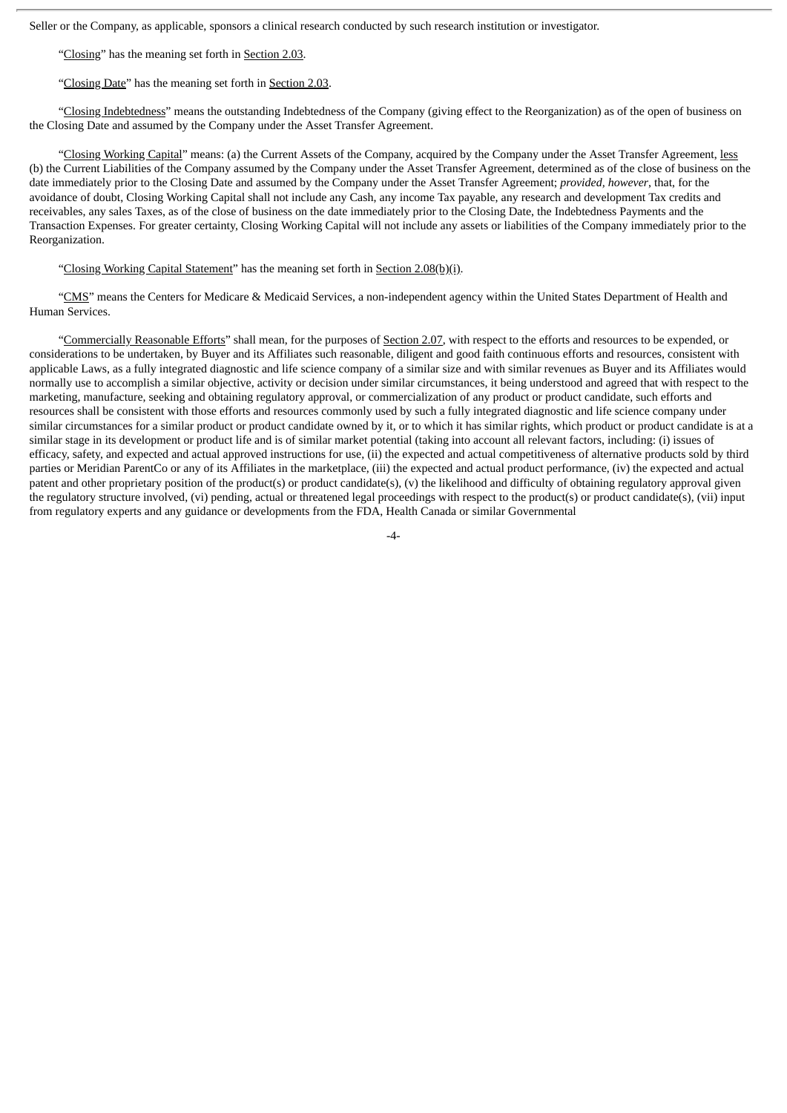Seller or the Company, as applicable, sponsors a clinical research conducted by such research institution or investigator.

"Closing" has the meaning set forth in Section 2.03.

"Closing Date" has the meaning set forth in Section 2.03.

"Closing Indebtedness" means the outstanding Indebtedness of the Company (giving effect to the Reorganization) as of the open of business on the Closing Date and assumed by the Company under the Asset Transfer Agreement.

"Closing Working Capital" means: (a) the Current Assets of the Company, acquired by the Company under the Asset Transfer Agreement, less (b) the Current Liabilities of the Company assumed by the Company under the Asset Transfer Agreement, determined as of the close of business on the date immediately prior to the Closing Date and assumed by the Company under the Asset Transfer Agreement; *provided, however*, that, for the avoidance of doubt, Closing Working Capital shall not include any Cash, any income Tax payable, any research and development Tax credits and receivables, any sales Taxes, as of the close of business on the date immediately prior to the Closing Date, the Indebtedness Payments and the Transaction Expenses. For greater certainty, Closing Working Capital will not include any assets or liabilities of the Company immediately prior to the Reorganization.

"Closing Working Capital Statement" has the meaning set forth in Section 2.08(b)(i).

"CMS" means the Centers for Medicare & Medicaid Services, a non-independent agency within the United States Department of Health and Human Services.

"Commercially Reasonable Efforts" shall mean, for the purposes of Section 2.07, with respect to the efforts and resources to be expended, or considerations to be undertaken, by Buyer and its Affiliates such reasonable, diligent and good faith continuous efforts and resources, consistent with applicable Laws, as a fully integrated diagnostic and life science company of a similar size and with similar revenues as Buyer and its Affiliates would normally use to accomplish a similar objective, activity or decision under similar circumstances, it being understood and agreed that with respect to the marketing, manufacture, seeking and obtaining regulatory approval, or commercialization of any product or product candidate, such efforts and resources shall be consistent with those efforts and resources commonly used by such a fully integrated diagnostic and life science company under similar circumstances for a similar product or product candidate owned by it, or to which it has similar rights, which product or product candidate is at a similar stage in its development or product life and is of similar market potential (taking into account all relevant factors, including: (i) issues of efficacy, safety, and expected and actual approved instructions for use, (ii) the expected and actual competitiveness of alternative products sold by third parties or Meridian ParentCo or any of its Affiliates in the marketplace, (iii) the expected and actual product performance, (iv) the expected and actual patent and other proprietary position of the product(s) or product candidate(s), (v) the likelihood and difficulty of obtaining regulatory approval given the regulatory structure involved, (vi) pending, actual or threatened legal proceedings with respect to the product(s) or product candidate(s), (vii) input from regulatory experts and any guidance or developments from the FDA, Health Canada or similar Governmental

-4-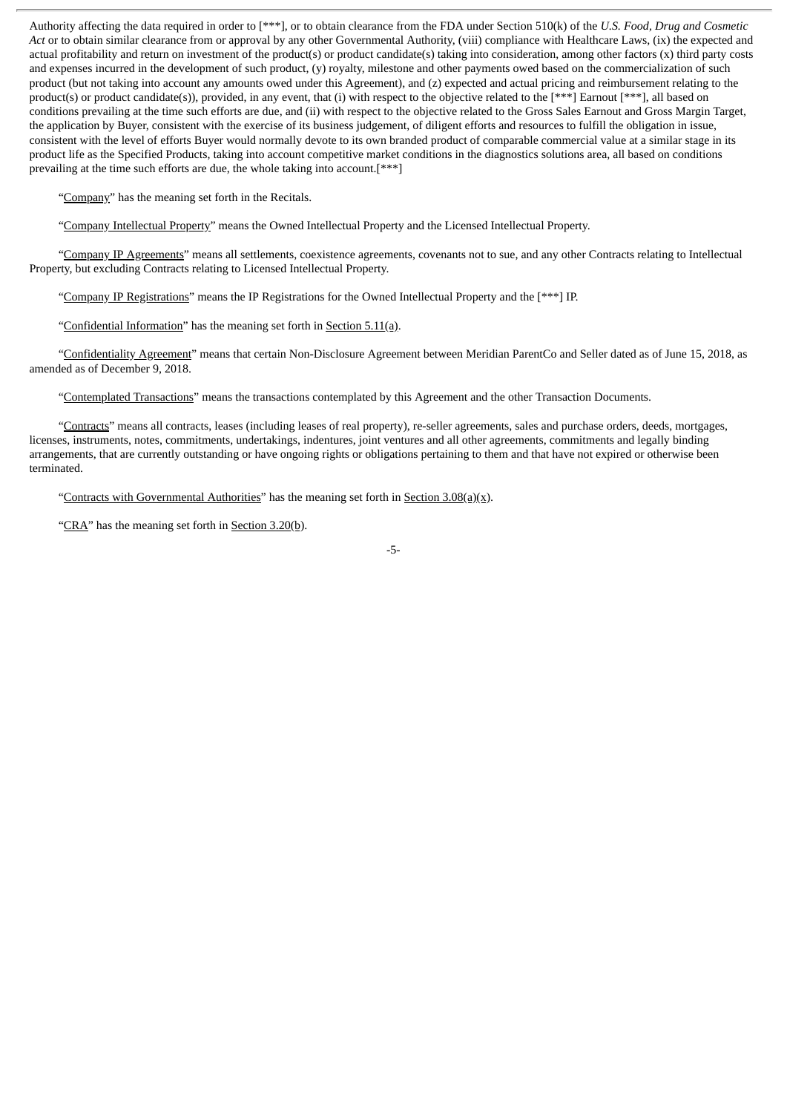Authority affecting the data required in order to [\*\*\*], or to obtain clearance from the FDA under Section 510(k) of the *U.S. Food, Drug and Cosmetic Act* or to obtain similar clearance from or approval by any other Governmental Authority, (viii) compliance with Healthcare Laws, (ix) the expected and actual profitability and return on investment of the product(s) or product candidate(s) taking into consideration, among other factors (x) third party costs and expenses incurred in the development of such product, (y) royalty, milestone and other payments owed based on the commercialization of such product (but not taking into account any amounts owed under this Agreement), and (z) expected and actual pricing and reimbursement relating to the product(s) or product candidate(s)), provided, in any event, that (i) with respect to the objective related to the [\*\*\*] Earnout [\*\*\*], all based on conditions prevailing at the time such efforts are due, and (ii) with respect to the objective related to the Gross Sales Earnout and Gross Margin Target, the application by Buyer, consistent with the exercise of its business judgement, of diligent efforts and resources to fulfill the obligation in issue, consistent with the level of efforts Buyer would normally devote to its own branded product of comparable commercial value at a similar stage in its product life as the Specified Products, taking into account competitive market conditions in the diagnostics solutions area, all based on conditions prevailing at the time such efforts are due, the whole taking into account.[\*\*\*]

"Company" has the meaning set forth in the Recitals.

"Company Intellectual Property" means the Owned Intellectual Property and the Licensed Intellectual Property.

"Company IP Agreements" means all settlements, coexistence agreements, covenants not to sue, and any other Contracts relating to Intellectual Property, but excluding Contracts relating to Licensed Intellectual Property.

"Company IP Registrations" means the IP Registrations for the Owned Intellectual Property and the [\*\*\*] IP.

"Confidential Information" has the meaning set forth in Section 5.11(a).

"Confidentiality Agreement" means that certain Non-Disclosure Agreement between Meridian ParentCo and Seller dated as of June 15, 2018, as amended as of December 9, 2018.

"Contemplated Transactions" means the transactions contemplated by this Agreement and the other Transaction Documents.

"Contracts" means all contracts, leases (including leases of real property), re-seller agreements, sales and purchase orders, deeds, mortgages, licenses, instruments, notes, commitments, undertakings, indentures, joint ventures and all other agreements, commitments and legally binding arrangements, that are currently outstanding or have ongoing rights or obligations pertaining to them and that have not expired or otherwise been terminated.

"Contracts with Governmental Authorities" has the meaning set forth in Section  $3.08(a)(x)$ .

"CRA" has the meaning set forth in Section 3.20(b).

-5-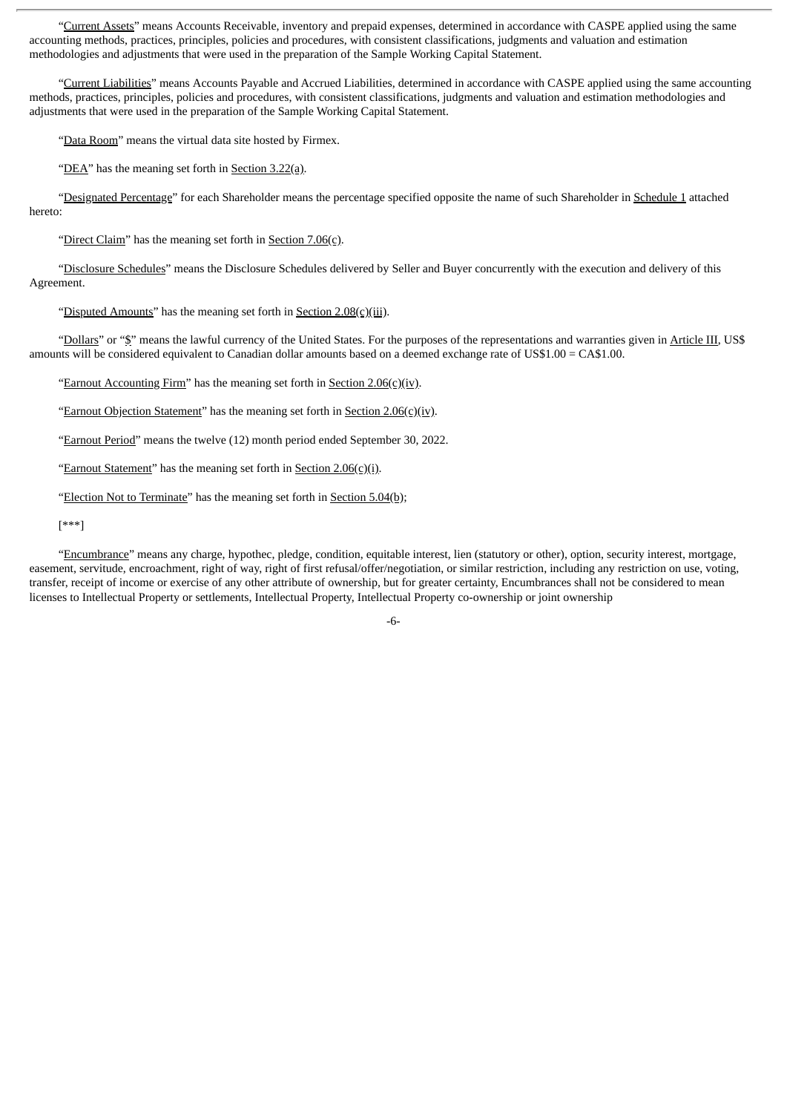"Current Assets" means Accounts Receivable, inventory and prepaid expenses, determined in accordance with CASPE applied using the same accounting methods, practices, principles, policies and procedures, with consistent classifications, judgments and valuation and estimation methodologies and adjustments that were used in the preparation of the Sample Working Capital Statement.

"Current Liabilities" means Accounts Payable and Accrued Liabilities, determined in accordance with CASPE applied using the same accounting methods, practices, principles, policies and procedures, with consistent classifications, judgments and valuation and estimation methodologies and adjustments that were used in the preparation of the Sample Working Capital Statement.

"Data Room" means the virtual data site hosted by Firmex.

"DEA" has the meaning set forth in Section 3.22(a).

"Designated Percentage" for each Shareholder means the percentage specified opposite the name of such Shareholder in Schedule 1 attached hereto:

"Direct Claim" has the meaning set forth in Section 7.06(c).

"Disclosure Schedules" means the Disclosure Schedules delivered by Seller and Buyer concurrently with the execution and delivery of this Agreement.

"Disputed Amounts" has the meaning set forth in Section 2.08(c)(iii).

"Dollars" or "\$" means the lawful currency of the United States. For the purposes of the representations and warranties given in Article III, US\$ amounts will be considered equivalent to Canadian dollar amounts based on a deemed exchange rate of US\$1.00 = CA\$1.00.

"Earnout Accounting Firm" has the meaning set forth in Section  $2.06(c)(iv)$ .

"Earnout Objection Statement" has the meaning set forth in Section  $2.06(c)(iv)$ .

"Earnout Period" means the twelve (12) month period ended September 30, 2022.

"Earnout Statement" has the meaning set forth in Section  $2.06(c)(i)$ .

"Election Not to Terminate" has the meaning set forth in Section 5.04(b);

[\*\*\*]

"Encumbrance" means any charge, hypothec, pledge, condition, equitable interest, lien (statutory or other), option, security interest, mortgage, easement, servitude, encroachment, right of way, right of first refusal/offer/negotiation, or similar restriction, including any restriction on use, voting, transfer, receipt of income or exercise of any other attribute of ownership, but for greater certainty, Encumbrances shall not be considered to mean licenses to Intellectual Property or settlements, Intellectual Property, Intellectual Property co-ownership or joint ownership

-6-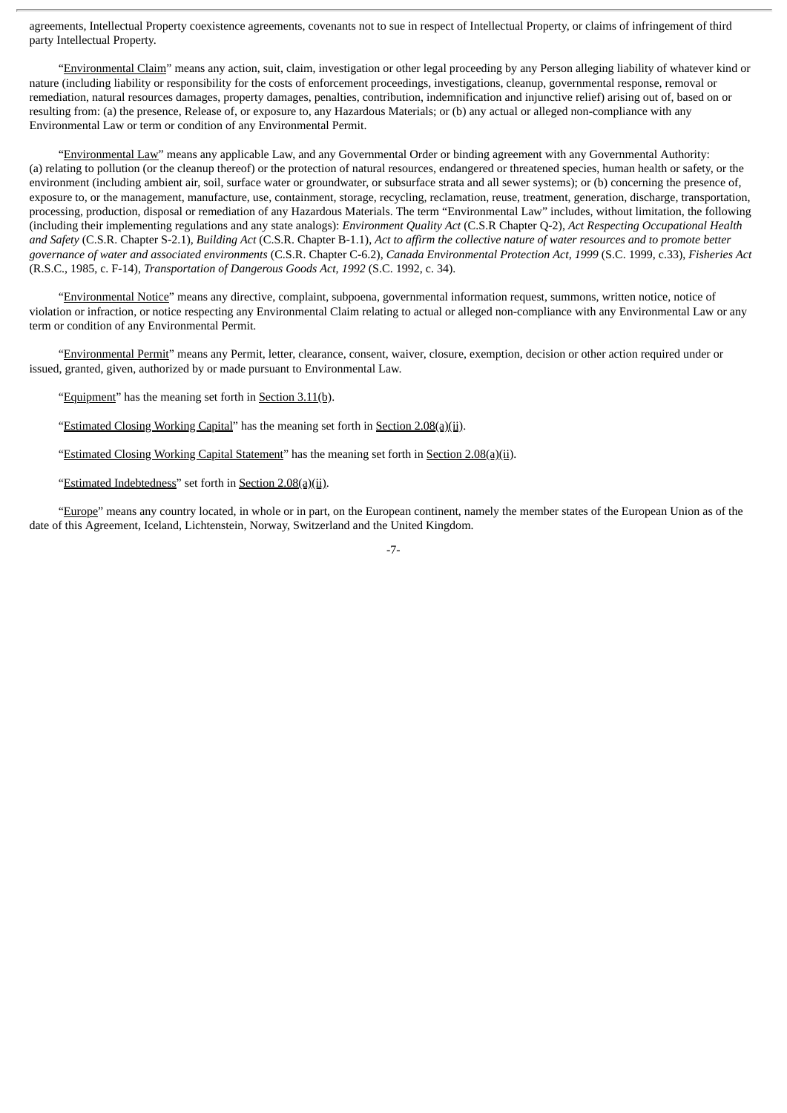agreements, Intellectual Property coexistence agreements, covenants not to sue in respect of Intellectual Property, or claims of infringement of third party Intellectual Property.

"Environmental Claim" means any action, suit, claim, investigation or other legal proceeding by any Person alleging liability of whatever kind or nature (including liability or responsibility for the costs of enforcement proceedings, investigations, cleanup, governmental response, removal or remediation, natural resources damages, property damages, penalties, contribution, indemnification and injunctive relief) arising out of, based on or resulting from: (a) the presence, Release of, or exposure to, any Hazardous Materials; or (b) any actual or alleged non-compliance with any Environmental Law or term or condition of any Environmental Permit.

"Environmental Law" means any applicable Law, and any Governmental Order or binding agreement with any Governmental Authority: (a) relating to pollution (or the cleanup thereof) or the protection of natural resources, endangered or threatened species, human health or safety, or the environment (including ambient air, soil, surface water or groundwater, or subsurface strata and all sewer systems); or (b) concerning the presence of, exposure to, or the management, manufacture, use, containment, storage, recycling, reclamation, reuse, treatment, generation, discharge, transportation, processing, production, disposal or remediation of any Hazardous Materials. The term "Environmental Law" includes, without limitation, the following (including their implementing regulations and any state analogs): *Environment Quality Act* (C.S.R Chapter Q-2), *Act Respecting Occupational Health* and Safety (C.S.R. Chapter S-2.1), Building Act (C.S.R. Chapter B-1.1), Act to affirm the collective nature of water resources and to promote better governance of water and associated environments (C.S.R. Chapter C-6.2), Canada Environmental Protection Act, 1999 (S.C. 1999, c.33), Fisheries Act (R.S.C., 1985, c. F-14), *Transportation of Dangerous Goods Act, 1992* (S.C. 1992, c. 34).

"Environmental Notice" means any directive, complaint, subpoena, governmental information request, summons, written notice, notice of violation or infraction, or notice respecting any Environmental Claim relating to actual or alleged non-compliance with any Environmental Law or any term or condition of any Environmental Permit.

"Environmental Permit" means any Permit, letter, clearance, consent, waiver, closure, exemption, decision or other action required under or issued, granted, given, authorized by or made pursuant to Environmental Law.

"Equipment" has the meaning set forth in Section 3.11(b).

"Estimated Closing Working Capital" has the meaning set forth in Section 2.08(a)(ii).

"Estimated Closing Working Capital Statement" has the meaning set forth in Section 2.08(a)(ii).

"Estimated Indebtedness" set forth in Section 2.08(a)(ii).

"Europe" means any country located, in whole or in part, on the European continent, namely the member states of the European Union as of the date of this Agreement, Iceland, Lichtenstein, Norway, Switzerland and the United Kingdom.

-7-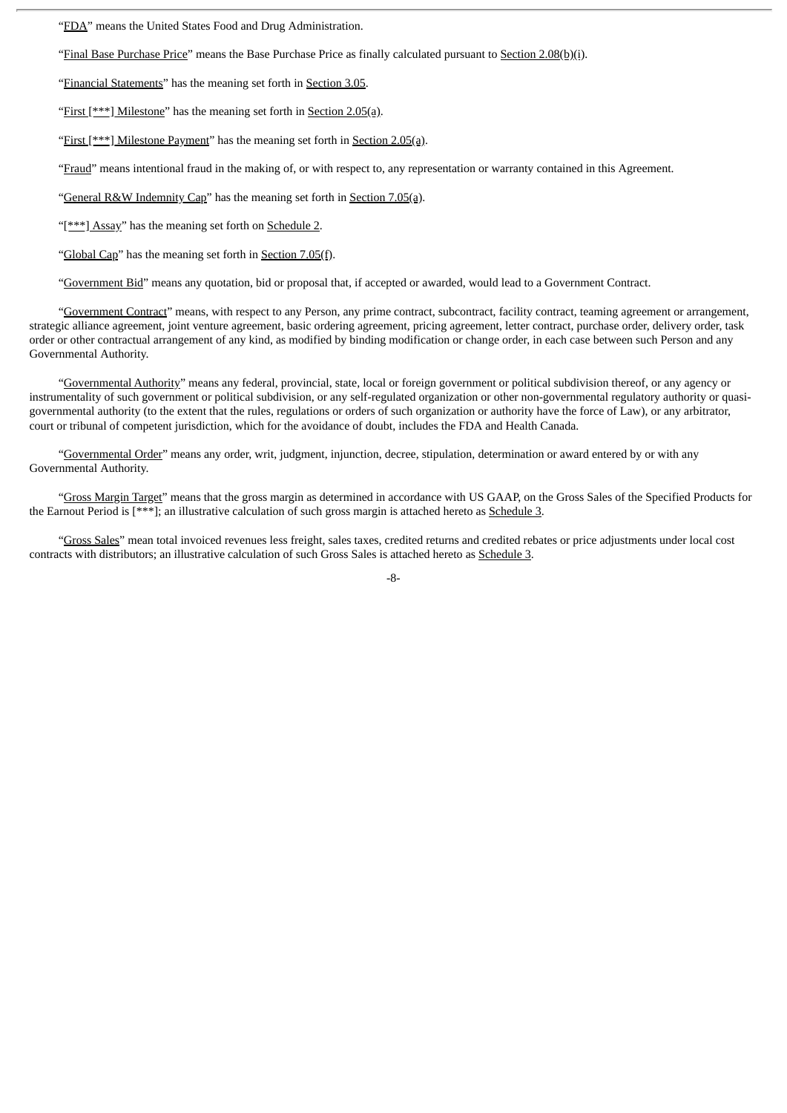"FDA" means the United States Food and Drug Administration.

"Final Base Purchase Price" means the Base Purchase Price as finally calculated pursuant to Section 2.08(b)(i).

"Financial Statements" has the meaning set forth in Section 3.05.

"First [\*\*\*] Milestone" has the meaning set forth in Section 2.05(a).

"First [\*\*\*] Milestone Payment" has the meaning set forth in Section 2.05(a).

"Fraud" means intentional fraud in the making of, or with respect to, any representation or warranty contained in this Agreement.

"General R&W Indemnity Cap" has the meaning set forth in Section 7.05(a).

"[\*\*\*] Assay" has the meaning set forth on Schedule 2.

"Global Cap" has the meaning set forth in Section 7.05(f).

"Government Bid" means any quotation, bid or proposal that, if accepted or awarded, would lead to a Government Contract.

"Government Contract" means, with respect to any Person, any prime contract, subcontract, facility contract, teaming agreement or arrangement, strategic alliance agreement, joint venture agreement, basic ordering agreement, pricing agreement, letter contract, purchase order, delivery order, task order or other contractual arrangement of any kind, as modified by binding modification or change order, in each case between such Person and any Governmental Authority.

"Governmental Authority" means any federal, provincial, state, local or foreign government or political subdivision thereof, or any agency or instrumentality of such government or political subdivision, or any self-regulated organization or other non-governmental regulatory authority or quasigovernmental authority (to the extent that the rules, regulations or orders of such organization or authority have the force of Law), or any arbitrator, court or tribunal of competent jurisdiction, which for the avoidance of doubt, includes the FDA and Health Canada.

"Governmental Order" means any order, writ, judgment, injunction, decree, stipulation, determination or award entered by or with any Governmental Authority.

"Gross Margin Target" means that the gross margin as determined in accordance with US GAAP, on the Gross Sales of the Specified Products for the Earnout Period is [\*\*\*]; an illustrative calculation of such gross margin is attached hereto as Schedule 3.

"Gross Sales" mean total invoiced revenues less freight, sales taxes, credited returns and credited rebates or price adjustments under local cost contracts with distributors; an illustrative calculation of such Gross Sales is attached hereto as Schedule 3.

-8-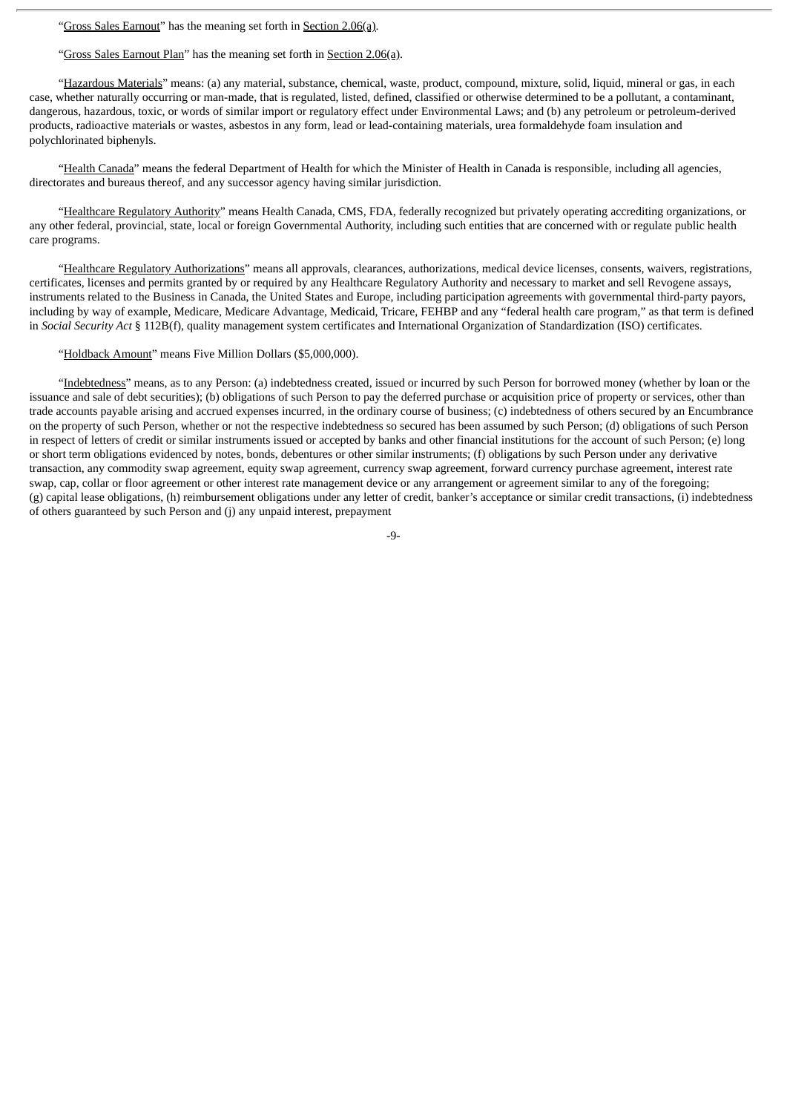"Gross Sales Earnout" has the meaning set forth in Section 2.06(a).

# "Gross Sales Earnout Plan" has the meaning set forth in Section 2.06(a).

"Hazardous Materials" means: (a) any material, substance, chemical, waste, product, compound, mixture, solid, liquid, mineral or gas, in each case, whether naturally occurring or man-made, that is regulated, listed, defined, classified or otherwise determined to be a pollutant, a contaminant, dangerous, hazardous, toxic, or words of similar import or regulatory effect under Environmental Laws; and (b) any petroleum or petroleum-derived products, radioactive materials or wastes, asbestos in any form, lead or lead-containing materials, urea formaldehyde foam insulation and polychlorinated biphenyls.

"Health Canada" means the federal Department of Health for which the Minister of Health in Canada is responsible, including all agencies, directorates and bureaus thereof, and any successor agency having similar jurisdiction.

"Healthcare Regulatory Authority" means Health Canada, CMS, FDA, federally recognized but privately operating accrediting organizations, or any other federal, provincial, state, local or foreign Governmental Authority, including such entities that are concerned with or regulate public health care programs.

"Healthcare Regulatory Authorizations" means all approvals, clearances, authorizations, medical device licenses, consents, waivers, registrations, certificates, licenses and permits granted by or required by any Healthcare Regulatory Authority and necessary to market and sell Revogene assays, instruments related to the Business in Canada, the United States and Europe, including participation agreements with governmental third-party payors, including by way of example, Medicare, Medicare Advantage, Medicaid, Tricare, FEHBP and any "federal health care program," as that term is defined in *Social Security Act* § 112B(f), quality management system certificates and International Organization of Standardization (ISO) certificates.

## "Holdback Amount" means Five Million Dollars (\$5,000,000).

"Indebtedness" means, as to any Person: (a) indebtedness created, issued or incurred by such Person for borrowed money (whether by loan or the issuance and sale of debt securities); (b) obligations of such Person to pay the deferred purchase or acquisition price of property or services, other than trade accounts payable arising and accrued expenses incurred, in the ordinary course of business; (c) indebtedness of others secured by an Encumbrance on the property of such Person, whether or not the respective indebtedness so secured has been assumed by such Person; (d) obligations of such Person in respect of letters of credit or similar instruments issued or accepted by banks and other financial institutions for the account of such Person; (e) long or short term obligations evidenced by notes, bonds, debentures or other similar instruments; (f) obligations by such Person under any derivative transaction, any commodity swap agreement, equity swap agreement, currency swap agreement, forward currency purchase agreement, interest rate swap, cap, collar or floor agreement or other interest rate management device or any arrangement or agreement similar to any of the foregoing; (g) capital lease obligations, (h) reimbursement obligations under any letter of credit, banker's acceptance or similar credit transactions, (i) indebtedness of others guaranteed by such Person and (j) any unpaid interest, prepayment

-9-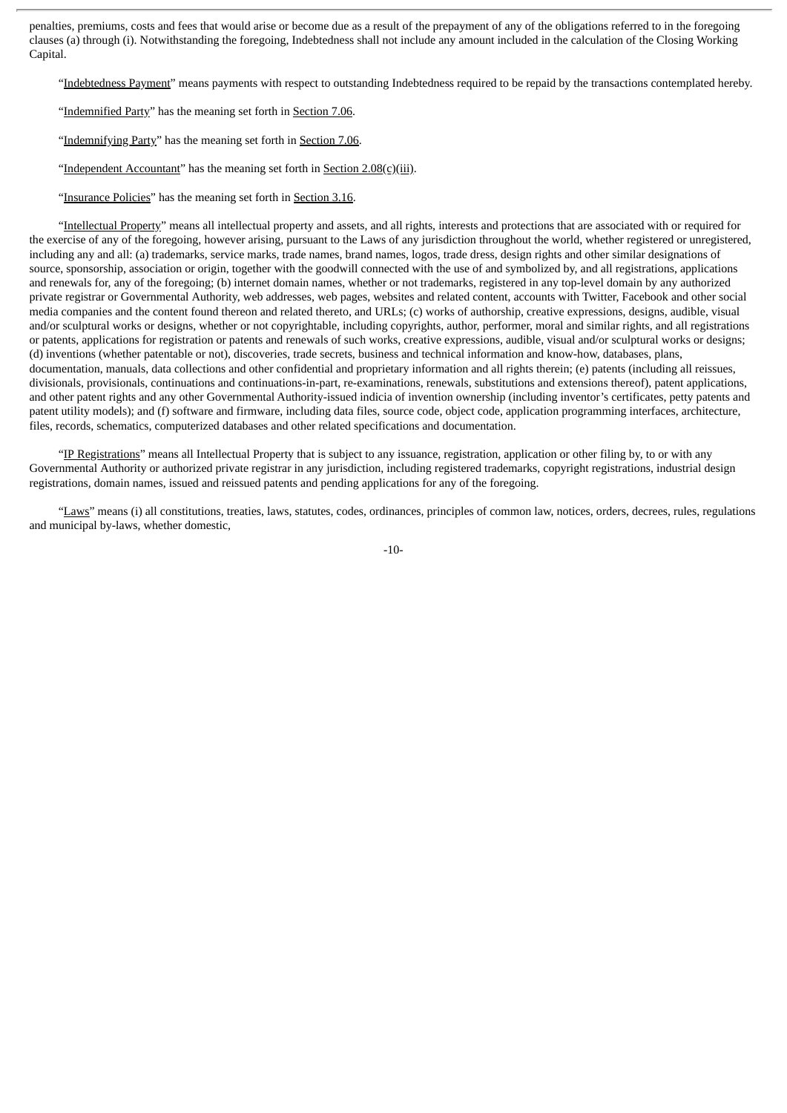penalties, premiums, costs and fees that would arise or become due as a result of the prepayment of any of the obligations referred to in the foregoing clauses (a) through (i). Notwithstanding the foregoing, Indebtedness shall not include any amount included in the calculation of the Closing Working Capital.

"Indebtedness Payment" means payments with respect to outstanding Indebtedness required to be repaid by the transactions contemplated hereby.

"Indemnified Party" has the meaning set forth in Section 7.06.

"Indemnifying Party" has the meaning set forth in Section 7.06.

"Independent Accountant" has the meaning set forth in Section  $2.08(c)$ (iii).

"Insurance Policies" has the meaning set forth in Section 3.16.

"Intellectual Property" means all intellectual property and assets, and all rights, interests and protections that are associated with or required for the exercise of any of the foregoing, however arising, pursuant to the Laws of any jurisdiction throughout the world, whether registered or unregistered, including any and all: (a) trademarks, service marks, trade names, brand names, logos, trade dress, design rights and other similar designations of source, sponsorship, association or origin, together with the goodwill connected with the use of and symbolized by, and all registrations, applications and renewals for, any of the foregoing; (b) internet domain names, whether or not trademarks, registered in any top-level domain by any authorized private registrar or Governmental Authority, web addresses, web pages, websites and related content, accounts with Twitter, Facebook and other social media companies and the content found thereon and related thereto, and URLs; (c) works of authorship, creative expressions, designs, audible, visual and/or sculptural works or designs, whether or not copyrightable, including copyrights, author, performer, moral and similar rights, and all registrations or patents, applications for registration or patents and renewals of such works, creative expressions, audible, visual and/or sculptural works or designs; (d) inventions (whether patentable or not), discoveries, trade secrets, business and technical information and know-how, databases, plans, documentation, manuals, data collections and other confidential and proprietary information and all rights therein; (e) patents (including all reissues, divisionals, provisionals, continuations and continuations-in-part, re-examinations, renewals, substitutions and extensions thereof), patent applications, and other patent rights and any other Governmental Authority-issued indicia of invention ownership (including inventor's certificates, petty patents and patent utility models); and (f) software and firmware, including data files, source code, object code, application programming interfaces, architecture, files, records, schematics, computerized databases and other related specifications and documentation.

"IP Registrations" means all Intellectual Property that is subject to any issuance, registration, application or other filing by, to or with any Governmental Authority or authorized private registrar in any jurisdiction, including registered trademarks, copyright registrations, industrial design registrations, domain names, issued and reissued patents and pending applications for any of the foregoing.

"Laws" means (i) all constitutions, treaties, laws, statutes, codes, ordinances, principles of common law, notices, orders, decrees, rules, regulations and municipal by-laws, whether domestic,

-10-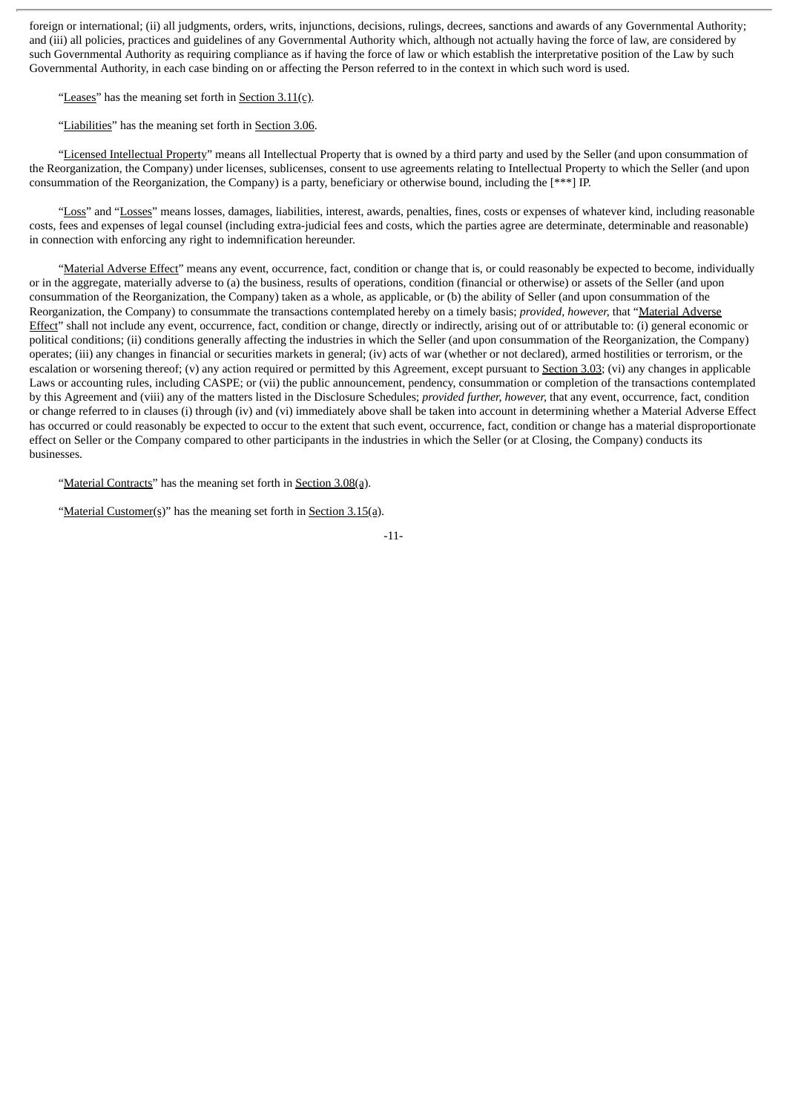foreign or international; (ii) all judgments, orders, writs, injunctions, decisions, rulings, decrees, sanctions and awards of any Governmental Authority; and (iii) all policies, practices and guidelines of any Governmental Authority which, although not actually having the force of law, are considered by such Governmental Authority as requiring compliance as if having the force of law or which establish the interpretative position of the Law by such Governmental Authority, in each case binding on or affecting the Person referred to in the context in which such word is used.

"Leases" has the meaning set forth in Section  $3.11(c)$ .

"Liabilities" has the meaning set forth in Section 3.06.

"Licensed Intellectual Property" means all Intellectual Property that is owned by a third party and used by the Seller (and upon consummation of the Reorganization, the Company) under licenses, sublicenses, consent to use agreements relating to Intellectual Property to which the Seller (and upon consummation of the Reorganization, the Company) is a party, beneficiary or otherwise bound, including the [\*\*\*] IP.

"Loss" and "Losses" means losses, damages, liabilities, interest, awards, penalties, fines, costs or expenses of whatever kind, including reasonable costs, fees and expenses of legal counsel (including extra-judicial fees and costs, which the parties agree are determinate, determinable and reasonable) in connection with enforcing any right to indemnification hereunder.

"Material Adverse Effect" means any event, occurrence, fact, condition or change that is, or could reasonably be expected to become, individually or in the aggregate, materially adverse to (a) the business, results of operations, condition (financial or otherwise) or assets of the Seller (and upon consummation of the Reorganization, the Company) taken as a whole, as applicable, or (b) the ability of Seller (and upon consummation of the Reorganization, the Company) to consummate the transactions contemplated hereby on a timely basis; *provided, however,* that "Material Adverse Effect" shall not include any event, occurrence, fact, condition or change, directly or indirectly, arising out of or attributable to: (i) general economic or political conditions; (ii) conditions generally affecting the industries in which the Seller (and upon consummation of the Reorganization, the Company) operates; (iii) any changes in financial or securities markets in general; (iv) acts of war (whether or not declared), armed hostilities or terrorism, or the escalation or worsening thereof; (v) any action required or permitted by this Agreement, except pursuant to Section 3.03; (vi) any changes in applicable Laws or accounting rules, including CASPE; or (vii) the public announcement, pendency, consummation or completion of the transactions contemplated by this Agreement and (viii) any of the matters listed in the Disclosure Schedules; *provided further, however,* that any event, occurrence, fact, condition or change referred to in clauses (i) through (iv) and (vi) immediately above shall be taken into account in determining whether a Material Adverse Effect has occurred or could reasonably be expected to occur to the extent that such event, occurrence, fact, condition or change has a material disproportionate effect on Seller or the Company compared to other participants in the industries in which the Seller (or at Closing, the Company) conducts its businesses.

"Material Contracts" has the meaning set forth in Section 3.08(a).

"Material Customer(s)" has the meaning set forth in Section 3.15(a).

-11-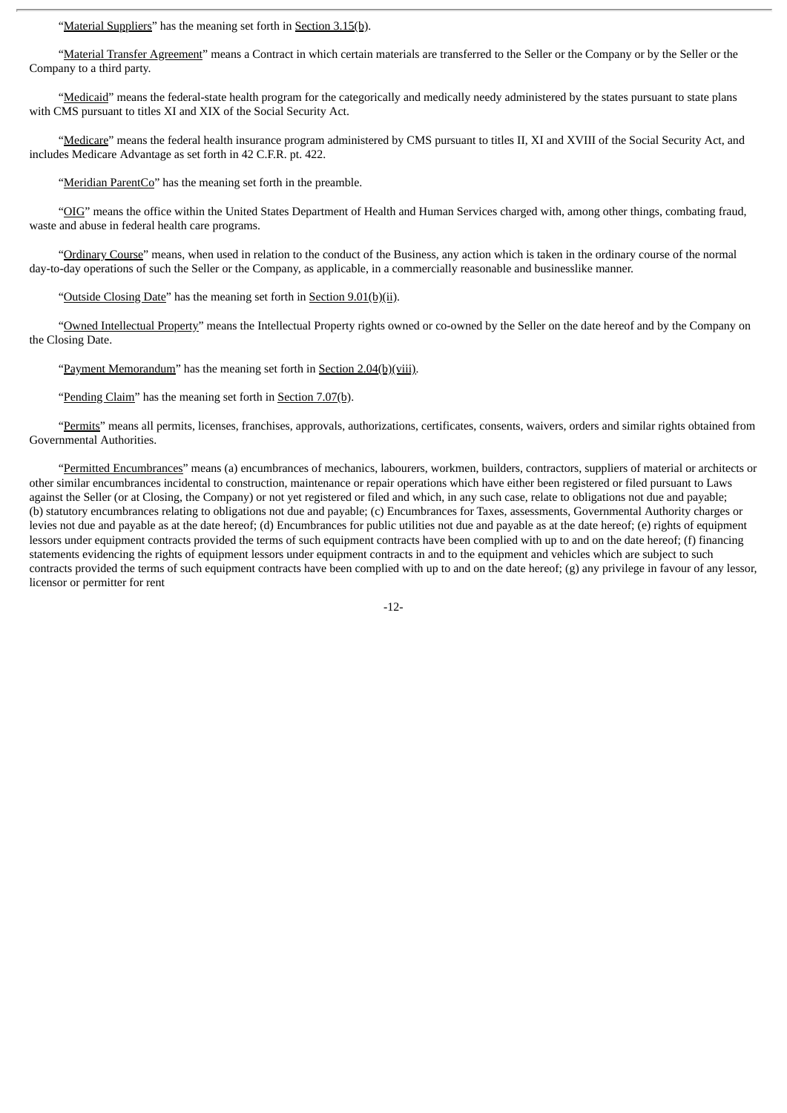"Material Suppliers" has the meaning set forth in Section 3.15(b).

"Material Transfer Agreement" means a Contract in which certain materials are transferred to the Seller or the Company or by the Seller or the Company to a third party.

"Medicaid" means the federal-state health program for the categorically and medically needy administered by the states pursuant to state plans with CMS pursuant to titles XI and XIX of the Social Security Act.

"Medicare" means the federal health insurance program administered by CMS pursuant to titles II, XI and XVIII of the Social Security Act, and includes Medicare Advantage as set forth in 42 C.F.R. pt. 422.

"Meridian ParentCo" has the meaning set forth in the preamble.

"OIG" means the office within the United States Department of Health and Human Services charged with, among other things, combating fraud, waste and abuse in federal health care programs.

"Ordinary Course" means, when used in relation to the conduct of the Business, any action which is taken in the ordinary course of the normal day-to-day operations of such the Seller or the Company, as applicable, in a commercially reasonable and businesslike manner.

"Outside Closing Date" has the meaning set forth in Section 9.01(b)(ii).

"Owned Intellectual Property" means the Intellectual Property rights owned or co-owned by the Seller on the date hereof and by the Company on the Closing Date.

"Payment Memorandum" has the meaning set forth in Section 2.04(b)(viii).

"Pending Claim" has the meaning set forth in Section 7.07(b).

"Permits" means all permits, licenses, franchises, approvals, authorizations, certificates, consents, waivers, orders and similar rights obtained from Governmental Authorities.

"Permitted Encumbrances" means (a) encumbrances of mechanics, labourers, workmen, builders, contractors, suppliers of material or architects or other similar encumbrances incidental to construction, maintenance or repair operations which have either been registered or filed pursuant to Laws against the Seller (or at Closing, the Company) or not yet registered or filed and which, in any such case, relate to obligations not due and payable; (b) statutory encumbrances relating to obligations not due and payable; (c) Encumbrances for Taxes, assessments, Governmental Authority charges or levies not due and payable as at the date hereof; (d) Encumbrances for public utilities not due and payable as at the date hereof; (e) rights of equipment lessors under equipment contracts provided the terms of such equipment contracts have been complied with up to and on the date hereof; (f) financing statements evidencing the rights of equipment lessors under equipment contracts in and to the equipment and vehicles which are subject to such contracts provided the terms of such equipment contracts have been complied with up to and on the date hereof; (g) any privilege in favour of any lessor, licensor or permitter for rent

-12-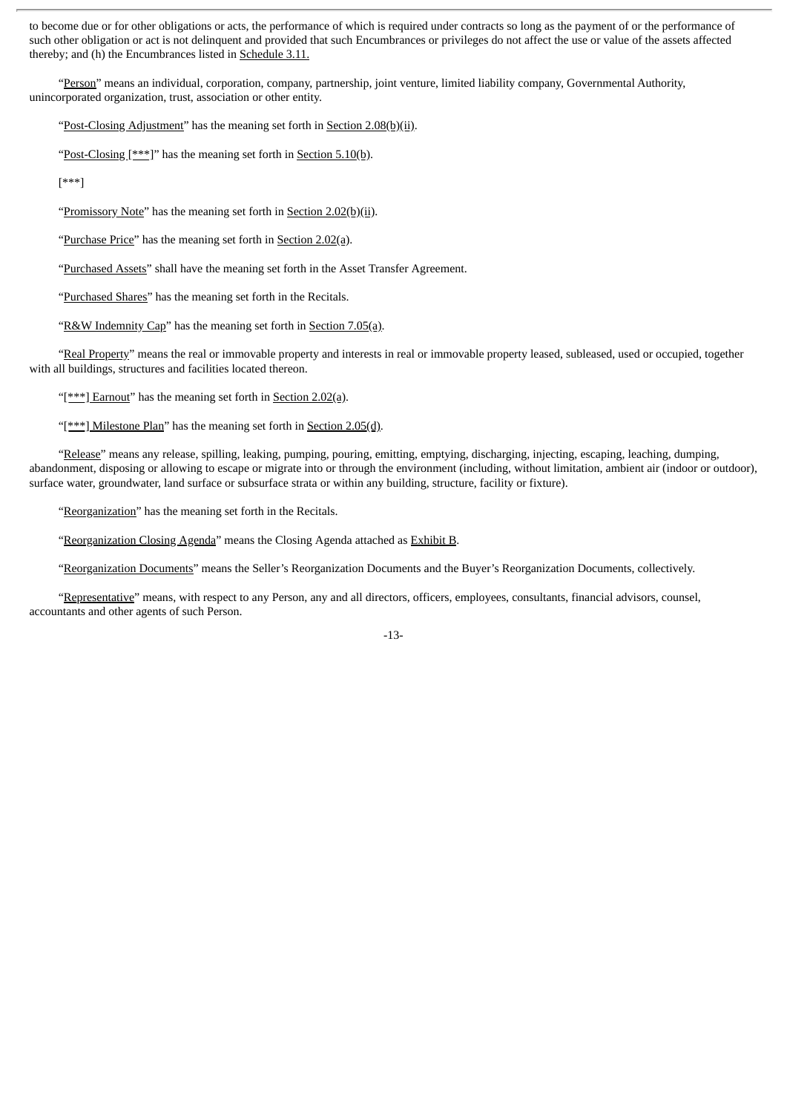to become due or for other obligations or acts, the performance of which is required under contracts so long as the payment of or the performance of such other obligation or act is not delinquent and provided that such Encumbrances or privileges do not affect the use or value of the assets affected thereby; and (h) the Encumbrances listed in Schedule 3.11.

"Person" means an individual, corporation, company, partnership, joint venture, limited liability company, Governmental Authority, unincorporated organization, trust, association or other entity.

"Post-Closing Adjustment" has the meaning set forth in Section 2.08(b)(ii).

"Post-Closing  $[***]$ " has the meaning set forth in Section 5.10(b).

[\*\*\*]

"Promissory Note" has the meaning set forth in Section 2.02(b)(ii).

"Purchase Price" has the meaning set forth in Section 2.02(a).

"Purchased Assets" shall have the meaning set forth in the Asset Transfer Agreement.

"Purchased Shares" has the meaning set forth in the Recitals.

"R&W Indemnity Cap" has the meaning set forth in Section 7.05(a).

"Real Property" means the real or immovable property and interests in real or immovable property leased, subleased, used or occupied, together with all buildings, structures and facilities located thereon.

"[\*\*\*] Earnout" has the meaning set forth in Section 2.02(a).

"[\*\*\*] Milestone Plan" has the meaning set forth in Section 2.05(d).

"Release" means any release, spilling, leaking, pumping, pouring, emitting, emptying, discharging, injecting, escaping, leaching, dumping, abandonment, disposing or allowing to escape or migrate into or through the environment (including, without limitation, ambient air (indoor or outdoor), surface water, groundwater, land surface or subsurface strata or within any building, structure, facility or fixture).

"Reorganization" has the meaning set forth in the Recitals.

"Reorganization Closing Agenda" means the Closing Agenda attached as Exhibit B.

"Reorganization Documents" means the Seller's Reorganization Documents and the Buyer's Reorganization Documents, collectively.

"Representative" means, with respect to any Person, any and all directors, officers, employees, consultants, financial advisors, counsel, accountants and other agents of such Person.

-13-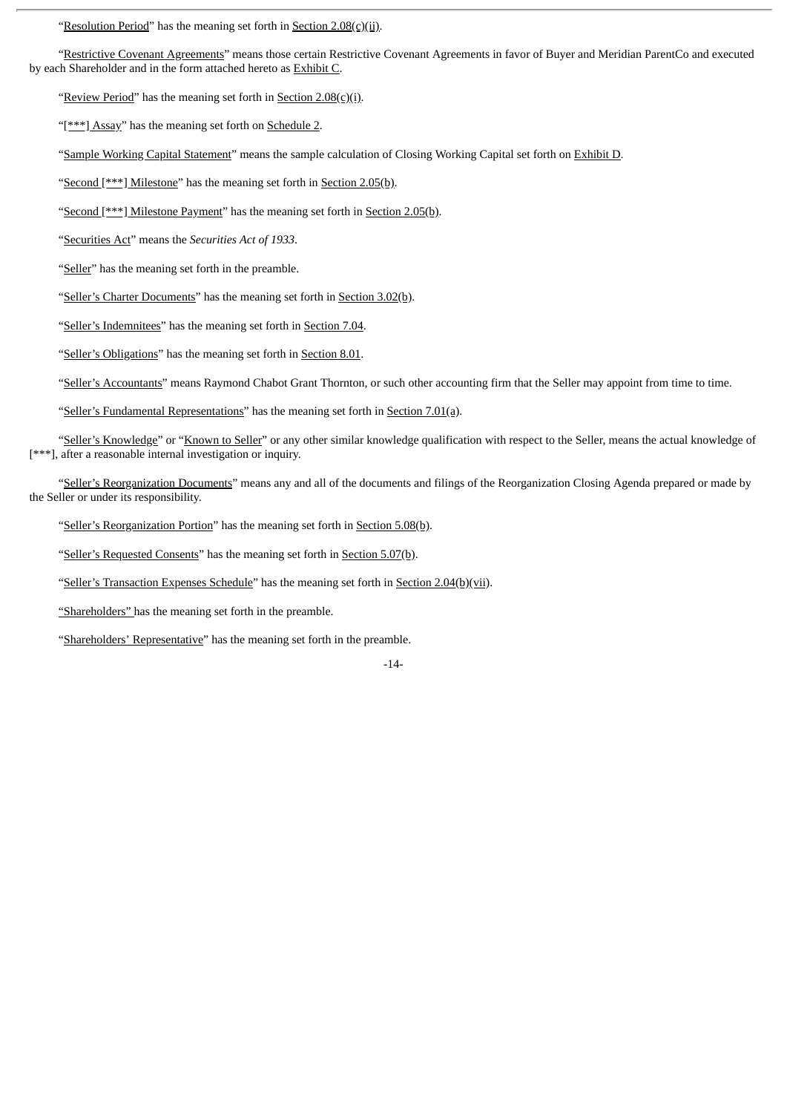"Resolution Period" has the meaning set forth in Section  $2.08(c)(ii)$ .

"Restrictive Covenant Agreements" means those certain Restrictive Covenant Agreements in favor of Buyer and Meridian ParentCo and executed by each Shareholder and in the form attached hereto as Exhibit C.

"Review Period" has the meaning set forth in Section 2.08(c)(i).

"[\*\*\*] Assay" has the meaning set forth on Schedule 2.

"Sample Working Capital Statement" means the sample calculation of Closing Working Capital set forth on Exhibit D.

"Second [\*\*\*] Milestone" has the meaning set forth in Section 2.05(b).

"Second [\*\*\*] Milestone Payment" has the meaning set forth in Section 2.05(b).

"Securities Act" means the *Securities Act of 1933*.

"Seller" has the meaning set forth in the preamble.

"Seller's Charter Documents" has the meaning set forth in Section 3.02(b).

"Seller's Indemnitees" has the meaning set forth in Section 7.04.

"Seller's Obligations" has the meaning set forth in Section 8.01.

"Seller's Accountants" means Raymond Chabot Grant Thornton, or such other accounting firm that the Seller may appoint from time to time.

"Seller's Fundamental Representations" has the meaning set forth in Section 7.01(a).

"Seller's Knowledge" or "Known to Seller" or any other similar knowledge qualification with respect to the Seller, means the actual knowledge of [\*\*\*], after a reasonable internal investigation or inquiry.

"Seller's Reorganization Documents" means any and all of the documents and filings of the Reorganization Closing Agenda prepared or made by the Seller or under its responsibility.

"Seller's Reorganization Portion" has the meaning set forth in Section 5.08(b).

"Seller's Requested Consents" has the meaning set forth in Section 5.07(b).

"Seller's Transaction Expenses Schedule" has the meaning set forth in Section 2.04(b)(vii).

"Shareholders" has the meaning set forth in the preamble.

"Shareholders' Representative" has the meaning set forth in the preamble.

-14-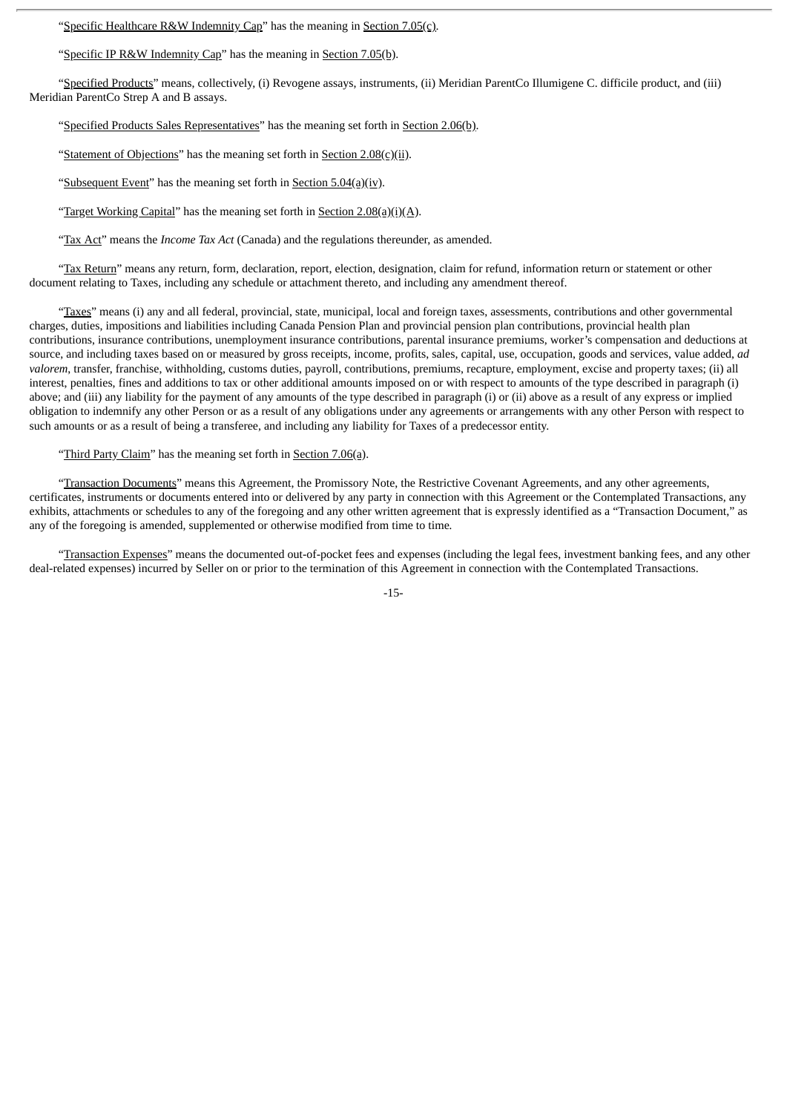"Specific Healthcare R&W Indemnity Cap" has the meaning in Section  $7.05(c)$ .

"Specific IP R&W Indemnity Cap" has the meaning in Section 7.05(b).

"Specified Products" means, collectively, (i) Revogene assays, instruments, (ii) Meridian ParentCo Illumigene C. difficile product, and (iii) Meridian ParentCo Strep A and B assays.

"Specified Products Sales Representatives" has the meaning set forth in Section 2.06(b).

"Statement of Objections" has the meaning set forth in Section 2.08(c)(ii).

"Subsequent Event" has the meaning set forth in Section 5.04(a)(iv).

"Target Working Capital" has the meaning set forth in Section 2.08(a)(i)(A).

"Tax Act" means the *Income Tax Act* (Canada) and the regulations thereunder, as amended.

"Tax Return" means any return, form, declaration, report, election, designation, claim for refund, information return or statement or other document relating to Taxes, including any schedule or attachment thereto, and including any amendment thereof.

"Taxes" means (i) any and all federal, provincial, state, municipal, local and foreign taxes, assessments, contributions and other governmental charges, duties, impositions and liabilities including Canada Pension Plan and provincial pension plan contributions, provincial health plan contributions, insurance contributions, unemployment insurance contributions, parental insurance premiums, worker's compensation and deductions at source, and including taxes based on or measured by gross receipts, income, profits, sales, capital, use, occupation, goods and services, value added, *ad valorem*, transfer, franchise, withholding, customs duties, payroll, contributions, premiums, recapture, employment, excise and property taxes; (ii) all interest, penalties, fines and additions to tax or other additional amounts imposed on or with respect to amounts of the type described in paragraph (i) above; and (iii) any liability for the payment of any amounts of the type described in paragraph (i) or (ii) above as a result of any express or implied obligation to indemnify any other Person or as a result of any obligations under any agreements or arrangements with any other Person with respect to such amounts or as a result of being a transferee, and including any liability for Taxes of a predecessor entity.

### "Third Party Claim" has the meaning set forth in Section 7.06(a).

"Transaction Documents" means this Agreement, the Promissory Note, the Restrictive Covenant Agreements, and any other agreements, certificates, instruments or documents entered into or delivered by any party in connection with this Agreement or the Contemplated Transactions, any exhibits, attachments or schedules to any of the foregoing and any other written agreement that is expressly identified as a "Transaction Document," as any of the foregoing is amended, supplemented or otherwise modified from time to time*.*

"Transaction Expenses" means the documented out-of-pocket fees and expenses (including the legal fees, investment banking fees, and any other deal-related expenses) incurred by Seller on or prior to the termination of this Agreement in connection with the Contemplated Transactions.

-15-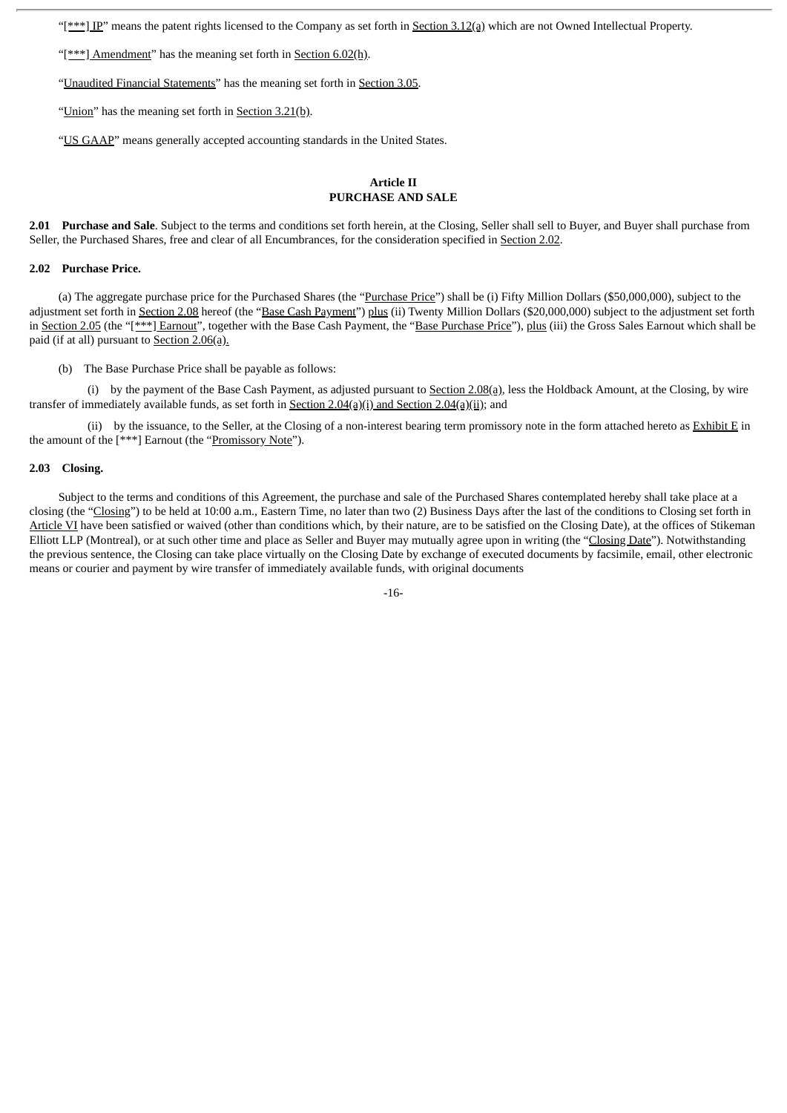"[\*\*\*] IP" means the patent rights licensed to the Company as set forth in Section 3.12(a) which are not Owned Intellectual Property.

"[\*\*\*] Amendment" has the meaning set forth in Section 6.02(h).

"Unaudited Financial Statements" has the meaning set forth in Section 3.05.

"Union" has the meaning set forth in Section 3.21(b).

"US GAAP" means generally accepted accounting standards in the United States.

# **Article II PURCHASE AND SALE**

**2.01 Purchase and Sale**. Subject to the terms and conditions set forth herein, at the Closing, Seller shall sell to Buyer, and Buyer shall purchase from Seller, the Purchased Shares, free and clear of all Encumbrances, for the consideration specified in Section 2.02.

#### **2.02 Purchase Price.**

(a) The aggregate purchase price for the Purchased Shares (the "Purchase Price") shall be (i) Fifty Million Dollars (\$50,000,000), subject to the adjustment set forth in Section 2.08 hereof (the "Base Cash Payment") plus (ii) Twenty Million Dollars (\$20,000,000) subject to the adjustment set forth in Section 2.05 (the "[\*\*\*] Earnout", together with the Base Cash Payment, the "Base Purchase Price"), plus (iii) the Gross Sales Earnout which shall be paid (if at all) pursuant to Section 2.06(a).

(b) The Base Purchase Price shall be payable as follows:

(i) by the payment of the Base Cash Payment, as adjusted pursuant to  $Section 2.08(a)$ , less the Holdback Amount, at the Closing, by wire</u> transfer of immediately available funds, as set forth in Section 2.04(a)(i) and Section 2.04(a)(ii); and

(ii) by the issuance, to the Seller, at the Closing of a non-interest bearing term promissory note in the form attached hereto as  $\frac{Exhibit E}{E}$  in the amount of the [\*\*\*] Earnout (the "Promissory Note").

#### **2.03 Closing.**

Subject to the terms and conditions of this Agreement, the purchase and sale of the Purchased Shares contemplated hereby shall take place at a closing (the "Closing") to be held at 10:00 a.m., Eastern Time, no later than two (2) Business Days after the last of the conditions to Closing set forth in Article VI have been satisfied or waived (other than conditions which, by their nature, are to be satisfied on the Closing Date), at the offices of Stikeman Elliott LLP (Montreal), or at such other time and place as Seller and Buyer may mutually agree upon in writing (the "Closing Date"). Notwithstanding the previous sentence, the Closing can take place virtually on the Closing Date by exchange of executed documents by facsimile, email, other electronic means or courier and payment by wire transfer of immediately available funds, with original documents

-16-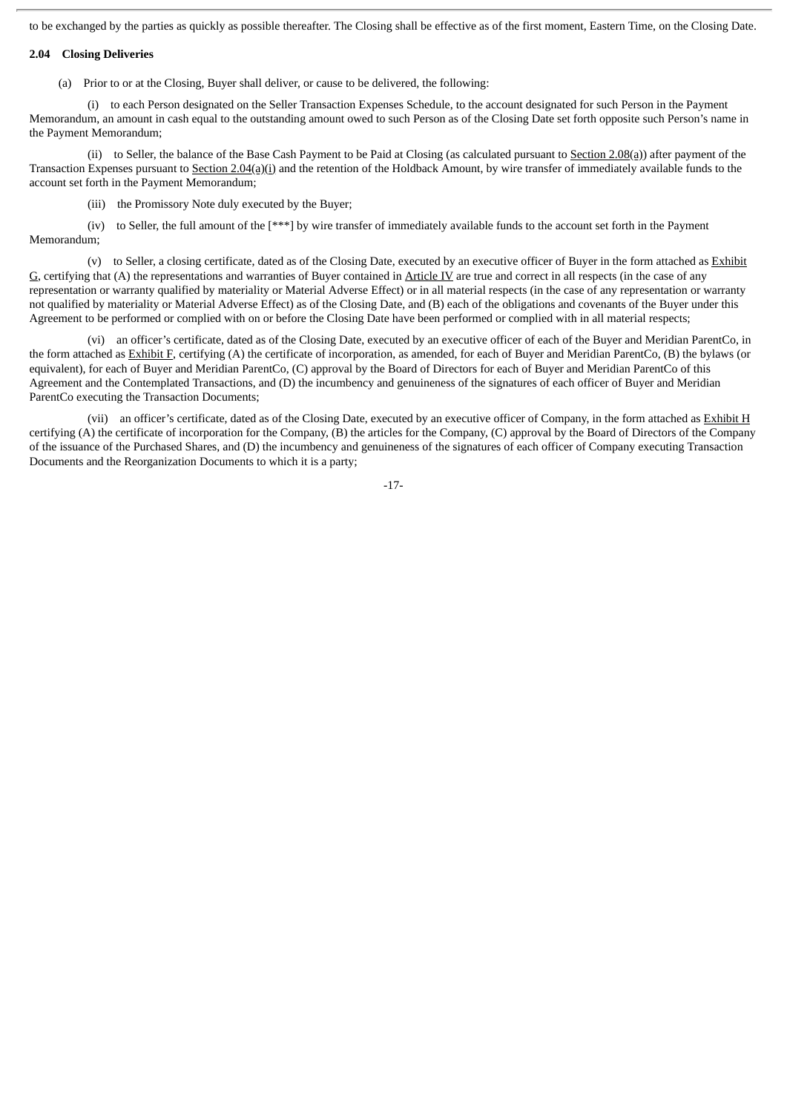to be exchanged by the parties as quickly as possible thereafter. The Closing shall be effective as of the first moment, Eastern Time, on the Closing Date.

### **2.04 Closing Deliveries**

(a) Prior to or at the Closing, Buyer shall deliver, or cause to be delivered, the following:

(i) to each Person designated on the Seller Transaction Expenses Schedule, to the account designated for such Person in the Payment Memorandum, an amount in cash equal to the outstanding amount owed to such Person as of the Closing Date set forth opposite such Person's name in the Payment Memorandum;

(ii) to Seller, the balance of the Base Cash Payment to be Paid at Closing (as calculated pursuant to Section 2.08(a)) after payment of the Transaction Expenses pursuant to Section 2.04(a)(i) and the retention of the Holdback Amount, by wire transfer of immediately available funds to the account set forth in the Payment Memorandum;

(iii) the Promissory Note duly executed by the Buyer;

(iv) to Seller, the full amount of the [\*\*\*] by wire transfer of immediately available funds to the account set forth in the Payment Memorandum;

(v) to Seller, a closing certificate, dated as of the Closing Date, executed by an executive officer of Buyer in the form attached as **Exhibit** G, certifying that (A) the representations and warranties of Buyer contained in Article IV are true and correct in all respects (in the case of any representation or warranty qualified by materiality or Material Adverse Effect) or in all material respects (in the case of any representation or warranty not qualified by materiality or Material Adverse Effect) as of the Closing Date, and (B) each of the obligations and covenants of the Buyer under this Agreement to be performed or complied with on or before the Closing Date have been performed or complied with in all material respects;

(vi) an officer's certificate, dated as of the Closing Date, executed by an executive officer of each of the Buyer and Meridian ParentCo, in the form attached as **Exhibit F**, certifying (A) the certificate of incorporation, as amended, for each of Buyer and Meridian ParentCo, (B) the bylaws (or equivalent), for each of Buyer and Meridian ParentCo, (C) approval by the Board of Directors for each of Buyer and Meridian ParentCo of this Agreement and the Contemplated Transactions, and (D) the incumbency and genuineness of the signatures of each officer of Buyer and Meridian ParentCo executing the Transaction Documents;

(vii) an officer's certificate, dated as of the Closing Date, executed by an executive officer of Company, in the form attached as Exhibit H certifying (A) the certificate of incorporation for the Company, (B) the articles for the Company, (C) approval by the Board of Directors of the Company of the issuance of the Purchased Shares, and (D) the incumbency and genuineness of the signatures of each officer of Company executing Transaction Documents and the Reorganization Documents to which it is a party;

-17-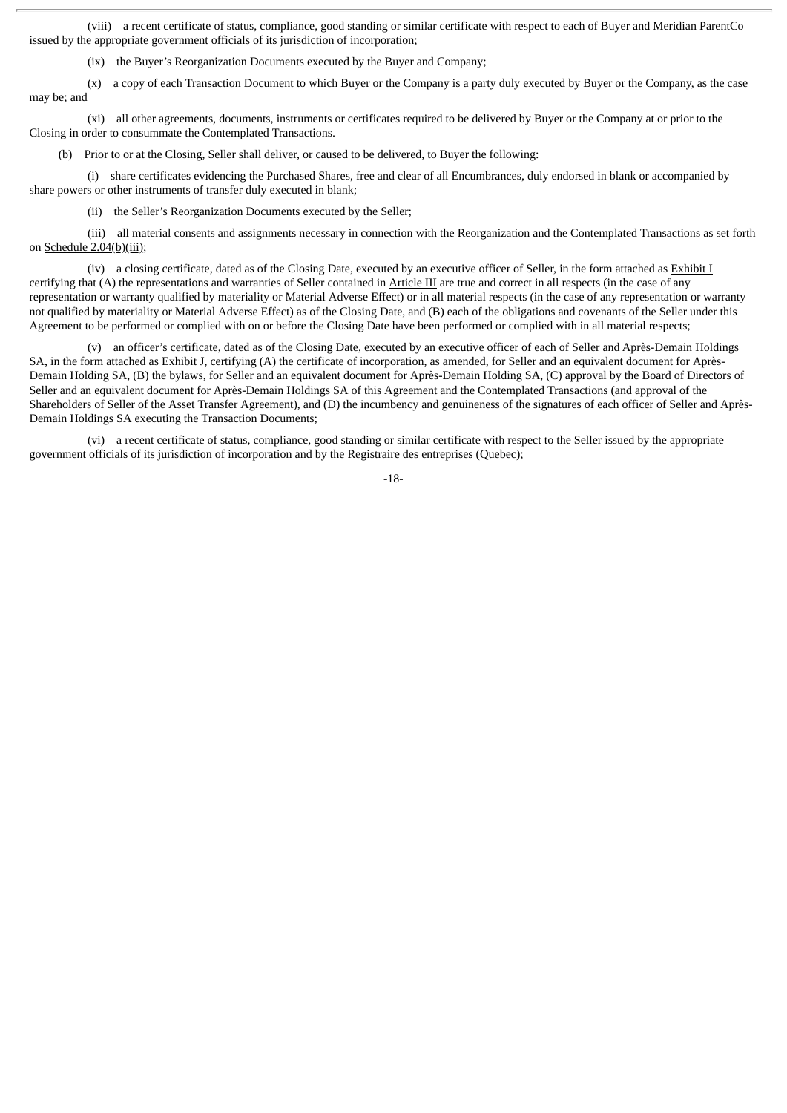(viii) a recent certificate of status, compliance, good standing or similar certificate with respect to each of Buyer and Meridian ParentCo issued by the appropriate government officials of its jurisdiction of incorporation;

(ix) the Buyer's Reorganization Documents executed by the Buyer and Company;

(x) a copy of each Transaction Document to which Buyer or the Company is a party duly executed by Buyer or the Company, as the case may be; and

(xi) all other agreements, documents, instruments or certificates required to be delivered by Buyer or the Company at or prior to the Closing in order to consummate the Contemplated Transactions.

(b) Prior to or at the Closing, Seller shall deliver, or caused to be delivered, to Buyer the following:

(i) share certificates evidencing the Purchased Shares, free and clear of all Encumbrances, duly endorsed in blank or accompanied by share powers or other instruments of transfer duly executed in blank;

(ii) the Seller's Reorganization Documents executed by the Seller;

(iii) all material consents and assignments necessary in connection with the Reorganization and the Contemplated Transactions as set forth on Schedule 2.04(b)(iii);

(iv) a closing certificate, dated as of the Closing Date, executed by an executive officer of Seller, in the form attached as  $\frac{Exhibit}{1}$ certifying that (A) the representations and warranties of Seller contained in Article III are true and correct in all respects (in the case of any representation or warranty qualified by materiality or Material Adverse Effect) or in all material respects (in the case of any representation or warranty not qualified by materiality or Material Adverse Effect) as of the Closing Date, and (B) each of the obligations and covenants of the Seller under this Agreement to be performed or complied with on or before the Closing Date have been performed or complied with in all material respects;

(v) an officer's certificate, dated as of the Closing Date, executed by an executive officer of each of Seller and Après-Demain Holdings SA, in the form attached as Exhibit J, certifying (A) the certificate of incorporation, as amended, for Seller and an equivalent document for Après-Demain Holding SA, (B) the bylaws, for Seller and an equivalent document for Après-Demain Holding SA, (C) approval by the Board of Directors of Seller and an equivalent document for Après-Demain Holdings SA of this Agreement and the Contemplated Transactions (and approval of the Shareholders of Seller of the Asset Transfer Agreement), and (D) the incumbency and genuineness of the signatures of each officer of Seller and Après-Demain Holdings SA executing the Transaction Documents;

(vi) a recent certificate of status, compliance, good standing or similar certificate with respect to the Seller issued by the appropriate government officials of its jurisdiction of incorporation and by the Registraire des entreprises (Quebec);

-18-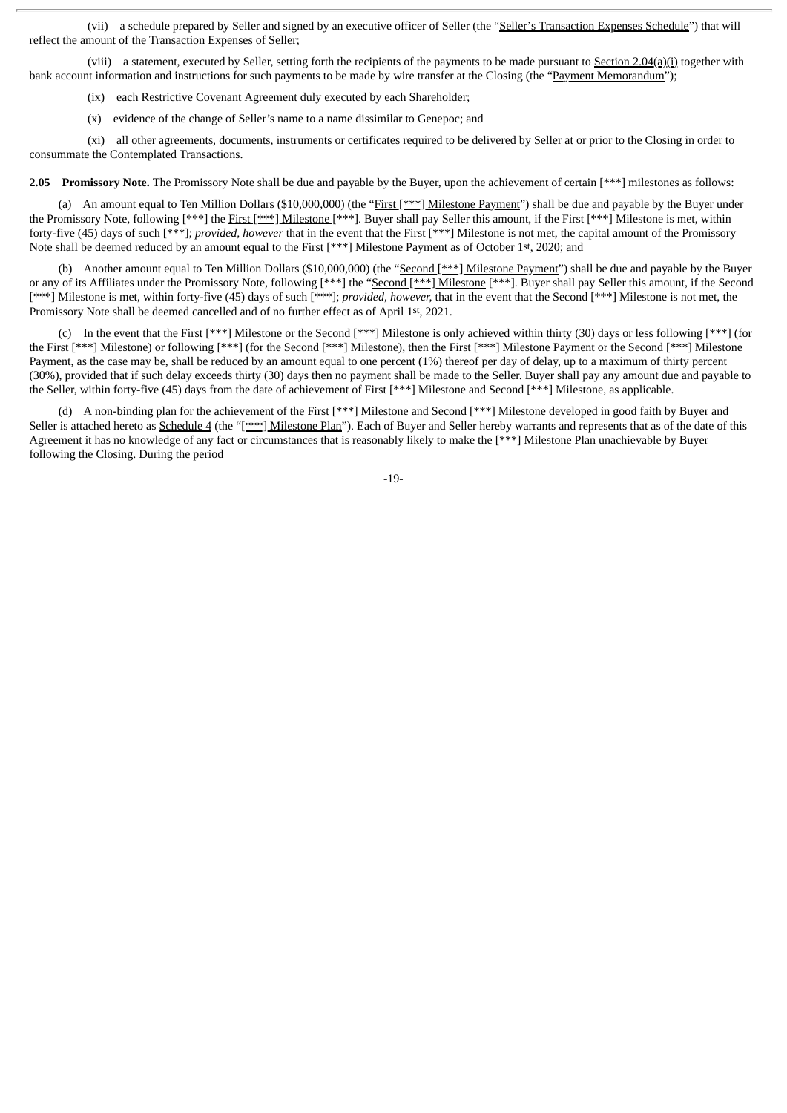(vii) a schedule prepared by Seller and signed by an executive officer of Seller (the "Seller's Transaction Expenses Schedule") that will reflect the amount of the Transaction Expenses of Seller;

(viii) a statement, executed by Seller, setting forth the recipients of the payments to be made pursuant to Section 2.04(a)(i) together with bank account information and instructions for such payments to be made by wire transfer at the Closing (the "Payment Memorandum");

- (ix) each Restrictive Covenant Agreement duly executed by each Shareholder;
- (x) evidence of the change of Seller's name to a name dissimilar to Genepoc; and

(xi) all other agreements, documents, instruments or certificates required to be delivered by Seller at or prior to the Closing in order to consummate the Contemplated Transactions.

**2.05 Promissory Note.** The Promissory Note shall be due and payable by the Buyer, upon the achievement of certain [\*\*\*] milestones as follows:

(a) An amount equal to Ten Million Dollars (\$10,000,000) (the "First [\*\*\*] Milestone Payment") shall be due and payable by the Buyer under the Promissory Note, following [\*\*\*] the First [\*\*\*] Milestone [\*\*\*]. Buyer shall pay Seller this amount, if the First [\*\*\*] Milestone is met, within forty-five (45) days of such [\*\*\*]; *provided, however* that in the event that the First [\*\*\*] Milestone is not met, the capital amount of the Promissory Note shall be deemed reduced by an amount equal to the First [\*\*\*] Milestone Payment as of October 1st, 2020; and

(b) Another amount equal to Ten Million Dollars (\$10,000,000) (the "Second [\*\*\*] Milestone Payment") shall be due and payable by the Buyer or any of its Affiliates under the Promissory Note, following [\*\*\*] the "Second [\*\*\*] Milestone [\*\*\*]. Buyer shall pay Seller this amount, if the Second [\*\*\*] Milestone is met, within forty-five (45) days of such [\*\*\*]; *provided, however,* that in the event that the Second [\*\*\*] Milestone is not met, the Promissory Note shall be deemed cancelled and of no further effect as of April 1st, 2021.

(c) In the event that the First [\*\*\*] Milestone or the Second [\*\*\*] Milestone is only achieved within thirty (30) days or less following [\*\*\*] (for the First [\*\*\*] Milestone) or following [\*\*\*] (for the Second [\*\*\*] Milestone), then the First [\*\*\*] Milestone Payment or the Second [\*\*\*] Milestone Payment, as the case may be, shall be reduced by an amount equal to one percent (1%) thereof per day of delay, up to a maximum of thirty percent (30%), provided that if such delay exceeds thirty (30) days then no payment shall be made to the Seller. Buyer shall pay any amount due and payable to the Seller, within forty-five (45) days from the date of achievement of First [\*\*\*] Milestone and Second [\*\*\*] Milestone, as applicable.

(d) A non-binding plan for the achievement of the First [\*\*\*] Milestone and Second [\*\*\*] Milestone developed in good faith by Buyer and Seller is attached hereto as Schedule 4 (the "[\*\*\*] Milestone Plan"). Each of Buyer and Seller hereby warrants and represents that as of the date of this Agreement it has no knowledge of any fact or circumstances that is reasonably likely to make the [\*\*\*] Milestone Plan unachievable by Buyer following the Closing. During the period

-19-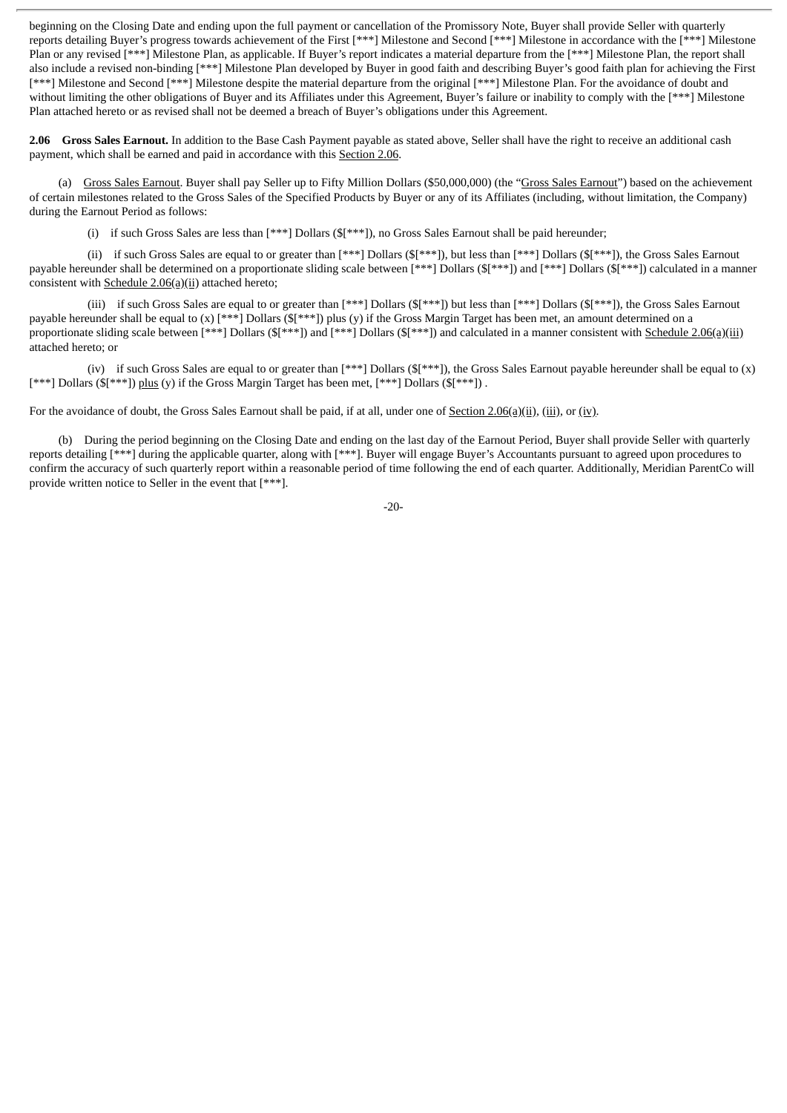beginning on the Closing Date and ending upon the full payment or cancellation of the Promissory Note, Buyer shall provide Seller with quarterly reports detailing Buyer's progress towards achievement of the First [\*\*\*] Milestone and Second [\*\*\*] Milestone in accordance with the [\*\*\*] Milestone Plan or any revised [\*\*\*] Milestone Plan, as applicable. If Buyer's report indicates a material departure from the [\*\*\*] Milestone Plan, the report shall also include a revised non-binding [\*\*\*] Milestone Plan developed by Buyer in good faith and describing Buyer's good faith plan for achieving the First [\*\*\*] Milestone and Second [\*\*\*] Milestone despite the material departure from the original [\*\*\*] Milestone Plan. For the avoidance of doubt and without limiting the other obligations of Buyer and its Affiliates under this Agreement, Buyer's failure or inability to comply with the [\*\*\*] Milestone Plan attached hereto or as revised shall not be deemed a breach of Buyer's obligations under this Agreement.

**2.06 Gross Sales Earnout.** In addition to the Base Cash Payment payable as stated above, Seller shall have the right to receive an additional cash payment, which shall be earned and paid in accordance with this Section 2.06.

(a) Gross Sales Earnout. Buyer shall pay Seller up to Fifty Million Dollars (\$50,000,000) (the "Gross Sales Earnout") based on the achievement of certain milestones related to the Gross Sales of the Specified Products by Buyer or any of its Affiliates (including, without limitation, the Company) during the Earnout Period as follows:

(i) if such Gross Sales are less than [\*\*\*] Dollars (\$[\*\*\*]), no Gross Sales Earnout shall be paid hereunder;

(ii) if such Gross Sales are equal to or greater than [\*\*\*] Dollars (\$[\*\*\*]), but less than [\*\*\*] Dollars (\$[\*\*\*]), the Gross Sales Earnout payable hereunder shall be determined on a proportionate sliding scale between [\*\*\*] Dollars (\$[\*\*\*]) and [\*\*\*] Dollars (\$[\*\*\*]) calculated in a manner consistent with Schedule 2.06(a)(ii) attached hereto;

(iii) if such Gross Sales are equal to or greater than [\*\*\*] Dollars (\$[\*\*\*]) but less than [\*\*\*] Dollars (\$[\*\*\*]), the Gross Sales Earnout payable hereunder shall be equal to (x)  $[***]$  Dollars (\$ $[***]$ ) plus (y) if the Gross Margin Target has been met, an amount determined on a proportionate sliding scale between  $[***]$  Dollars ( $\mathbb{S}$ [\*\*\*]) and [\*\*\*] Dollars ( $\mathbb{S}$ [\*\*\*]) and calculated in a manner consistent with Schedule 2.06(a)(iii) attached hereto; or

(iv) if such Gross Sales are equal to or greater than  $[***]$  Dollars ( $\frac{1}{2}$ [if \*\*\*]), the Gross Sales Earnout payable hereunder shall be equal to (x) [\*\*\*] Dollars (\$[\*\*\*]) plus (y) if the Gross Margin Target has been met, [\*\*\*] Dollars (\$[\*\*\*]).

For the avoidance of doubt, the Gross Sales Earnout shall be paid, if at all, under one of Section 2.06(a)(ii), (iii), or (iv).

(b) During the period beginning on the Closing Date and ending on the last day of the Earnout Period, Buyer shall provide Seller with quarterly reports detailing [\*\*\*] during the applicable quarter, along with [\*\*\*]. Buyer will engage Buyer's Accountants pursuant to agreed upon procedures to confirm the accuracy of such quarterly report within a reasonable period of time following the end of each quarter. Additionally, Meridian ParentCo will provide written notice to Seller in the event that [\*\*\*].

-20-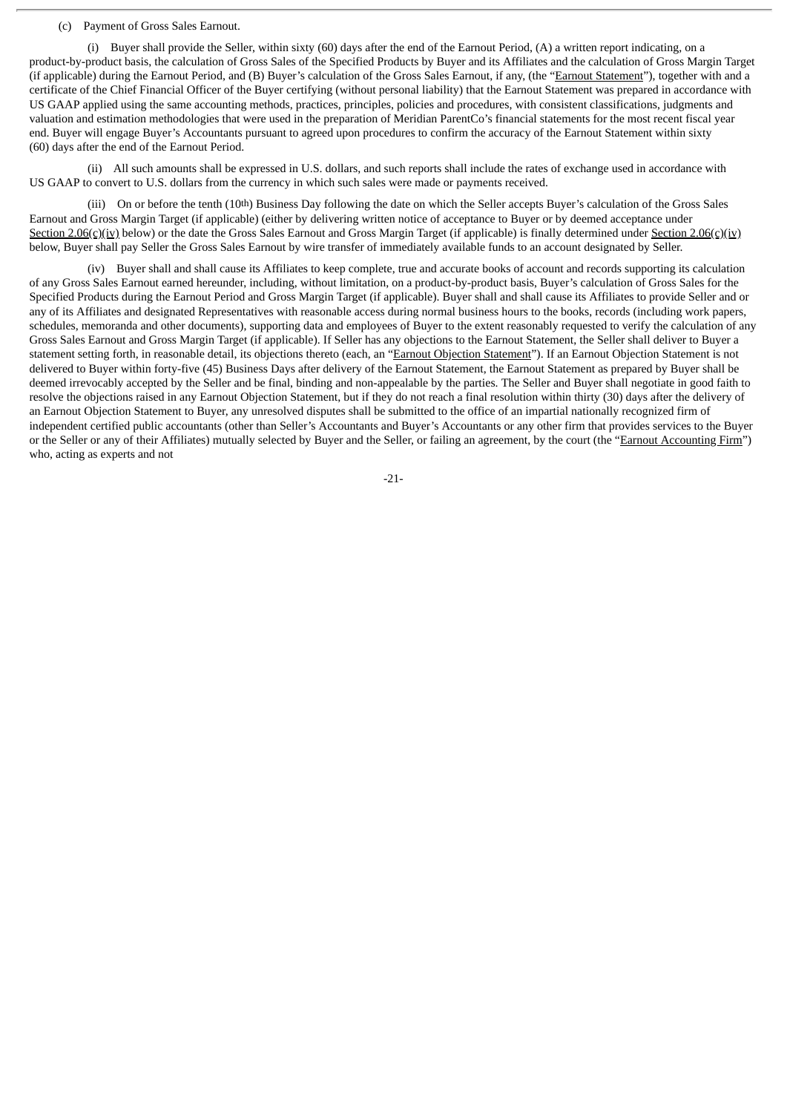## (c) Payment of Gross Sales Earnout.

(i) Buyer shall provide the Seller, within sixty (60) days after the end of the Earnout Period, (A) a written report indicating, on a product-by-product basis, the calculation of Gross Sales of the Specified Products by Buyer and its Affiliates and the calculation of Gross Margin Target (if applicable) during the Earnout Period, and (B) Buyer's calculation of the Gross Sales Earnout, if any, (the "Earnout Statement"), together with and a certificate of the Chief Financial Officer of the Buyer certifying (without personal liability) that the Earnout Statement was prepared in accordance with US GAAP applied using the same accounting methods, practices, principles, policies and procedures, with consistent classifications, judgments and valuation and estimation methodologies that were used in the preparation of Meridian ParentCo's financial statements for the most recent fiscal year end. Buyer will engage Buyer's Accountants pursuant to agreed upon procedures to confirm the accuracy of the Earnout Statement within sixty (60) days after the end of the Earnout Period.

(ii) All such amounts shall be expressed in U.S. dollars, and such reports shall include the rates of exchange used in accordance with US GAAP to convert to U.S. dollars from the currency in which such sales were made or payments received.

(iii) On or before the tenth (10th) Business Day following the date on which the Seller accepts Buyer's calculation of the Gross Sales Earnout and Gross Margin Target (if applicable) (either by delivering written notice of acceptance to Buyer or by deemed acceptance under Section 2.06(c)(iv) below) or the date the Gross Sales Earnout and Gross Margin Target (if applicable) is finally determined under Section 2.06(c)(iv) below, Buyer shall pay Seller the Gross Sales Earnout by wire transfer of immediately available funds to an account designated by Seller.

(iv) Buyer shall and shall cause its Affiliates to keep complete, true and accurate books of account and records supporting its calculation of any Gross Sales Earnout earned hereunder, including, without limitation, on a product-by-product basis, Buyer's calculation of Gross Sales for the Specified Products during the Earnout Period and Gross Margin Target (if applicable). Buyer shall and shall cause its Affiliates to provide Seller and or any of its Affiliates and designated Representatives with reasonable access during normal business hours to the books, records (including work papers, schedules, memoranda and other documents), supporting data and employees of Buyer to the extent reasonably requested to verify the calculation of any Gross Sales Earnout and Gross Margin Target (if applicable). If Seller has any objections to the Earnout Statement, the Seller shall deliver to Buyer a statement setting forth, in reasonable detail, its objections thereto (each, an "Earnout Objection Statement"). If an Earnout Objection Statement is not delivered to Buyer within forty-five (45) Business Days after delivery of the Earnout Statement, the Earnout Statement as prepared by Buyer shall be deemed irrevocably accepted by the Seller and be final, binding and non-appealable by the parties. The Seller and Buyer shall negotiate in good faith to resolve the objections raised in any Earnout Objection Statement, but if they do not reach a final resolution within thirty (30) days after the delivery of an Earnout Objection Statement to Buyer, any unresolved disputes shall be submitted to the office of an impartial nationally recognized firm of independent certified public accountants (other than Seller's Accountants and Buyer's Accountants or any other firm that provides services to the Buyer or the Seller or any of their Affiliates) mutually selected by Buyer and the Seller, or failing an agreement, by the court (the "Earnout Accounting Firm") who, acting as experts and not

-21-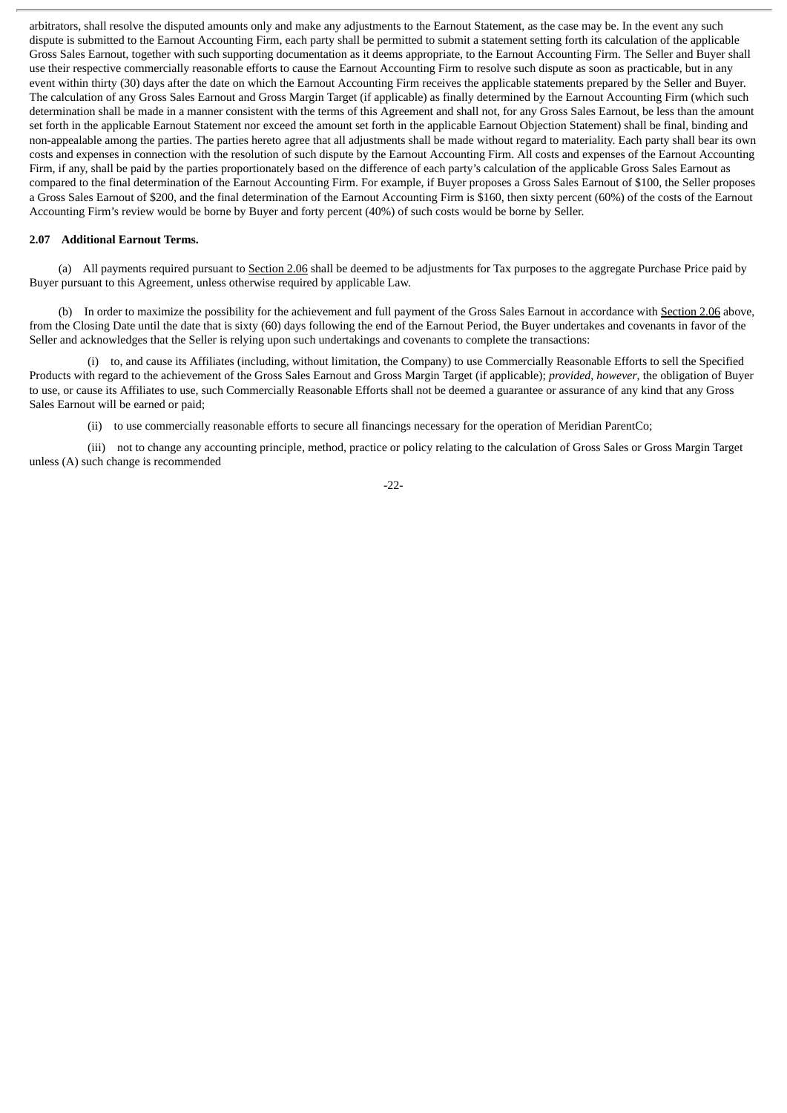arbitrators, shall resolve the disputed amounts only and make any adjustments to the Earnout Statement, as the case may be. In the event any such dispute is submitted to the Earnout Accounting Firm, each party shall be permitted to submit a statement setting forth its calculation of the applicable Gross Sales Earnout, together with such supporting documentation as it deems appropriate, to the Earnout Accounting Firm. The Seller and Buyer shall use their respective commercially reasonable efforts to cause the Earnout Accounting Firm to resolve such dispute as soon as practicable, but in any event within thirty (30) days after the date on which the Earnout Accounting Firm receives the applicable statements prepared by the Seller and Buyer. The calculation of any Gross Sales Earnout and Gross Margin Target (if applicable) as finally determined by the Earnout Accounting Firm (which such determination shall be made in a manner consistent with the terms of this Agreement and shall not, for any Gross Sales Earnout, be less than the amount set forth in the applicable Earnout Statement nor exceed the amount set forth in the applicable Earnout Objection Statement) shall be final, binding and non-appealable among the parties. The parties hereto agree that all adjustments shall be made without regard to materiality. Each party shall bear its own costs and expenses in connection with the resolution of such dispute by the Earnout Accounting Firm. All costs and expenses of the Earnout Accounting Firm, if any, shall be paid by the parties proportionately based on the difference of each party's calculation of the applicable Gross Sales Earnout as compared to the final determination of the Earnout Accounting Firm. For example, if Buyer proposes a Gross Sales Earnout of \$100, the Seller proposes a Gross Sales Earnout of \$200, and the final determination of the Earnout Accounting Firm is \$160, then sixty percent (60%) of the costs of the Earnout Accounting Firm's review would be borne by Buyer and forty percent (40%) of such costs would be borne by Seller.

## **2.07 Additional Earnout Terms.**

(a) All payments required pursuant to Section 2.06 shall be deemed to be adjustments for Tax purposes to the aggregate Purchase Price paid by Buyer pursuant to this Agreement, unless otherwise required by applicable Law.

(b) In order to maximize the possibility for the achievement and full payment of the Gross Sales Earnout in accordance with Section 2.06 above, from the Closing Date until the date that is sixty (60) days following the end of the Earnout Period, the Buyer undertakes and covenants in favor of the Seller and acknowledges that the Seller is relying upon such undertakings and covenants to complete the transactions:

(i) to, and cause its Affiliates (including, without limitation, the Company) to use Commercially Reasonable Efforts to sell the Specified Products with regard to the achievement of the Gross Sales Earnout and Gross Margin Target (if applicable); *provided*, *however*, the obligation of Buyer to use, or cause its Affiliates to use, such Commercially Reasonable Efforts shall not be deemed a guarantee or assurance of any kind that any Gross Sales Earnout will be earned or paid;

(ii) to use commercially reasonable efforts to secure all financings necessary for the operation of Meridian ParentCo;

(iii) not to change any accounting principle, method, practice or policy relating to the calculation of Gross Sales or Gross Margin Target unless (A) such change is recommended

-22-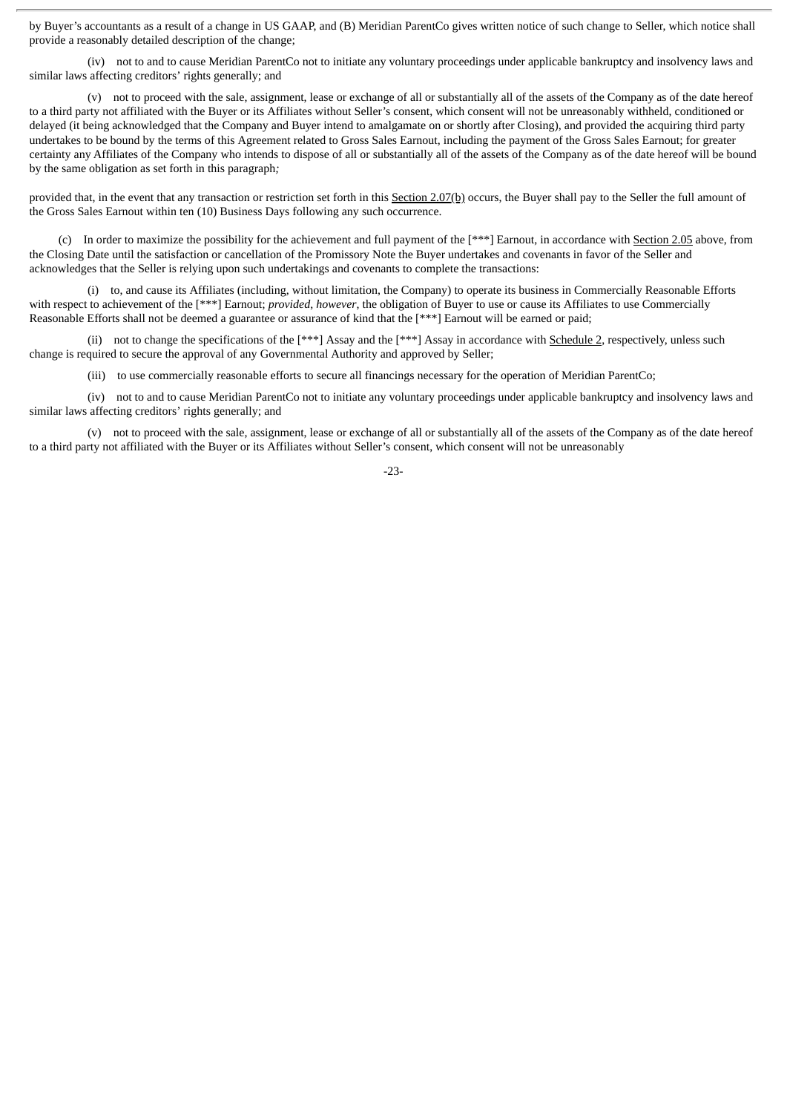by Buyer's accountants as a result of a change in US GAAP, and (B) Meridian ParentCo gives written notice of such change to Seller, which notice shall provide a reasonably detailed description of the change;

(iv) not to and to cause Meridian ParentCo not to initiate any voluntary proceedings under applicable bankruptcy and insolvency laws and similar laws affecting creditors' rights generally; and

(v) not to proceed with the sale, assignment, lease or exchange of all or substantially all of the assets of the Company as of the date hereof to a third party not affiliated with the Buyer or its Affiliates without Seller's consent, which consent will not be unreasonably withheld, conditioned or delayed (it being acknowledged that the Company and Buyer intend to amalgamate on or shortly after Closing), and provided the acquiring third party undertakes to be bound by the terms of this Agreement related to Gross Sales Earnout, including the payment of the Gross Sales Earnout; for greater certainty any Affiliates of the Company who intends to dispose of all or substantially all of the assets of the Company as of the date hereof will be bound by the same obligation as set forth in this paragraph*;*

provided that, in the event that any transaction or restriction set forth in this Section 2.07(b) occurs, the Buyer shall pay to the Seller the full amount of the Gross Sales Earnout within ten (10) Business Days following any such occurrence.

(c) In order to maximize the possibility for the achievement and full payment of the [\*\*\*] Earnout, in accordance with Section 2.05 above, from the Closing Date until the satisfaction or cancellation of the Promissory Note the Buyer undertakes and covenants in favor of the Seller and acknowledges that the Seller is relying upon such undertakings and covenants to complete the transactions:

(i) to, and cause its Affiliates (including, without limitation, the Company) to operate its business in Commercially Reasonable Efforts with respect to achievement of the [\*\*\*] Earnout; *provided*, *however*, the obligation of Buyer to use or cause its Affiliates to use Commercially Reasonable Efforts shall not be deemed a guarantee or assurance of kind that the [\*\*\*] Earnout will be earned or paid;

(ii) not to change the specifications of the [\*\*\*] Assay and the [\*\*\*] Assay in accordance with **Schedule 2**, respectively, unless such change is required to secure the approval of any Governmental Authority and approved by Seller;

(iii) to use commercially reasonable efforts to secure all financings necessary for the operation of Meridian ParentCo;

(iv) not to and to cause Meridian ParentCo not to initiate any voluntary proceedings under applicable bankruptcy and insolvency laws and similar laws affecting creditors' rights generally; and

(v) not to proceed with the sale, assignment, lease or exchange of all or substantially all of the assets of the Company as of the date hereof to a third party not affiliated with the Buyer or its Affiliates without Seller's consent, which consent will not be unreasonably

-23-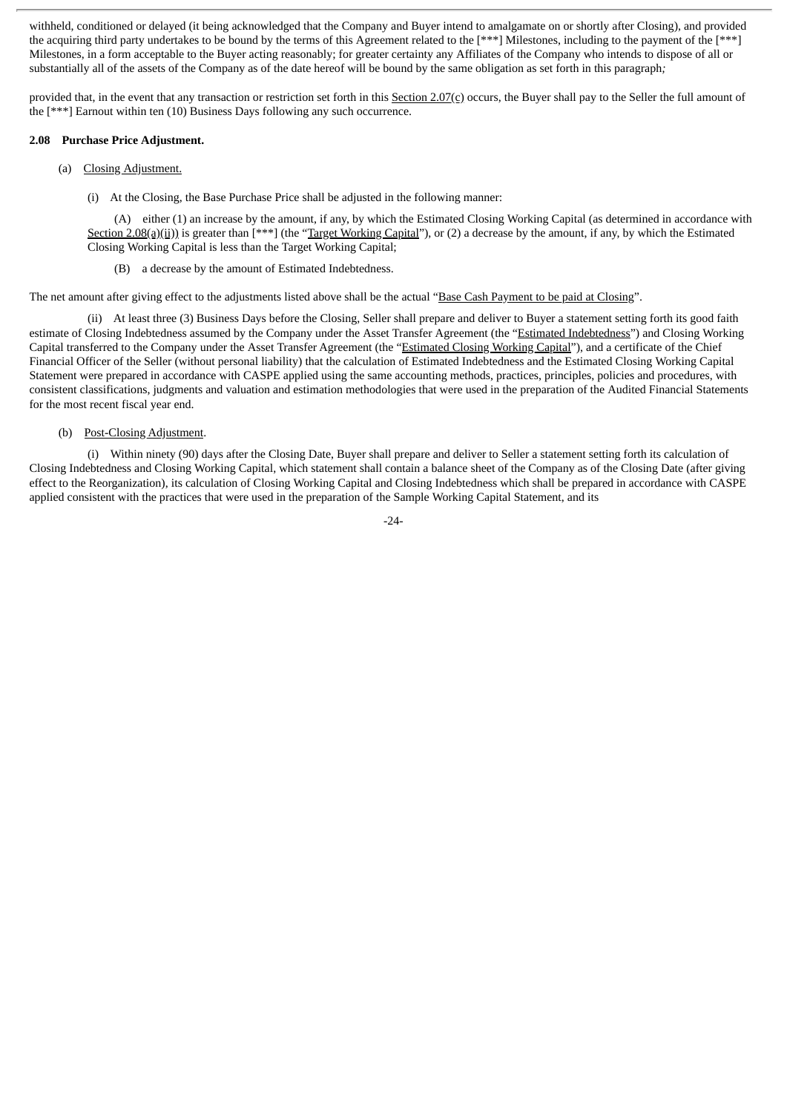withheld, conditioned or delayed (it being acknowledged that the Company and Buyer intend to amalgamate on or shortly after Closing), and provided the acquiring third party undertakes to be bound by the terms of this Agreement related to the [\*\*\*] Milestones, including to the payment of the [\*\*\*] Milestones, in a form acceptable to the Buyer acting reasonably; for greater certainty any Affiliates of the Company who intends to dispose of all or substantially all of the assets of the Company as of the date hereof will be bound by the same obligation as set forth in this paragraph*;*

provided that, in the event that any transaction or restriction set forth in this Section 2.07(c) occurs, the Buyer shall pay to the Seller the full amount of the [\*\*\*] Earnout within ten (10) Business Days following any such occurrence.

### **2.08 Purchase Price Adjustment.**

- (a) Closing Adjustment.
	- (i) At the Closing, the Base Purchase Price shall be adjusted in the following manner:

(A) either (1) an increase by the amount, if any, by which the Estimated Closing Working Capital (as determined in accordance with Section 2.08(a)(ii)) is greater than  $[***]$  (the "Target Working Capital"), or (2) a decrease by the amount, if any, by which the Estimated Closing Working Capital is less than the Target Working Capital;

(B) a decrease by the amount of Estimated Indebtedness.

The net amount after giving effect to the adjustments listed above shall be the actual "Base Cash Payment to be paid at Closing".

(ii) At least three (3) Business Days before the Closing, Seller shall prepare and deliver to Buyer a statement setting forth its good faith estimate of Closing Indebtedness assumed by the Company under the Asset Transfer Agreement (the "Estimated Indebtedness") and Closing Working Capital transferred to the Company under the Asset Transfer Agreement (the "Estimated Closing Working Capital"), and a certificate of the Chief Financial Officer of the Seller (without personal liability) that the calculation of Estimated Indebtedness and the Estimated Closing Working Capital Statement were prepared in accordance with CASPE applied using the same accounting methods, practices, principles, policies and procedures, with consistent classifications, judgments and valuation and estimation methodologies that were used in the preparation of the Audited Financial Statements for the most recent fiscal year end.

(b) Post-Closing Adjustment.

(i) Within ninety (90) days after the Closing Date, Buyer shall prepare and deliver to Seller a statement setting forth its calculation of Closing Indebtedness and Closing Working Capital, which statement shall contain a balance sheet of the Company as of the Closing Date (after giving effect to the Reorganization), its calculation of Closing Working Capital and Closing Indebtedness which shall be prepared in accordance with CASPE applied consistent with the practices that were used in the preparation of the Sample Working Capital Statement, and its

 $-24$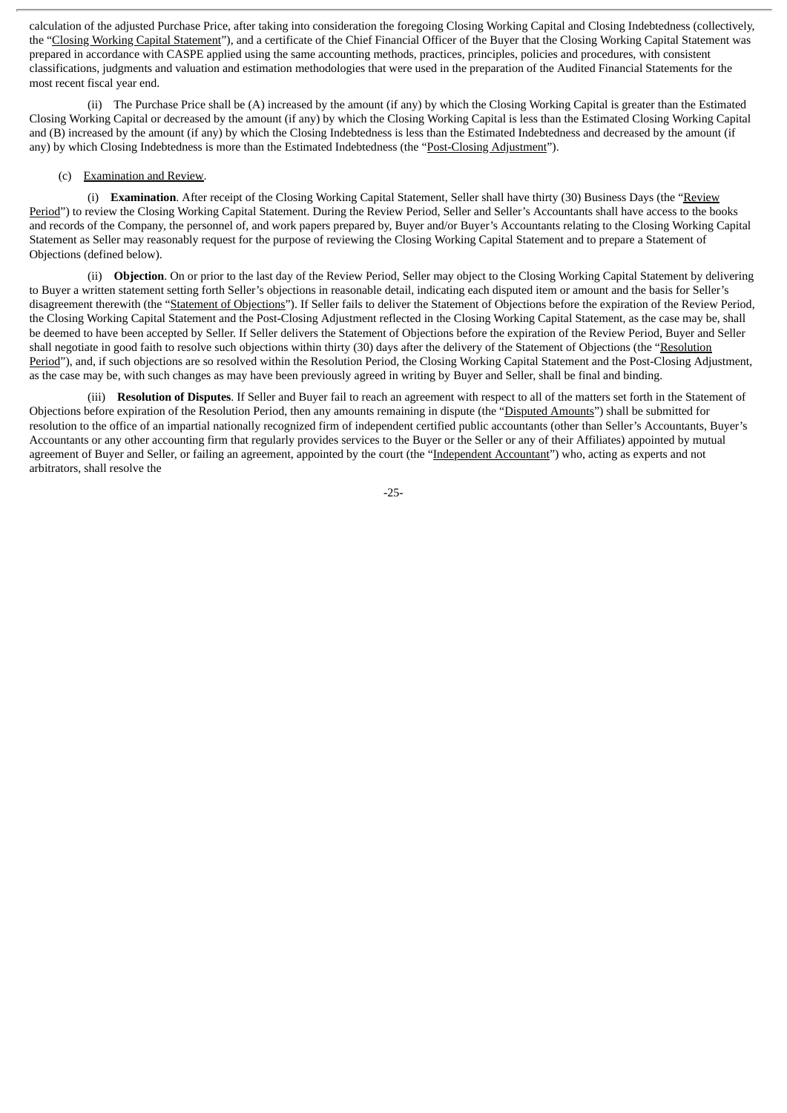calculation of the adjusted Purchase Price, after taking into consideration the foregoing Closing Working Capital and Closing Indebtedness (collectively, the "Closing Working Capital Statement"), and a certificate of the Chief Financial Officer of the Buyer that the Closing Working Capital Statement was prepared in accordance with CASPE applied using the same accounting methods, practices, principles, policies and procedures, with consistent classifications, judgments and valuation and estimation methodologies that were used in the preparation of the Audited Financial Statements for the most recent fiscal year end.

(ii) The Purchase Price shall be (A) increased by the amount (if any) by which the Closing Working Capital is greater than the Estimated Closing Working Capital or decreased by the amount (if any) by which the Closing Working Capital is less than the Estimated Closing Working Capital and (B) increased by the amount (if any) by which the Closing Indebtedness is less than the Estimated Indebtedness and decreased by the amount (if any) by which Closing Indebtedness is more than the Estimated Indebtedness (the "Post-Closing Adjustment").

# (c) Examination and Review.

(i) **Examination**. After receipt of the Closing Working Capital Statement, Seller shall have thirty (30) Business Days (the "Review Period") to review the Closing Working Capital Statement. During the Review Period, Seller and Seller's Accountants shall have access to the books and records of the Company, the personnel of, and work papers prepared by, Buyer and/or Buyer's Accountants relating to the Closing Working Capital Statement as Seller may reasonably request for the purpose of reviewing the Closing Working Capital Statement and to prepare a Statement of Objections (defined below).

(ii) **Objection**. On or prior to the last day of the Review Period, Seller may object to the Closing Working Capital Statement by delivering to Buyer a written statement setting forth Seller's objections in reasonable detail, indicating each disputed item or amount and the basis for Seller's disagreement therewith (the "Statement of Objections"). If Seller fails to deliver the Statement of Objections before the expiration of the Review Period, the Closing Working Capital Statement and the Post-Closing Adjustment reflected in the Closing Working Capital Statement, as the case may be, shall be deemed to have been accepted by Seller. If Seller delivers the Statement of Objections before the expiration of the Review Period, Buyer and Seller shall negotiate in good faith to resolve such objections within thirty (30) days after the delivery of the Statement of Objections (the "Resolution Period"), and, if such objections are so resolved within the Resolution Period, the Closing Working Capital Statement and the Post-Closing Adjustment, as the case may be, with such changes as may have been previously agreed in writing by Buyer and Seller, shall be final and binding.

(iii) **Resolution of Disputes**. If Seller and Buyer fail to reach an agreement with respect to all of the matters set forth in the Statement of Objections before expiration of the Resolution Period, then any amounts remaining in dispute (the "Disputed Amounts") shall be submitted for resolution to the office of an impartial nationally recognized firm of independent certified public accountants (other than Seller's Accountants, Buyer's Accountants or any other accounting firm that regularly provides services to the Buyer or the Seller or any of their Affiliates) appointed by mutual agreement of Buyer and Seller, or failing an agreement, appointed by the court (the "Independent Accountant") who, acting as experts and not arbitrators, shall resolve the

-25-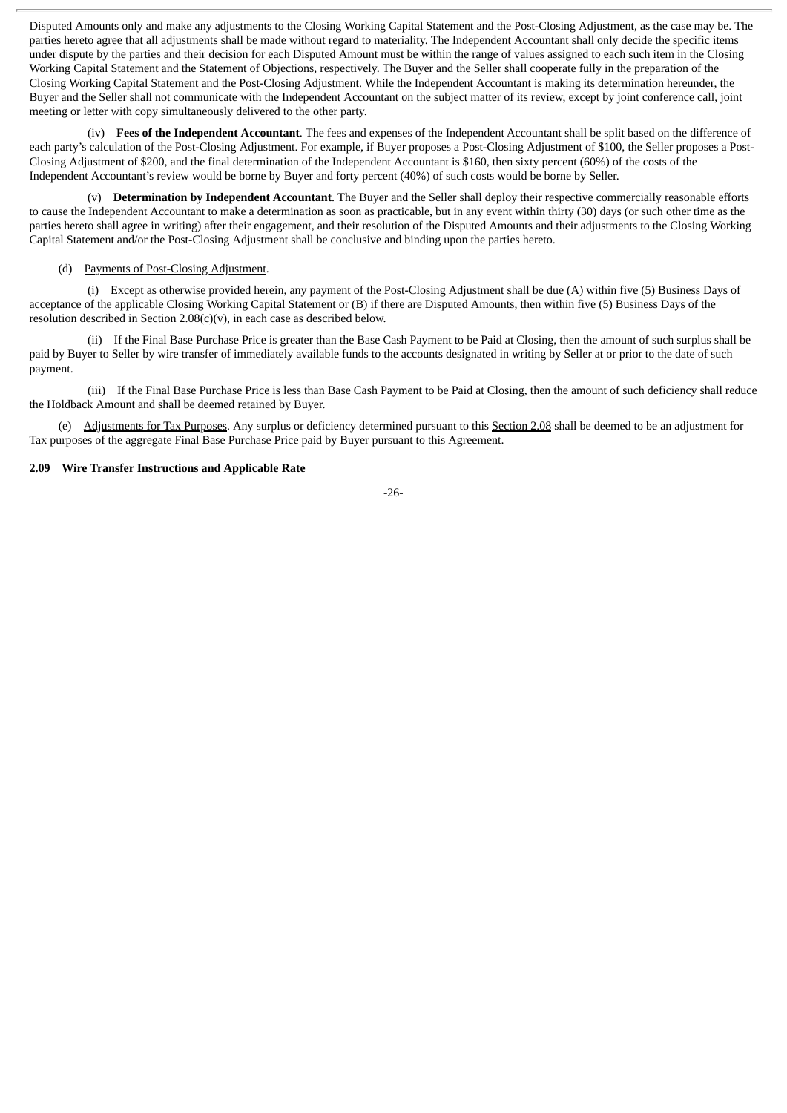Disputed Amounts only and make any adjustments to the Closing Working Capital Statement and the Post-Closing Adjustment, as the case may be. The parties hereto agree that all adjustments shall be made without regard to materiality. The Independent Accountant shall only decide the specific items under dispute by the parties and their decision for each Disputed Amount must be within the range of values assigned to each such item in the Closing Working Capital Statement and the Statement of Objections, respectively. The Buyer and the Seller shall cooperate fully in the preparation of the Closing Working Capital Statement and the Post-Closing Adjustment. While the Independent Accountant is making its determination hereunder, the Buyer and the Seller shall not communicate with the Independent Accountant on the subject matter of its review, except by joint conference call, joint meeting or letter with copy simultaneously delivered to the other party.

(iv) **Fees of the Independent Accountant**. The fees and expenses of the Independent Accountant shall be split based on the difference of each party's calculation of the Post-Closing Adjustment. For example, if Buyer proposes a Post-Closing Adjustment of \$100, the Seller proposes a Post-Closing Adjustment of \$200, and the final determination of the Independent Accountant is \$160, then sixty percent (60%) of the costs of the Independent Accountant's review would be borne by Buyer and forty percent (40%) of such costs would be borne by Seller.

(v) **Determination by Independent Accountant**. The Buyer and the Seller shall deploy their respective commercially reasonable efforts to cause the Independent Accountant to make a determination as soon as practicable, but in any event within thirty (30) days (or such other time as the parties hereto shall agree in writing) after their engagement, and their resolution of the Disputed Amounts and their adjustments to the Closing Working Capital Statement and/or the Post-Closing Adjustment shall be conclusive and binding upon the parties hereto.

## (d) Payments of Post-Closing Adjustment.

(i) Except as otherwise provided herein, any payment of the Post-Closing Adjustment shall be due (A) within five (5) Business Days of acceptance of the applicable Closing Working Capital Statement or (B) if there are Disputed Amounts, then within five (5) Business Days of the resolution described in Section 2.08(c)(v), in each case as described below.

(ii) If the Final Base Purchase Price is greater than the Base Cash Payment to be Paid at Closing, then the amount of such surplus shall be paid by Buyer to Seller by wire transfer of immediately available funds to the accounts designated in writing by Seller at or prior to the date of such payment.

(iii) If the Final Base Purchase Price is less than Base Cash Payment to be Paid at Closing, then the amount of such deficiency shall reduce the Holdback Amount and shall be deemed retained by Buyer.

(e) Adjustments for Tax Purposes. Any surplus or deficiency determined pursuant to this Section 2.08 shall be deemed to be an adjustment for Tax purposes of the aggregate Final Base Purchase Price paid by Buyer pursuant to this Agreement.

# **2.09 Wire Transfer Instructions and Applicable Rate**

-26-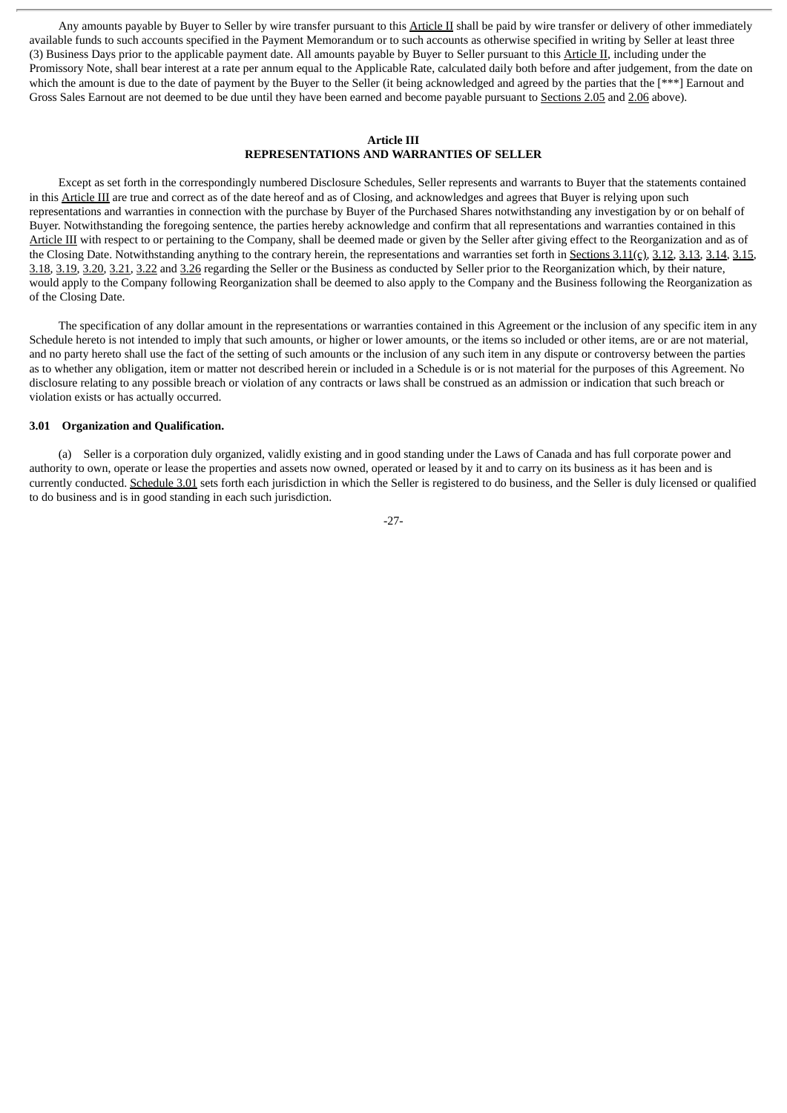Any amounts payable by Buyer to Seller by wire transfer pursuant to this Article II shall be paid by wire transfer or delivery of other immediately available funds to such accounts specified in the Payment Memorandum or to such accounts as otherwise specified in writing by Seller at least three (3) Business Days prior to the applicable payment date. All amounts payable by Buyer to Seller pursuant to this Article II, including under the Promissory Note, shall bear interest at a rate per annum equal to the Applicable Rate, calculated daily both before and after judgement, from the date on which the amount is due to the date of payment by the Buyer to the Seller (it being acknowledged and agreed by the parties that the [\*\*\*] Earnout and Gross Sales Earnout are not deemed to be due until they have been earned and become payable pursuant to Sections 2.05 and 2.06 above).

## **Article III REPRESENTATIONS AND WARRANTIES OF SELLER**

Except as set forth in the correspondingly numbered Disclosure Schedules, Seller represents and warrants to Buyer that the statements contained in this Article III are true and correct as of the date hereof and as of Closing, and acknowledges and agrees that Buyer is relying upon such representations and warranties in connection with the purchase by Buyer of the Purchased Shares notwithstanding any investigation by or on behalf of Buyer. Notwithstanding the foregoing sentence, the parties hereby acknowledge and confirm that all representations and warranties contained in this Article III with respect to or pertaining to the Company, shall be deemed made or given by the Seller after giving effect to the Reorganization and as of the Closing Date. Notwithstanding anything to the contrary herein, the representations and warranties set forth in Sections  $3.11(c)$ ,  $3.12$ ,  $3.13$ ,  $3.14$ ,  $3.15$ , 3.18, 3.19, 3.20, 3.21, 3.22 and 3.26 regarding the Seller or the Business as conducted by Seller prior to the Reorganization which, by their nature, would apply to the Company following Reorganization shall be deemed to also apply to the Company and the Business following the Reorganization as of the Closing Date.

The specification of any dollar amount in the representations or warranties contained in this Agreement or the inclusion of any specific item in any Schedule hereto is not intended to imply that such amounts, or higher or lower amounts, or the items so included or other items, are or are not material, and no party hereto shall use the fact of the setting of such amounts or the inclusion of any such item in any dispute or controversy between the parties as to whether any obligation, item or matter not described herein or included in a Schedule is or is not material for the purposes of this Agreement. No disclosure relating to any possible breach or violation of any contracts or laws shall be construed as an admission or indication that such breach or violation exists or has actually occurred.

# **3.01 Organization and Qualification.**

(a) Seller is a corporation duly organized, validly existing and in good standing under the Laws of Canada and has full corporate power and authority to own, operate or lease the properties and assets now owned, operated or leased by it and to carry on its business as it has been and is currently conducted. Schedule 3.01 sets forth each jurisdiction in which the Seller is registered to do business, and the Seller is duly licensed or qualified to do business and is in good standing in each such jurisdiction.

-27-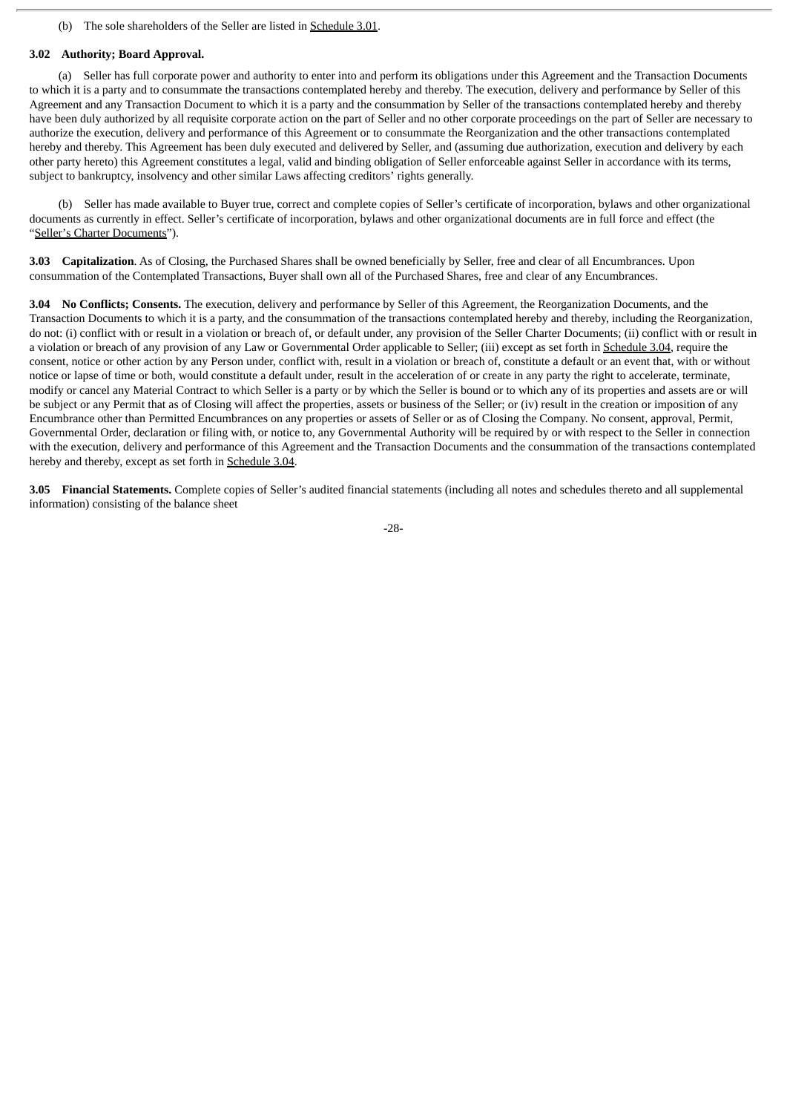# (b) The sole shareholders of the Seller are listed in Schedule 3.01.

# **3.02 Authority; Board Approval.**

(a) Seller has full corporate power and authority to enter into and perform its obligations under this Agreement and the Transaction Documents to which it is a party and to consummate the transactions contemplated hereby and thereby. The execution, delivery and performance by Seller of this Agreement and any Transaction Document to which it is a party and the consummation by Seller of the transactions contemplated hereby and thereby have been duly authorized by all requisite corporate action on the part of Seller and no other corporate proceedings on the part of Seller are necessary to authorize the execution, delivery and performance of this Agreement or to consummate the Reorganization and the other transactions contemplated hereby and thereby. This Agreement has been duly executed and delivered by Seller, and (assuming due authorization, execution and delivery by each other party hereto) this Agreement constitutes a legal, valid and binding obligation of Seller enforceable against Seller in accordance with its terms, subject to bankruptcy, insolvency and other similar Laws affecting creditors' rights generally.

(b) Seller has made available to Buyer true, correct and complete copies of Seller's certificate of incorporation, bylaws and other organizational documents as currently in effect. Seller's certificate of incorporation, bylaws and other organizational documents are in full force and effect (the "Seller's Charter Documents").

**3.03 Capitalization**. As of Closing, the Purchased Shares shall be owned beneficially by Seller, free and clear of all Encumbrances. Upon consummation of the Contemplated Transactions, Buyer shall own all of the Purchased Shares, free and clear of any Encumbrances.

**3.04 No Conflicts; Consents.** The execution, delivery and performance by Seller of this Agreement, the Reorganization Documents, and the Transaction Documents to which it is a party, and the consummation of the transactions contemplated hereby and thereby, including the Reorganization, do not: (i) conflict with or result in a violation or breach of, or default under, any provision of the Seller Charter Documents; (ii) conflict with or result in a violation or breach of any provision of any Law or Governmental Order applicable to Seller; (iii) except as set forth in Schedule 3.04, require the consent, notice or other action by any Person under, conflict with, result in a violation or breach of, constitute a default or an event that, with or without notice or lapse of time or both, would constitute a default under, result in the acceleration of or create in any party the right to accelerate, terminate, modify or cancel any Material Contract to which Seller is a party or by which the Seller is bound or to which any of its properties and assets are or will be subject or any Permit that as of Closing will affect the properties, assets or business of the Seller; or (iv) result in the creation or imposition of any Encumbrance other than Permitted Encumbrances on any properties or assets of Seller or as of Closing the Company. No consent, approval, Permit, Governmental Order, declaration or filing with, or notice to, any Governmental Authority will be required by or with respect to the Seller in connection with the execution, delivery and performance of this Agreement and the Transaction Documents and the consummation of the transactions contemplated hereby and thereby, except as set forth in Schedule 3.04.

**3.05 Financial Statements.** Complete copies of Seller's audited financial statements (including all notes and schedules thereto and all supplemental information) consisting of the balance sheet

-28-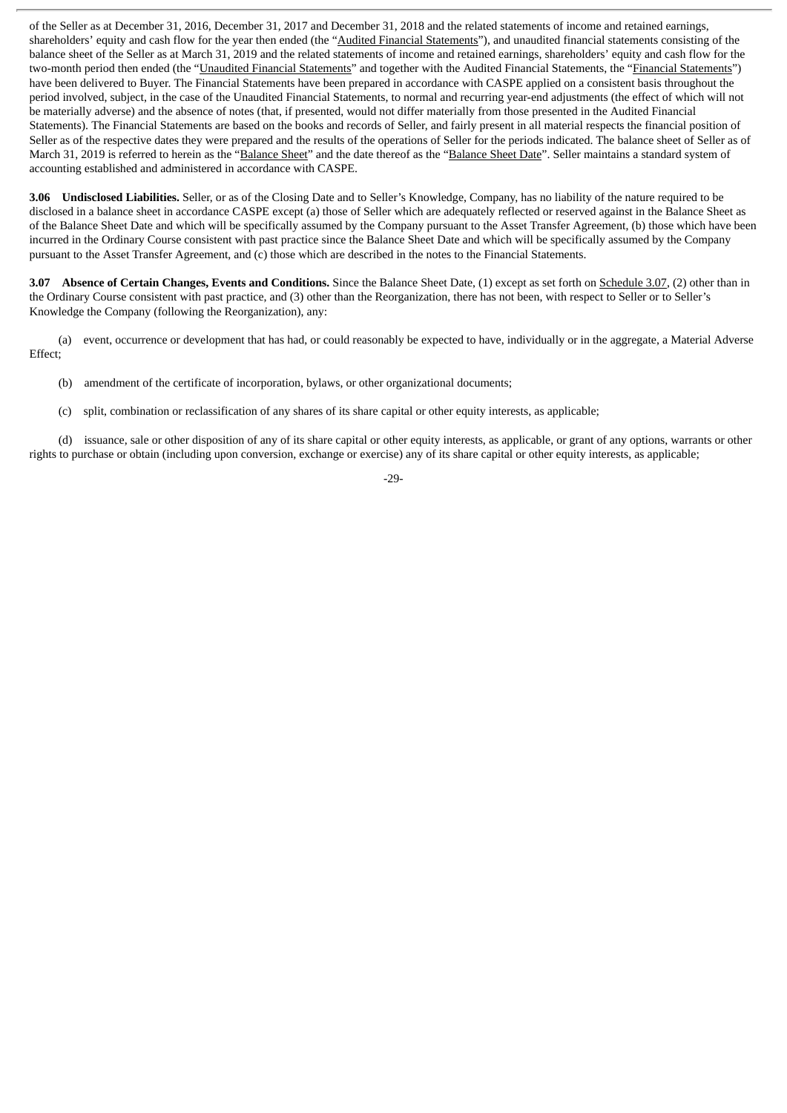of the Seller as at December 31, 2016, December 31, 2017 and December 31, 2018 and the related statements of income and retained earnings, shareholders' equity and cash flow for the year then ended (the "Audited Financial Statements"), and unaudited financial statements consisting of the balance sheet of the Seller as at March 31, 2019 and the related statements of income and retained earnings, shareholders' equity and cash flow for the two-month period then ended (the "Unaudited Financial Statements" and together with the Audited Financial Statements, the "Financial Statements") have been delivered to Buyer. The Financial Statements have been prepared in accordance with CASPE applied on a consistent basis throughout the period involved, subject, in the case of the Unaudited Financial Statements, to normal and recurring year-end adjustments (the effect of which will not be materially adverse) and the absence of notes (that, if presented, would not differ materially from those presented in the Audited Financial Statements). The Financial Statements are based on the books and records of Seller, and fairly present in all material respects the financial position of Seller as of the respective dates they were prepared and the results of the operations of Seller for the periods indicated. The balance sheet of Seller as of March 31, 2019 is referred to herein as the "Balance Sheet" and the date thereof as the "Balance Sheet Date". Seller maintains a standard system of accounting established and administered in accordance with CASPE.

**3.06 Undisclosed Liabilities.** Seller, or as of the Closing Date and to Seller's Knowledge, Company, has no liability of the nature required to be disclosed in a balance sheet in accordance CASPE except (a) those of Seller which are adequately reflected or reserved against in the Balance Sheet as of the Balance Sheet Date and which will be specifically assumed by the Company pursuant to the Asset Transfer Agreement, (b) those which have been incurred in the Ordinary Course consistent with past practice since the Balance Sheet Date and which will be specifically assumed by the Company pursuant to the Asset Transfer Agreement, and (c) those which are described in the notes to the Financial Statements.

**3.07 Absence of Certain Changes, Events and Conditions.** Since the Balance Sheet Date, (1) except as set forth on Schedule 3.07, (2) other than in the Ordinary Course consistent with past practice, and (3) other than the Reorganization, there has not been, with respect to Seller or to Seller's Knowledge the Company (following the Reorganization), any:

(a) event, occurrence or development that has had, or could reasonably be expected to have, individually or in the aggregate, a Material Adverse Effect;

- (b) amendment of the certificate of incorporation, bylaws, or other organizational documents;
- (c) split, combination or reclassification of any shares of its share capital or other equity interests, as applicable;

(d) issuance, sale or other disposition of any of its share capital or other equity interests, as applicable, or grant of any options, warrants or other rights to purchase or obtain (including upon conversion, exchange or exercise) any of its share capital or other equity interests, as applicable;

-29-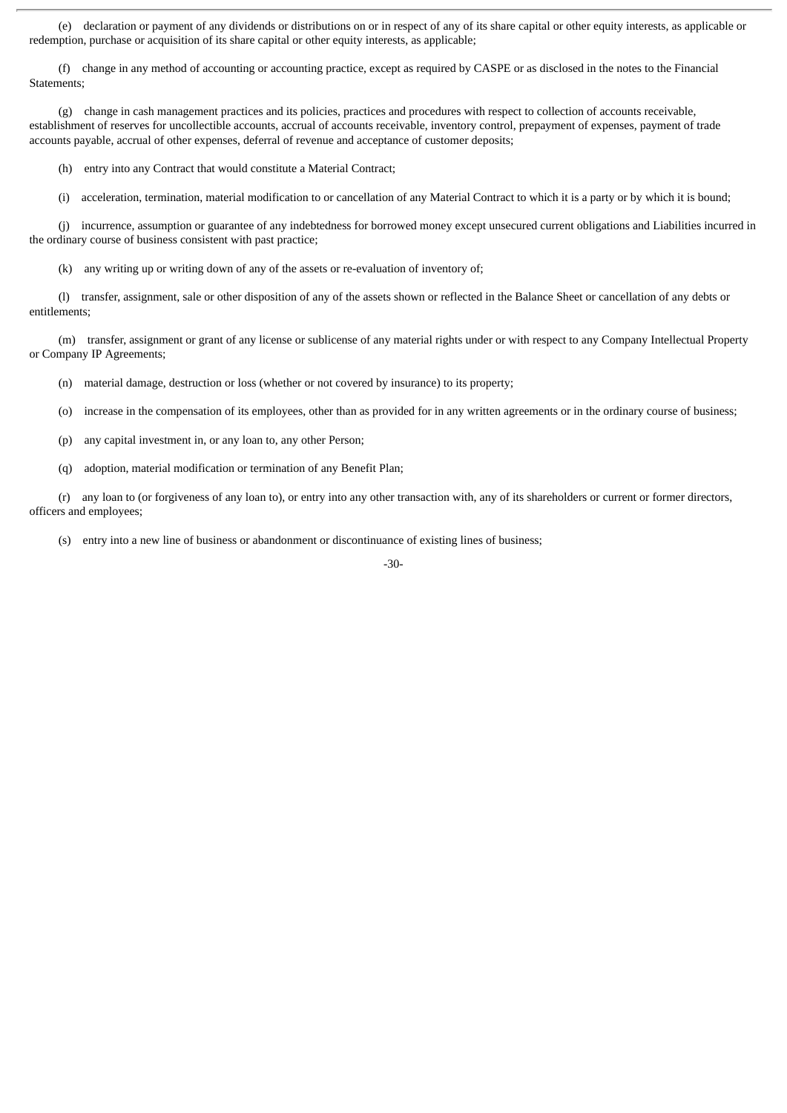(e) declaration or payment of any dividends or distributions on or in respect of any of its share capital or other equity interests, as applicable or redemption, purchase or acquisition of its share capital or other equity interests, as applicable;

(f) change in any method of accounting or accounting practice, except as required by CASPE or as disclosed in the notes to the Financial Statements;

(g) change in cash management practices and its policies, practices and procedures with respect to collection of accounts receivable, establishment of reserves for uncollectible accounts, accrual of accounts receivable, inventory control, prepayment of expenses, payment of trade accounts payable, accrual of other expenses, deferral of revenue and acceptance of customer deposits;

- (h) entry into any Contract that would constitute a Material Contract;
- (i) acceleration, termination, material modification to or cancellation of any Material Contract to which it is a party or by which it is bound;

(j) incurrence, assumption or guarantee of any indebtedness for borrowed money except unsecured current obligations and Liabilities incurred in the ordinary course of business consistent with past practice;

(k) any writing up or writing down of any of the assets or re-evaluation of inventory of;

(l) transfer, assignment, sale or other disposition of any of the assets shown or reflected in the Balance Sheet or cancellation of any debts or entitlements;

(m) transfer, assignment or grant of any license or sublicense of any material rights under or with respect to any Company Intellectual Property or Company IP Agreements;

- (n) material damage, destruction or loss (whether or not covered by insurance) to its property;
- (o) increase in the compensation of its employees, other than as provided for in any written agreements or in the ordinary course of business;
- (p) any capital investment in, or any loan to, any other Person;
- (q) adoption, material modification or termination of any Benefit Plan;

(r) any loan to (or forgiveness of any loan to), or entry into any other transaction with, any of its shareholders or current or former directors, officers and employees;

(s) entry into a new line of business or abandonment or discontinuance of existing lines of business;

-30-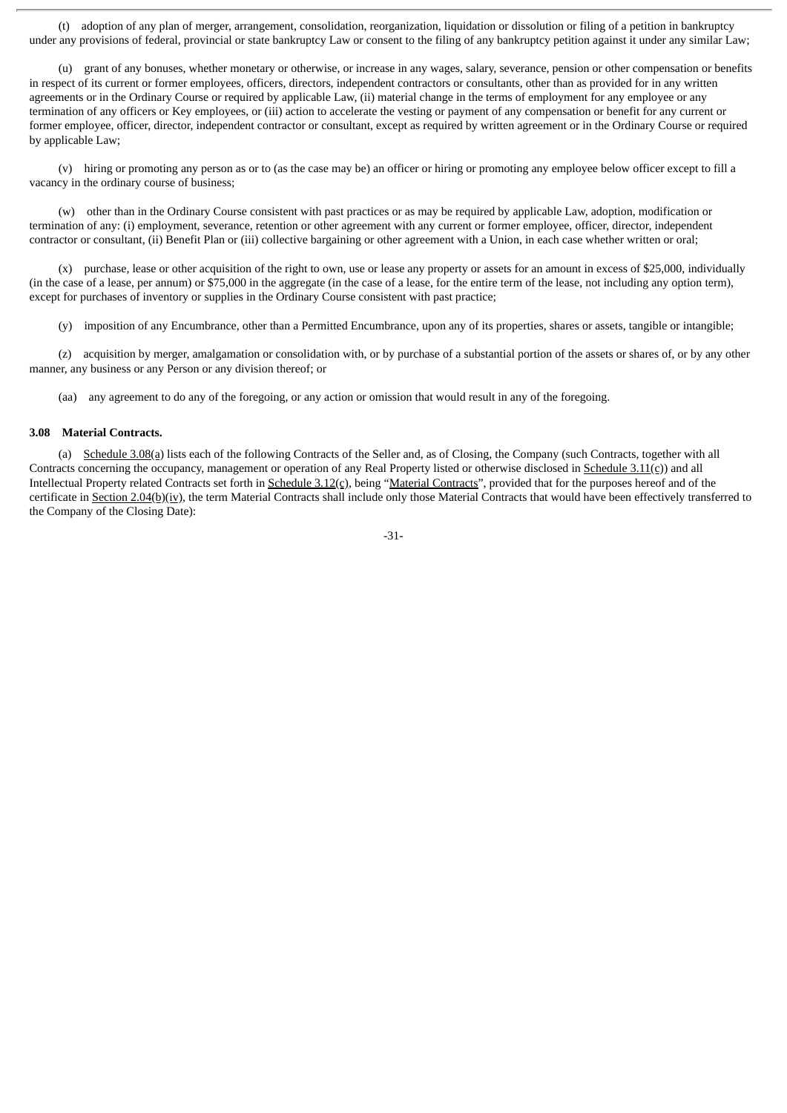(t) adoption of any plan of merger, arrangement, consolidation, reorganization, liquidation or dissolution or filing of a petition in bankruptcy under any provisions of federal, provincial or state bankruptcy Law or consent to the filing of any bankruptcy petition against it under any similar Law;

(u) grant of any bonuses, whether monetary or otherwise, or increase in any wages, salary, severance, pension or other compensation or benefits in respect of its current or former employees, officers, directors, independent contractors or consultants, other than as provided for in any written agreements or in the Ordinary Course or required by applicable Law, (ii) material change in the terms of employment for any employee or any termination of any officers or Key employees, or (iii) action to accelerate the vesting or payment of any compensation or benefit for any current or former employee, officer, director, independent contractor or consultant, except as required by written agreement or in the Ordinary Course or required by applicable Law;

(v) hiring or promoting any person as or to (as the case may be) an officer or hiring or promoting any employee below officer except to fill a vacancy in the ordinary course of business;

(w) other than in the Ordinary Course consistent with past practices or as may be required by applicable Law, adoption, modification or termination of any: (i) employment, severance, retention or other agreement with any current or former employee, officer, director, independent contractor or consultant, (ii) Benefit Plan or (iii) collective bargaining or other agreement with a Union, in each case whether written or oral;

(x) purchase, lease or other acquisition of the right to own, use or lease any property or assets for an amount in excess of \$25,000, individually (in the case of a lease, per annum) or \$75,000 in the aggregate (in the case of a lease, for the entire term of the lease, not including any option term), except for purchases of inventory or supplies in the Ordinary Course consistent with past practice;

(y) imposition of any Encumbrance, other than a Permitted Encumbrance, upon any of its properties, shares or assets, tangible or intangible;

(z) acquisition by merger, amalgamation or consolidation with, or by purchase of a substantial portion of the assets or shares of, or by any other manner, any business or any Person or any division thereof; or

(aa) any agreement to do any of the foregoing, or any action or omission that would result in any of the foregoing.

#### **3.08 Material Contracts.**

(a) Schedule 3.08(a) lists each of the following Contracts of the Seller and, as of Closing, the Company (such Contracts, together with all Contracts concerning the occupancy, management or operation of any Real Property listed or otherwise disclosed in Schedule 3.11(c)) and all Intellectual Property related Contracts set forth in Schedule 3.12(c), being "Material Contracts", provided that for the purposes hereof and of the certificate in Section 2.04(b)(iv), the term Material Contracts shall include only those Material Contracts that would have been effectively transferred to the Company of the Closing Date):

$$
-31-
$$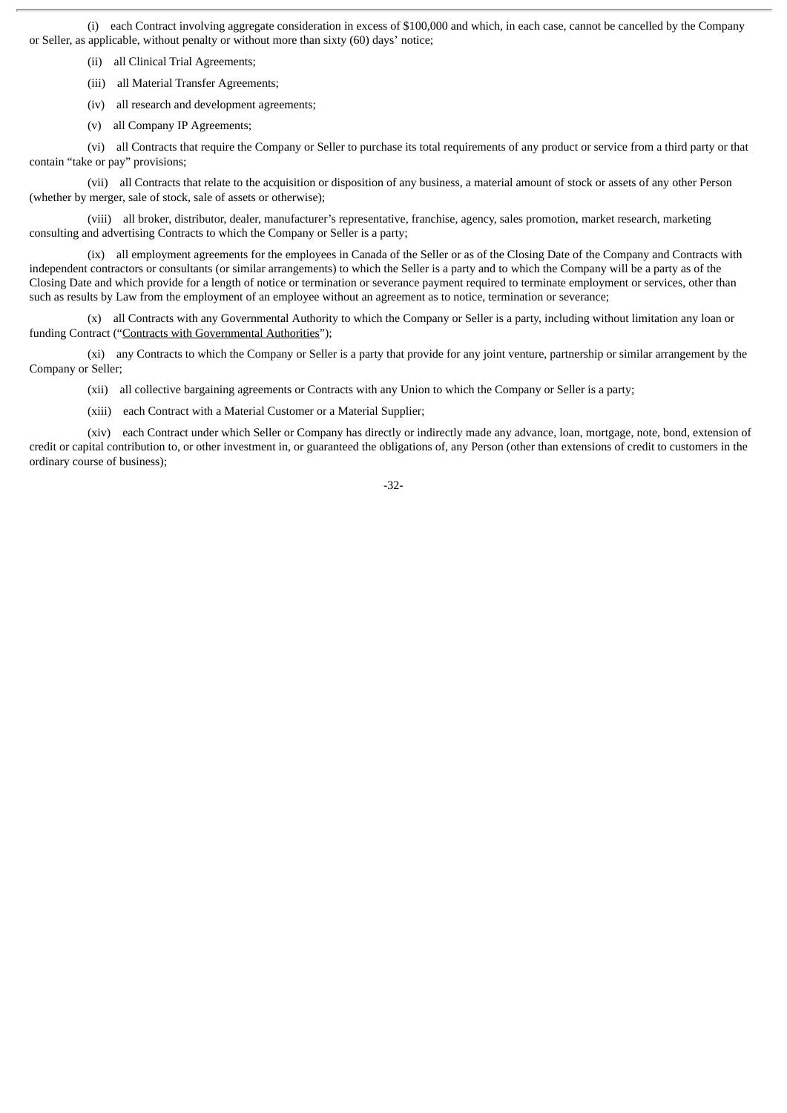(i) each Contract involving aggregate consideration in excess of \$100,000 and which, in each case, cannot be cancelled by the Company or Seller, as applicable, without penalty or without more than sixty (60) days' notice;

- (ii) all Clinical Trial Agreements;
- (iii) all Material Transfer Agreements;
- (iv) all research and development agreements;
- (v) all Company IP Agreements;

(vi) all Contracts that require the Company or Seller to purchase its total requirements of any product or service from a third party or that contain "take or pay" provisions;

(vii) all Contracts that relate to the acquisition or disposition of any business, a material amount of stock or assets of any other Person (whether by merger, sale of stock, sale of assets or otherwise);

(viii) all broker, distributor, dealer, manufacturer's representative, franchise, agency, sales promotion, market research, marketing consulting and advertising Contracts to which the Company or Seller is a party;

(ix) all employment agreements for the employees in Canada of the Seller or as of the Closing Date of the Company and Contracts with independent contractors or consultants (or similar arrangements) to which the Seller is a party and to which the Company will be a party as of the Closing Date and which provide for a length of notice or termination or severance payment required to terminate employment or services, other than such as results by Law from the employment of an employee without an agreement as to notice, termination or severance;

(x) all Contracts with any Governmental Authority to which the Company or Seller is a party, including without limitation any loan or funding Contract ("Contracts with Governmental Authorities");

(xi) any Contracts to which the Company or Seller is a party that provide for any joint venture, partnership or similar arrangement by the Company or Seller;

(xii) all collective bargaining agreements or Contracts with any Union to which the Company or Seller is a party;

(xiii) each Contract with a Material Customer or a Material Supplier;

(xiv) each Contract under which Seller or Company has directly or indirectly made any advance, loan, mortgage, note, bond, extension of credit or capital contribution to, or other investment in, or guaranteed the obligations of, any Person (other than extensions of credit to customers in the ordinary course of business);

-32-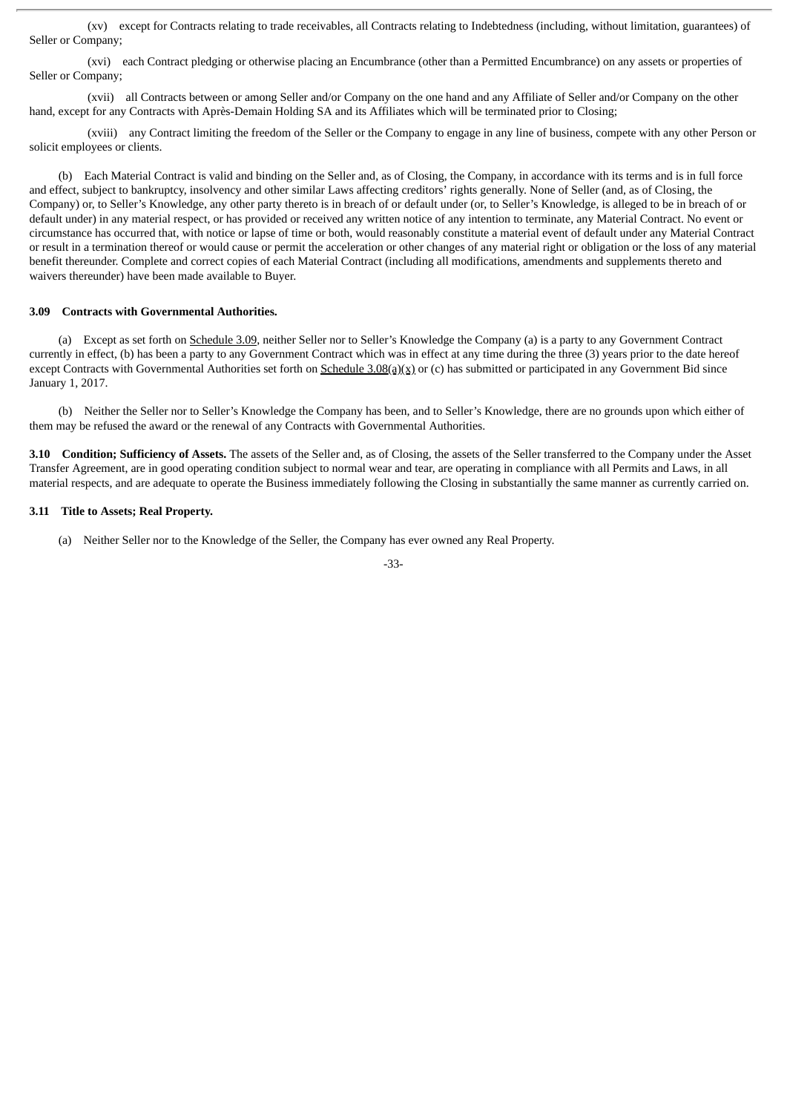(xv) except for Contracts relating to trade receivables, all Contracts relating to Indebtedness (including, without limitation, guarantees) of Seller or Company;

(xvi) each Contract pledging or otherwise placing an Encumbrance (other than a Permitted Encumbrance) on any assets or properties of Seller or Company;

(xvii) all Contracts between or among Seller and/or Company on the one hand and any Affiliate of Seller and/or Company on the other hand, except for any Contracts with Après-Demain Holding SA and its Affiliates which will be terminated prior to Closing;

(xviii) any Contract limiting the freedom of the Seller or the Company to engage in any line of business, compete with any other Person or solicit employees or clients.

(b) Each Material Contract is valid and binding on the Seller and, as of Closing, the Company, in accordance with its terms and is in full force and effect, subject to bankruptcy, insolvency and other similar Laws affecting creditors' rights generally. None of Seller (and, as of Closing, the Company) or, to Seller's Knowledge, any other party thereto is in breach of or default under (or, to Seller's Knowledge, is alleged to be in breach of or default under) in any material respect, or has provided or received any written notice of any intention to terminate, any Material Contract. No event or circumstance has occurred that, with notice or lapse of time or both, would reasonably constitute a material event of default under any Material Contract or result in a termination thereof or would cause or permit the acceleration or other changes of any material right or obligation or the loss of any material benefit thereunder. Complete and correct copies of each Material Contract (including all modifications, amendments and supplements thereto and waivers thereunder) have been made available to Buyer.

## **3.09 Contracts with Governmental Authorities.**

(a) Except as set forth on Schedule 3.09, neither Seller nor to Seller's Knowledge the Company (a) is a party to any Government Contract currently in effect, (b) has been a party to any Government Contract which was in effect at any time during the three (3) years prior to the date hereof except Contracts with Governmental Authorities set forth on  $S$ chedule  $3.08(a)(x)$  or (c) has submitted or participated in any Government Bid since January 1, 2017.

(b) Neither the Seller nor to Seller's Knowledge the Company has been, and to Seller's Knowledge, there are no grounds upon which either of them may be refused the award or the renewal of any Contracts with Governmental Authorities.

**3.10 Condition; Sufficiency of Assets.** The assets of the Seller and, as of Closing, the assets of the Seller transferred to the Company under the Asset Transfer Agreement, are in good operating condition subject to normal wear and tear, are operating in compliance with all Permits and Laws, in all material respects, and are adequate to operate the Business immediately following the Closing in substantially the same manner as currently carried on.

## **3.11 Title to Assets; Real Property.**

(a) Neither Seller nor to the Knowledge of the Seller, the Company has ever owned any Real Property.

-33-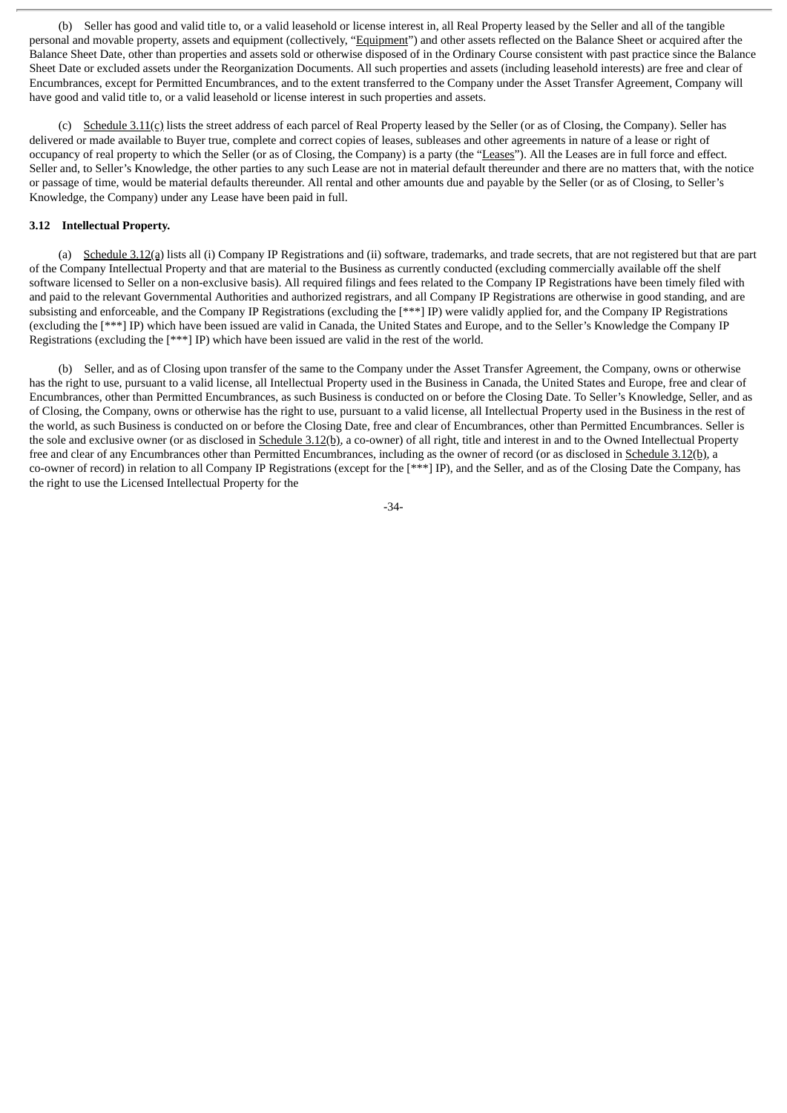(b) Seller has good and valid title to, or a valid leasehold or license interest in, all Real Property leased by the Seller and all of the tangible personal and movable property, assets and equipment (collectively, "Equipment") and other assets reflected on the Balance Sheet or acquired after the Balance Sheet Date, other than properties and assets sold or otherwise disposed of in the Ordinary Course consistent with past practice since the Balance Sheet Date or excluded assets under the Reorganization Documents. All such properties and assets (including leasehold interests) are free and clear of Encumbrances, except for Permitted Encumbrances, and to the extent transferred to the Company under the Asset Transfer Agreement, Company will have good and valid title to, or a valid leasehold or license interest in such properties and assets.

(c) Schedule 3.11(c) lists the street address of each parcel of Real Property leased by the Seller (or as of Closing, the Company). Seller has delivered or made available to Buyer true, complete and correct copies of leases, subleases and other agreements in nature of a lease or right of occupancy of real property to which the Seller (or as of Closing, the Company) is a party (the "Leases"). All the Leases are in full force and effect. Seller and, to Seller's Knowledge, the other parties to any such Lease are not in material default thereunder and there are no matters that, with the notice or passage of time, would be material defaults thereunder. All rental and other amounts due and payable by the Seller (or as of Closing, to Seller's Knowledge, the Company) under any Lease have been paid in full.

# **3.12 Intellectual Property.**

(a) Schedule 3.12(a) lists all (i) Company IP Registrations and (ii) software, trademarks, and trade secrets, that are not registered but that are part of the Company Intellectual Property and that are material to the Business as currently conducted (excluding commercially available off the shelf software licensed to Seller on a non-exclusive basis). All required filings and fees related to the Company IP Registrations have been timely filed with and paid to the relevant Governmental Authorities and authorized registrars, and all Company IP Registrations are otherwise in good standing, and are subsisting and enforceable, and the Company IP Registrations (excluding the [\*\*\*] IP) were validly applied for, and the Company IP Registrations (excluding the [\*\*\*] IP) which have been issued are valid in Canada, the United States and Europe, and to the Seller's Knowledge the Company IP Registrations (excluding the [\*\*\*] IP) which have been issued are valid in the rest of the world.

(b) Seller, and as of Closing upon transfer of the same to the Company under the Asset Transfer Agreement, the Company, owns or otherwise has the right to use, pursuant to a valid license, all Intellectual Property used in the Business in Canada, the United States and Europe, free and clear of Encumbrances, other than Permitted Encumbrances, as such Business is conducted on or before the Closing Date. To Seller's Knowledge, Seller, and as of Closing, the Company, owns or otherwise has the right to use, pursuant to a valid license, all Intellectual Property used in the Business in the rest of the world, as such Business is conducted on or before the Closing Date, free and clear of Encumbrances, other than Permitted Encumbrances. Seller is the sole and exclusive owner (or as disclosed in Schedule 3.12(b), a co-owner) of all right, title and interest in and to the Owned Intellectual Property free and clear of any Encumbrances other than Permitted Encumbrances, including as the owner of record (or as disclosed in Schedule 3.12(b), a co-owner of record) in relation to all Company IP Registrations (except for the [\*\*\*] IP), and the Seller, and as of the Closing Date the Company, has the right to use the Licensed Intellectual Property for the

-34-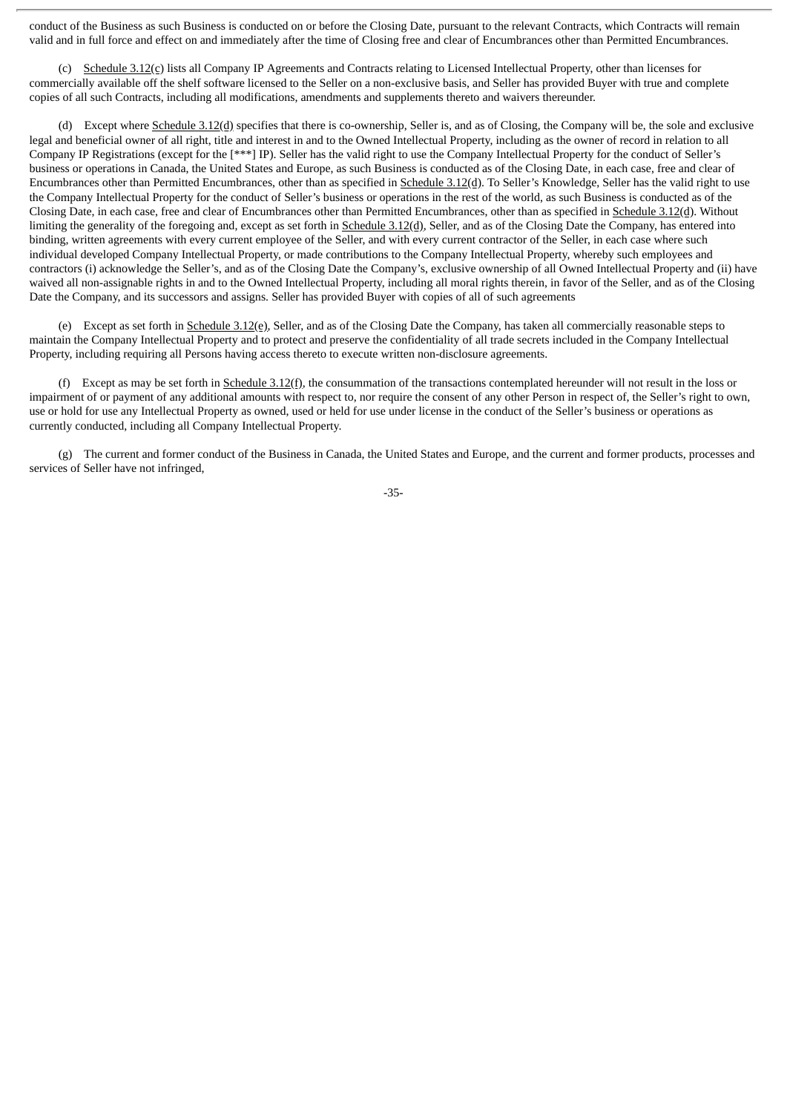conduct of the Business as such Business is conducted on or before the Closing Date, pursuant to the relevant Contracts, which Contracts will remain valid and in full force and effect on and immediately after the time of Closing free and clear of Encumbrances other than Permitted Encumbrances.

(c) Schedule 3.12(c) lists all Company IP Agreements and Contracts relating to Licensed Intellectual Property, other than licenses for commercially available off the shelf software licensed to the Seller on a non-exclusive basis, and Seller has provided Buyer with true and complete copies of all such Contracts, including all modifications, amendments and supplements thereto and waivers thereunder.

(d) Except where Schedule 3.12(d) specifies that there is co-ownership, Seller is, and as of Closing, the Company will be, the sole and exclusive legal and beneficial owner of all right, title and interest in and to the Owned Intellectual Property, including as the owner of record in relation to all Company IP Registrations (except for the [\*\*\*] IP). Seller has the valid right to use the Company Intellectual Property for the conduct of Seller's business or operations in Canada, the United States and Europe, as such Business is conducted as of the Closing Date, in each case, free and clear of Encumbrances other than Permitted Encumbrances, other than as specified in Schedule 3.12(d). To Seller's Knowledge, Seller has the valid right to use the Company Intellectual Property for the conduct of Seller's business or operations in the rest of the world, as such Business is conducted as of the Closing Date, in each case, free and clear of Encumbrances other than Permitted Encumbrances, other than as specified in Schedule 3.12(d). Without limiting the generality of the foregoing and, except as set forth in Schedule 3.12(d), Seller, and as of the Closing Date the Company, has entered into binding, written agreements with every current employee of the Seller, and with every current contractor of the Seller, in each case where such individual developed Company Intellectual Property, or made contributions to the Company Intellectual Property, whereby such employees and contractors (i) acknowledge the Seller's, and as of the Closing Date the Company's, exclusive ownership of all Owned Intellectual Property and (ii) have waived all non-assignable rights in and to the Owned Intellectual Property, including all moral rights therein, in favor of the Seller, and as of the Closing Date the Company, and its successors and assigns. Seller has provided Buyer with copies of all of such agreements

(e) Except as set forth in Schedule 3.12(e), Seller, and as of the Closing Date the Company, has taken all commercially reasonable steps to maintain the Company Intellectual Property and to protect and preserve the confidentiality of all trade secrets included in the Company Intellectual Property, including requiring all Persons having access thereto to execute written non-disclosure agreements.

(f) Except as may be set forth in Schedule 3.12(f), the consummation of the transactions contemplated hereunder will not result in the loss or impairment of or payment of any additional amounts with respect to, nor require the consent of any other Person in respect of, the Seller's right to own, use or hold for use any Intellectual Property as owned, used or held for use under license in the conduct of the Seller's business or operations as currently conducted, including all Company Intellectual Property.

(g) The current and former conduct of the Business in Canada, the United States and Europe, and the current and former products, processes and services of Seller have not infringed,

-35-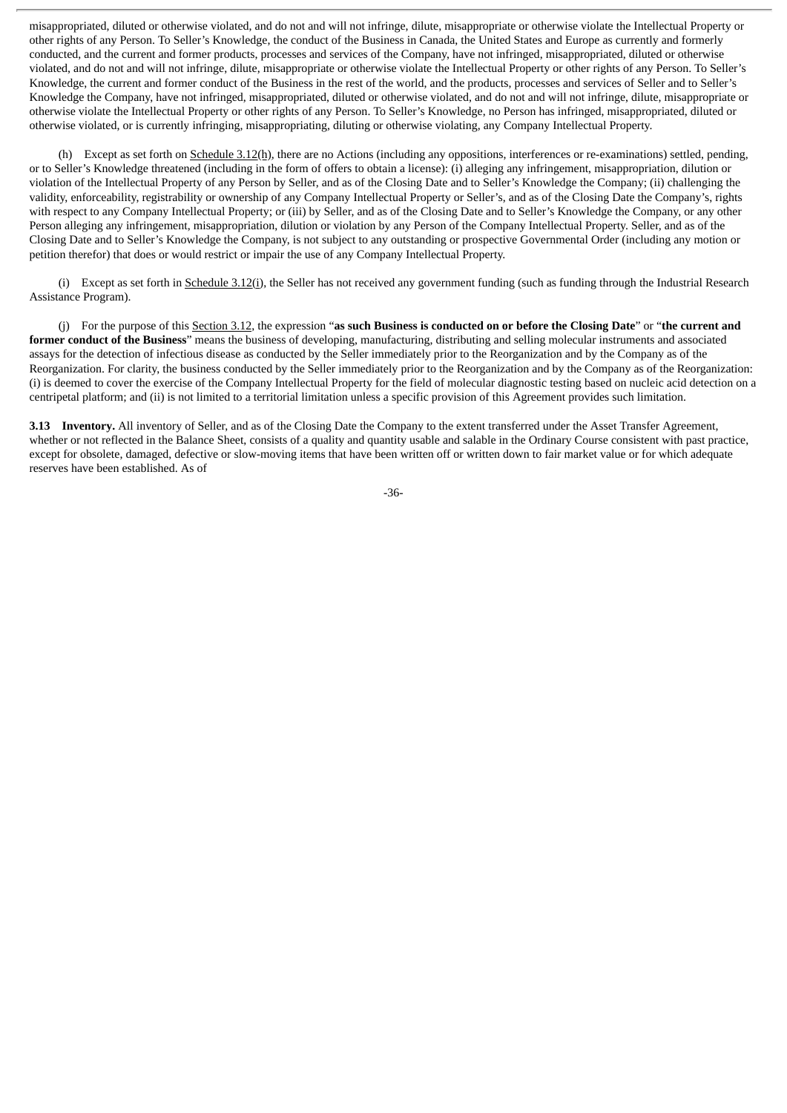misappropriated, diluted or otherwise violated, and do not and will not infringe, dilute, misappropriate or otherwise violate the Intellectual Property or other rights of any Person. To Seller's Knowledge, the conduct of the Business in Canada, the United States and Europe as currently and formerly conducted, and the current and former products, processes and services of the Company, have not infringed, misappropriated, diluted or otherwise violated, and do not and will not infringe, dilute, misappropriate or otherwise violate the Intellectual Property or other rights of any Person. To Seller's Knowledge, the current and former conduct of the Business in the rest of the world, and the products, processes and services of Seller and to Seller's Knowledge the Company, have not infringed, misappropriated, diluted or otherwise violated, and do not and will not infringe, dilute, misappropriate or otherwise violate the Intellectual Property or other rights of any Person. To Seller's Knowledge, no Person has infringed, misappropriated, diluted or otherwise violated, or is currently infringing, misappropriating, diluting or otherwise violating, any Company Intellectual Property.

(h) Except as set forth on Schedule 3.12(h), there are no Actions (including any oppositions, interferences or re-examinations) settled, pending, or to Seller's Knowledge threatened (including in the form of offers to obtain a license): (i) alleging any infringement, misappropriation, dilution or violation of the Intellectual Property of any Person by Seller, and as of the Closing Date and to Seller's Knowledge the Company; (ii) challenging the validity, enforceability, registrability or ownership of any Company Intellectual Property or Seller's, and as of the Closing Date the Company's, rights with respect to any Company Intellectual Property; or (iii) by Seller, and as of the Closing Date and to Seller's Knowledge the Company, or any other Person alleging any infringement, misappropriation, dilution or violation by any Person of the Company Intellectual Property. Seller, and as of the Closing Date and to Seller's Knowledge the Company, is not subject to any outstanding or prospective Governmental Order (including any motion or petition therefor) that does or would restrict or impair the use of any Company Intellectual Property.

(i) Except as set forth in Schedule 3.12(i), the Seller has not received any government funding (such as funding through the Industrial Research Assistance Program).

(j) For the purpose of this Section 3.12, the expression "as such Business is conducted on or before the Closing Date" or "the current and **former conduct of the Business**" means the business of developing, manufacturing, distributing and selling molecular instruments and associated assays for the detection of infectious disease as conducted by the Seller immediately prior to the Reorganization and by the Company as of the Reorganization. For clarity, the business conducted by the Seller immediately prior to the Reorganization and by the Company as of the Reorganization: (i) is deemed to cover the exercise of the Company Intellectual Property for the field of molecular diagnostic testing based on nucleic acid detection on a centripetal platform; and (ii) is not limited to a territorial limitation unless a specific provision of this Agreement provides such limitation.

**3.13 Inventory.** All inventory of Seller, and as of the Closing Date the Company to the extent transferred under the Asset Transfer Agreement, whether or not reflected in the Balance Sheet, consists of a quality and quantity usable and salable in the Ordinary Course consistent with past practice, except for obsolete, damaged, defective or slow-moving items that have been written off or written down to fair market value or for which adequate reserves have been established. As of

-36-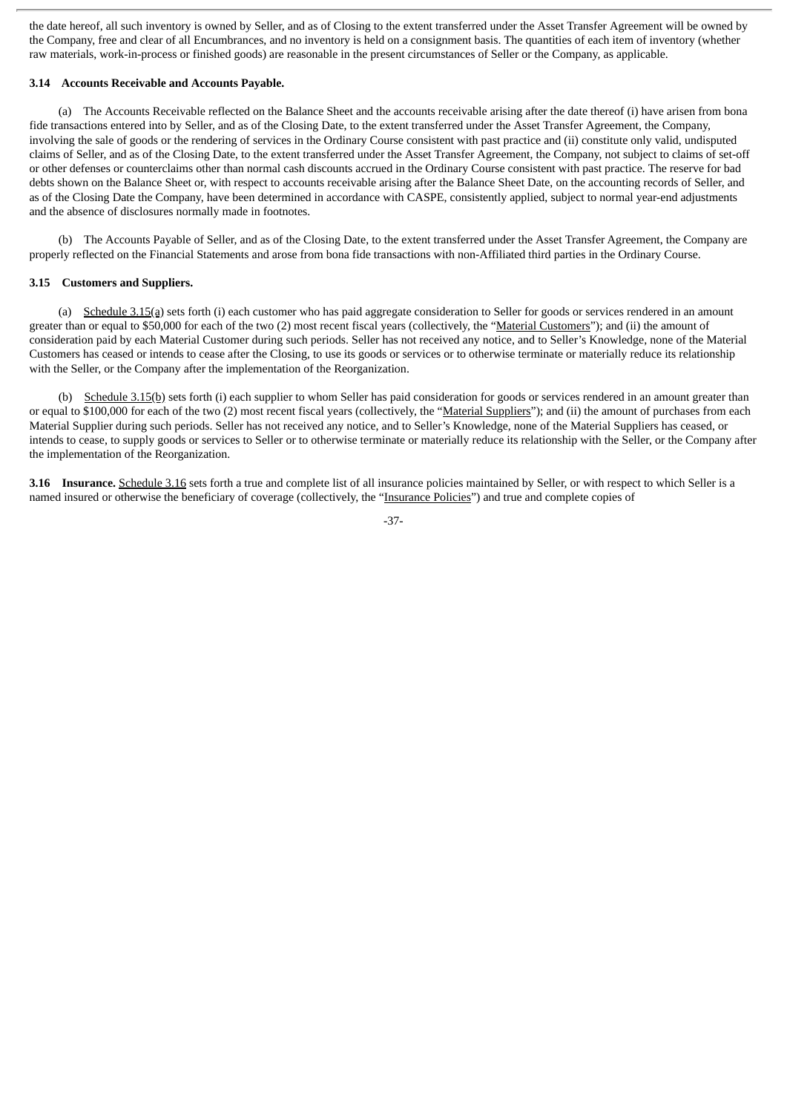the date hereof, all such inventory is owned by Seller, and as of Closing to the extent transferred under the Asset Transfer Agreement will be owned by the Company, free and clear of all Encumbrances, and no inventory is held on a consignment basis. The quantities of each item of inventory (whether raw materials, work-in-process or finished goods) are reasonable in the present circumstances of Seller or the Company, as applicable.

### **3.14 Accounts Receivable and Accounts Payable.**

(a) The Accounts Receivable reflected on the Balance Sheet and the accounts receivable arising after the date thereof (i) have arisen from bona fide transactions entered into by Seller, and as of the Closing Date, to the extent transferred under the Asset Transfer Agreement, the Company, involving the sale of goods or the rendering of services in the Ordinary Course consistent with past practice and (ii) constitute only valid, undisputed claims of Seller, and as of the Closing Date, to the extent transferred under the Asset Transfer Agreement, the Company, not subject to claims of set-off or other defenses or counterclaims other than normal cash discounts accrued in the Ordinary Course consistent with past practice. The reserve for bad debts shown on the Balance Sheet or, with respect to accounts receivable arising after the Balance Sheet Date, on the accounting records of Seller, and as of the Closing Date the Company, have been determined in accordance with CASPE, consistently applied, subject to normal year-end adjustments and the absence of disclosures normally made in footnotes.

(b) The Accounts Payable of Seller, and as of the Closing Date, to the extent transferred under the Asset Transfer Agreement, the Company are properly reflected on the Financial Statements and arose from bona fide transactions with non-Affiliated third parties in the Ordinary Course.

### **3.15 Customers and Suppliers.**

(a) Schedule 3.15(a) sets forth (i) each customer who has paid aggregate consideration to Seller for goods or services rendered in an amount greater than or equal to \$50,000 for each of the two (2) most recent fiscal years (collectively, the "Material Customers"); and (ii) the amount of consideration paid by each Material Customer during such periods. Seller has not received any notice, and to Seller's Knowledge, none of the Material Customers has ceased or intends to cease after the Closing, to use its goods or services or to otherwise terminate or materially reduce its relationship with the Seller, or the Company after the implementation of the Reorganization.

(b) Schedule 3.15(b) sets forth (i) each supplier to whom Seller has paid consideration for goods or services rendered in an amount greater than or equal to \$100,000 for each of the two (2) most recent fiscal years (collectively, the "Material Suppliers"); and (ii) the amount of purchases from each Material Supplier during such periods. Seller has not received any notice, and to Seller's Knowledge, none of the Material Suppliers has ceased, or intends to cease, to supply goods or services to Seller or to otherwise terminate or materially reduce its relationship with the Seller, or the Company after the implementation of the Reorganization.

**3.16 Insurance.** Schedule 3.16 sets forth a true and complete list of all insurance policies maintained by Seller, or with respect to which Seller is a named insured or otherwise the beneficiary of coverage (collectively, the "Insurance Policies") and true and complete copies of

-37-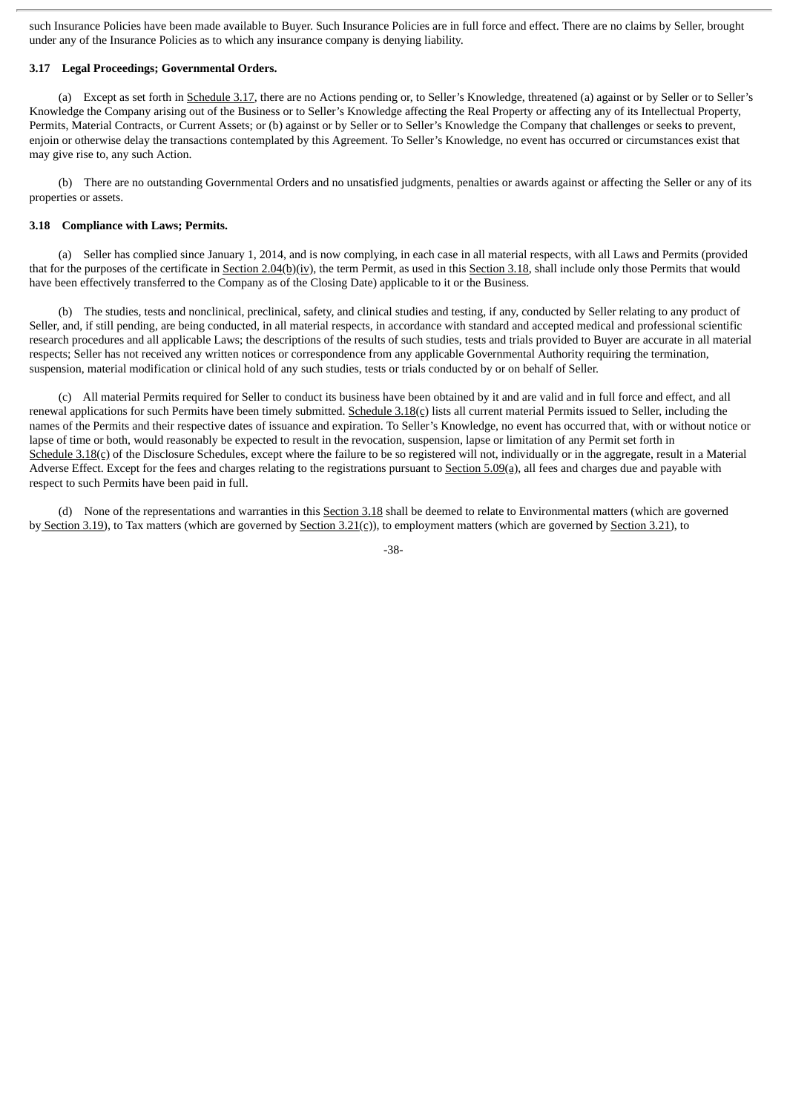such Insurance Policies have been made available to Buyer. Such Insurance Policies are in full force and effect. There are no claims by Seller, brought under any of the Insurance Policies as to which any insurance company is denying liability.

## **3.17 Legal Proceedings; Governmental Orders.**

(a) Except as set forth in Schedule 3.17, there are no Actions pending or, to Seller's Knowledge, threatened (a) against or by Seller or to Seller's Knowledge the Company arising out of the Business or to Seller's Knowledge affecting the Real Property or affecting any of its Intellectual Property, Permits, Material Contracts, or Current Assets; or (b) against or by Seller or to Seller's Knowledge the Company that challenges or seeks to prevent, enjoin or otherwise delay the transactions contemplated by this Agreement. To Seller's Knowledge, no event has occurred or circumstances exist that may give rise to, any such Action.

(b) There are no outstanding Governmental Orders and no unsatisfied judgments, penalties or awards against or affecting the Seller or any of its properties or assets.

### **3.18 Compliance with Laws; Permits.**

(a) Seller has complied since January 1, 2014, and is now complying, in each case in all material respects, with all Laws and Permits (provided that for the purposes of the certificate in Section 2.04(b)(iv), the term Permit, as used in this Section 3.18, shall include only those Permits that would have been effectively transferred to the Company as of the Closing Date) applicable to it or the Business.

(b) The studies, tests and nonclinical, preclinical, safety, and clinical studies and testing, if any, conducted by Seller relating to any product of Seller, and, if still pending, are being conducted, in all material respects, in accordance with standard and accepted medical and professional scientific research procedures and all applicable Laws; the descriptions of the results of such studies, tests and trials provided to Buyer are accurate in all material respects; Seller has not received any written notices or correspondence from any applicable Governmental Authority requiring the termination, suspension, material modification or clinical hold of any such studies, tests or trials conducted by or on behalf of Seller.

(c) All material Permits required for Seller to conduct its business have been obtained by it and are valid and in full force and effect, and all renewal applications for such Permits have been timely submitted. Schedule  $3.18(c)$  lists all current material Permits issued to Seller, including the names of the Permits and their respective dates of issuance and expiration. To Seller's Knowledge, no event has occurred that, with or without notice or lapse of time or both, would reasonably be expected to result in the revocation, suspension, lapse or limitation of any Permit set forth in Schedule 3.18(c) of the Disclosure Schedules, except where the failure to be so registered will not, individually or in the aggregate, result in a Material Adverse Effect. Except for the fees and charges relating to the registrations pursuant to Section 5.09(a), all fees and charges due and payable with respect to such Permits have been paid in full.

(d) None of the representations and warranties in this Section 3.18 shall be deemed to relate to Environmental matters (which are governed by Section 3.19), to Tax matters (which are governed by Section 3.21(c)), to employment matters (which are governed by Section 3.21), to

-38-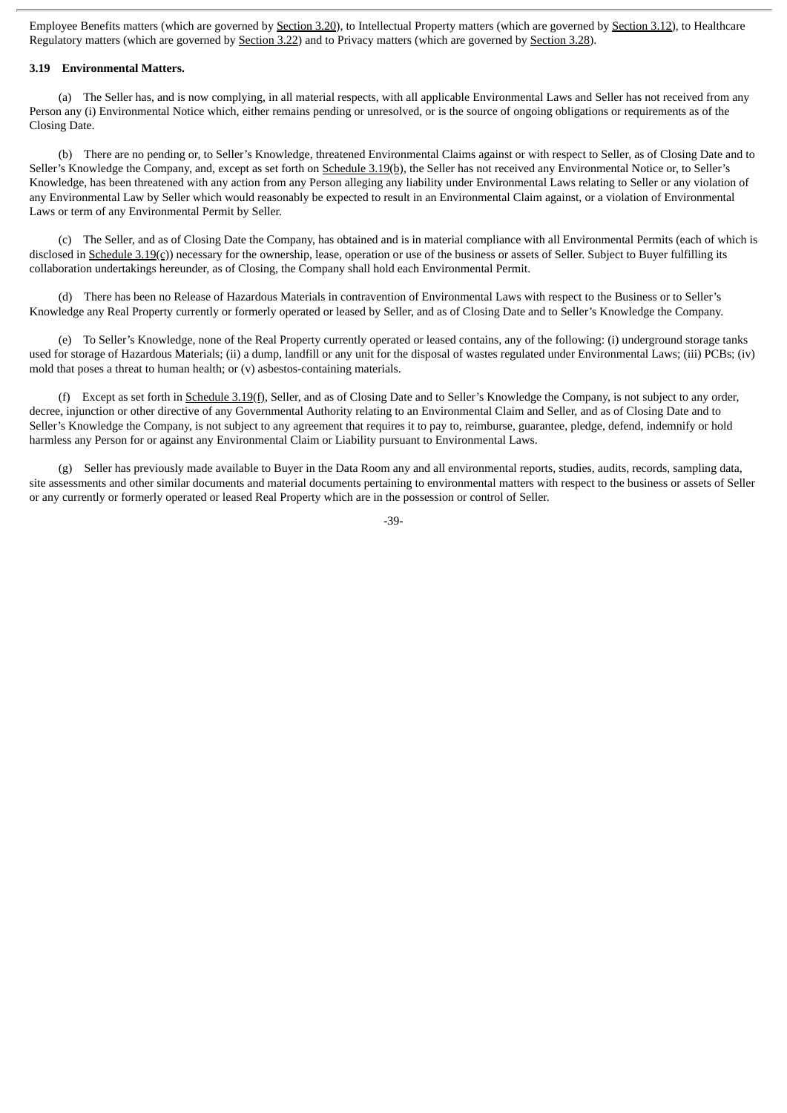Employee Benefits matters (which are governed by Section 3.20), to Intellectual Property matters (which are governed by Section 3.12), to Healthcare Regulatory matters (which are governed by Section 3.22) and to Privacy matters (which are governed by Section 3.28).

#### **3.19 Environmental Matters.**

(a) The Seller has, and is now complying, in all material respects, with all applicable Environmental Laws and Seller has not received from any Person any (i) Environmental Notice which, either remains pending or unresolved, or is the source of ongoing obligations or requirements as of the Closing Date.

(b) There are no pending or, to Seller's Knowledge, threatened Environmental Claims against or with respect to Seller, as of Closing Date and to Seller's Knowledge the Company, and, except as set forth on Schedule 3.19(b), the Seller has not received any Environmental Notice or, to Seller's Knowledge, has been threatened with any action from any Person alleging any liability under Environmental Laws relating to Seller or any violation of any Environmental Law by Seller which would reasonably be expected to result in an Environmental Claim against, or a violation of Environmental Laws or term of any Environmental Permit by Seller.

(c) The Seller, and as of Closing Date the Company, has obtained and is in material compliance with all Environmental Permits (each of which is disclosed in Schedule  $3.19(c)$ ) necessary for the ownership, lease, operation or use of the business or assets of Seller. Subject to Buyer fulfilling its collaboration undertakings hereunder, as of Closing, the Company shall hold each Environmental Permit.

(d) There has been no Release of Hazardous Materials in contravention of Environmental Laws with respect to the Business or to Seller's Knowledge any Real Property currently or formerly operated or leased by Seller, and as of Closing Date and to Seller's Knowledge the Company.

(e) To Seller's Knowledge, none of the Real Property currently operated or leased contains, any of the following: (i) underground storage tanks used for storage of Hazardous Materials; (ii) a dump, landfill or any unit for the disposal of wastes regulated under Environmental Laws; (iii) PCBs; (iv) mold that poses a threat to human health; or (v) asbestos-containing materials.

(f) Except as set forth in Schedule 3.19(f), Seller, and as of Closing Date and to Seller's Knowledge the Company, is not subject to any order, decree, injunction or other directive of any Governmental Authority relating to an Environmental Claim and Seller, and as of Closing Date and to Seller's Knowledge the Company, is not subject to any agreement that requires it to pay to, reimburse, guarantee, pledge, defend, indemnify or hold harmless any Person for or against any Environmental Claim or Liability pursuant to Environmental Laws.

(g) Seller has previously made available to Buyer in the Data Room any and all environmental reports, studies, audits, records, sampling data, site assessments and other similar documents and material documents pertaining to environmental matters with respect to the business or assets of Seller or any currently or formerly operated or leased Real Property which are in the possession or control of Seller.

-39-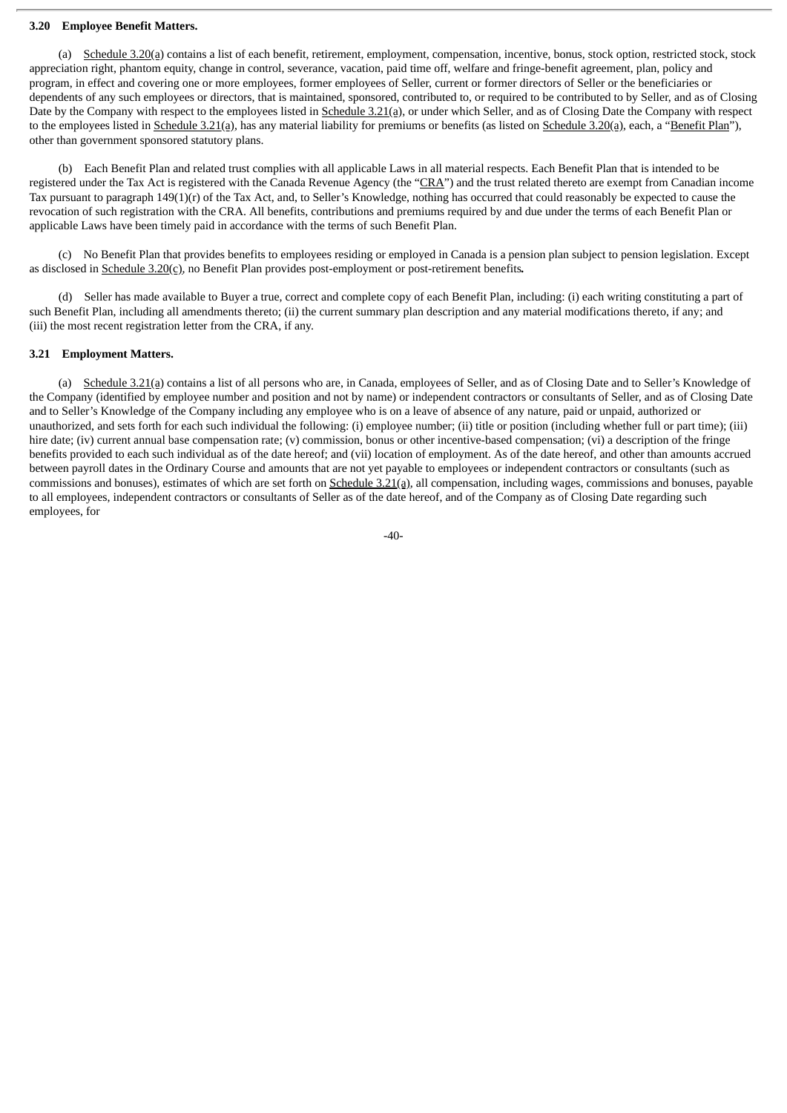## **3.20 Employee Benefit Matters.**

(a) Schedule 3.20(a) contains a list of each benefit, retirement, employment, compensation, incentive, bonus, stock option, restricted stock, stock appreciation right, phantom equity, change in control, severance, vacation, paid time off, welfare and fringe-benefit agreement, plan, policy and program, in effect and covering one or more employees, former employees of Seller, current or former directors of Seller or the beneficiaries or dependents of any such employees or directors, that is maintained, sponsored, contributed to, or required to be contributed to by Seller, and as of Closing Date by the Company with respect to the employees listed in Schedule 3.21(a), or under which Seller, and as of Closing Date the Company with respect to the employees listed in Schedule 3.21(a), has any material liability for premiums or benefits (as listed on Schedule 3.20(a), each, a "Benefit Plan"), other than government sponsored statutory plans.

(b) Each Benefit Plan and related trust complies with all applicable Laws in all material respects. Each Benefit Plan that is intended to be registered under the Tax Act is registered with the Canada Revenue Agency (the "CRA") and the trust related thereto are exempt from Canadian income Tax pursuant to paragraph 149(1)(r) of the Tax Act, and, to Seller's Knowledge, nothing has occurred that could reasonably be expected to cause the revocation of such registration with the CRA. All benefits, contributions and premiums required by and due under the terms of each Benefit Plan or applicable Laws have been timely paid in accordance with the terms of such Benefit Plan.

(c) No Benefit Plan that provides benefits to employees residing or employed in Canada is a pension plan subject to pension legislation. Except as disclosed in Schedule 3.20(c), no Benefit Plan provides post-employment or post-retirement benefits*.*

(d) Seller has made available to Buyer a true, correct and complete copy of each Benefit Plan, including: (i) each writing constituting a part of such Benefit Plan, including all amendments thereto; (ii) the current summary plan description and any material modifications thereto, if any; and (iii) the most recent registration letter from the CRA, if any.

## **3.21 Employment Matters.**

(a) Schedule 3.21(a) contains a list of all persons who are, in Canada, employees of Seller, and as of Closing Date and to Seller's Knowledge of the Company (identified by employee number and position and not by name) or independent contractors or consultants of Seller, and as of Closing Date and to Seller's Knowledge of the Company including any employee who is on a leave of absence of any nature, paid or unpaid, authorized or unauthorized, and sets forth for each such individual the following: (i) employee number; (ii) title or position (including whether full or part time); (iii) hire date; (iv) current annual base compensation rate; (v) commission, bonus or other incentive-based compensation; (vi) a description of the fringe benefits provided to each such individual as of the date hereof; and (vii) location of employment. As of the date hereof, and other than amounts accrued between payroll dates in the Ordinary Course and amounts that are not yet payable to employees or independent contractors or consultants (such as commissions and bonuses), estimates of which are set forth on Schedule 3.21(a), all compensation, including wages, commissions and bonuses, payable to all employees, independent contractors or consultants of Seller as of the date hereof, and of the Company as of Closing Date regarding such employees, for

 $-40-$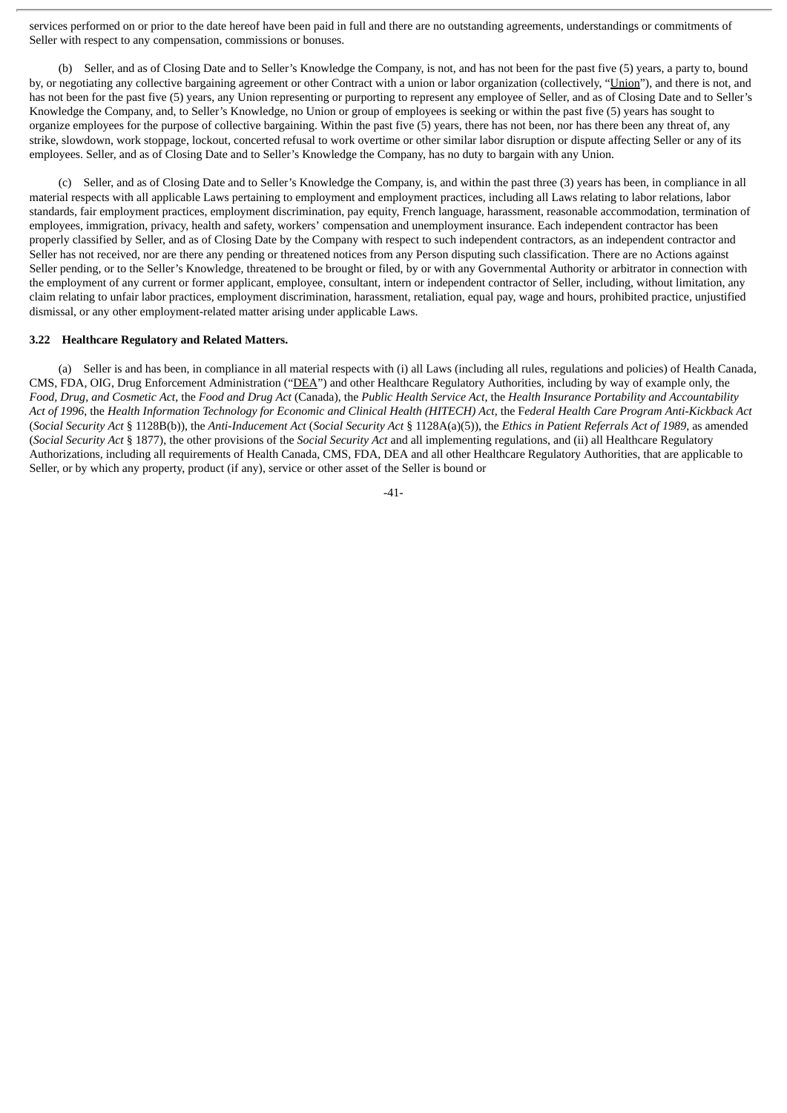services performed on or prior to the date hereof have been paid in full and there are no outstanding agreements, understandings or commitments of Seller with respect to any compensation, commissions or bonuses.

(b) Seller, and as of Closing Date and to Seller's Knowledge the Company, is not, and has not been for the past five (5) years, a party to, bound by, or negotiating any collective bargaining agreement or other Contract with a union or labor organization (collectively, "Union"), and there is not, and has not been for the past five (5) years, any Union representing or purporting to represent any employee of Seller, and as of Closing Date and to Seller's Knowledge the Company, and, to Seller's Knowledge, no Union or group of employees is seeking or within the past five (5) years has sought to organize employees for the purpose of collective bargaining. Within the past five (5) years, there has not been, nor has there been any threat of, any strike, slowdown, work stoppage, lockout, concerted refusal to work overtime or other similar labor disruption or dispute affecting Seller or any of its employees. Seller, and as of Closing Date and to Seller's Knowledge the Company, has no duty to bargain with any Union.

(c) Seller, and as of Closing Date and to Seller's Knowledge the Company, is, and within the past three (3) years has been, in compliance in all material respects with all applicable Laws pertaining to employment and employment practices, including all Laws relating to labor relations, labor standards, fair employment practices, employment discrimination, pay equity, French language, harassment, reasonable accommodation, termination of employees, immigration, privacy, health and safety, workers' compensation and unemployment insurance. Each independent contractor has been properly classified by Seller, and as of Closing Date by the Company with respect to such independent contractors, as an independent contractor and Seller has not received, nor are there any pending or threatened notices from any Person disputing such classification. There are no Actions against Seller pending, or to the Seller's Knowledge, threatened to be brought or filed, by or with any Governmental Authority or arbitrator in connection with the employment of any current or former applicant, employee, consultant, intern or independent contractor of Seller, including, without limitation, any claim relating to unfair labor practices, employment discrimination, harassment, retaliation, equal pay, wage and hours, prohibited practice, unjustified dismissal, or any other employment-related matter arising under applicable Laws.

#### **3.22 Healthcare Regulatory and Related Matters.**

(a) Seller is and has been, in compliance in all material respects with (i) all Laws (including all rules, regulations and policies) of Health Canada, CMS, FDA, OIG, Drug Enforcement Administration ("DEA") and other Healthcare Regulatory Authorities, including by way of example only, the Food, Druq, and Cosmetic Act, the Food and Druq Act (Canada), the Public Health Service Act, the Health Insurance Portability and Accountability Act of 1996, the Health Information Technology for Economic and Clinical Health (HITECH) Act, the Federal Health Care Program Anti-Kickback Act (Social Security Act § 1128B(b)), the Anti-Inducement Act (Social Security Act § 1128A(a)(5)), the Ethics in Patient Referrals Act of 1989, as amended (*Social Security Act* § 1877), the other provisions of the *Social Security Act* and all implementing regulations, and (ii) all Healthcare Regulatory Authorizations, including all requirements of Health Canada, CMS, FDA, DEA and all other Healthcare Regulatory Authorities, that are applicable to Seller, or by which any property, product (if any), service or other asset of the Seller is bound or

 $-41-$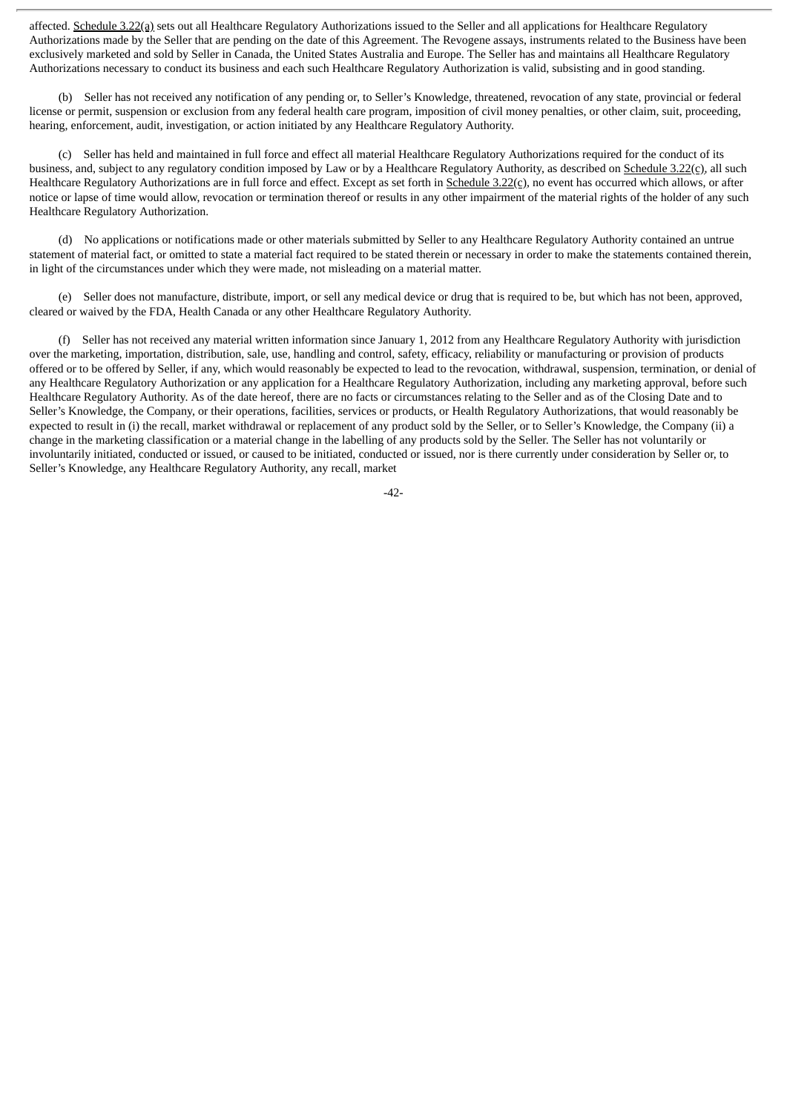affected. Schedule 3.22(a) sets out all Healthcare Regulatory Authorizations issued to the Seller and all applications for Healthcare Regulatory Authorizations made by the Seller that are pending on the date of this Agreement. The Revogene assays, instruments related to the Business have been exclusively marketed and sold by Seller in Canada, the United States Australia and Europe. The Seller has and maintains all Healthcare Regulatory Authorizations necessary to conduct its business and each such Healthcare Regulatory Authorization is valid, subsisting and in good standing.

(b) Seller has not received any notification of any pending or, to Seller's Knowledge, threatened, revocation of any state, provincial or federal license or permit, suspension or exclusion from any federal health care program, imposition of civil money penalties, or other claim, suit, proceeding, hearing, enforcement, audit, investigation, or action initiated by any Healthcare Regulatory Authority.

(c) Seller has held and maintained in full force and effect all material Healthcare Regulatory Authorizations required for the conduct of its business, and, subject to any regulatory condition imposed by Law or by a Healthcare Regulatory Authority, as described on Schedule 3.22(c), all such Healthcare Regulatory Authorizations are in full force and effect. Except as set forth in Schedule 3.22(c), no event has occurred which allows, or after notice or lapse of time would allow, revocation or termination thereof or results in any other impairment of the material rights of the holder of any such Healthcare Regulatory Authorization.

(d) No applications or notifications made or other materials submitted by Seller to any Healthcare Regulatory Authority contained an untrue statement of material fact, or omitted to state a material fact required to be stated therein or necessary in order to make the statements contained therein, in light of the circumstances under which they were made, not misleading on a material matter.

(e) Seller does not manufacture, distribute, import, or sell any medical device or drug that is required to be, but which has not been, approved, cleared or waived by the FDA, Health Canada or any other Healthcare Regulatory Authority.

(f) Seller has not received any material written information since January 1, 2012 from any Healthcare Regulatory Authority with jurisdiction over the marketing, importation, distribution, sale, use, handling and control, safety, efficacy, reliability or manufacturing or provision of products offered or to be offered by Seller, if any, which would reasonably be expected to lead to the revocation, withdrawal, suspension, termination, or denial of any Healthcare Regulatory Authorization or any application for a Healthcare Regulatory Authorization, including any marketing approval, before such Healthcare Regulatory Authority. As of the date hereof, there are no facts or circumstances relating to the Seller and as of the Closing Date and to Seller's Knowledge, the Company, or their operations, facilities, services or products, or Health Regulatory Authorizations, that would reasonably be expected to result in (i) the recall, market withdrawal or replacement of any product sold by the Seller, or to Seller's Knowledge, the Company (ii) a change in the marketing classification or a material change in the labelling of any products sold by the Seller. The Seller has not voluntarily or involuntarily initiated, conducted or issued, or caused to be initiated, conducted or issued, nor is there currently under consideration by Seller or, to Seller's Knowledge, any Healthcare Regulatory Authority, any recall, market

 $-42-$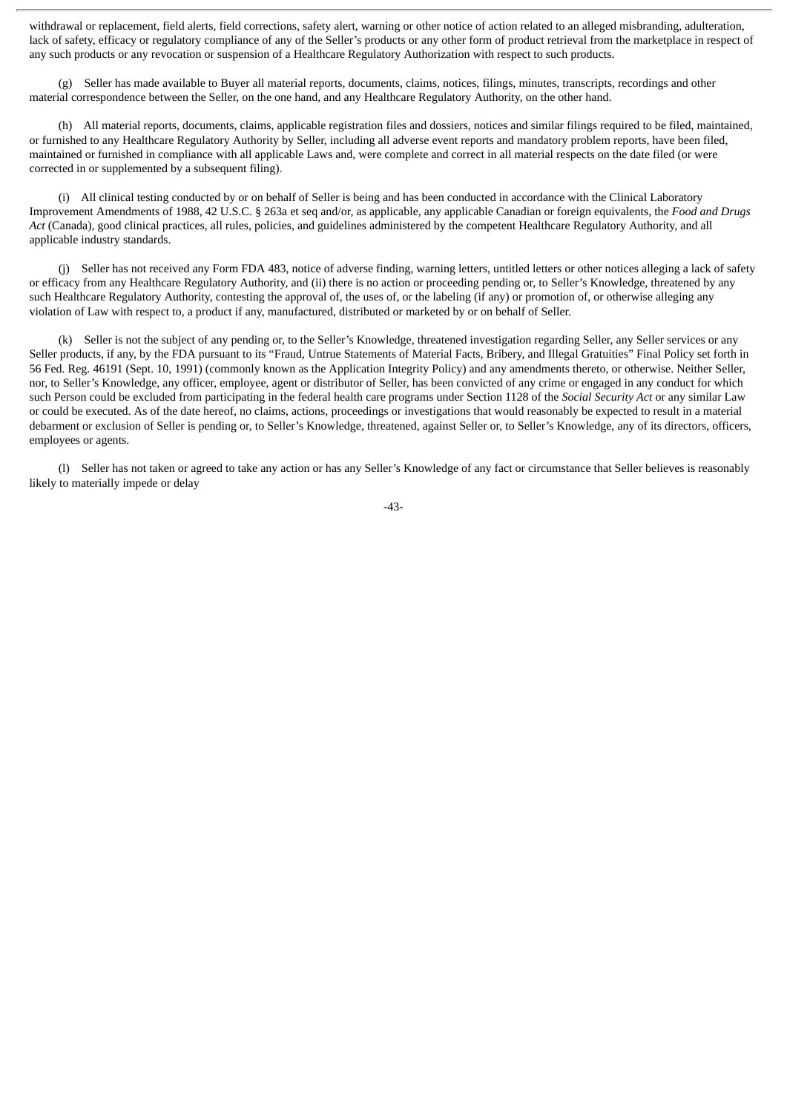withdrawal or replacement, field alerts, field corrections, safety alert, warning or other notice of action related to an alleged misbranding, adulteration, lack of safety, efficacy or regulatory compliance of any of the Seller's products or any other form of product retrieval from the marketplace in respect of any such products or any revocation or suspension of a Healthcare Regulatory Authorization with respect to such products.

(g) Seller has made available to Buyer all material reports, documents, claims, notices, filings, minutes, transcripts, recordings and other material correspondence between the Seller, on the one hand, and any Healthcare Regulatory Authority, on the other hand.

(h) All material reports, documents, claims, applicable registration files and dossiers, notices and similar filings required to be filed, maintained, or furnished to any Healthcare Regulatory Authority by Seller, including all adverse event reports and mandatory problem reports, have been filed, maintained or furnished in compliance with all applicable Laws and, were complete and correct in all material respects on the date filed (or were corrected in or supplemented by a subsequent filing).

(i) All clinical testing conducted by or on behalf of Seller is being and has been conducted in accordance with the Clinical Laboratory Improvement Amendments of 1988, 42 U.S.C. § 263a et seq and/or, as applicable, any applicable Canadian or foreign equivalents, the *Food and Drugs Act* (Canada), good clinical practices, all rules, policies, and guidelines administered by the competent Healthcare Regulatory Authority, and all applicable industry standards.

(j) Seller has not received any Form FDA 483, notice of adverse finding, warning letters, untitled letters or other notices alleging a lack of safety or efficacy from any Healthcare Regulatory Authority, and (ii) there is no action or proceeding pending or, to Seller's Knowledge, threatened by any such Healthcare Regulatory Authority, contesting the approval of, the uses of, or the labeling (if any) or promotion of, or otherwise alleging any violation of Law with respect to, a product if any, manufactured, distributed or marketed by or on behalf of Seller.

(k) Seller is not the subject of any pending or, to the Seller's Knowledge, threatened investigation regarding Seller, any Seller services or any Seller products, if any, by the FDA pursuant to its "Fraud, Untrue Statements of Material Facts, Bribery, and Illegal Gratuities" Final Policy set forth in 56 Fed. Reg. 46191 (Sept. 10, 1991) (commonly known as the Application Integrity Policy) and any amendments thereto, or otherwise. Neither Seller, nor, to Seller's Knowledge, any officer, employee, agent or distributor of Seller, has been convicted of any crime or engaged in any conduct for which such Person could be excluded from participating in the federal health care programs under Section 1128 of the *Social Security Act* or any similar Law or could be executed. As of the date hereof, no claims, actions, proceedings or investigations that would reasonably be expected to result in a material debarment or exclusion of Seller is pending or, to Seller's Knowledge, threatened, against Seller or, to Seller's Knowledge, any of its directors, officers, employees or agents.

(l) Seller has not taken or agreed to take any action or has any Seller's Knowledge of any fact or circumstance that Seller believes is reasonably likely to materially impede or delay

-43-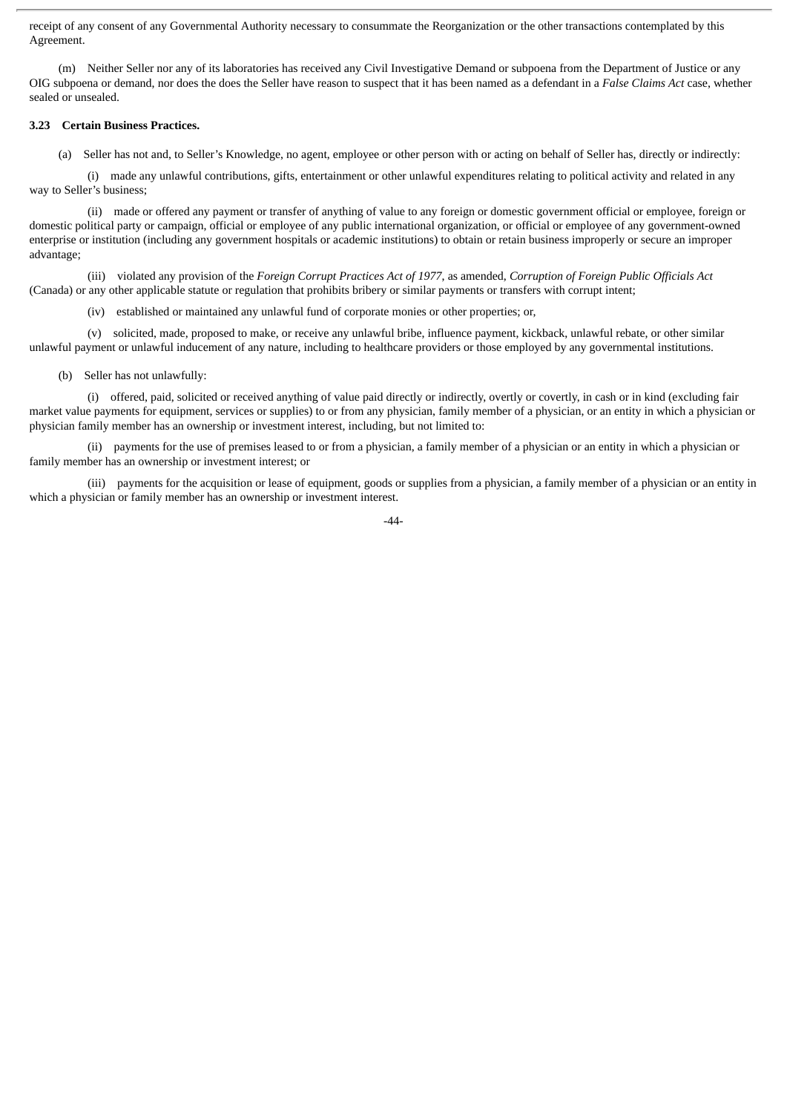receipt of any consent of any Governmental Authority necessary to consummate the Reorganization or the other transactions contemplated by this Agreement.

(m) Neither Seller nor any of its laboratories has received any Civil Investigative Demand or subpoena from the Department of Justice or any OIG subpoena or demand, nor does the does the Seller have reason to suspect that it has been named as a defendant in a *False Claims Act* case, whether sealed or unsealed.

### **3.23 Certain Business Practices.**

(a) Seller has not and, to Seller's Knowledge, no agent, employee or other person with or acting on behalf of Seller has, directly or indirectly:

(i) made any unlawful contributions, gifts, entertainment or other unlawful expenditures relating to political activity and related in any way to Seller's business;

(ii) made or offered any payment or transfer of anything of value to any foreign or domestic government official or employee, foreign or domestic political party or campaign, official or employee of any public international organization, or official or employee of any government-owned enterprise or institution (including any government hospitals or academic institutions) to obtain or retain business improperly or secure an improper advantage;

(iii) violated any provision of the *Foreign Corrupt Practices Act of 1977*, as amended, *Corruption of Foreign Public Officials Act* (Canada) or any other applicable statute or regulation that prohibits bribery or similar payments or transfers with corrupt intent;

(iv) established or maintained any unlawful fund of corporate monies or other properties; or,

(v) solicited, made, proposed to make, or receive any unlawful bribe, influence payment, kickback, unlawful rebate, or other similar unlawful payment or unlawful inducement of any nature, including to healthcare providers or those employed by any governmental institutions.

(b) Seller has not unlawfully:

(i) offered, paid, solicited or received anything of value paid directly or indirectly, overtly or covertly, in cash or in kind (excluding fair market value payments for equipment, services or supplies) to or from any physician, family member of a physician, or an entity in which a physician or physician family member has an ownership or investment interest, including, but not limited to:

(ii) payments for the use of premises leased to or from a physician, a family member of a physician or an entity in which a physician or family member has an ownership or investment interest; or

(iii) payments for the acquisition or lease of equipment, goods or supplies from a physician, a family member of a physician or an entity in which a physician or family member has an ownership or investment interest.

 $-44-$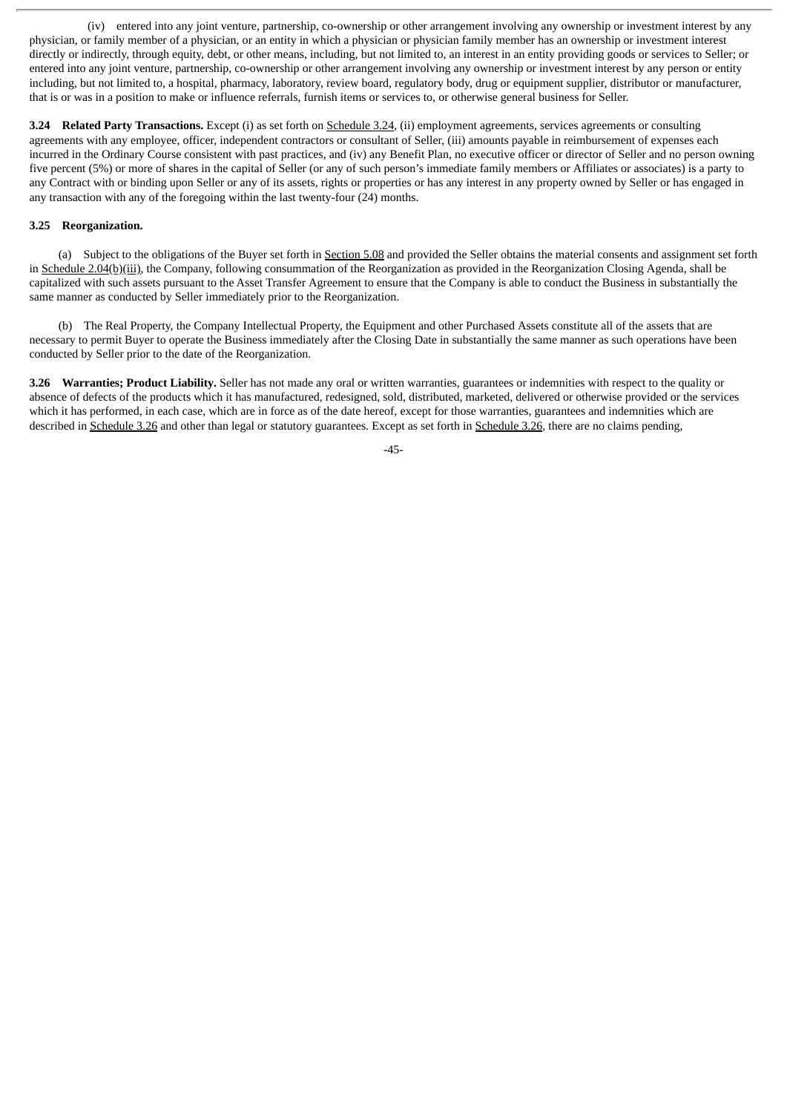(iv) entered into any joint venture, partnership, co-ownership or other arrangement involving any ownership or investment interest by any physician, or family member of a physician, or an entity in which a physician or physician family member has an ownership or investment interest directly or indirectly, through equity, debt, or other means, including, but not limited to, an interest in an entity providing goods or services to Seller; or entered into any joint venture, partnership, co-ownership or other arrangement involving any ownership or investment interest by any person or entity including, but not limited to, a hospital, pharmacy, laboratory, review board, regulatory body, drug or equipment supplier, distributor or manufacturer, that is or was in a position to make or influence referrals, furnish items or services to, or otherwise general business for Seller.

**3.24 Related Party Transactions.** Except (i) as set forth on Schedule 3.24, (ii) employment agreements, services agreements or consulting agreements with any employee, officer, independent contractors or consultant of Seller, (iii) amounts payable in reimbursement of expenses each incurred in the Ordinary Course consistent with past practices, and (iv) any Benefit Plan, no executive officer or director of Seller and no person owning five percent (5%) or more of shares in the capital of Seller (or any of such person's immediate family members or Affiliates or associates) is a party to any Contract with or binding upon Seller or any of its assets, rights or properties or has any interest in any property owned by Seller or has engaged in any transaction with any of the foregoing within the last twenty-four (24) months.

## **3.25 Reorganization.**

(a) Subject to the obligations of the Buyer set forth in Section 5.08 and provided the Seller obtains the material consents and assignment set forth in Schedule 2.04(b)(iii), the Company, following consummation of the Reorganization as provided in the Reorganization Closing Agenda, shall be capitalized with such assets pursuant to the Asset Transfer Agreement to ensure that the Company is able to conduct the Business in substantially the same manner as conducted by Seller immediately prior to the Reorganization.

(b) The Real Property, the Company Intellectual Property, the Equipment and other Purchased Assets constitute all of the assets that are necessary to permit Buyer to operate the Business immediately after the Closing Date in substantially the same manner as such operations have been conducted by Seller prior to the date of the Reorganization.

**3.26 Warranties; Product Liability.** Seller has not made any oral or written warranties, guarantees or indemnities with respect to the quality or absence of defects of the products which it has manufactured, redesigned, sold, distributed, marketed, delivered or otherwise provided or the services which it has performed, in each case, which are in force as of the date hereof, except for those warranties, guarantees and indemnities which are described in Schedule 3.26 and other than legal or statutory guarantees. Except as set forth in Schedule 3.26, there are no claims pending,

-45-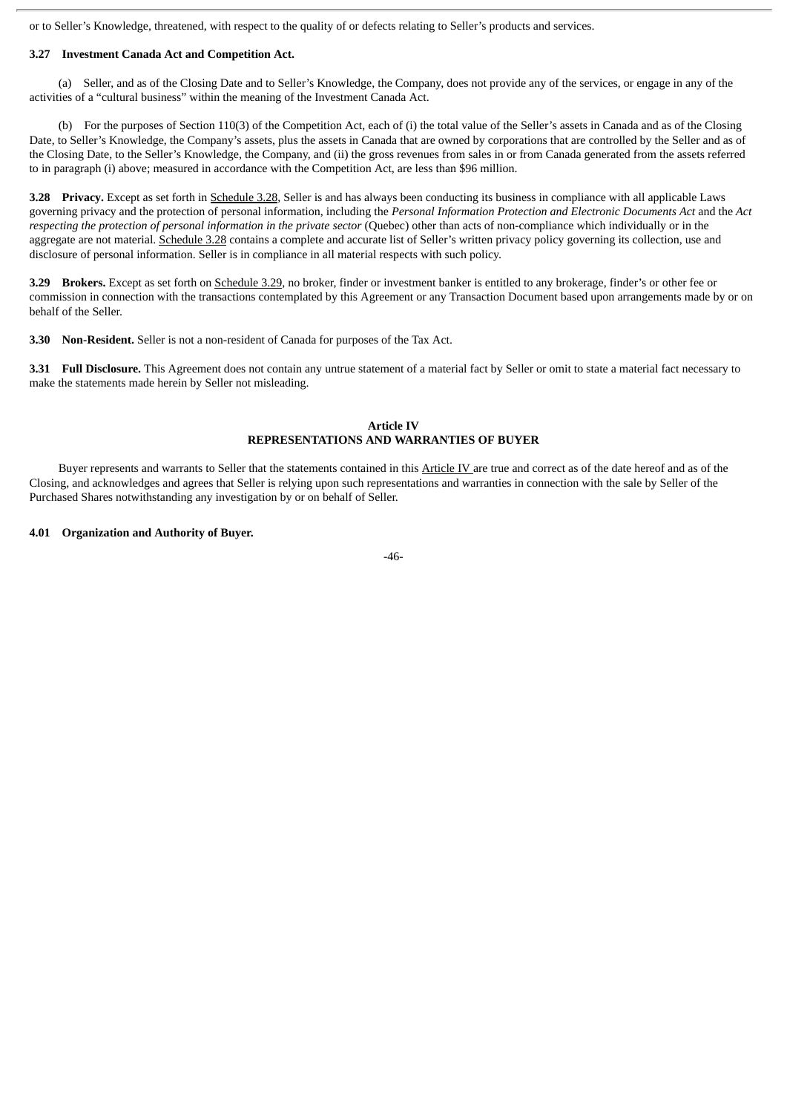or to Seller's Knowledge, threatened, with respect to the quality of or defects relating to Seller's products and services.

#### **3.27 Investment Canada Act and Competition Act.**

(a) Seller, and as of the Closing Date and to Seller's Knowledge, the Company, does not provide any of the services, or engage in any of the activities of a "cultural business" within the meaning of the Investment Canada Act.

(b) For the purposes of Section 110(3) of the Competition Act, each of (i) the total value of the Seller's assets in Canada and as of the Closing Date, to Seller's Knowledge, the Company's assets, plus the assets in Canada that are owned by corporations that are controlled by the Seller and as of the Closing Date, to the Seller's Knowledge, the Company, and (ii) the gross revenues from sales in or from Canada generated from the assets referred to in paragraph (i) above; measured in accordance with the Competition Act, are less than \$96 million.

**3.28 Privacy.** Except as set forth in Schedule 3.28, Seller is and has always been conducting its business in compliance with all applicable Laws governing privacy and the protection of personal information, including the *Personal Information Protection and Electronic Documents Act* and the *Act respecting the protection of personal information in the private sector* (Quebec) other than acts of non-compliance which individually or in the aggregate are not material. Schedule 3.28 contains a complete and accurate list of Seller's written privacy policy governing its collection, use and disclosure of personal information. Seller is in compliance in all material respects with such policy.

**3.29 Brokers.** Except as set forth on Schedule 3.29, no broker, finder or investment banker is entitled to any brokerage, finder's or other fee or commission in connection with the transactions contemplated by this Agreement or any Transaction Document based upon arrangements made by or on behalf of the Seller.

**3.30 Non-Resident.** Seller is not a non-resident of Canada for purposes of the Tax Act.

**3.31 Full Disclosure.** This Agreement does not contain any untrue statement of a material fact by Seller or omit to state a material fact necessary to make the statements made herein by Seller not misleading.

### **Article IV REPRESENTATIONS AND WARRANTIES OF BUYER**

Buyer represents and warrants to Seller that the statements contained in this Article IV are true and correct as of the date hereof and as of the Closing, and acknowledges and agrees that Seller is relying upon such representations and warranties in connection with the sale by Seller of the Purchased Shares notwithstanding any investigation by or on behalf of Seller.

#### **4.01 Organization and Authority of Buyer.**

-46-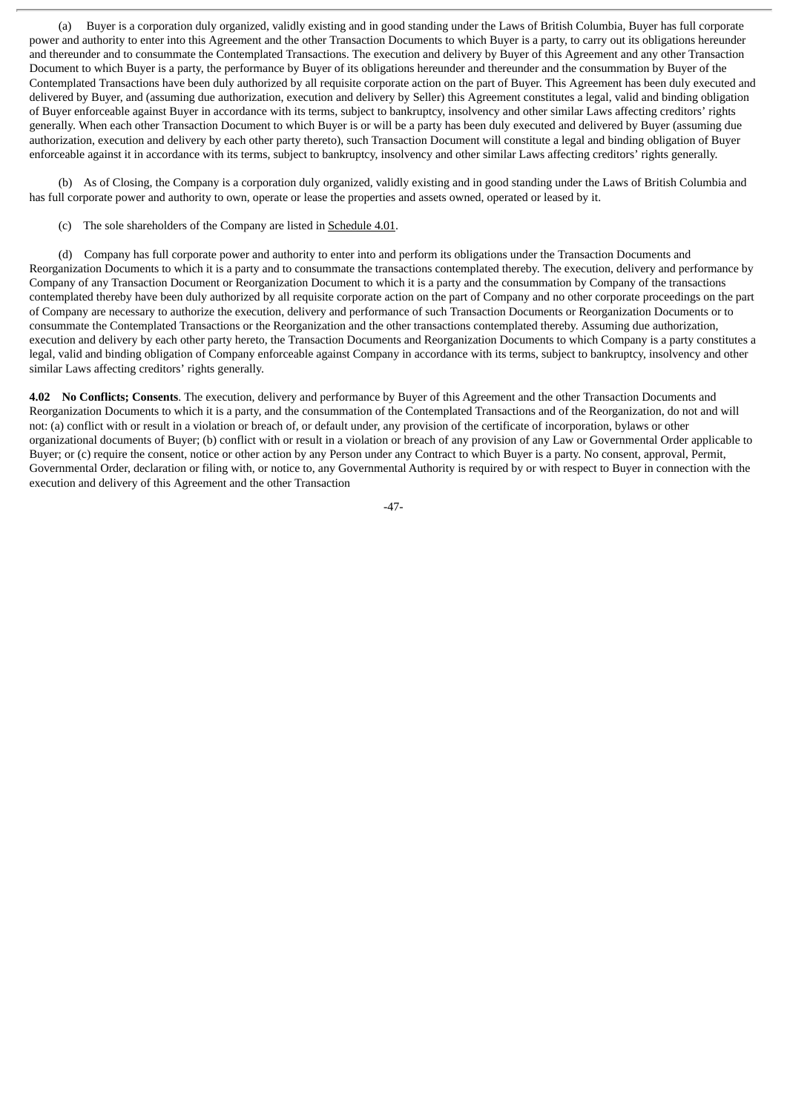(a) Buyer is a corporation duly organized, validly existing and in good standing under the Laws of British Columbia, Buyer has full corporate power and authority to enter into this Agreement and the other Transaction Documents to which Buyer is a party, to carry out its obligations hereunder and thereunder and to consummate the Contemplated Transactions. The execution and delivery by Buyer of this Agreement and any other Transaction Document to which Buyer is a party, the performance by Buyer of its obligations hereunder and thereunder and the consummation by Buyer of the Contemplated Transactions have been duly authorized by all requisite corporate action on the part of Buyer. This Agreement has been duly executed and delivered by Buyer, and (assuming due authorization, execution and delivery by Seller) this Agreement constitutes a legal, valid and binding obligation of Buyer enforceable against Buyer in accordance with its terms, subject to bankruptcy, insolvency and other similar Laws affecting creditors' rights generally. When each other Transaction Document to which Buyer is or will be a party has been duly executed and delivered by Buyer (assuming due authorization, execution and delivery by each other party thereto), such Transaction Document will constitute a legal and binding obligation of Buyer enforceable against it in accordance with its terms, subject to bankruptcy, insolvency and other similar Laws affecting creditors' rights generally.

(b) As of Closing, the Company is a corporation duly organized, validly existing and in good standing under the Laws of British Columbia and has full corporate power and authority to own, operate or lease the properties and assets owned, operated or leased by it.

(c) The sole shareholders of the Company are listed in Schedule 4.01.

(d) Company has full corporate power and authority to enter into and perform its obligations under the Transaction Documents and Reorganization Documents to which it is a party and to consummate the transactions contemplated thereby. The execution, delivery and performance by Company of any Transaction Document or Reorganization Document to which it is a party and the consummation by Company of the transactions contemplated thereby have been duly authorized by all requisite corporate action on the part of Company and no other corporate proceedings on the part of Company are necessary to authorize the execution, delivery and performance of such Transaction Documents or Reorganization Documents or to consummate the Contemplated Transactions or the Reorganization and the other transactions contemplated thereby. Assuming due authorization, execution and delivery by each other party hereto, the Transaction Documents and Reorganization Documents to which Company is a party constitutes a legal, valid and binding obligation of Company enforceable against Company in accordance with its terms, subject to bankruptcy, insolvency and other similar Laws affecting creditors' rights generally.

**4.02 No Conflicts; Consents**. The execution, delivery and performance by Buyer of this Agreement and the other Transaction Documents and Reorganization Documents to which it is a party, and the consummation of the Contemplated Transactions and of the Reorganization, do not and will not: (a) conflict with or result in a violation or breach of, or default under, any provision of the certificate of incorporation, bylaws or other organizational documents of Buyer; (b) conflict with or result in a violation or breach of any provision of any Law or Governmental Order applicable to Buyer; or (c) require the consent, notice or other action by any Person under any Contract to which Buyer is a party. No consent, approval, Permit, Governmental Order, declaration or filing with, or notice to, any Governmental Authority is required by or with respect to Buyer in connection with the execution and delivery of this Agreement and the other Transaction

-47-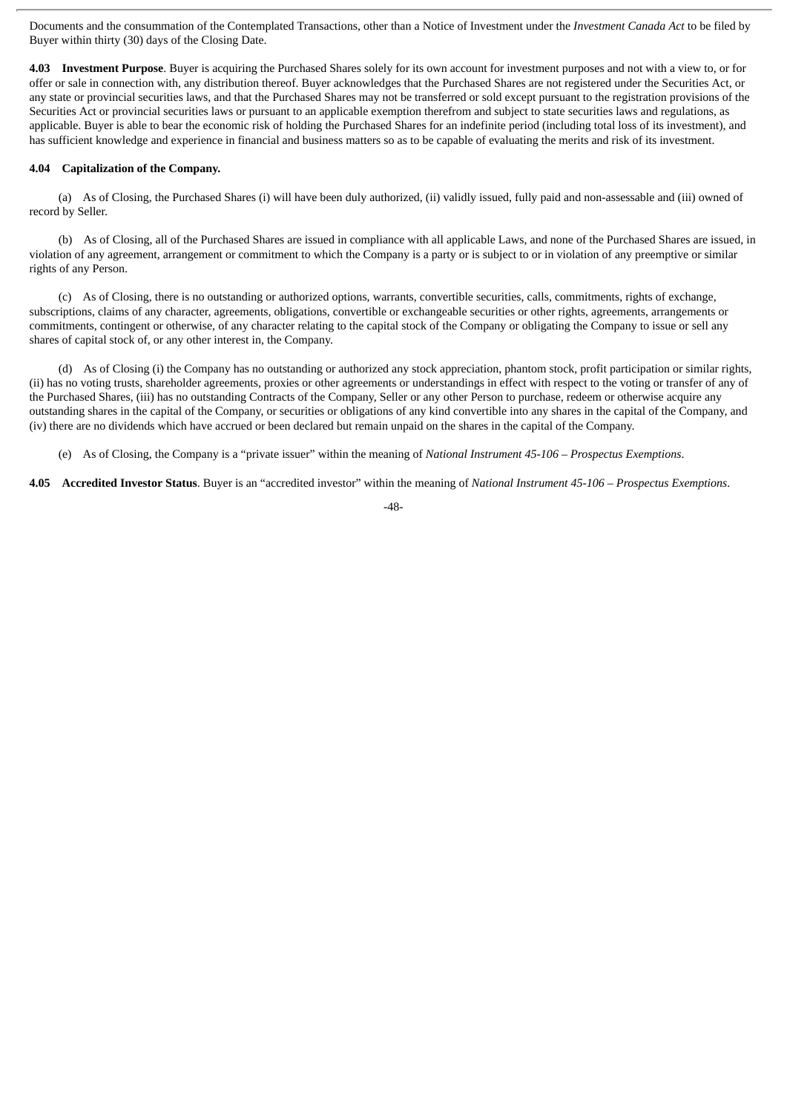Documents and the consummation of the Contemplated Transactions, other than a Notice of Investment under the *Investment Canada Act* to be filed by Buyer within thirty (30) days of the Closing Date.

**4.03 Investment Purpose**. Buyer is acquiring the Purchased Shares solely for its own account for investment purposes and not with a view to, or for offer or sale in connection with, any distribution thereof. Buyer acknowledges that the Purchased Shares are not registered under the Securities Act, or any state or provincial securities laws, and that the Purchased Shares may not be transferred or sold except pursuant to the registration provisions of the Securities Act or provincial securities laws or pursuant to an applicable exemption therefrom and subject to state securities laws and regulations, as applicable. Buyer is able to bear the economic risk of holding the Purchased Shares for an indefinite period (including total loss of its investment), and has sufficient knowledge and experience in financial and business matters so as to be capable of evaluating the merits and risk of its investment.

### **4.04 Capitalization of the Company.**

(a) As of Closing, the Purchased Shares (i) will have been duly authorized, (ii) validly issued, fully paid and non-assessable and (iii) owned of record by Seller.

(b) As of Closing, all of the Purchased Shares are issued in compliance with all applicable Laws, and none of the Purchased Shares are issued, in violation of any agreement, arrangement or commitment to which the Company is a party or is subject to or in violation of any preemptive or similar rights of any Person.

(c) As of Closing, there is no outstanding or authorized options, warrants, convertible securities, calls, commitments, rights of exchange, subscriptions, claims of any character, agreements, obligations, convertible or exchangeable securities or other rights, agreements, arrangements or commitments, contingent or otherwise, of any character relating to the capital stock of the Company or obligating the Company to issue or sell any shares of capital stock of, or any other interest in, the Company.

(d) As of Closing (i) the Company has no outstanding or authorized any stock appreciation, phantom stock, profit participation or similar rights, (ii) has no voting trusts, shareholder agreements, proxies or other agreements or understandings in effect with respect to the voting or transfer of any of the Purchased Shares, (iii) has no outstanding Contracts of the Company, Seller or any other Person to purchase, redeem or otherwise acquire any outstanding shares in the capital of the Company, or securities or obligations of any kind convertible into any shares in the capital of the Company, and (iv) there are no dividends which have accrued or been declared but remain unpaid on the shares in the capital of the Company.

(e) As of Closing, the Company is a "private issuer" within the meaning of *National Instrument 45-106 – Prospectus Exemptions*.

**4.05 Accredited Investor Status**. Buyer is an "accredited investor" within the meaning of *National Instrument 45-106 – Prospectus Exemptions*.

-48-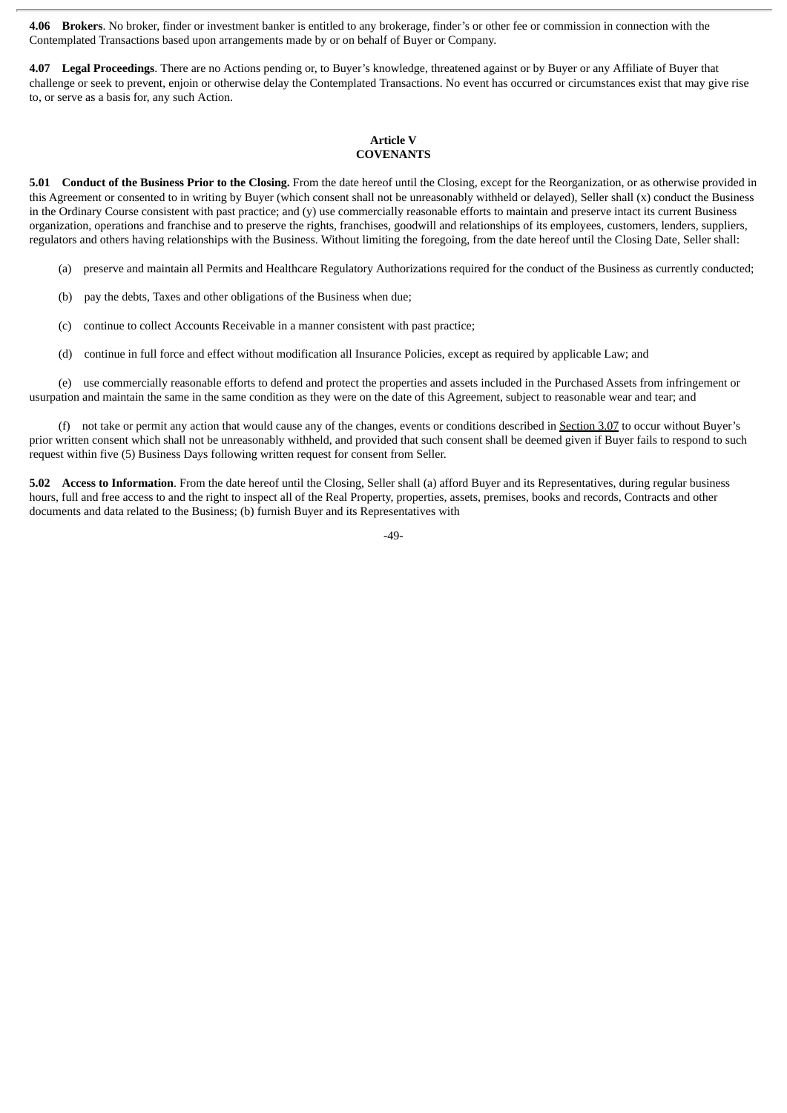**4.06 Brokers**. No broker, finder or investment banker is entitled to any brokerage, finder's or other fee or commission in connection with the Contemplated Transactions based upon arrangements made by or on behalf of Buyer or Company.

**4.07 Legal Proceedings**. There are no Actions pending or, to Buyer's knowledge, threatened against or by Buyer or any Affiliate of Buyer that challenge or seek to prevent, enjoin or otherwise delay the Contemplated Transactions. No event has occurred or circumstances exist that may give rise to, or serve as a basis for, any such Action.

#### **Article V COVENANTS**

**5.01 Conduct of the Business Prior to the Closing.** From the date hereof until the Closing, except for the Reorganization, or as otherwise provided in this Agreement or consented to in writing by Buyer (which consent shall not be unreasonably withheld or delayed), Seller shall (x) conduct the Business in the Ordinary Course consistent with past practice; and (y) use commercially reasonable efforts to maintain and preserve intact its current Business organization, operations and franchise and to preserve the rights, franchises, goodwill and relationships of its employees, customers, lenders, suppliers, regulators and others having relationships with the Business. Without limiting the foregoing, from the date hereof until the Closing Date, Seller shall:

- (a) preserve and maintain all Permits and Healthcare Regulatory Authorizations required for the conduct of the Business as currently conducted;
- (b) pay the debts, Taxes and other obligations of the Business when due;
- (c) continue to collect Accounts Receivable in a manner consistent with past practice;
- (d) continue in full force and effect without modification all Insurance Policies, except as required by applicable Law; and

(e) use commercially reasonable efforts to defend and protect the properties and assets included in the Purchased Assets from infringement or usurpation and maintain the same in the same condition as they were on the date of this Agreement, subject to reasonable wear and tear; and

(f) not take or permit any action that would cause any of the changes, events or conditions described in Section 3.07 to occur without Buyer's prior written consent which shall not be unreasonably withheld, and provided that such consent shall be deemed given if Buyer fails to respond to such request within five (5) Business Days following written request for consent from Seller.

**5.02 Access to Information**. From the date hereof until the Closing, Seller shall (a) afford Buyer and its Representatives, during regular business hours, full and free access to and the right to inspect all of the Real Property, properties, assets, premises, books and records, Contracts and other documents and data related to the Business; (b) furnish Buyer and its Representatives with

-49-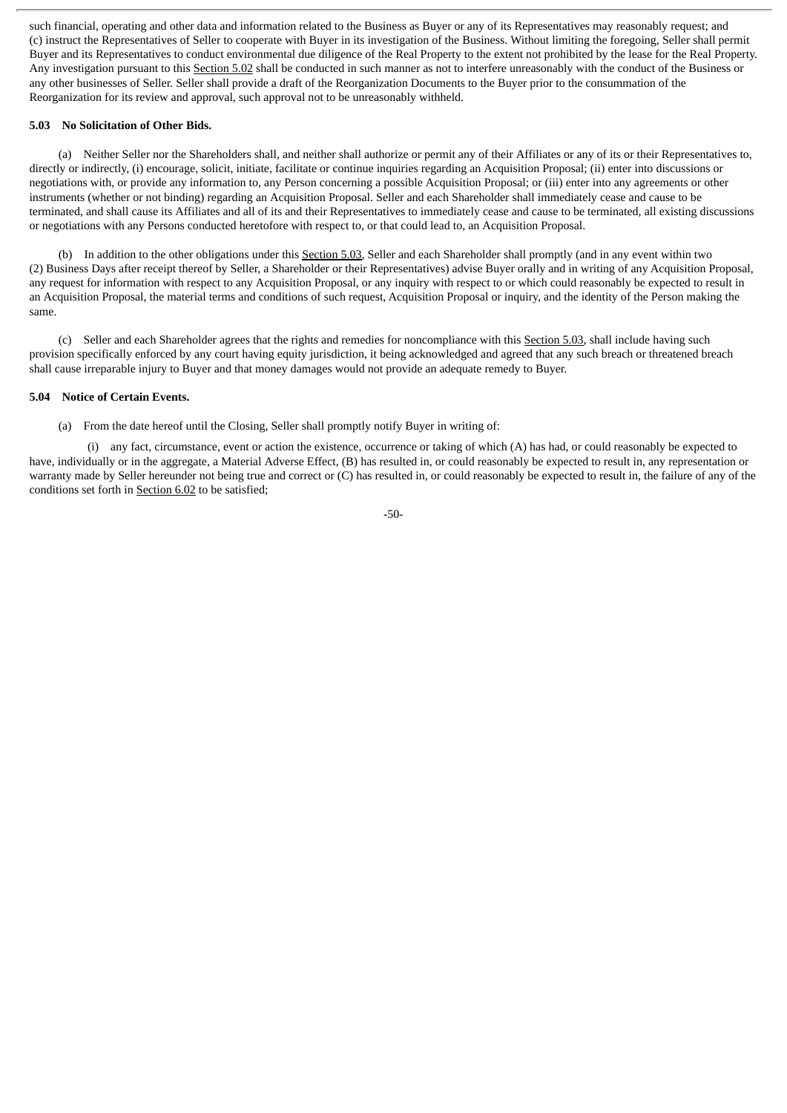such financial, operating and other data and information related to the Business as Buyer or any of its Representatives may reasonably request; and (c) instruct the Representatives of Seller to cooperate with Buyer in its investigation of the Business. Without limiting the foregoing, Seller shall permit Buyer and its Representatives to conduct environmental due diligence of the Real Property to the extent not prohibited by the lease for the Real Property. Any investigation pursuant to this Section 5.02 shall be conducted in such manner as not to interfere unreasonably with the conduct of the Business or any other businesses of Seller. Seller shall provide a draft of the Reorganization Documents to the Buyer prior to the consummation of the Reorganization for its review and approval, such approval not to be unreasonably withheld.

### **5.03 No Solicitation of Other Bids.**

(a) Neither Seller nor the Shareholders shall, and neither shall authorize or permit any of their Affiliates or any of its or their Representatives to, directly or indirectly, (i) encourage, solicit, initiate, facilitate or continue inquiries regarding an Acquisition Proposal; (ii) enter into discussions or negotiations with, or provide any information to, any Person concerning a possible Acquisition Proposal; or (iii) enter into any agreements or other instruments (whether or not binding) regarding an Acquisition Proposal. Seller and each Shareholder shall immediately cease and cause to be terminated, and shall cause its Affiliates and all of its and their Representatives to immediately cease and cause to be terminated, all existing discussions or negotiations with any Persons conducted heretofore with respect to, or that could lead to, an Acquisition Proposal.

(b) In addition to the other obligations under this Section 5.03, Seller and each Shareholder shall promptly (and in any event within two (2) Business Days after receipt thereof by Seller, a Shareholder or their Representatives) advise Buyer orally and in writing of any Acquisition Proposal, any request for information with respect to any Acquisition Proposal, or any inquiry with respect to or which could reasonably be expected to result in an Acquisition Proposal, the material terms and conditions of such request, Acquisition Proposal or inquiry, and the identity of the Person making the same.

(c) Seller and each Shareholder agrees that the rights and remedies for noncompliance with this Section 5.03, shall include having such provision specifically enforced by any court having equity jurisdiction, it being acknowledged and agreed that any such breach or threatened breach shall cause irreparable injury to Buyer and that money damages would not provide an adequate remedy to Buyer.

# **5.04 Notice of Certain Events.**

(a) From the date hereof until the Closing, Seller shall promptly notify Buyer in writing of:

(i) any fact, circumstance, event or action the existence, occurrence or taking of which (A) has had, or could reasonably be expected to have, individually or in the aggregate, a Material Adverse Effect, (B) has resulted in, or could reasonably be expected to result in, any representation or warranty made by Seller hereunder not being true and correct or (C) has resulted in, or could reasonably be expected to result in, the failure of any of the conditions set forth in Section 6.02 to be satisfied;

-50-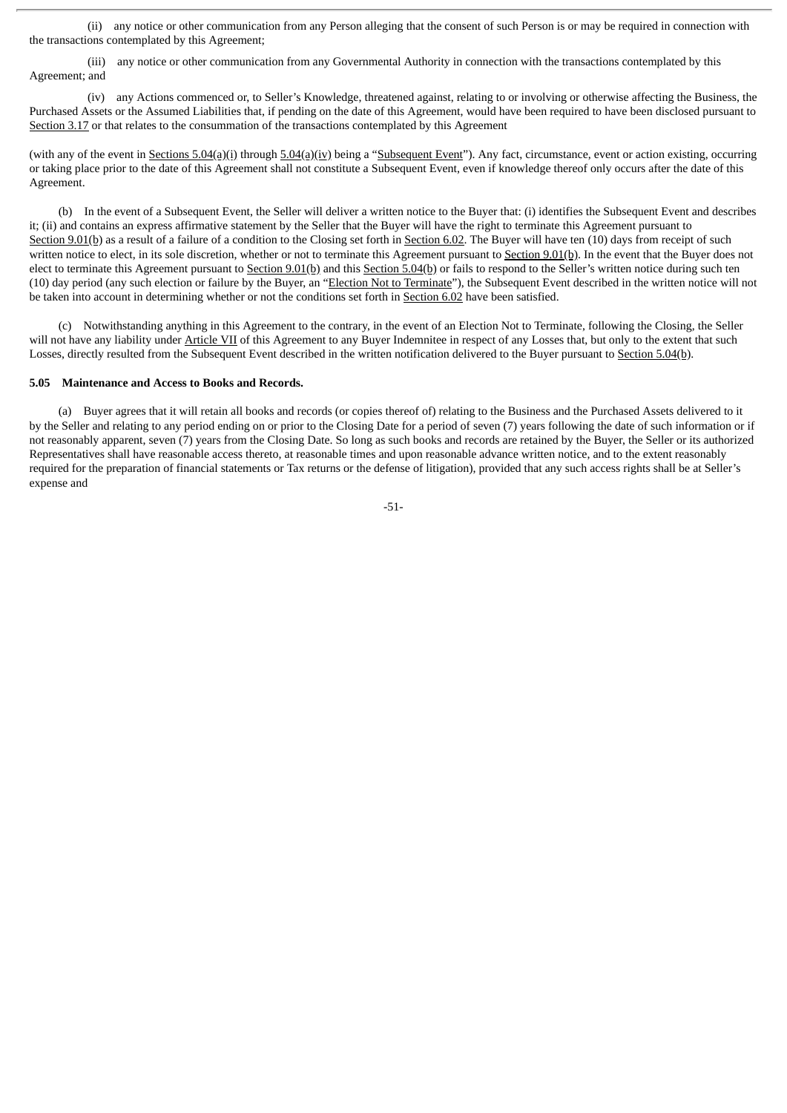(ii) any notice or other communication from any Person alleging that the consent of such Person is or may be required in connection with the transactions contemplated by this Agreement;

(iii) any notice or other communication from any Governmental Authority in connection with the transactions contemplated by this Agreement; and

(iv) any Actions commenced or, to Seller's Knowledge, threatened against, relating to or involving or otherwise affecting the Business, the Purchased Assets or the Assumed Liabilities that, if pending on the date of this Agreement, would have been required to have been disclosed pursuant to Section 3.17 or that relates to the consummation of the transactions contemplated by this Agreement

(with any of the event in Sections  $5.04(a)(i)$  through  $5.04(a)(iv)$  being a "Subsequent Event"). Any fact, circumstance, event or action existing, occurring or taking place prior to the date of this Agreement shall not constitute a Subsequent Event, even if knowledge thereof only occurs after the date of this Agreement.

(b) In the event of a Subsequent Event, the Seller will deliver a written notice to the Buyer that: (i) identifies the Subsequent Event and describes it; (ii) and contains an express affirmative statement by the Seller that the Buyer will have the right to terminate this Agreement pursuant to Section 9.01(b) as a result of a failure of a condition to the Closing set forth in Section 6.02. The Buyer will have ten (10) days from receipt of such written notice to elect, in its sole discretion, whether or not to terminate this Agreement pursuant to Section 9.01(b). In the event that the Buyer does not elect to terminate this Agreement pursuant to Section 9.01(b) and this Section 5.04(b) or fails to respond to the Seller's written notice during such ten (10) day period (any such election or failure by the Buyer, an "Election Not to Terminate"), the Subsequent Event described in the written notice will not be taken into account in determining whether or not the conditions set forth in Section 6.02 have been satisfied.

(c) Notwithstanding anything in this Agreement to the contrary, in the event of an Election Not to Terminate, following the Closing, the Seller will not have any liability under Article VII of this Agreement to any Buyer Indemnitee in respect of any Losses that, but only to the extent that such Losses, directly resulted from the Subsequent Event described in the written notification delivered to the Buyer pursuant to Section 5.04(b).

## **5.05 Maintenance and Access to Books and Records.**

(a) Buyer agrees that it will retain all books and records (or copies thereof of) relating to the Business and the Purchased Assets delivered to it by the Seller and relating to any period ending on or prior to the Closing Date for a period of seven (7) years following the date of such information or if not reasonably apparent, seven (7) years from the Closing Date. So long as such books and records are retained by the Buyer, the Seller or its authorized Representatives shall have reasonable access thereto, at reasonable times and upon reasonable advance written notice, and to the extent reasonably required for the preparation of financial statements or Tax returns or the defense of litigation), provided that any such access rights shall be at Seller's expense and

-51-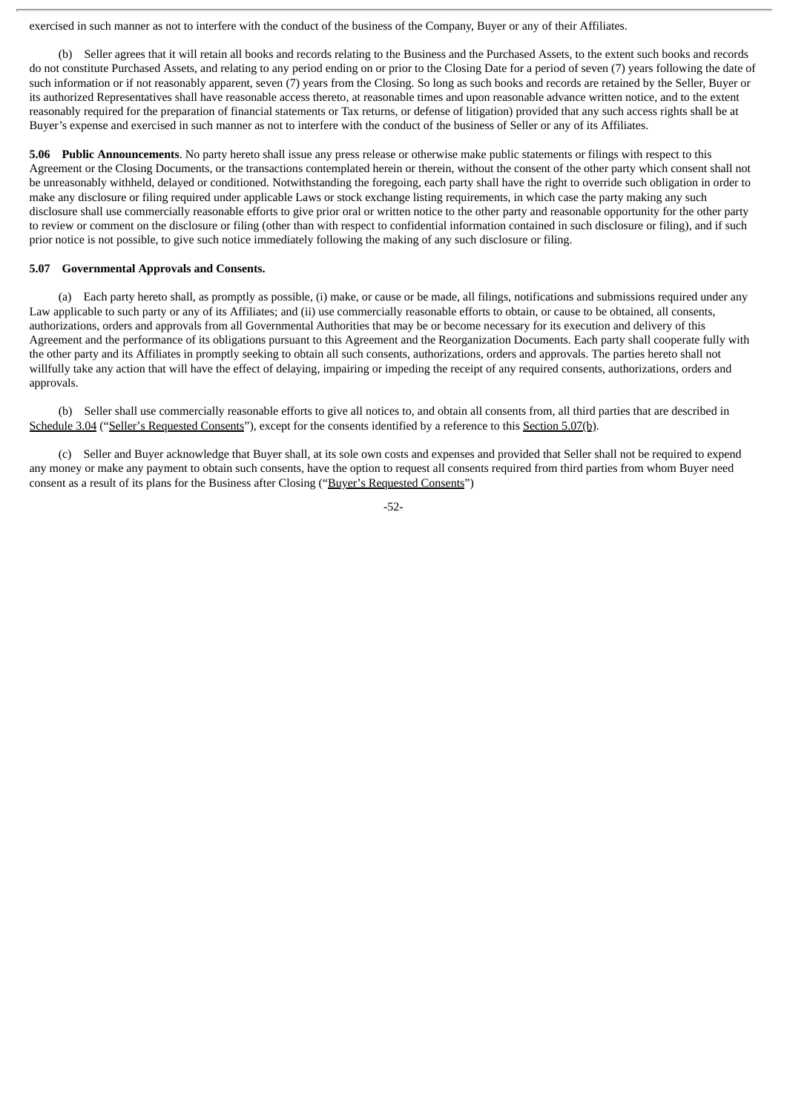exercised in such manner as not to interfere with the conduct of the business of the Company, Buyer or any of their Affiliates.

(b) Seller agrees that it will retain all books and records relating to the Business and the Purchased Assets, to the extent such books and records do not constitute Purchased Assets, and relating to any period ending on or prior to the Closing Date for a period of seven (7) years following the date of such information or if not reasonably apparent, seven (7) years from the Closing. So long as such books and records are retained by the Seller, Buyer or its authorized Representatives shall have reasonable access thereto, at reasonable times and upon reasonable advance written notice, and to the extent reasonably required for the preparation of financial statements or Tax returns, or defense of litigation) provided that any such access rights shall be at Buyer's expense and exercised in such manner as not to interfere with the conduct of the business of Seller or any of its Affiliates.

**5.06 Public Announcements**. No party hereto shall issue any press release or otherwise make public statements or filings with respect to this Agreement or the Closing Documents, or the transactions contemplated herein or therein, without the consent of the other party which consent shall not be unreasonably withheld, delayed or conditioned. Notwithstanding the foregoing, each party shall have the right to override such obligation in order to make any disclosure or filing required under applicable Laws or stock exchange listing requirements, in which case the party making any such disclosure shall use commercially reasonable efforts to give prior oral or written notice to the other party and reasonable opportunity for the other party to review or comment on the disclosure or filing (other than with respect to confidential information contained in such disclosure or filing), and if such prior notice is not possible, to give such notice immediately following the making of any such disclosure or filing.

### **5.07 Governmental Approvals and Consents.**

(a) Each party hereto shall, as promptly as possible, (i) make, or cause or be made, all filings, notifications and submissions required under any Law applicable to such party or any of its Affiliates; and (ii) use commercially reasonable efforts to obtain, or cause to be obtained, all consents, authorizations, orders and approvals from all Governmental Authorities that may be or become necessary for its execution and delivery of this Agreement and the performance of its obligations pursuant to this Agreement and the Reorganization Documents. Each party shall cooperate fully with the other party and its Affiliates in promptly seeking to obtain all such consents, authorizations, orders and approvals. The parties hereto shall not willfully take any action that will have the effect of delaying, impairing or impeding the receipt of any required consents, authorizations, orders and approvals.

(b) Seller shall use commercially reasonable efforts to give all notices to, and obtain all consents from, all third parties that are described in Schedule 3.04 ("Seller's Requested Consents"), except for the consents identified by a reference to this Section 5.07(b).

(c) Seller and Buyer acknowledge that Buyer shall, at its sole own costs and expenses and provided that Seller shall not be required to expend any money or make any payment to obtain such consents, have the option to request all consents required from third parties from whom Buyer need consent as a result of its plans for the Business after Closing ("Buyer's Requested Consents")

-52-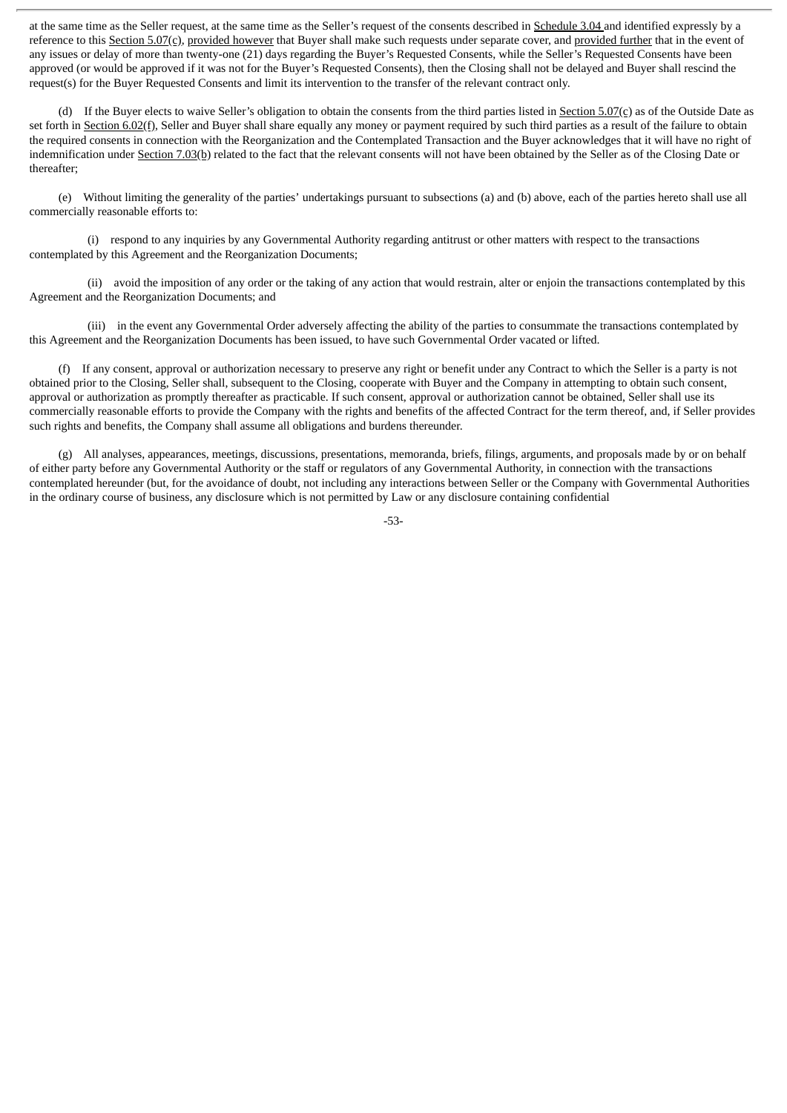at the same time as the Seller request, at the same time as the Seller's request of the consents described in Schedule 3.04 and identified expressly by a reference to this Section 5.07(c), provided however that Buyer shall make such requests under separate cover, and provided further that in the event of any issues or delay of more than twenty-one (21) days regarding the Buyer's Requested Consents, while the Seller's Requested Consents have been approved (or would be approved if it was not for the Buyer's Requested Consents), then the Closing shall not be delayed and Buyer shall rescind the request(s) for the Buyer Requested Consents and limit its intervention to the transfer of the relevant contract only.

(d) If the Buyer elects to waive Seller's obligation to obtain the consents from the third parties listed in Section 5.07(c) as of the Outside Date as set forth in Section 6.02(f), Seller and Buyer shall share equally any money or payment required by such third parties as a result of the failure to obtain the required consents in connection with the Reorganization and the Contemplated Transaction and the Buyer acknowledges that it will have no right of indemnification under Section 7.03(b) related to the fact that the relevant consents will not have been obtained by the Seller as of the Closing Date or thereafter;

(e) Without limiting the generality of the parties' undertakings pursuant to subsections (a) and (b) above, each of the parties hereto shall use all commercially reasonable efforts to:

(i) respond to any inquiries by any Governmental Authority regarding antitrust or other matters with respect to the transactions contemplated by this Agreement and the Reorganization Documents;

(ii) avoid the imposition of any order or the taking of any action that would restrain, alter or enjoin the transactions contemplated by this Agreement and the Reorganization Documents; and

(iii) in the event any Governmental Order adversely affecting the ability of the parties to consummate the transactions contemplated by this Agreement and the Reorganization Documents has been issued, to have such Governmental Order vacated or lifted.

(f) If any consent, approval or authorization necessary to preserve any right or benefit under any Contract to which the Seller is a party is not obtained prior to the Closing, Seller shall, subsequent to the Closing, cooperate with Buyer and the Company in attempting to obtain such consent, approval or authorization as promptly thereafter as practicable. If such consent, approval or authorization cannot be obtained, Seller shall use its commercially reasonable efforts to provide the Company with the rights and benefits of the affected Contract for the term thereof, and, if Seller provides such rights and benefits, the Company shall assume all obligations and burdens thereunder.

(g) All analyses, appearances, meetings, discussions, presentations, memoranda, briefs, filings, arguments, and proposals made by or on behalf of either party before any Governmental Authority or the staff or regulators of any Governmental Authority, in connection with the transactions contemplated hereunder (but, for the avoidance of doubt, not including any interactions between Seller or the Company with Governmental Authorities in the ordinary course of business, any disclosure which is not permitted by Law or any disclosure containing confidential

-53-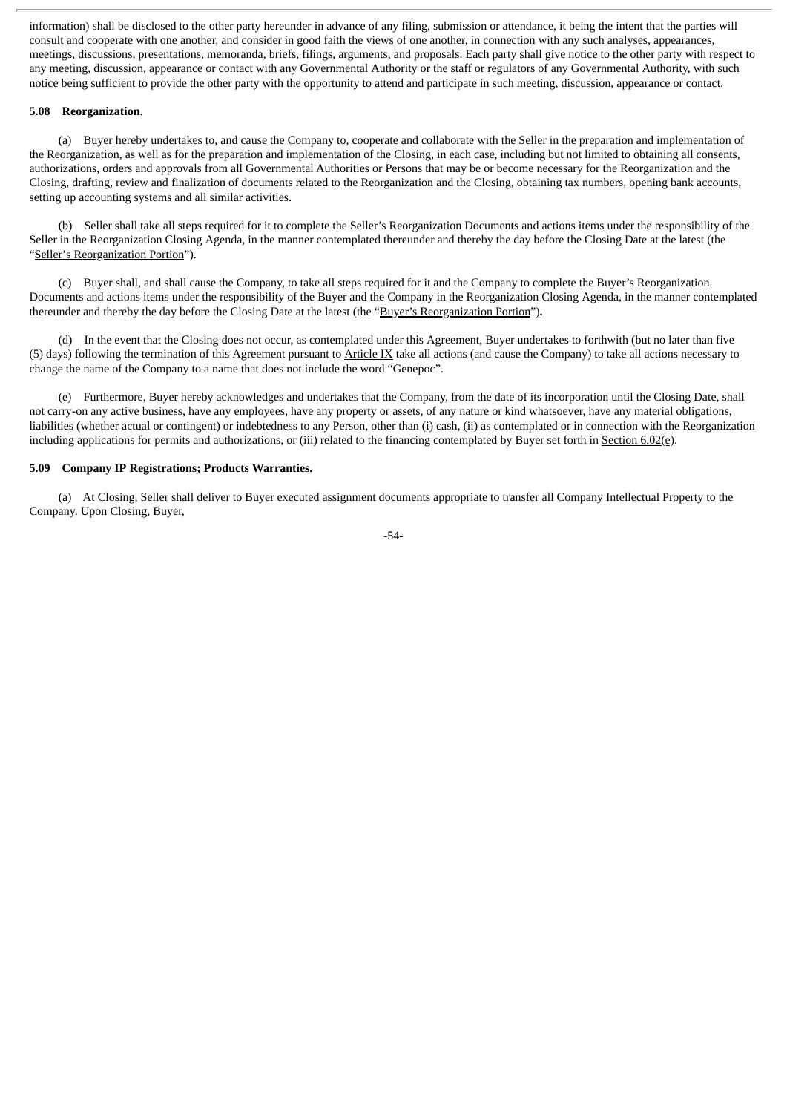information) shall be disclosed to the other party hereunder in advance of any filing, submission or attendance, it being the intent that the parties will consult and cooperate with one another, and consider in good faith the views of one another, in connection with any such analyses, appearances, meetings, discussions, presentations, memoranda, briefs, filings, arguments, and proposals. Each party shall give notice to the other party with respect to any meeting, discussion, appearance or contact with any Governmental Authority or the staff or regulators of any Governmental Authority, with such notice being sufficient to provide the other party with the opportunity to attend and participate in such meeting, discussion, appearance or contact.

#### **5.08 Reorganization**.

(a) Buyer hereby undertakes to, and cause the Company to, cooperate and collaborate with the Seller in the preparation and implementation of the Reorganization, as well as for the preparation and implementation of the Closing, in each case, including but not limited to obtaining all consents, authorizations, orders and approvals from all Governmental Authorities or Persons that may be or become necessary for the Reorganization and the Closing, drafting, review and finalization of documents related to the Reorganization and the Closing, obtaining tax numbers, opening bank accounts, setting up accounting systems and all similar activities.

(b) Seller shall take all steps required for it to complete the Seller's Reorganization Documents and actions items under the responsibility of the Seller in the Reorganization Closing Agenda, in the manner contemplated thereunder and thereby the day before the Closing Date at the latest (the "Seller's Reorganization Portion").

(c) Buyer shall, and shall cause the Company, to take all steps required for it and the Company to complete the Buyer's Reorganization Documents and actions items under the responsibility of the Buyer and the Company in the Reorganization Closing Agenda, in the manner contemplated thereunder and thereby the day before the Closing Date at the latest (the "Buyer's Reorganization Portion")**.**

(d) In the event that the Closing does not occur, as contemplated under this Agreement, Buyer undertakes to forthwith (but no later than five (5) days) following the termination of this Agreement pursuant to Article IX take all actions (and cause the Company) to take all actions necessary to change the name of the Company to a name that does not include the word "Genepoc".

(e) Furthermore, Buyer hereby acknowledges and undertakes that the Company, from the date of its incorporation until the Closing Date, shall not carry-on any active business, have any employees, have any property or assets, of any nature or kind whatsoever, have any material obligations, liabilities (whether actual or contingent) or indebtedness to any Person, other than (i) cash, (ii) as contemplated or in connection with the Reorganization including applications for permits and authorizations, or (iii) related to the financing contemplated by Buyer set forth in Section 6.02(e).

#### **5.09 Company IP Registrations; Products Warranties.**

(a) At Closing, Seller shall deliver to Buyer executed assignment documents appropriate to transfer all Company Intellectual Property to the Company. Upon Closing, Buyer,

$$
-54-
$$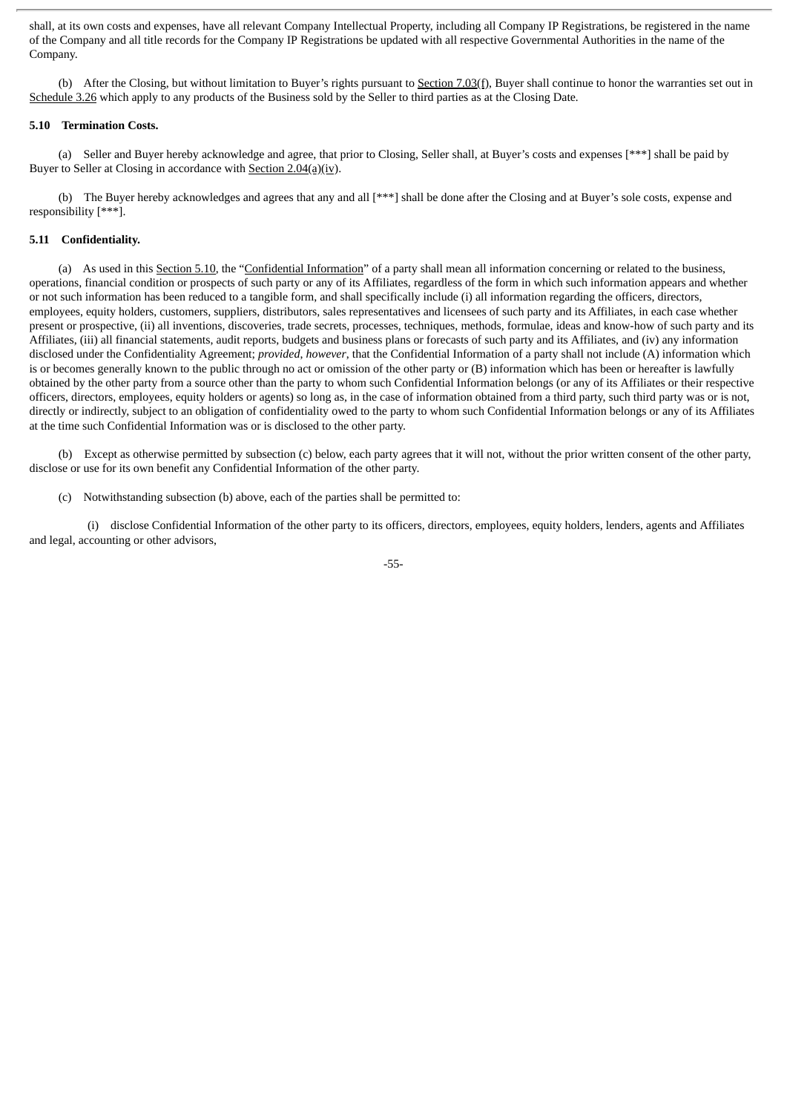shall, at its own costs and expenses, have all relevant Company Intellectual Property, including all Company IP Registrations, be registered in the name of the Company and all title records for the Company IP Registrations be updated with all respective Governmental Authorities in the name of the Company.

(b) After the Closing, but without limitation to Buyer's rights pursuant to Section 7.03(f), Buyer shall continue to honor the warranties set out in Schedule 3.26 which apply to any products of the Business sold by the Seller to third parties as at the Closing Date*.*

#### **5.10 Termination Costs.**

(a) Seller and Buyer hereby acknowledge and agree, that prior to Closing, Seller shall, at Buyer's costs and expenses [\*\*\*] shall be paid by Buyer to Seller at Closing in accordance with Section 2.04(a)(iv).

(b) The Buyer hereby acknowledges and agrees that any and all [\*\*\*] shall be done after the Closing and at Buyer's sole costs, expense and responsibility [\*\*\*].

#### **5.11 Confidentiality.**

(a) As used in this Section 5.10, the "Confidential Information" of a party shall mean all information concerning or related to the business, operations, financial condition or prospects of such party or any of its Affiliates, regardless of the form in which such information appears and whether or not such information has been reduced to a tangible form, and shall specifically include (i) all information regarding the officers, directors, employees, equity holders, customers, suppliers, distributors, sales representatives and licensees of such party and its Affiliates, in each case whether present or prospective, (ii) all inventions, discoveries, trade secrets, processes, techniques, methods, formulae, ideas and know-how of such party and its Affiliates, (iii) all financial statements, audit reports, budgets and business plans or forecasts of such party and its Affiliates, and (iv) any information disclosed under the Confidentiality Agreement; *provided*, *however*, that the Confidential Information of a party shall not include (A) information which is or becomes generally known to the public through no act or omission of the other party or (B) information which has been or hereafter is lawfully obtained by the other party from a source other than the party to whom such Confidential Information belongs (or any of its Affiliates or their respective officers, directors, employees, equity holders or agents) so long as, in the case of information obtained from a third party, such third party was or is not, directly or indirectly, subject to an obligation of confidentiality owed to the party to whom such Confidential Information belongs or any of its Affiliates at the time such Confidential Information was or is disclosed to the other party.

(b) Except as otherwise permitted by subsection (c) below, each party agrees that it will not, without the prior written consent of the other party, disclose or use for its own benefit any Confidential Information of the other party.

(c) Notwithstanding subsection (b) above, each of the parties shall be permitted to:

(i) disclose Confidential Information of the other party to its officers, directors, employees, equity holders, lenders, agents and Affiliates and legal, accounting or other advisors,

-55-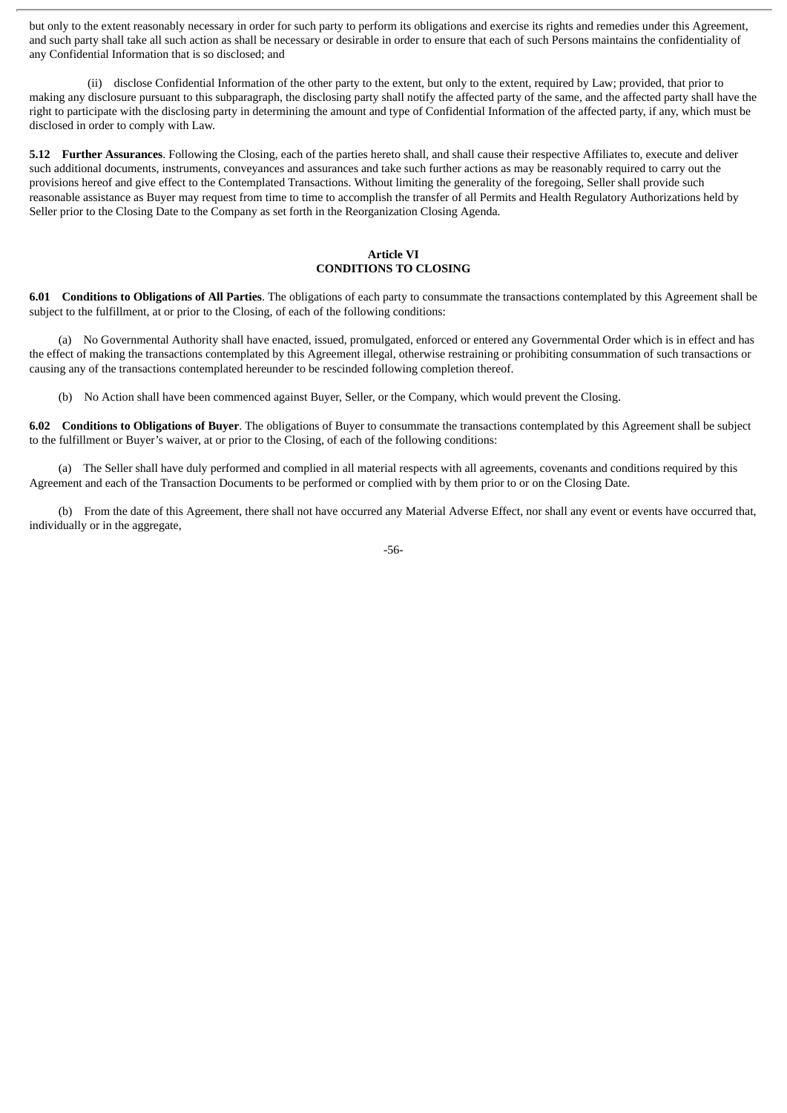but only to the extent reasonably necessary in order for such party to perform its obligations and exercise its rights and remedies under this Agreement, and such party shall take all such action as shall be necessary or desirable in order to ensure that each of such Persons maintains the confidentiality of any Confidential Information that is so disclosed; and

(ii) disclose Confidential Information of the other party to the extent, but only to the extent, required by Law; provided, that prior to making any disclosure pursuant to this subparagraph, the disclosing party shall notify the affected party of the same, and the affected party shall have the right to participate with the disclosing party in determining the amount and type of Confidential Information of the affected party, if any, which must be disclosed in order to comply with Law.

**5.12 Further Assurances**. Following the Closing, each of the parties hereto shall, and shall cause their respective Affiliates to, execute and deliver such additional documents, instruments, conveyances and assurances and take such further actions as may be reasonably required to carry out the provisions hereof and give effect to the Contemplated Transactions. Without limiting the generality of the foregoing, Seller shall provide such reasonable assistance as Buyer may request from time to time to accomplish the transfer of all Permits and Health Regulatory Authorizations held by Seller prior to the Closing Date to the Company as set forth in the Reorganization Closing Agenda.

#### **Article VI CONDITIONS TO CLOSING**

**6.01 Conditions to Obligations of All Parties**. The obligations of each party to consummate the transactions contemplated by this Agreement shall be subject to the fulfillment, at or prior to the Closing, of each of the following conditions:

(a) No Governmental Authority shall have enacted, issued, promulgated, enforced or entered any Governmental Order which is in effect and has the effect of making the transactions contemplated by this Agreement illegal, otherwise restraining or prohibiting consummation of such transactions or causing any of the transactions contemplated hereunder to be rescinded following completion thereof.

(b) No Action shall have been commenced against Buyer, Seller, or the Company, which would prevent the Closing.

**6.02 Conditions to Obligations of Buyer**. The obligations of Buyer to consummate the transactions contemplated by this Agreement shall be subject to the fulfillment or Buyer's waiver, at or prior to the Closing, of each of the following conditions:

(a) The Seller shall have duly performed and complied in all material respects with all agreements, covenants and conditions required by this Agreement and each of the Transaction Documents to be performed or complied with by them prior to or on the Closing Date.

(b) From the date of this Agreement, there shall not have occurred any Material Adverse Effect, nor shall any event or events have occurred that, individually or in the aggregate,

-56-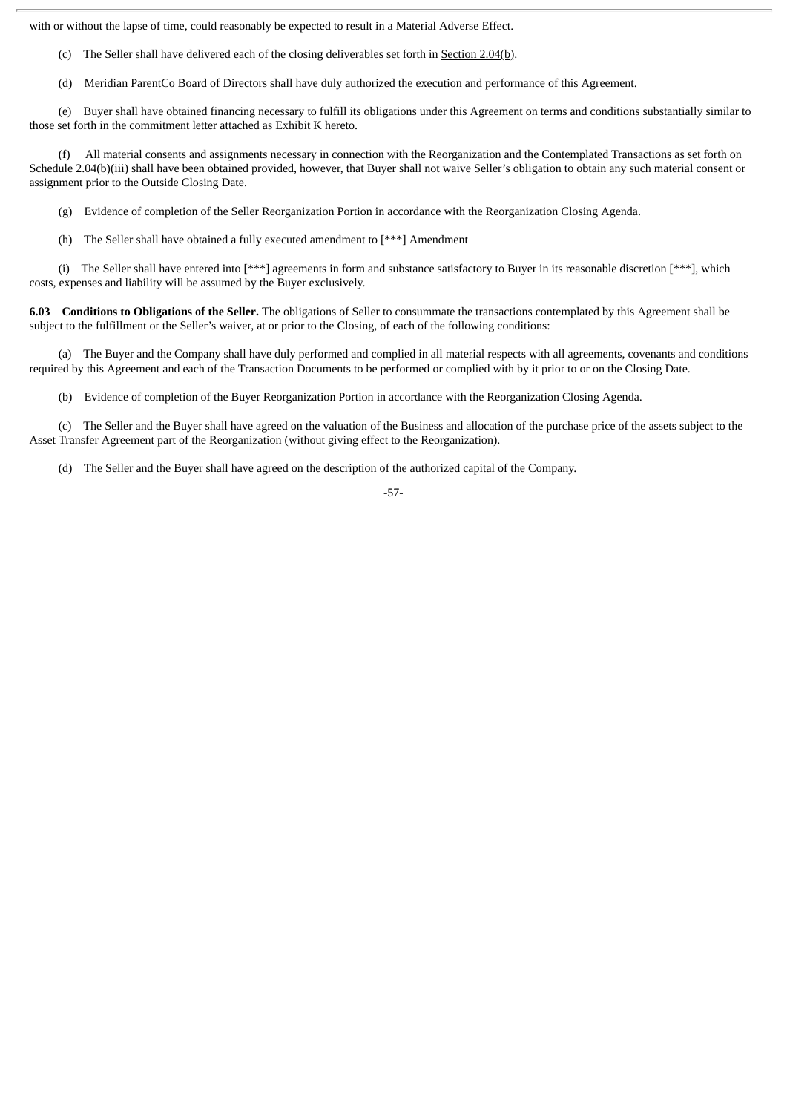with or without the lapse of time, could reasonably be expected to result in a Material Adverse Effect.

- (c) The Seller shall have delivered each of the closing deliverables set forth in Section 2.04(b).
- (d) Meridian ParentCo Board of Directors shall have duly authorized the execution and performance of this Agreement.

(e) Buyer shall have obtained financing necessary to fulfill its obligations under this Agreement on terms and conditions substantially similar to those set forth in the commitment letter attached as Exhibit K hereto.

(f) All material consents and assignments necessary in connection with the Reorganization and the Contemplated Transactions as set forth on Schedule 2.04(b)(iii) shall have been obtained provided, however, that Buyer shall not waive Seller's obligation to obtain any such material consent or assignment prior to the Outside Closing Date.

(g) Evidence of completion of the Seller Reorganization Portion in accordance with the Reorganization Closing Agenda.

(h) The Seller shall have obtained a fully executed amendment to [\*\*\*] Amendment

(i) The Seller shall have entered into [\*\*\*] agreements in form and substance satisfactory to Buyer in its reasonable discretion [\*\*\*], which costs, expenses and liability will be assumed by the Buyer exclusively.

**6.03 Conditions to Obligations of the Seller.** The obligations of Seller to consummate the transactions contemplated by this Agreement shall be subject to the fulfillment or the Seller's waiver, at or prior to the Closing, of each of the following conditions:

(a) The Buyer and the Company shall have duly performed and complied in all material respects with all agreements, covenants and conditions required by this Agreement and each of the Transaction Documents to be performed or complied with by it prior to or on the Closing Date.

(b) Evidence of completion of the Buyer Reorganization Portion in accordance with the Reorganization Closing Agenda.

(c) The Seller and the Buyer shall have agreed on the valuation of the Business and allocation of the purchase price of the assets subject to the Asset Transfer Agreement part of the Reorganization (without giving effect to the Reorganization).

(d) The Seller and the Buyer shall have agreed on the description of the authorized capital of the Company.

#### -57-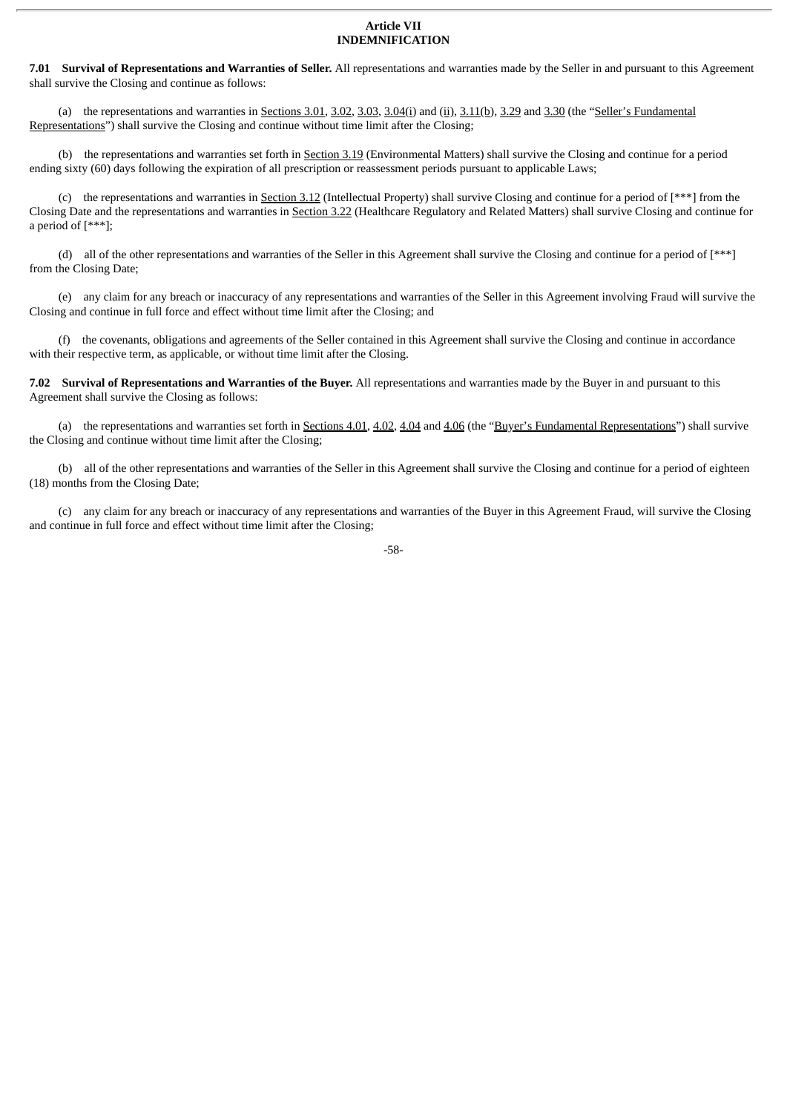#### **Article VII INDEMNIFICATION**

**7.01 Survival of Representations and Warranties of Seller.** All representations and warranties made by the Seller in and pursuant to this Agreement shall survive the Closing and continue as follows:

(a) the representations and warranties in Sections  $3.01$ ,  $3.02$ ,  $3.03$ ,  $3.04(i)$  and  $(ii)$ ,  $3.11(b)$ ,  $3.29$  and  $3.30$  (the "Seller's Fundamental Representations") shall survive the Closing and continue without time limit after the Closing;

(b) the representations and warranties set forth in Section 3.19 (Environmental Matters) shall survive the Closing and continue for a period ending sixty (60) days following the expiration of all prescription or reassessment periods pursuant to applicable Laws;

(c) the representations and warranties in Section 3.12 (Intellectual Property) shall survive Closing and continue for a period of  $[***]$  from the Closing Date and the representations and warranties in Section 3.22 (Healthcare Regulatory and Related Matters) shall survive Closing and continue for a period of [\*\*\*];

(d) all of the other representations and warranties of the Seller in this Agreement shall survive the Closing and continue for a period of [\*\*\*] from the Closing Date;

(e) any claim for any breach or inaccuracy of any representations and warranties of the Seller in this Agreement involving Fraud will survive the Closing and continue in full force and effect without time limit after the Closing; and

(f) the covenants, obligations and agreements of the Seller contained in this Agreement shall survive the Closing and continue in accordance with their respective term, as applicable, or without time limit after the Closing.

**7.02 Survival of Representations and Warranties of the Buyer.** All representations and warranties made by the Buyer in and pursuant to this Agreement shall survive the Closing as follows:

(a) the representations and warranties set forth in Sections 4.01, 4.02, 4.04 and 4.06 (the "Buyer's Fundamental Representations") shall survive the Closing and continue without time limit after the Closing;

(b) all of the other representations and warranties of the Seller in this Agreement shall survive the Closing and continue for a period of eighteen (18) months from the Closing Date;

(c) any claim for any breach or inaccuracy of any representations and warranties of the Buyer in this Agreement Fraud, will survive the Closing and continue in full force and effect without time limit after the Closing;

-58-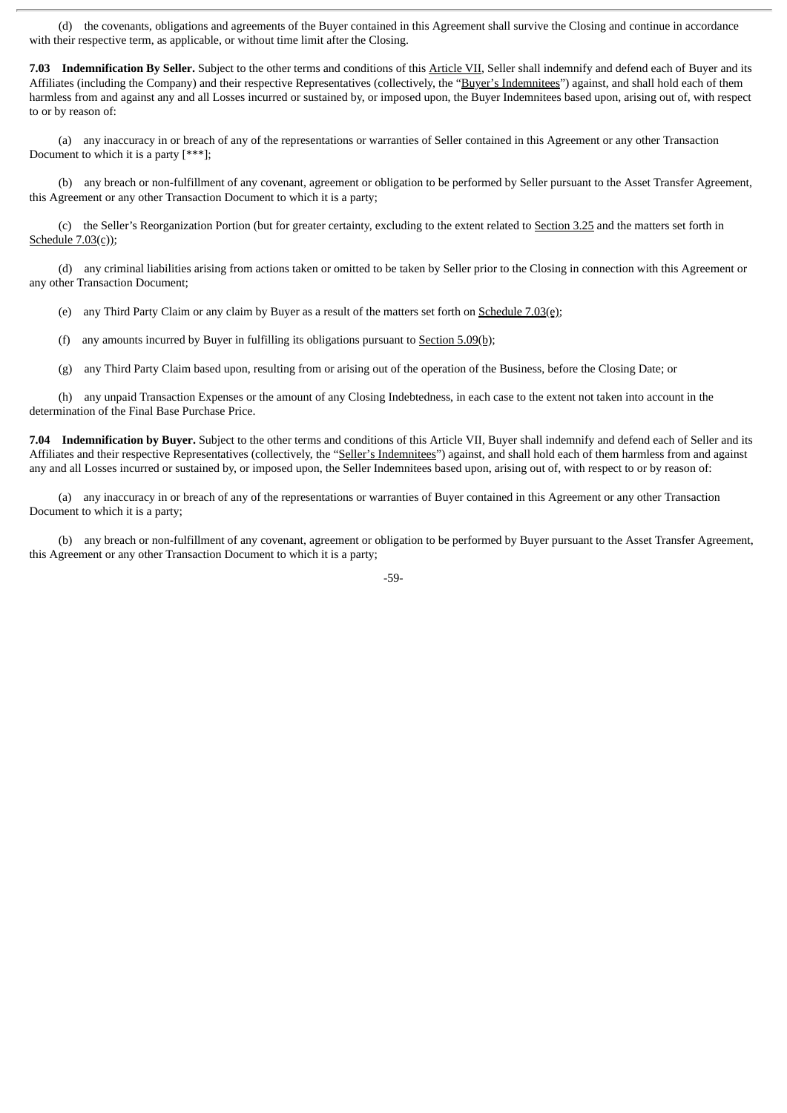(d) the covenants, obligations and agreements of the Buyer contained in this Agreement shall survive the Closing and continue in accordance with their respective term, as applicable, or without time limit after the Closing.

**7.03 Indemnification By Seller.** Subject to the other terms and conditions of this Article VII, Seller shall indemnify and defend each of Buyer and its Affiliates (including the Company) and their respective Representatives (collectively, the "Buyer's Indemnitees") against, and shall hold each of them harmless from and against any and all Losses incurred or sustained by, or imposed upon, the Buyer Indemnitees based upon, arising out of, with respect to or by reason of:

(a) any inaccuracy in or breach of any of the representations or warranties of Seller contained in this Agreement or any other Transaction Document to which it is a party [\*\*\*];

(b) any breach or non-fulfillment of any covenant, agreement or obligation to be performed by Seller pursuant to the Asset Transfer Agreement, this Agreement or any other Transaction Document to which it is a party;

(c) the Seller's Reorganization Portion (but for greater certainty, excluding to the extent related to Section 3.25 and the matters set forth in Schedule  $7.03(c)$ );

(d) any criminal liabilities arising from actions taken or omitted to be taken by Seller prior to the Closing in connection with this Agreement or any other Transaction Document;

- (e) any Third Party Claim or any claim by Buyer as a result of the matters set forth on Schedule 7.03(e);
- (f) any amounts incurred by Buyer in fulfilling its obligations pursuant to  $Section 5.09(b)$ ;
- (g) any Third Party Claim based upon, resulting from or arising out of the operation of the Business, before the Closing Date; or

(h) any unpaid Transaction Expenses or the amount of any Closing Indebtedness, in each case to the extent not taken into account in the determination of the Final Base Purchase Price.

**7.04 Indemnification by Buyer.** Subject to the other terms and conditions of this Article VII, Buyer shall indemnify and defend each of Seller and its Affiliates and their respective Representatives (collectively, the "Seller's Indemnitees") against, and shall hold each of them harmless from and against any and all Losses incurred or sustained by, or imposed upon, the Seller Indemnitees based upon, arising out of, with respect to or by reason of:

(a) any inaccuracy in or breach of any of the representations or warranties of Buyer contained in this Agreement or any other Transaction Document to which it is a party;

(b) any breach or non-fulfillment of any covenant, agreement or obligation to be performed by Buyer pursuant to the Asset Transfer Agreement, this Agreement or any other Transaction Document to which it is a party;

-59-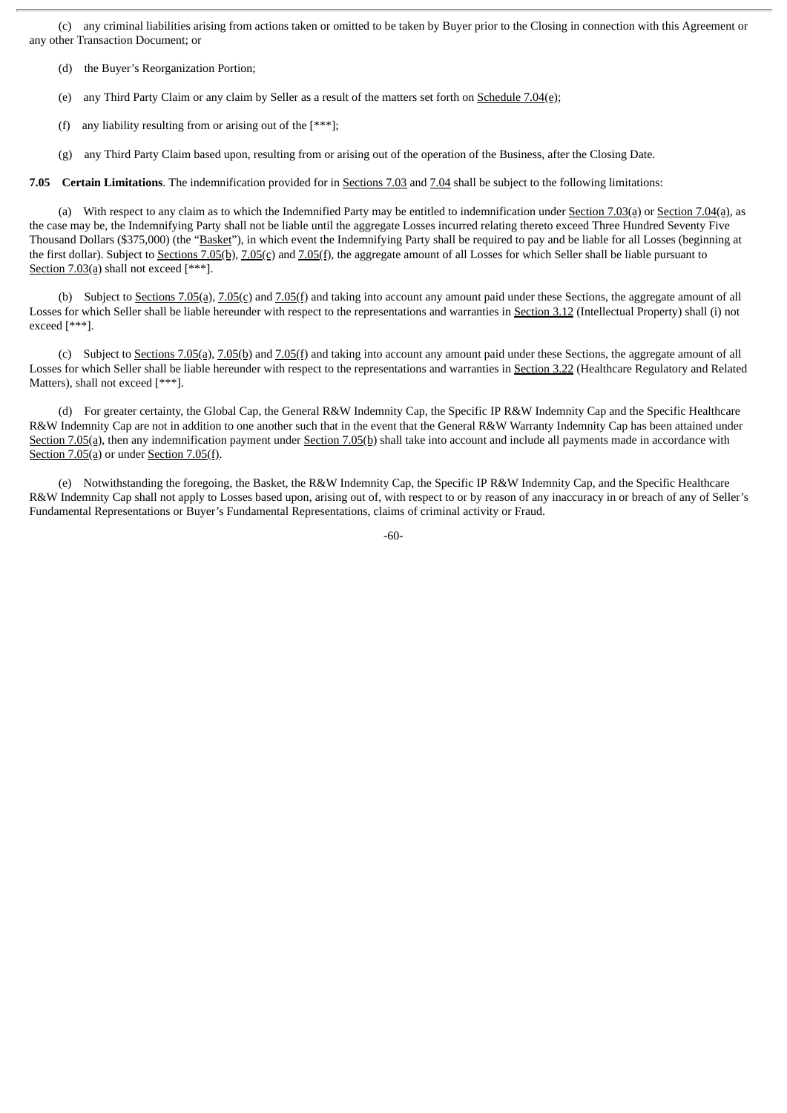(c) any criminal liabilities arising from actions taken or omitted to be taken by Buyer prior to the Closing in connection with this Agreement or any other Transaction Document; or

(d) the Buyer's Reorganization Portion;

- (e) any Third Party Claim or any claim by Seller as a result of the matters set forth on Schedule 7.04(e);
- (f) any liability resulting from or arising out of the  $[***]$ ;
- (g) any Third Party Claim based upon, resulting from or arising out of the operation of the Business, after the Closing Date.

**7.05 Certain Limitations**. The indemnification provided for in Sections 7.03 and 7.04 shall be subject to the following limitations:

(a) With respect to any claim as to which the Indemnified Party may be entitled to indemnification under Section 7.03(a) or Section 7.04(a), as the case may be, the Indemnifying Party shall not be liable until the aggregate Losses incurred relating thereto exceed Three Hundred Seventy Five Thousand Dollars (\$375,000) (the "Basket"), in which event the Indemnifying Party shall be required to pay and be liable for all Losses (beginning at the first dollar). Subject to Sections 7.05(b), 7.05(c) and 7.05(f), the aggregate amount of all Losses for which Seller shall be liable pursuant to Section 7.03(a) shall not exceed [\*\*\*].

(b) Subject to Sections 7.05(a),  $7.05(c)$  and  $7.05(f)$  and taking into account any amount paid under these Sections, the aggregate amount of all Losses for which Seller shall be liable hereunder with respect to the representations and warranties in Section 3.12 (Intellectual Property) shall (i) not exceed [\*\*\*].

(c) Subject to Sections 7.05(a), 7.05(b) and 7.05(f) and taking into account any amount paid under these Sections, the aggregate amount of all Losses for which Seller shall be liable hereunder with respect to the representations and warranties in Section 3.22 (Healthcare Regulatory and Related Matters), shall not exceed [\*\*\*].

(d) For greater certainty, the Global Cap, the General R&W Indemnity Cap, the Specific IP R&W Indemnity Cap and the Specific Healthcare R&W Indemnity Cap are not in addition to one another such that in the event that the General R&W Warranty Indemnity Cap has been attained under Section 7.05(a), then any indemnification payment under Section 7.05(b) shall take into account and include all payments made in accordance with Section 7.05(a) or under Section 7.05(f).

(e) Notwithstanding the foregoing, the Basket, the R&W Indemnity Cap, the Specific IP R&W Indemnity Cap, and the Specific Healthcare R&W Indemnity Cap shall not apply to Losses based upon, arising out of, with respect to or by reason of any inaccuracy in or breach of any of Seller's Fundamental Representations or Buyer's Fundamental Representations, claims of criminal activity or Fraud.

-60-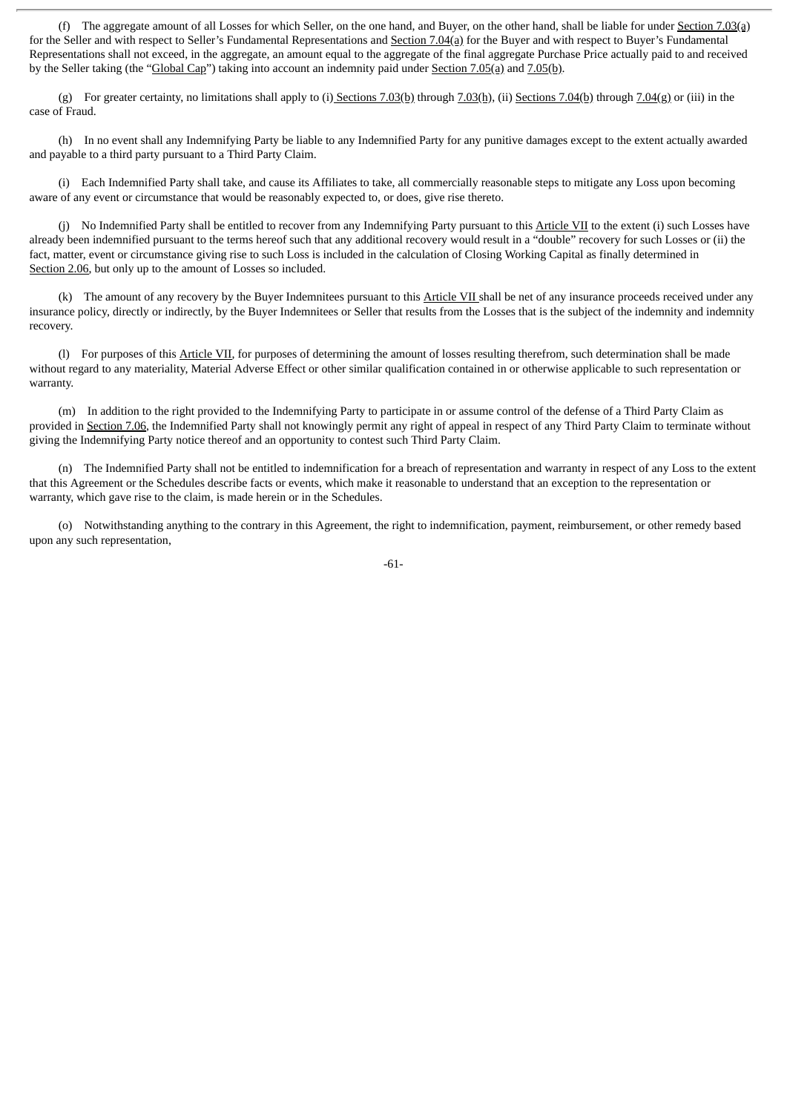(f) The aggregate amount of all Losses for which Seller, on the one hand, and Buyer, on the other hand, shall be liable for under Section 7.03(a) for the Seller and with respect to Seller's Fundamental Representations and Section 7.04(a) for the Buyer and with respect to Buyer's Fundamental Representations shall not exceed, in the aggregate, an amount equal to the aggregate of the final aggregate Purchase Price actually paid to and received by the Seller taking (the "Global Cap") taking into account an indemnity paid under Section 7.05(a) and 7.05(b).

(g) For greater certainty, no limitations shall apply to (i) Sections 7.03(b) through  $7.03(h)$ , (ii) Sections  $7.04(h)$  through  $7.04(g)$  or (iii) in the case of Fraud.

(h) In no event shall any Indemnifying Party be liable to any Indemnified Party for any punitive damages except to the extent actually awarded and payable to a third party pursuant to a Third Party Claim.

(i) Each Indemnified Party shall take, and cause its Affiliates to take, all commercially reasonable steps to mitigate any Loss upon becoming aware of any event or circumstance that would be reasonably expected to, or does, give rise thereto.

(j) No Indemnified Party shall be entitled to recover from any Indemnifying Party pursuant to this Article VII to the extent (i) such Losses have already been indemnified pursuant to the terms hereof such that any additional recovery would result in a "double" recovery for such Losses or (ii) the fact, matter, event or circumstance giving rise to such Loss is included in the calculation of Closing Working Capital as finally determined in Section 2.06, but only up to the amount of Losses so included.

(k) The amount of any recovery by the Buyer Indemnitees pursuant to this Article VII shall be net of any insurance proceeds received under any insurance policy, directly or indirectly, by the Buyer Indemnitees or Seller that results from the Losses that is the subject of the indemnity and indemnity recovery.

(l) For purposes of this Article VII, for purposes of determining the amount of losses resulting therefrom, such determination shall be made without regard to any materiality, Material Adverse Effect or other similar qualification contained in or otherwise applicable to such representation or warranty.

(m) In addition to the right provided to the Indemnifying Party to participate in or assume control of the defense of a Third Party Claim as provided in Section 7.06, the Indemnified Party shall not knowingly permit any right of appeal in respect of any Third Party Claim to terminate without giving the Indemnifying Party notice thereof and an opportunity to contest such Third Party Claim.

(n) The Indemnified Party shall not be entitled to indemnification for a breach of representation and warranty in respect of any Loss to the extent that this Agreement or the Schedules describe facts or events, which make it reasonable to understand that an exception to the representation or warranty, which gave rise to the claim, is made herein or in the Schedules.

(o) Notwithstanding anything to the contrary in this Agreement, the right to indemnification, payment, reimbursement, or other remedy based upon any such representation,

-61-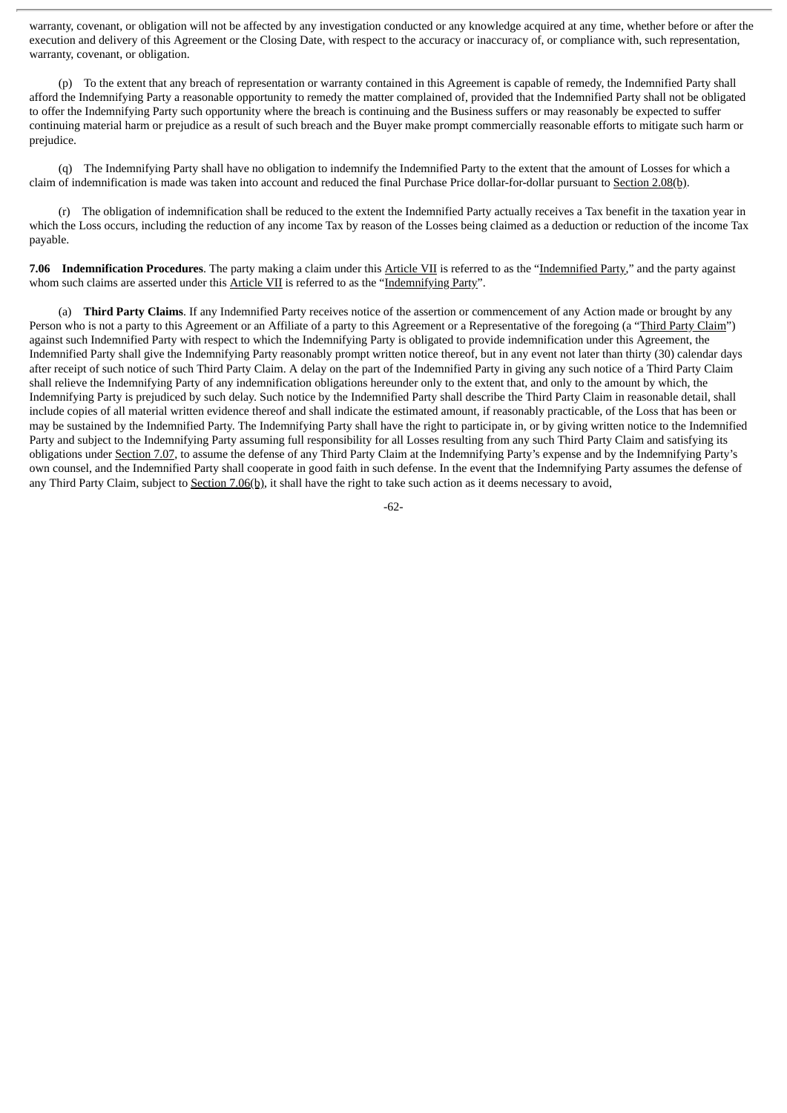warranty, covenant, or obligation will not be affected by any investigation conducted or any knowledge acquired at any time, whether before or after the execution and delivery of this Agreement or the Closing Date, with respect to the accuracy or inaccuracy of, or compliance with, such representation, warranty, covenant, or obligation.

(p) To the extent that any breach of representation or warranty contained in this Agreement is capable of remedy, the Indemnified Party shall afford the Indemnifying Party a reasonable opportunity to remedy the matter complained of, provided that the Indemnified Party shall not be obligated to offer the Indemnifying Party such opportunity where the breach is continuing and the Business suffers or may reasonably be expected to suffer continuing material harm or prejudice as a result of such breach and the Buyer make prompt commercially reasonable efforts to mitigate such harm or prejudice.

(q) The Indemnifying Party shall have no obligation to indemnify the Indemnified Party to the extent that the amount of Losses for which a claim of indemnification is made was taken into account and reduced the final Purchase Price dollar-for-dollar pursuant to Section 2.08(b).

(r) The obligation of indemnification shall be reduced to the extent the Indemnified Party actually receives a Tax benefit in the taxation year in which the Loss occurs, including the reduction of any income Tax by reason of the Losses being claimed as a deduction or reduction of the income Tax payable.

**7.06 Indemnification Procedures**. The party making a claim under this Article VII is referred to as the "Indemnified Party," and the party against whom such claims are asserted under this Article VII is referred to as the "Indemnifying Party".

(a) **Third Party Claims**. If any Indemnified Party receives notice of the assertion or commencement of any Action made or brought by any Person who is not a party to this Agreement or an Affiliate of a party to this Agreement or a Representative of the foregoing (a "Third Party Claim") against such Indemnified Party with respect to which the Indemnifying Party is obligated to provide indemnification under this Agreement, the Indemnified Party shall give the Indemnifying Party reasonably prompt written notice thereof, but in any event not later than thirty (30) calendar days after receipt of such notice of such Third Party Claim. A delay on the part of the Indemnified Party in giving any such notice of a Third Party Claim shall relieve the Indemnifying Party of any indemnification obligations hereunder only to the extent that, and only to the amount by which, the Indemnifying Party is prejudiced by such delay. Such notice by the Indemnified Party shall describe the Third Party Claim in reasonable detail, shall include copies of all material written evidence thereof and shall indicate the estimated amount, if reasonably practicable, of the Loss that has been or may be sustained by the Indemnified Party. The Indemnifying Party shall have the right to participate in, or by giving written notice to the Indemnified Party and subject to the Indemnifying Party assuming full responsibility for all Losses resulting from any such Third Party Claim and satisfying its obligations under Section 7.07, to assume the defense of any Third Party Claim at the Indemnifying Party's expense and by the Indemnifying Party's own counsel, and the Indemnified Party shall cooperate in good faith in such defense. In the event that the Indemnifying Party assumes the defense of any Third Party Claim, subject to Section 7.06(b), it shall have the right to take such action as it deems necessary to avoid,

-62-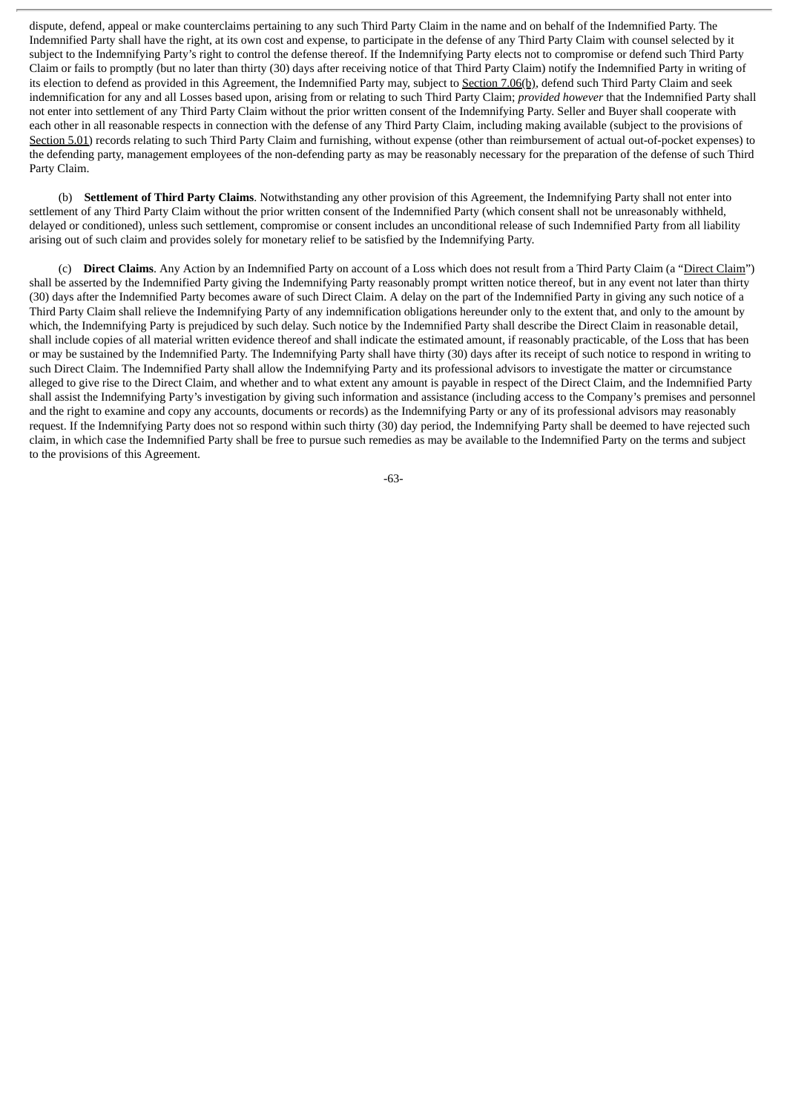dispute, defend, appeal or make counterclaims pertaining to any such Third Party Claim in the name and on behalf of the Indemnified Party. The Indemnified Party shall have the right, at its own cost and expense, to participate in the defense of any Third Party Claim with counsel selected by it subject to the Indemnifying Party's right to control the defense thereof. If the Indemnifying Party elects not to compromise or defend such Third Party Claim or fails to promptly (but no later than thirty (30) days after receiving notice of that Third Party Claim) notify the Indemnified Party in writing of its election to defend as provided in this Agreement, the Indemnified Party may, subject to Section 7.06(b), defend such Third Party Claim and seek indemnification for any and all Losses based upon, arising from or relating to such Third Party Claim; *provided however* that the Indemnified Party shall not enter into settlement of any Third Party Claim without the prior written consent of the Indemnifying Party. Seller and Buyer shall cooperate with each other in all reasonable respects in connection with the defense of any Third Party Claim, including making available (subject to the provisions of Section 5.01) records relating to such Third Party Claim and furnishing, without expense (other than reimbursement of actual out-of-pocket expenses) to the defending party, management employees of the non-defending party as may be reasonably necessary for the preparation of the defense of such Third Party Claim.

(b) **Settlement of Third Party Claims**. Notwithstanding any other provision of this Agreement, the Indemnifying Party shall not enter into settlement of any Third Party Claim without the prior written consent of the Indemnified Party (which consent shall not be unreasonably withheld, delayed or conditioned), unless such settlement, compromise or consent includes an unconditional release of such Indemnified Party from all liability arising out of such claim and provides solely for monetary relief to be satisfied by the Indemnifying Party.

(c) **Direct Claims**. Any Action by an Indemnified Party on account of a Loss which does not result from a Third Party Claim (a "Direct Claim") shall be asserted by the Indemnified Party giving the Indemnifying Party reasonably prompt written notice thereof, but in any event not later than thirty (30) days after the Indemnified Party becomes aware of such Direct Claim. A delay on the part of the Indemnified Party in giving any such notice of a Third Party Claim shall relieve the Indemnifying Party of any indemnification obligations hereunder only to the extent that, and only to the amount by which, the Indemnifying Party is prejudiced by such delay. Such notice by the Indemnified Party shall describe the Direct Claim in reasonable detail, shall include copies of all material written evidence thereof and shall indicate the estimated amount, if reasonably practicable, of the Loss that has been or may be sustained by the Indemnified Party. The Indemnifying Party shall have thirty (30) days after its receipt of such notice to respond in writing to such Direct Claim. The Indemnified Party shall allow the Indemnifying Party and its professional advisors to investigate the matter or circumstance alleged to give rise to the Direct Claim, and whether and to what extent any amount is payable in respect of the Direct Claim, and the Indemnified Party shall assist the Indemnifying Party's investigation by giving such information and assistance (including access to the Company's premises and personnel and the right to examine and copy any accounts, documents or records) as the Indemnifying Party or any of its professional advisors may reasonably request. If the Indemnifying Party does not so respond within such thirty (30) day period, the Indemnifying Party shall be deemed to have rejected such claim, in which case the Indemnified Party shall be free to pursue such remedies as may be available to the Indemnified Party on the terms and subject to the provisions of this Agreement.

-63-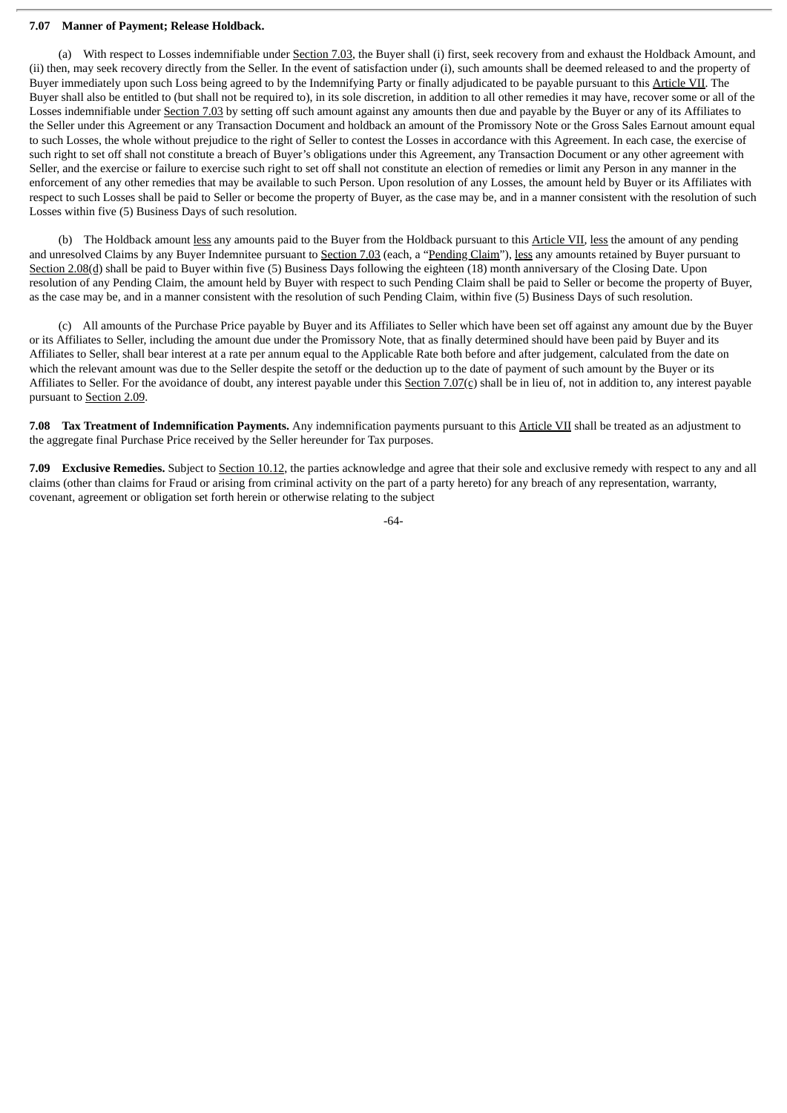### **7.07 Manner of Payment; Release Holdback.**

(a) With respect to Losses indemnifiable under Section 7.03, the Buyer shall (i) first, seek recovery from and exhaust the Holdback Amount, and (ii) then, may seek recovery directly from the Seller. In the event of satisfaction under (i), such amounts shall be deemed released to and the property of Buyer immediately upon such Loss being agreed to by the Indemnifying Party or finally adjudicated to be payable pursuant to this Article VII. The Buyer shall also be entitled to (but shall not be required to), in its sole discretion, in addition to all other remedies it may have, recover some or all of the Losses indemnifiable under Section 7.03 by setting off such amount against any amounts then due and payable by the Buyer or any of its Affiliates to the Seller under this Agreement or any Transaction Document and holdback an amount of the Promissory Note or the Gross Sales Earnout amount equal to such Losses, the whole without prejudice to the right of Seller to contest the Losses in accordance with this Agreement. In each case, the exercise of such right to set off shall not constitute a breach of Buyer's obligations under this Agreement, any Transaction Document or any other agreement with Seller, and the exercise or failure to exercise such right to set off shall not constitute an election of remedies or limit any Person in any manner in the enforcement of any other remedies that may be available to such Person. Upon resolution of any Losses, the amount held by Buyer or its Affiliates with respect to such Losses shall be paid to Seller or become the property of Buyer, as the case may be, and in a manner consistent with the resolution of such Losses within five (5) Business Days of such resolution.

(b) The Holdback amount less any amounts paid to the Buyer from the Holdback pursuant to this Article VII, less the amount of any pending and unresolved Claims by any Buyer Indemnitee pursuant to Section 7.03 (each, a "Pending Claim"), less any amounts retained by Buyer pursuant to Section 2.08(d) shall be paid to Buyer within five (5) Business Days following the eighteen (18) month anniversary of the Closing Date. Upon resolution of any Pending Claim, the amount held by Buyer with respect to such Pending Claim shall be paid to Seller or become the property of Buyer, as the case may be, and in a manner consistent with the resolution of such Pending Claim, within five (5) Business Days of such resolution.

(c) All amounts of the Purchase Price payable by Buyer and its Affiliates to Seller which have been set off against any amount due by the Buyer or its Affiliates to Seller, including the amount due under the Promissory Note, that as finally determined should have been paid by Buyer and its Affiliates to Seller, shall bear interest at a rate per annum equal to the Applicable Rate both before and after judgement, calculated from the date on which the relevant amount was due to the Seller despite the setoff or the deduction up to the date of payment of such amount by the Buyer or its Affiliates to Seller. For the avoidance of doubt, any interest payable under this Section 7.07(c) shall be in lieu of, not in addition to, any interest payable pursuant to Section 2.09.

**7.08 Tax Treatment of Indemnification Payments.** Any indemnification payments pursuant to this Article VII shall be treated as an adjustment to the aggregate final Purchase Price received by the Seller hereunder for Tax purposes.

**7.09 Exclusive Remedies.** Subject to Section 10.12, the parties acknowledge and agree that their sole and exclusive remedy with respect to any and all claims (other than claims for Fraud or arising from criminal activity on the part of a party hereto) for any breach of any representation, warranty, covenant, agreement or obligation set forth herein or otherwise relating to the subject

-64-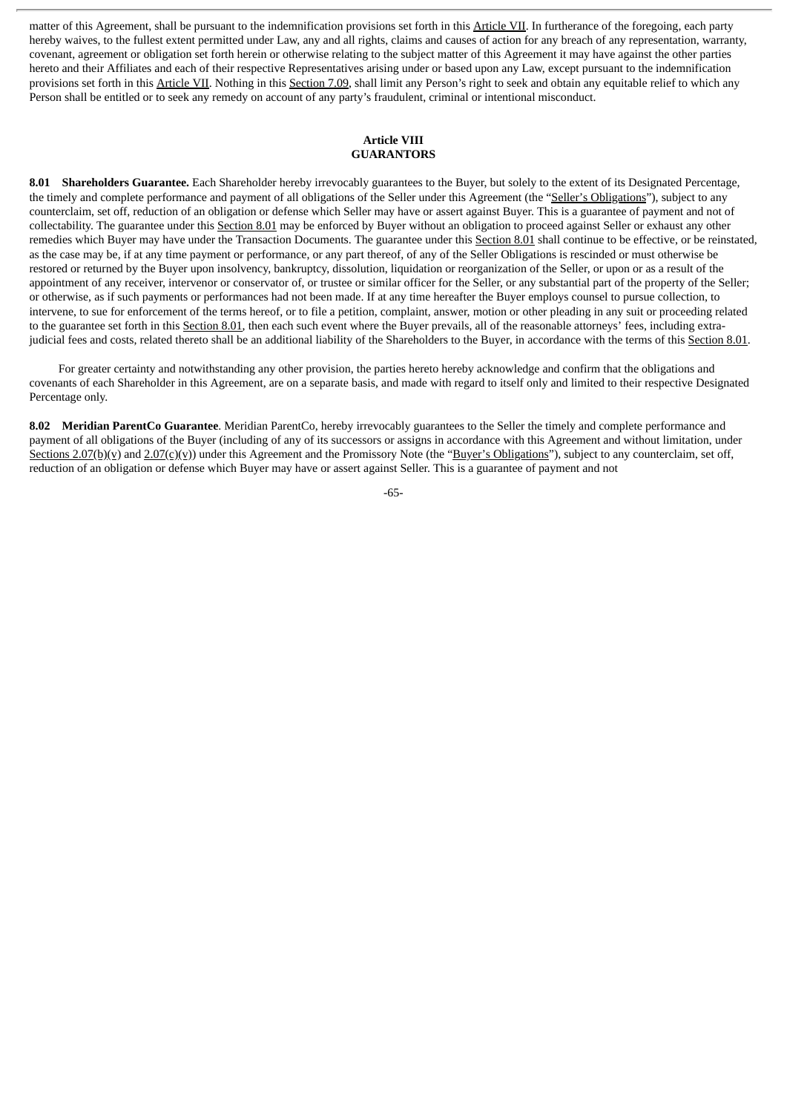matter of this Agreement, shall be pursuant to the indemnification provisions set forth in this Article VII. In furtherance of the foregoing, each party hereby waives, to the fullest extent permitted under Law, any and all rights, claims and causes of action for any breach of any representation, warranty, covenant, agreement or obligation set forth herein or otherwise relating to the subject matter of this Agreement it may have against the other parties hereto and their Affiliates and each of their respective Representatives arising under or based upon any Law, except pursuant to the indemnification provisions set forth in this Article VII. Nothing in this Section 7.09, shall limit any Person's right to seek and obtain any equitable relief to which any Person shall be entitled or to seek any remedy on account of any party's fraudulent, criminal or intentional misconduct.

#### **Article VIII GUARANTORS**

**8.01 Shareholders Guarantee.** Each Shareholder hereby irrevocably guarantees to the Buyer, but solely to the extent of its Designated Percentage, the timely and complete performance and payment of all obligations of the Seller under this Agreement (the "Seller's Obligations"), subject to any counterclaim, set off, reduction of an obligation or defense which Seller may have or assert against Buyer. This is a guarantee of payment and not of collectability. The guarantee under this Section 8.01 may be enforced by Buyer without an obligation to proceed against Seller or exhaust any other remedies which Buyer may have under the Transaction Documents. The guarantee under this Section 8.01 shall continue to be effective, or be reinstated, as the case may be, if at any time payment or performance, or any part thereof, of any of the Seller Obligations is rescinded or must otherwise be restored or returned by the Buyer upon insolvency, bankruptcy, dissolution, liquidation or reorganization of the Seller, or upon or as a result of the appointment of any receiver, intervenor or conservator of, or trustee or similar officer for the Seller, or any substantial part of the property of the Seller; or otherwise, as if such payments or performances had not been made. If at any time hereafter the Buyer employs counsel to pursue collection, to intervene, to sue for enforcement of the terms hereof, or to file a petition, complaint, answer, motion or other pleading in any suit or proceeding related to the guarantee set forth in this Section 8.01, then each such event where the Buyer prevails, all of the reasonable attorneys' fees, including extrajudicial fees and costs, related thereto shall be an additional liability of the Shareholders to the Buyer, in accordance with the terms of this Section 8.01.

For greater certainty and notwithstanding any other provision, the parties hereto hereby acknowledge and confirm that the obligations and covenants of each Shareholder in this Agreement, are on a separate basis, and made with regard to itself only and limited to their respective Designated Percentage only.

**8.02 Meridian ParentCo Guarantee**. Meridian ParentCo, hereby irrevocably guarantees to the Seller the timely and complete performance and payment of all obligations of the Buyer (including of any of its successors or assigns in accordance with this Agreement and without limitation, under Sections  $2.07(b)(y)$  and  $2.07(c)(y)$ ) under this Agreement and the Promissory Note (the "Buyer's Obligations"), subject to any counterclaim, set off, reduction of an obligation or defense which Buyer may have or assert against Seller. This is a guarantee of payment and not

-65-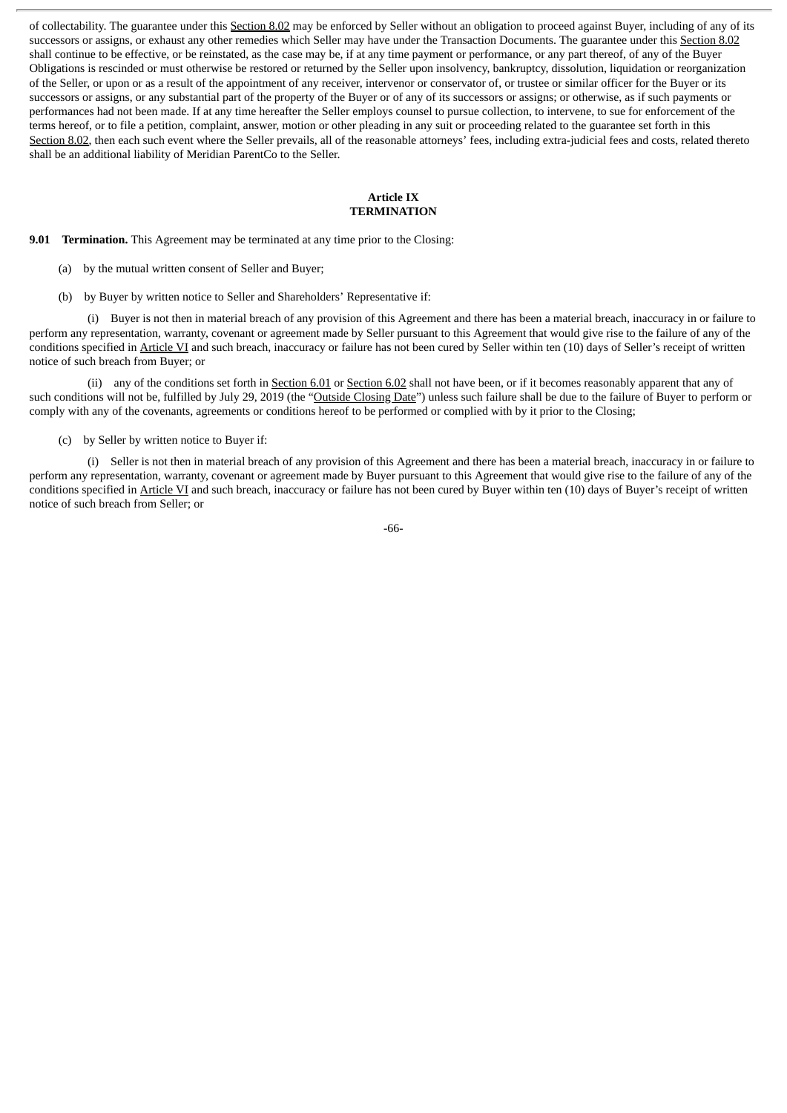of collectability. The guarantee under this Section 8.02 may be enforced by Seller without an obligation to proceed against Buyer, including of any of its successors or assigns, or exhaust any other remedies which Seller may have under the Transaction Documents. The guarantee under this Section 8.02 shall continue to be effective, or be reinstated, as the case may be, if at any time payment or performance, or any part thereof, of any of the Buyer Obligations is rescinded or must otherwise be restored or returned by the Seller upon insolvency, bankruptcy, dissolution, liquidation or reorganization of the Seller, or upon or as a result of the appointment of any receiver, intervenor or conservator of, or trustee or similar officer for the Buyer or its successors or assigns, or any substantial part of the property of the Buyer or of any of its successors or assigns; or otherwise, as if such payments or performances had not been made. If at any time hereafter the Seller employs counsel to pursue collection, to intervene, to sue for enforcement of the terms hereof, or to file a petition, complaint, answer, motion or other pleading in any suit or proceeding related to the guarantee set forth in this Section 8.02, then each such event where the Seller prevails, all of the reasonable attorneys' fees, including extra-judicial fees and costs, related thereto shall be an additional liability of Meridian ParentCo to the Seller.

## **Article IX TERMINATION**

**9.01 Termination.** This Agreement may be terminated at any time prior to the Closing:

(a) by the mutual written consent of Seller and Buyer;

(b) by Buyer by written notice to Seller and Shareholders' Representative if:

(i) Buyer is not then in material breach of any provision of this Agreement and there has been a material breach, inaccuracy in or failure to perform any representation, warranty, covenant or agreement made by Seller pursuant to this Agreement that would give rise to the failure of any of the conditions specified in Article VI and such breach, inaccuracy or failure has not been cured by Seller within ten (10) days of Seller's receipt of written notice of such breach from Buyer; or

(ii) any of the conditions set forth in Section 6.01 or Section 6.02 shall not have been, or if it becomes reasonably apparent that any of such conditions will not be, fulfilled by July 29, 2019 (the "Outside Closing Date") unless such failure shall be due to the failure of Buyer to perform or comply with any of the covenants, agreements or conditions hereof to be performed or complied with by it prior to the Closing;

(c) by Seller by written notice to Buyer if:

(i) Seller is not then in material breach of any provision of this Agreement and there has been a material breach, inaccuracy in or failure to perform any representation, warranty, covenant or agreement made by Buyer pursuant to this Agreement that would give rise to the failure of any of the conditions specified in Article VI and such breach, inaccuracy or failure has not been cured by Buyer within ten (10) days of Buyer's receipt of written notice of such breach from Seller; or

-66-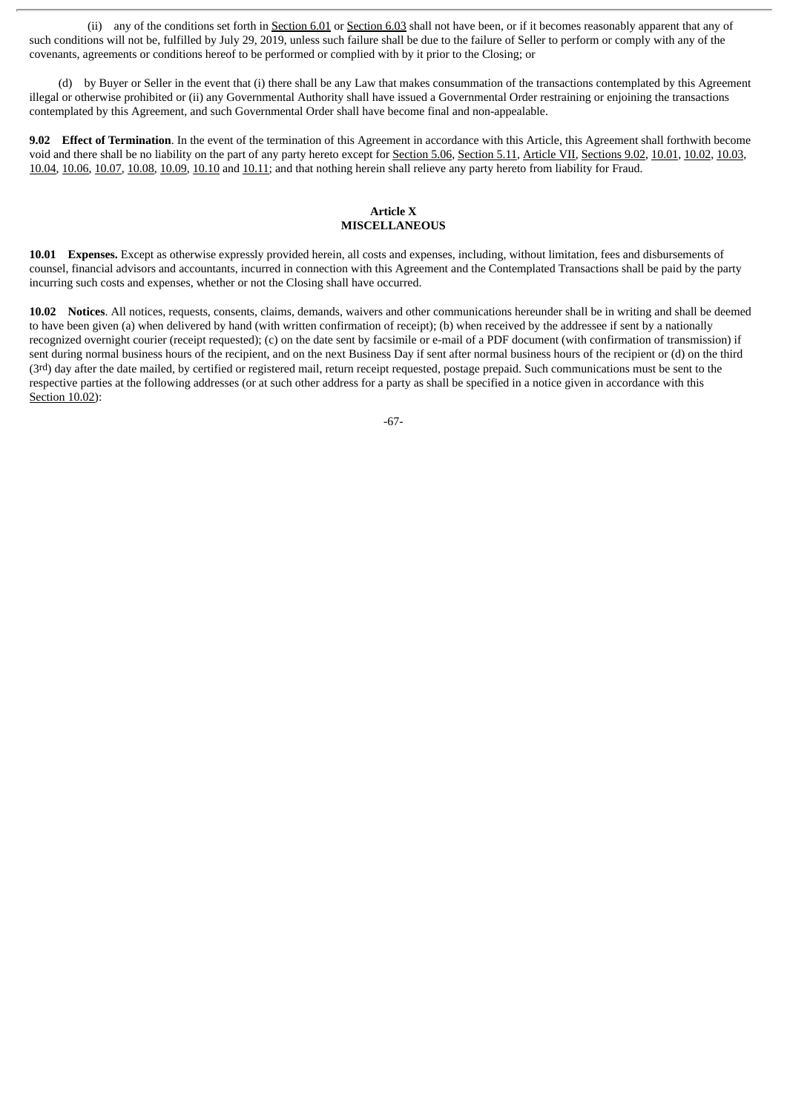(ii) any of the conditions set forth in Section 6.01 or Section 6.03 shall not have been, or if it becomes reasonably apparent that any of such conditions will not be, fulfilled by July 29, 2019, unless such failure shall be due to the failure of Seller to perform or comply with any of the covenants, agreements or conditions hereof to be performed or complied with by it prior to the Closing; or

(d) by Buyer or Seller in the event that (i) there shall be any Law that makes consummation of the transactions contemplated by this Agreement illegal or otherwise prohibited or (ii) any Governmental Authority shall have issued a Governmental Order restraining or enjoining the transactions contemplated by this Agreement, and such Governmental Order shall have become final and non-appealable.

**9.02 Effect of Termination**. In the event of the termination of this Agreement in accordance with this Article, this Agreement shall forthwith become void and there shall be no liability on the part of any party hereto except for Section 5.06, Section 5.11, Article VII, Sections 9.02, 10.01, 10.02, 10.03, 10.04, 10.06, 10.07, 10.08, 10.09, 10.10 and 10.11; and that nothing herein shall relieve any party hereto from liability for Fraud.

# **Article X MISCELLANEOUS**

**10.01 Expenses.** Except as otherwise expressly provided herein, all costs and expenses, including, without limitation, fees and disbursements of counsel, financial advisors and accountants, incurred in connection with this Agreement and the Contemplated Transactions shall be paid by the party incurring such costs and expenses, whether or not the Closing shall have occurred.

**10.02 Notices**. All notices, requests, consents, claims, demands, waivers and other communications hereunder shall be in writing and shall be deemed to have been given (a) when delivered by hand (with written confirmation of receipt); (b) when received by the addressee if sent by a nationally recognized overnight courier (receipt requested); (c) on the date sent by facsimile or e-mail of a PDF document (with confirmation of transmission) if sent during normal business hours of the recipient, and on the next Business Day if sent after normal business hours of the recipient or (d) on the third (3rd) day after the date mailed, by certified or registered mail, return receipt requested, postage prepaid. Such communications must be sent to the respective parties at the following addresses (or at such other address for a party as shall be specified in a notice given in accordance with this Section 10.02):

-67-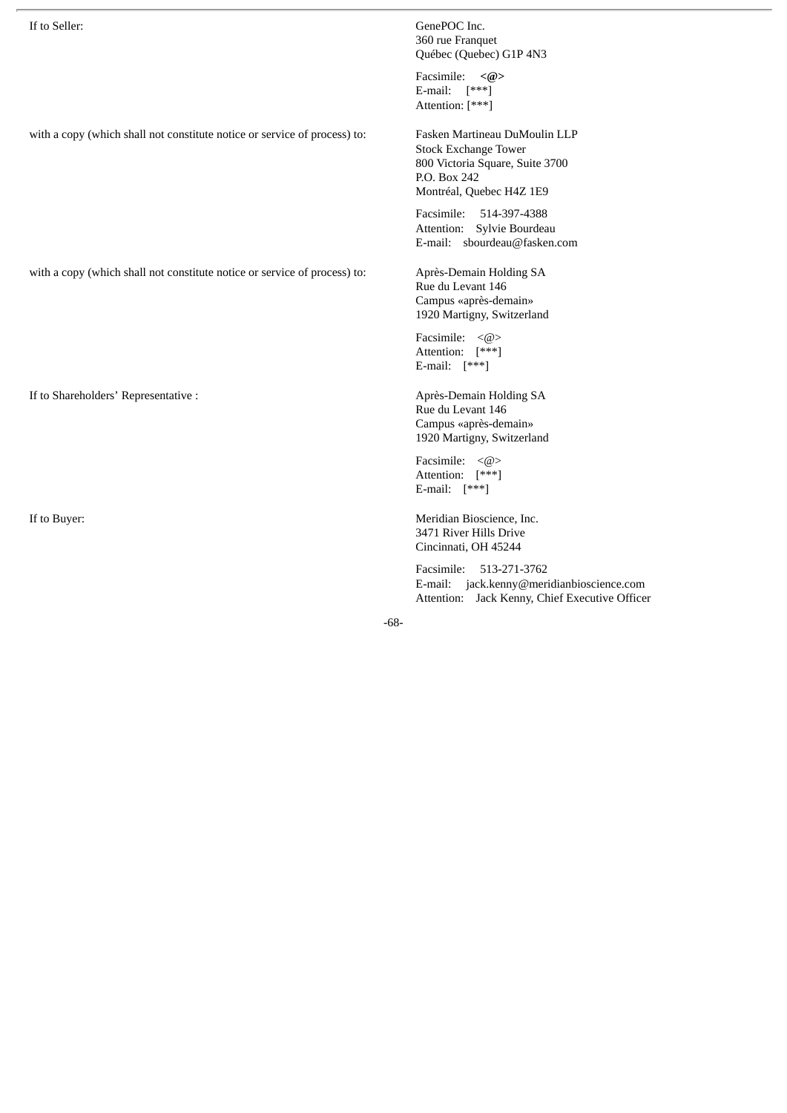| If to Seller:                                                             | GenePOC Inc.<br>360 rue Franquet<br>Québec (Quebec) G1P 4N3                                                                                 |
|---------------------------------------------------------------------------|---------------------------------------------------------------------------------------------------------------------------------------------|
|                                                                           | Facsimile: $\langle \mathcal{Q} \rangle$<br>E-mail: $[***]$<br>Attention: [***]                                                             |
| with a copy (which shall not constitute notice or service of process) to: | Fasken Martineau DuMoulin LLP<br><b>Stock Exchange Tower</b><br>800 Victoria Square, Suite 3700<br>P.O. Box 242<br>Montréal, Quebec H4Z 1E9 |
|                                                                           | Facsimile:<br>514-397-4388<br>Attention: Sylvie Bourdeau<br>E-mail: sbourdeau@fasken.com                                                    |
| with a copy (which shall not constitute notice or service of process) to: | Après-Demain Holding SA<br>Rue du Levant 146<br>Campus «après-demain»<br>1920 Martigny, Switzerland                                         |
|                                                                           | Facsimile: $\langle \text{a} \rangle$<br>Attention: [***]<br>E-mail: $[***]$                                                                |
| If to Shareholders' Representative :                                      | Après-Demain Holding SA<br>Rue du Levant 146<br>Campus «après-demain»<br>1920 Martigny, Switzerland                                         |
|                                                                           | Facsimile: $\langle \text{Q} \rangle$<br>Attention: [***]<br>E-mail: $[***]$                                                                |
| If to Buyer:                                                              | Meridian Bioscience, Inc.<br>3471 River Hills Drive<br>Cincinnati, OH 45244                                                                 |
|                                                                           | Facsimile:<br>513-271-3762<br>E-mail: jack.kenny@meridianbioscience.com<br>Attention: Jack Kenny, Chief Executive Officer                   |

-68-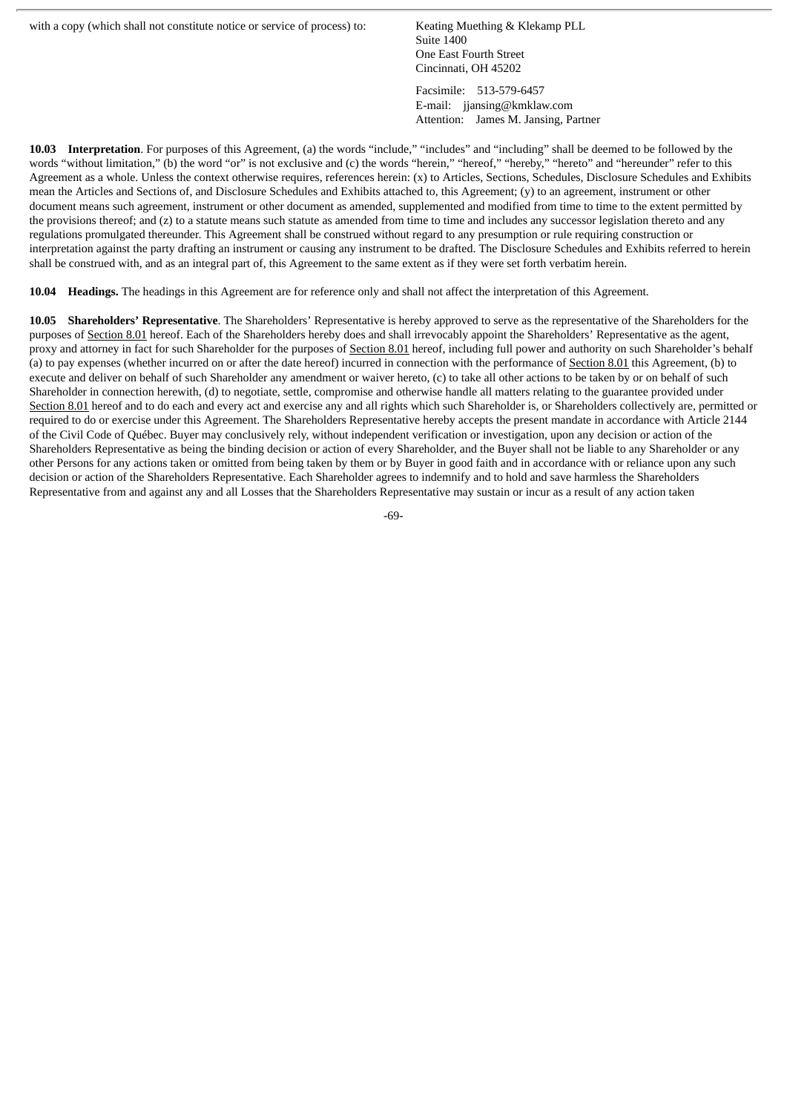with a copy (which shall not constitute notice or service of process) to: Keating Muething & Klekamp PLL

Suite 1400 One East Fourth Street Cincinnati, OH 45202

Facsimile: 513-579-6457 E-mail: jjansing@kmklaw.com Attention: James M. Jansing, Partner

**10.03 Interpretation**. For purposes of this Agreement, (a) the words "include," "includes" and "including" shall be deemed to be followed by the words "without limitation," (b) the word "or" is not exclusive and (c) the words "herein," "hereof," "hereby," "hereto" and "hereunder" refer to this Agreement as a whole. Unless the context otherwise requires, references herein: (x) to Articles, Sections, Schedules, Disclosure Schedules and Exhibits mean the Articles and Sections of, and Disclosure Schedules and Exhibits attached to, this Agreement; (y) to an agreement, instrument or other document means such agreement, instrument or other document as amended, supplemented and modified from time to time to the extent permitted by the provisions thereof; and (z) to a statute means such statute as amended from time to time and includes any successor legislation thereto and any regulations promulgated thereunder. This Agreement shall be construed without regard to any presumption or rule requiring construction or interpretation against the party drafting an instrument or causing any instrument to be drafted. The Disclosure Schedules and Exhibits referred to herein shall be construed with, and as an integral part of, this Agreement to the same extent as if they were set forth verbatim herein.

**10.04 Headings.** The headings in this Agreement are for reference only and shall not affect the interpretation of this Agreement.

**10.05 Shareholders' Representative**. The Shareholders' Representative is hereby approved to serve as the representative of the Shareholders for the purposes of Section 8.01 hereof. Each of the Shareholders hereby does and shall irrevocably appoint the Shareholders' Representative as the agent, proxy and attorney in fact for such Shareholder for the purposes of Section 8.01 hereof, including full power and authority on such Shareholder's behalf (a) to pay expenses (whether incurred on or after the date hereof) incurred in connection with the performance of Section 8.01 this Agreement, (b) to execute and deliver on behalf of such Shareholder any amendment or waiver hereto, (c) to take all other actions to be taken by or on behalf of such Shareholder in connection herewith, (d) to negotiate, settle, compromise and otherwise handle all matters relating to the guarantee provided under Section 8.01 hereof and to do each and every act and exercise any and all rights which such Shareholder is, or Shareholders collectively are, permitted or required to do or exercise under this Agreement. The Shareholders Representative hereby accepts the present mandate in accordance with Article 2144 of the Civil Code of Québec. Buyer may conclusively rely, without independent verification or investigation, upon any decision or action of the Shareholders Representative as being the binding decision or action of every Shareholder, and the Buyer shall not be liable to any Shareholder or any other Persons for any actions taken or omitted from being taken by them or by Buyer in good faith and in accordance with or reliance upon any such decision or action of the Shareholders Representative. Each Shareholder agrees to indemnify and to hold and save harmless the Shareholders Representative from and against any and all Losses that the Shareholders Representative may sustain or incur as a result of any action taken

-69-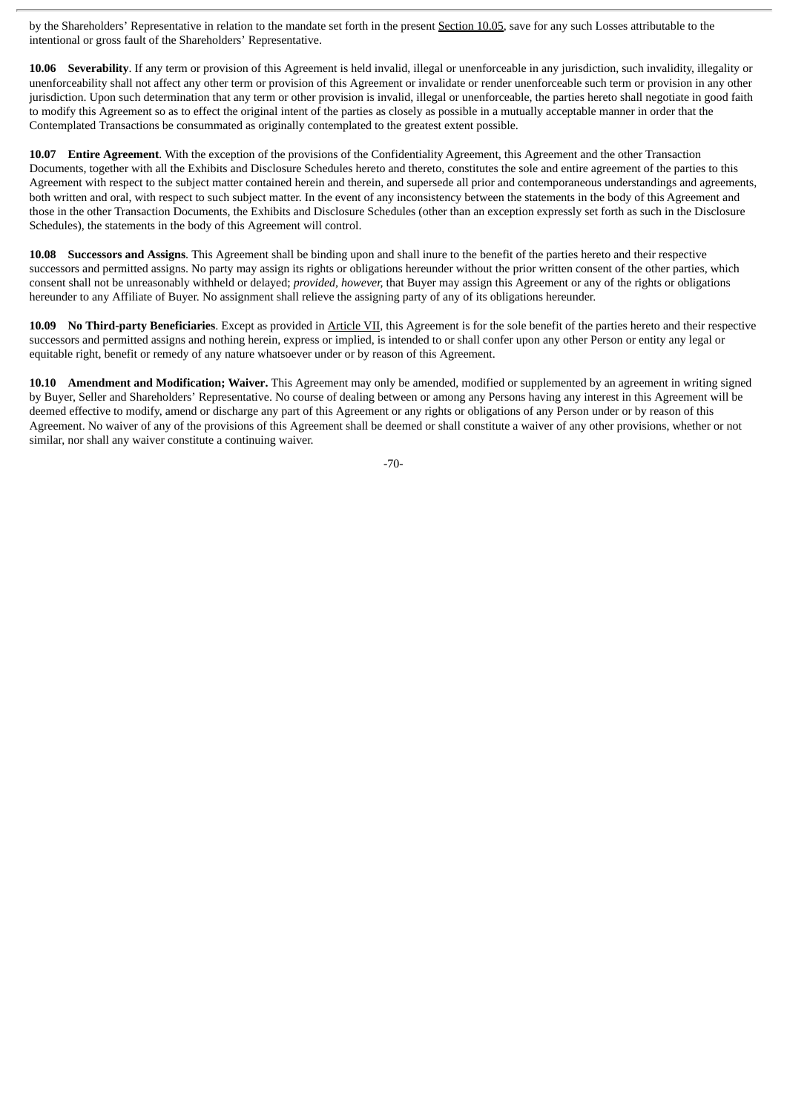by the Shareholders' Representative in relation to the mandate set forth in the present Section 10.05, save for any such Losses attributable to the intentional or gross fault of the Shareholders' Representative.

**10.06 Severability**. If any term or provision of this Agreement is held invalid, illegal or unenforceable in any jurisdiction, such invalidity, illegality or unenforceability shall not affect any other term or provision of this Agreement or invalidate or render unenforceable such term or provision in any other jurisdiction. Upon such determination that any term or other provision is invalid, illegal or unenforceable, the parties hereto shall negotiate in good faith to modify this Agreement so as to effect the original intent of the parties as closely as possible in a mutually acceptable manner in order that the Contemplated Transactions be consummated as originally contemplated to the greatest extent possible.

**10.07 Entire Agreement**. With the exception of the provisions of the Confidentiality Agreement, this Agreement and the other Transaction Documents, together with all the Exhibits and Disclosure Schedules hereto and thereto, constitutes the sole and entire agreement of the parties to this Agreement with respect to the subject matter contained herein and therein, and supersede all prior and contemporaneous understandings and agreements, both written and oral, with respect to such subject matter. In the event of any inconsistency between the statements in the body of this Agreement and those in the other Transaction Documents, the Exhibits and Disclosure Schedules (other than an exception expressly set forth as such in the Disclosure Schedules), the statements in the body of this Agreement will control.

**10.08 Successors and Assigns**. This Agreement shall be binding upon and shall inure to the benefit of the parties hereto and their respective successors and permitted assigns. No party may assign its rights or obligations hereunder without the prior written consent of the other parties, which consent shall not be unreasonably withheld or delayed; *provided, however,* that Buyer may assign this Agreement or any of the rights or obligations hereunder to any Affiliate of Buyer. No assignment shall relieve the assigning party of any of its obligations hereunder.

**10.09 No Third-party Beneficiaries**. Except as provided in Article VII, this Agreement is for the sole benefit of the parties hereto and their respective successors and permitted assigns and nothing herein, express or implied, is intended to or shall confer upon any other Person or entity any legal or equitable right, benefit or remedy of any nature whatsoever under or by reason of this Agreement.

**10.10 Amendment and Modification; Waiver.** This Agreement may only be amended, modified or supplemented by an agreement in writing signed by Buyer, Seller and Shareholders' Representative. No course of dealing between or among any Persons having any interest in this Agreement will be deemed effective to modify, amend or discharge any part of this Agreement or any rights or obligations of any Person under or by reason of this Agreement. No waiver of any of the provisions of this Agreement shall be deemed or shall constitute a waiver of any other provisions, whether or not similar, nor shall any waiver constitute a continuing waiver.

-70-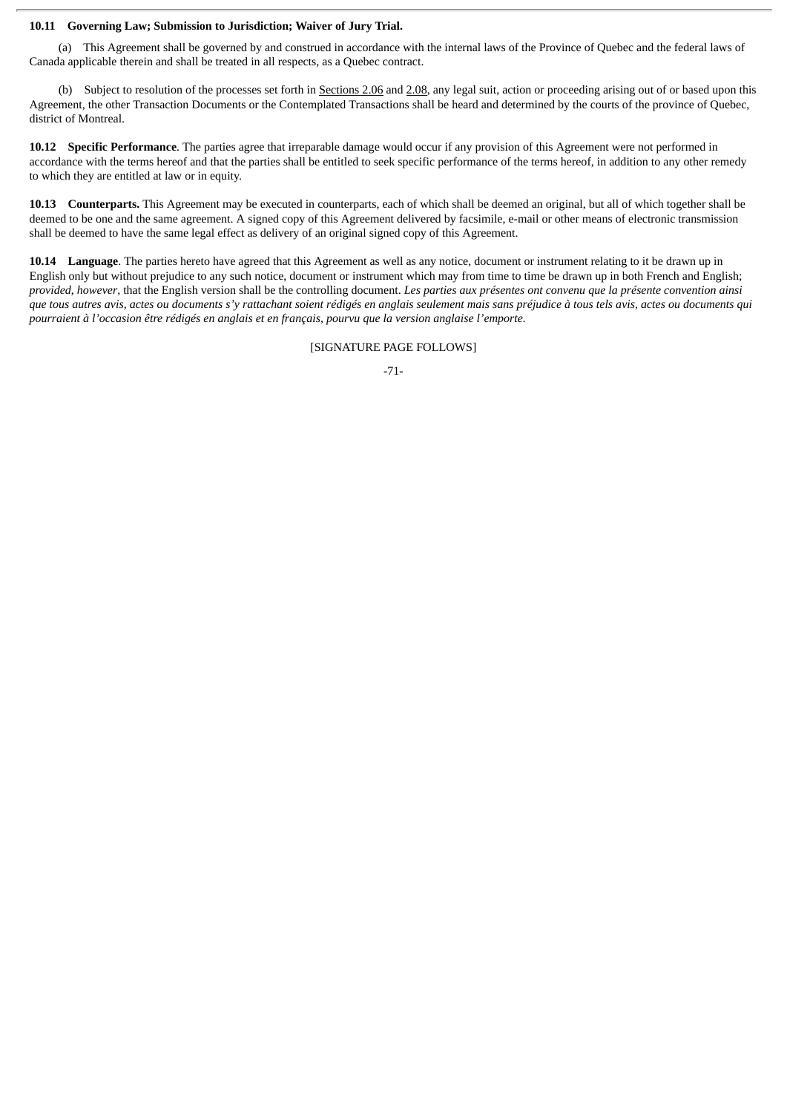## **10.11 Governing Law; Submission to Jurisdiction; Waiver of Jury Trial.**

(a) This Agreement shall be governed by and construed in accordance with the internal laws of the Province of Quebec and the federal laws of Canada applicable therein and shall be treated in all respects, as a Quebec contract.

(b) Subject to resolution of the processes set forth in Sections 2.06 and 2.08, any legal suit, action or proceeding arising out of or based upon this Agreement, the other Transaction Documents or the Contemplated Transactions shall be heard and determined by the courts of the province of Quebec, district of Montreal.

**10.12 Specific Performance**. The parties agree that irreparable damage would occur if any provision of this Agreement were not performed in accordance with the terms hereof and that the parties shall be entitled to seek specific performance of the terms hereof, in addition to any other remedy to which they are entitled at law or in equity.

**10.13 Counterparts.** This Agreement may be executed in counterparts, each of which shall be deemed an original, but all of which together shall be deemed to be one and the same agreement. A signed copy of this Agreement delivered by facsimile, e-mail or other means of electronic transmission shall be deemed to have the same legal effect as delivery of an original signed copy of this Agreement.

**10.14 Language**. The parties hereto have agreed that this Agreement as well as any notice, document or instrument relating to it be drawn up in English only but without prejudice to any such notice, document or instrument which may from time to time be drawn up in both French and English; provided, however, that the English version shall be the controlling document. Les parties aux présentes ont convenu que la présente convention ainsi que tous autres avis, actes ou documents s'y rattachant soient rédigés en anglais seulement mais sans préjudice à tous tels avis, actes ou documents qui *pourraient à l'occasion être rédigés en anglais et en français, pourvu que la version anglaise l'emporte.*

#### [SIGNATURE PAGE FOLLOWS]

-71-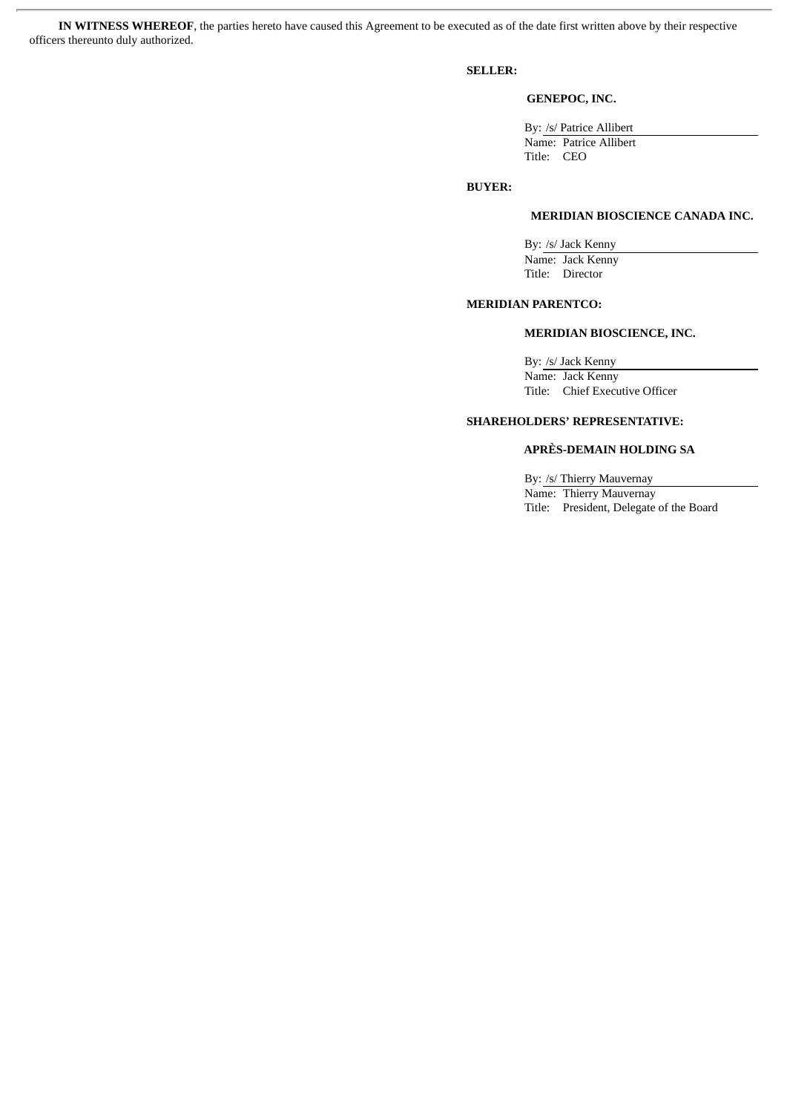**IN WITNESS WHEREOF**, the parties hereto have caused this Agreement to be executed as of the date first written above by their respective officers thereunto duly authorized.

# **SELLER:**

# **GENEPOC, INC.**

By: /s/ Patrice Allibert Name: Patrice Allibert Title: CEO

# **BUYER:**

# **MERIDIAN BIOSCIENCE CANADA INC.**

By: /s/ Jack Kenny Name: Jack Kenny Title: Director

#### **MERIDIAN PARENTCO:**

### **MERIDIAN BIOSCIENCE, INC.**

By: /s/ Jack Kenny Name: Jack Kenny Title: Chief Executive Officer

# **SHAREHOLDERS' REPRESENTATIVE:**

### **APRÈS-DEMAIN HOLDING SA**

By: /s/ Thierry Mauvernay Name: Thierry Mauvernay Title: President, Delegate of the Board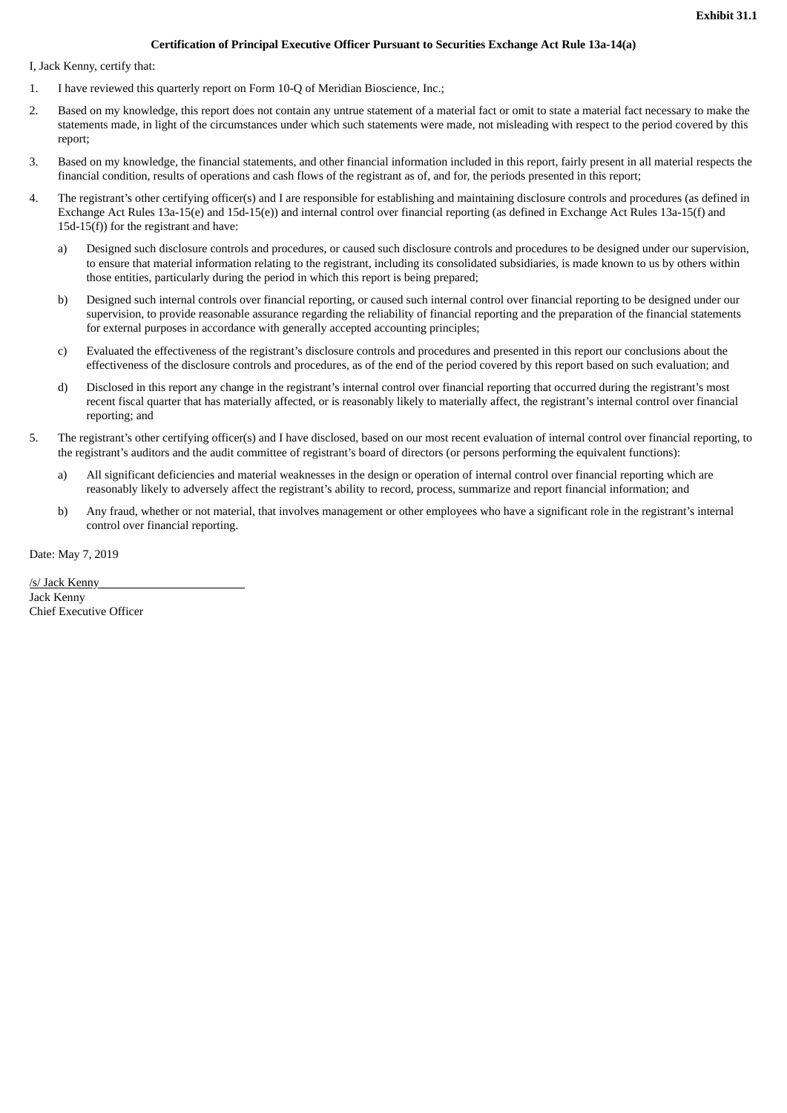#### **Certification of Principal Executive Officer Pursuant to Securities Exchange Act Rule 13a-14(a)**

I, Jack Kenny, certify that:

- 1. I have reviewed this quarterly report on Form 10-Q of Meridian Bioscience, Inc.;
- 2. Based on my knowledge, this report does not contain any untrue statement of a material fact or omit to state a material fact necessary to make the statements made, in light of the circumstances under which such statements were made, not misleading with respect to the period covered by this report;
- 3. Based on my knowledge, the financial statements, and other financial information included in this report, fairly present in all material respects the financial condition, results of operations and cash flows of the registrant as of, and for, the periods presented in this report;
- 4. The registrant's other certifying officer(s) and I are responsible for establishing and maintaining disclosure controls and procedures (as defined in Exchange Act Rules 13a-15(e) and 15d-15(e)) and internal control over financial reporting (as defined in Exchange Act Rules 13a-15(f) and 15d-15(f)) for the registrant and have:
	- a) Designed such disclosure controls and procedures, or caused such disclosure controls and procedures to be designed under our supervision, to ensure that material information relating to the registrant, including its consolidated subsidiaries, is made known to us by others within those entities, particularly during the period in which this report is being prepared;
	- b) Designed such internal controls over financial reporting, or caused such internal control over financial reporting to be designed under our supervision, to provide reasonable assurance regarding the reliability of financial reporting and the preparation of the financial statements for external purposes in accordance with generally accepted accounting principles;
	- c) Evaluated the effectiveness of the registrant's disclosure controls and procedures and presented in this report our conclusions about the effectiveness of the disclosure controls and procedures, as of the end of the period covered by this report based on such evaluation; and
	- d) Disclosed in this report any change in the registrant's internal control over financial reporting that occurred during the registrant's most recent fiscal quarter that has materially affected, or is reasonably likely to materially affect, the registrant's internal control over financial reporting; and
- 5. The registrant's other certifying officer(s) and I have disclosed, based on our most recent evaluation of internal control over financial reporting, to the registrant's auditors and the audit committee of registrant's board of directors (or persons performing the equivalent functions):
	- a) All significant deficiencies and material weaknesses in the design or operation of internal control over financial reporting which are reasonably likely to adversely affect the registrant's ability to record, process, summarize and report financial information; and
	- b) Any fraud, whether or not material, that involves management or other employees who have a significant role in the registrant's internal control over financial reporting.

Date: May 7, 2019

/s/ Jack Kenny Jack Kenny Chief Executive Officer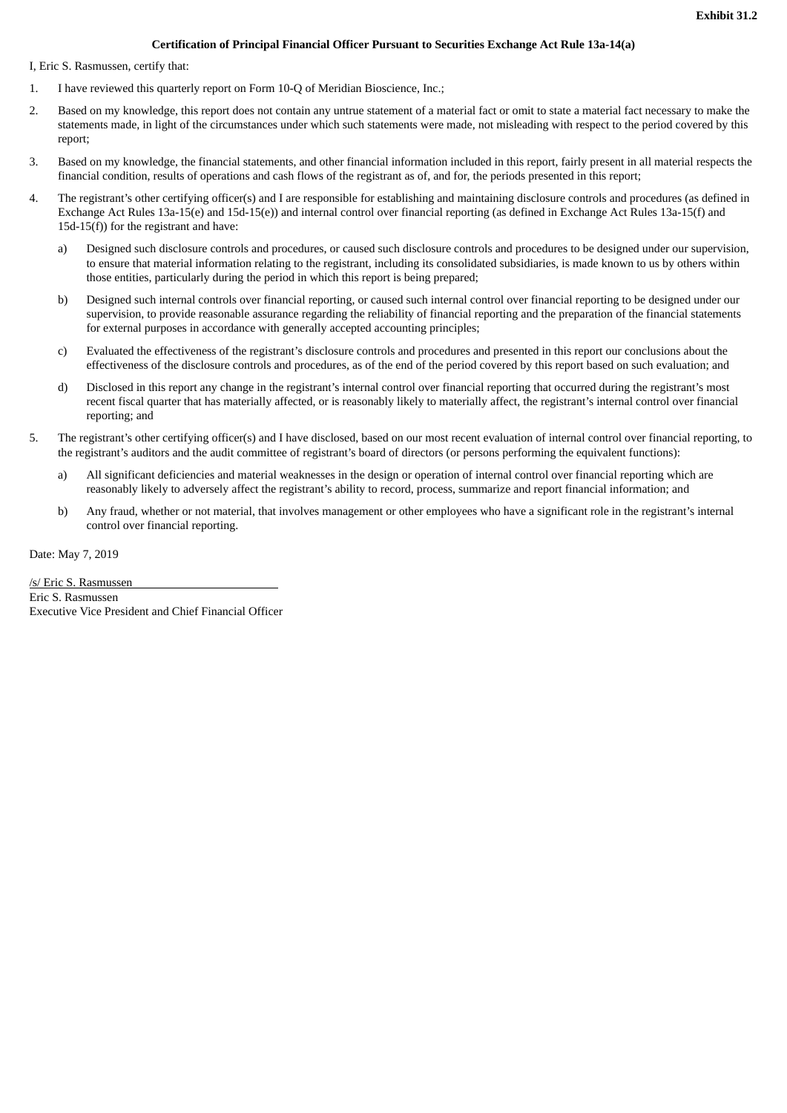### **Certification of Principal Financial Officer Pursuant to Securities Exchange Act Rule 13a-14(a)**

I, Eric S. Rasmussen, certify that:

- 1. I have reviewed this quarterly report on Form 10-Q of Meridian Bioscience, Inc.;
- 2. Based on my knowledge, this report does not contain any untrue statement of a material fact or omit to state a material fact necessary to make the statements made, in light of the circumstances under which such statements were made, not misleading with respect to the period covered by this report;
- 3. Based on my knowledge, the financial statements, and other financial information included in this report, fairly present in all material respects the financial condition, results of operations and cash flows of the registrant as of, and for, the periods presented in this report;
- 4. The registrant's other certifying officer(s) and I are responsible for establishing and maintaining disclosure controls and procedures (as defined in Exchange Act Rules 13a-15(e) and 15d-15(e)) and internal control over financial reporting (as defined in Exchange Act Rules 13a-15(f) and 15d-15(f)) for the registrant and have:
	- a) Designed such disclosure controls and procedures, or caused such disclosure controls and procedures to be designed under our supervision, to ensure that material information relating to the registrant, including its consolidated subsidiaries, is made known to us by others within those entities, particularly during the period in which this report is being prepared;
	- b) Designed such internal controls over financial reporting, or caused such internal control over financial reporting to be designed under our supervision, to provide reasonable assurance regarding the reliability of financial reporting and the preparation of the financial statements for external purposes in accordance with generally accepted accounting principles;
	- c) Evaluated the effectiveness of the registrant's disclosure controls and procedures and presented in this report our conclusions about the effectiveness of the disclosure controls and procedures, as of the end of the period covered by this report based on such evaluation; and
	- d) Disclosed in this report any change in the registrant's internal control over financial reporting that occurred during the registrant's most recent fiscal quarter that has materially affected, or is reasonably likely to materially affect, the registrant's internal control over financial reporting; and
- 5. The registrant's other certifying officer(s) and I have disclosed, based on our most recent evaluation of internal control over financial reporting, to the registrant's auditors and the audit committee of registrant's board of directors (or persons performing the equivalent functions):
	- a) All significant deficiencies and material weaknesses in the design or operation of internal control over financial reporting which are reasonably likely to adversely affect the registrant's ability to record, process, summarize and report financial information; and
	- b) Any fraud, whether or not material, that involves management or other employees who have a significant role in the registrant's internal control over financial reporting.

Date: May 7, 2019

/s/ Eric S. Rasmussen Eric S. Rasmussen Executive Vice President and Chief Financial Officer